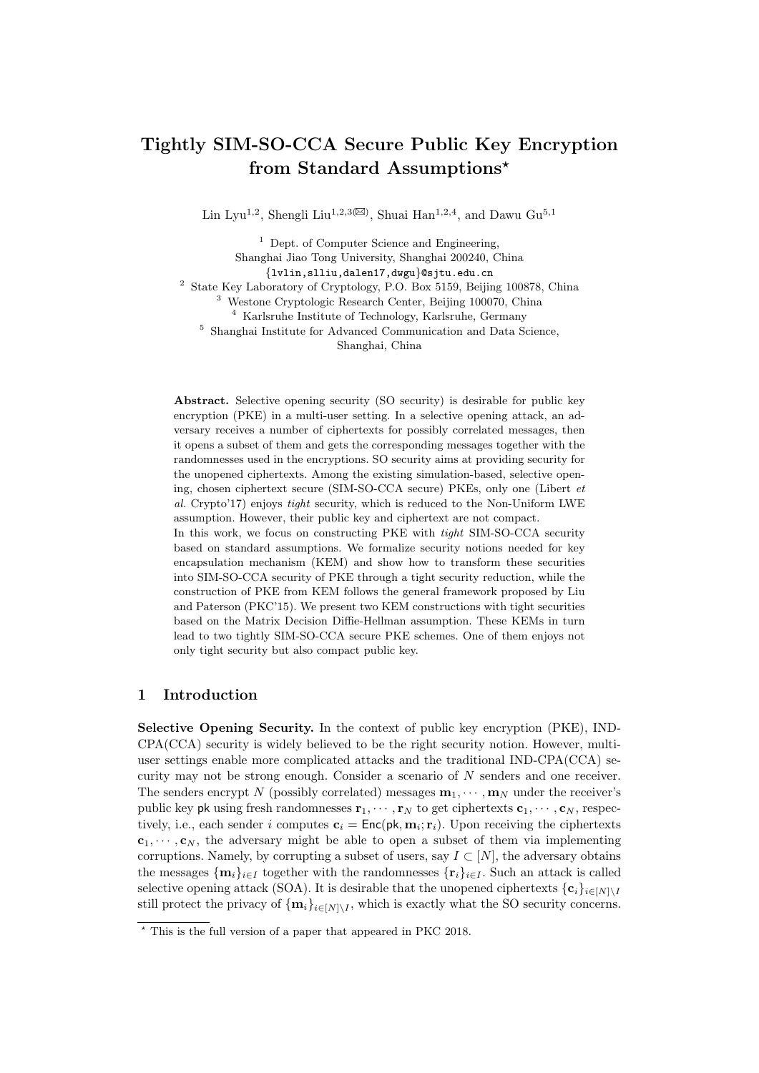# <span id="page-0-0"></span>Tightly SIM-SO-CCA Secure Public Key Encryption from Standard Assumptions?

Lin Lyu<sup>1,2</sup>, Shengli Liu<sup>1,2,3</sup><sup>(⊠)</sup>, Shuai Han<sup>1,2,4</sup>, and Dawu Gu<sup>5,1</sup>

 Dept. of Computer Science and Engineering, Shanghai Jiao Tong University, Shanghai 200240, China {lvlin,slliu,dalen17,dwgu}@sjtu.edu.cn State Key Laboratory of Cryptology, P.O. Box 5159, Beijing 100878, China Westone Cryptologic Research Center, Beijing 100070, China Karlsruhe Institute of Technology, Karlsruhe, Germany Shanghai Institute for Advanced Communication and Data Science, Shanghai, China

Abstract. Selective opening security (SO security) is desirable for public key encryption (PKE) in a multi-user setting. In a selective opening attack, an adversary receives a number of ciphertexts for possibly correlated messages, then it opens a subset of them and gets the corresponding messages together with the randomnesses used in the encryptions. SO security aims at providing security for the unopened ciphertexts. Among the existing simulation-based, selective opening, chosen ciphertext secure (SIM-SO-CCA secure) PKEs, only one (Libert et al. Crypto'17) enjoys tight security, which is reduced to the Non-Uniform LWE assumption. However, their public key and ciphertext are not compact. In this work, we focus on constructing PKE with *tight* SIM-SO-CCA security based on standard assumptions. We formalize security notions needed for key

encapsulation mechanism (KEM) and show how to transform these securities into SIM-SO-CCA security of PKE through a tight security reduction, while the construction of PKE from KEM follows the general framework proposed by Liu and Paterson (PKC'15). We present two KEM constructions with tight securities based on the Matrix Decision Diffie-Hellman assumption. These KEMs in turn lead to two tightly SIM-SO-CCA secure PKE schemes. One of them enjoys not only tight security but also compact public key.

# <span id="page-0-1"></span>1 Introduction

Selective Opening Security. In the context of public key encryption (PKE), IND-CPA(CCA) security is widely believed to be the right security notion. However, multiuser settings enable more complicated attacks and the traditional IND-CPA(CCA) security may not be strong enough. Consider a scenario of N senders and one receiver. The senders encrypt N (possibly correlated) messages  $\mathbf{m}_1, \dots, \mathbf{m}_N$  under the receiver's public key pk using fresh randomnesses  $\mathbf{r}_1, \cdots, \mathbf{r}_N$  to get ciphertexts  $\mathbf{c}_1, \cdots, \mathbf{c}_N$ , respectively, i.e., each sender i computes  $c_i = \text{Enc}(\text{pk}, m_i; r_i)$ . Upon receiving the ciphertexts  $c_1, \dots, c_N$ , the adversary might be able to open a subset of them via implementing corruptions. Namely, by corrupting a subset of users, say  $I \subset [N]$ , the adversary obtains the messages  $\{\mathbf{m}_i\}_{i\in I}$  together with the randomnesses  $\{\mathbf{r}_i\}_{i\in I}$ . Such an attack is called selective opening attack (SOA). It is desirable that the unopened ciphertexts  ${c_i}_{i \in [N] \setminus I}$ still protect the privacy of  ${\{\mathbf{m}_i\}_{i\in[N]\setminus I}}$ , which is exactly what the SO security concerns.

<sup>?</sup> This is the full version of a paper that appeared in PKC 2018.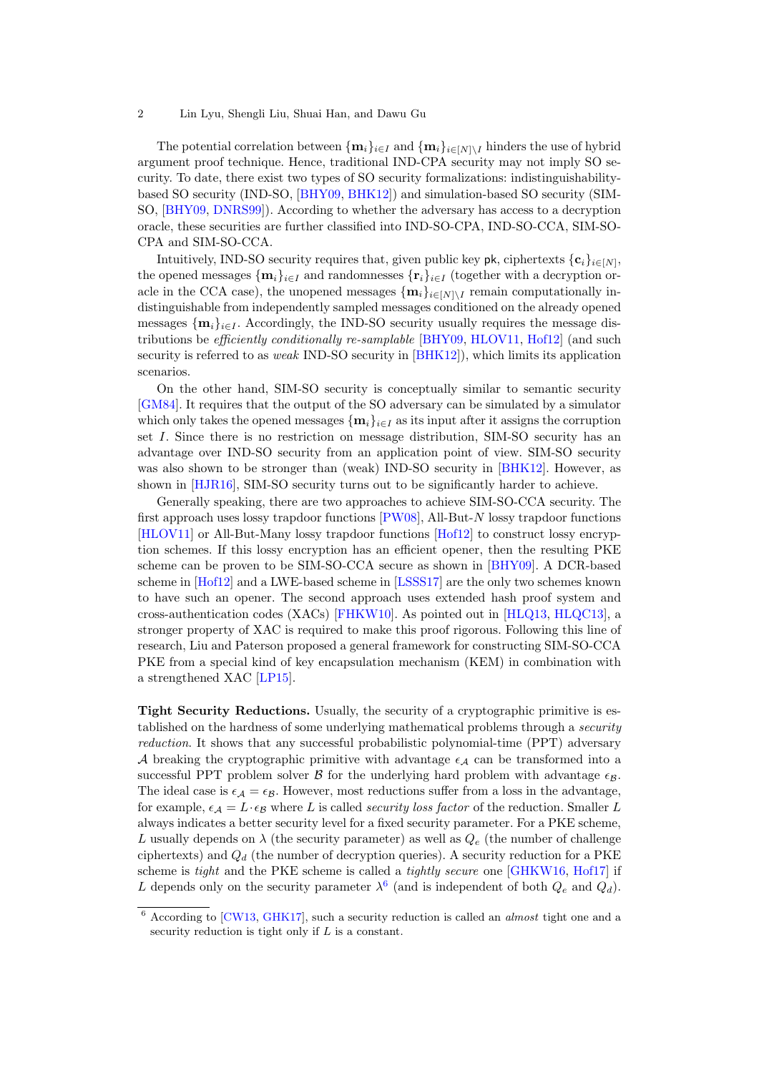The potential correlation between  ${\{\mathbf{m}_i\}_{i\in I}}$  and  ${\{\mathbf{m}_i\}_{i\in [N]\setminus I}}$  hinders the use of hybrid argument proof technique. Hence, traditional IND-CPA security may not imply SO security. To date, there exist two types of SO security formalizations: indistinguishabilitybased SO security (IND-SO, [\[BHY09,](#page-26-0) [BHK12\]](#page-26-1)) and simulation-based SO security (SIM-SO, [\[BHY09,](#page-26-0) [DNRS99\]](#page-26-2)). According to whether the adversary has access to a decryption oracle, these securities are further classified into IND-SO-CPA, IND-SO-CCA, SIM-SO-CPA and SIM-SO-CCA.

Intuitively, IND-SO security requires that, given public key  $pk$ , ciphertexts  ${c_i}_{i\in[N]}$ , the opened messages  $\{\mathbf{m}_i\}_{i\in I}$  and randomnesses  $\{\mathbf{r}_i\}_{i\in I}$  (together with a decryption oracle in the CCA case), the unopened messages  ${\{\mathbf{m}_i\}_{i\in[N]\setminus I}}$  remain computationally indistinguishable from independently sampled messages conditioned on the already opened messages  $\{\mathbf{m}_i\}_{i\in I}$ . Accordingly, the IND-SO security usually requires the message distributions be efficiently conditionally re-samplable [\[BHY09,](#page-26-0) [HLOV11,](#page-27-0) [Hof12\]](#page-27-1) (and such security is referred to as *weak* IND-SO security in  $[BHK12]$ , which limits its application scenarios.

On the other hand, SIM-SO security is conceptually similar to semantic security [\[GM84\]](#page-26-3). It requires that the output of the SO adversary can be simulated by a simulator which only takes the opened messages  $\{m_i\}_{i\in I}$  as its input after it assigns the corruption set I. Since there is no restriction on message distribution, SIM-SO security has an advantage over IND-SO security from an application point of view. SIM-SO security was also shown to be stronger than (weak) IND-SO security in [\[BHK12\]](#page-26-1). However, as shown in [\[HJR16\]](#page-26-4), SIM-SO security turns out to be significantly harder to achieve.

Generally speaking, there are two approaches to achieve SIM-SO-CCA security. The first approach uses lossy trapdoor functions [\[PW08\]](#page-27-2), All-But-N lossy trapdoor functions [\[HLOV11\]](#page-27-0) or All-But-Many lossy trapdoor functions [\[Hof12\]](#page-27-1) to construct lossy encryption schemes. If this lossy encryption has an efficient opener, then the resulting PKE scheme can be proven to be SIM-SO-CCA secure as shown in [\[BHY09\]](#page-26-0). A DCR-based scheme in [\[Hof12\]](#page-27-1) and a LWE-based scheme in [\[LSSS17\]](#page-27-3) are the only two schemes known to have such an opener. The second approach uses extended hash proof system and cross-authentication codes (XACs) [\[FHKW10\]](#page-26-5). As pointed out in [\[HLQ13,](#page-27-4) [HLQC13\]](#page-27-5), a stronger property of XAC is required to make this proof rigorous. Following this line of research, Liu and Paterson proposed a general framework for constructing SIM-SO-CCA PKE from a special kind of key encapsulation mechanism (KEM) in combination with a strengthened XAC [\[LP15\]](#page-27-6).

Tight Security Reductions. Usually, the security of a cryptographic primitive is established on the hardness of some underlying mathematical problems through a *security* reduction. It shows that any successful probabilistic polynomial-time (PPT) adversary A breaking the cryptographic primitive with advantage  $\epsilon_A$  can be transformed into a successful PPT problem solver  $\beta$  for the underlying hard problem with advantage  $\epsilon_B$ . The ideal case is  $\epsilon_A = \epsilon_B$ . However, most reductions suffer from a loss in the advantage, for example,  $\epsilon_A = L \cdot \epsilon_B$  where L is called *security loss factor* of the reduction. Smaller L always indicates a better security level for a fixed security parameter. For a PKE scheme, L usually depends on  $\lambda$  (the security parameter) as well as  $Q_e$  (the number of challenge ciphertexts) and  $Q_d$  (the number of decryption queries). A security reduction for a PKE scheme is *tight* and the PKE scheme is called a *tightly secure* one [\[GHKW16,](#page-26-6) [Hof17\]](#page-27-7) if L depends only on the security parameter  $\lambda^6$  $\lambda^6$  (and is independent of both  $Q_e$  and  $Q_d$ ).

<span id="page-1-0"></span> $6$  According to [\[CW13,](#page-26-7) [GHK17\]](#page-26-8), such a security reduction is called an *almost* tight one and a security reduction is tight only if  $L$  is a constant.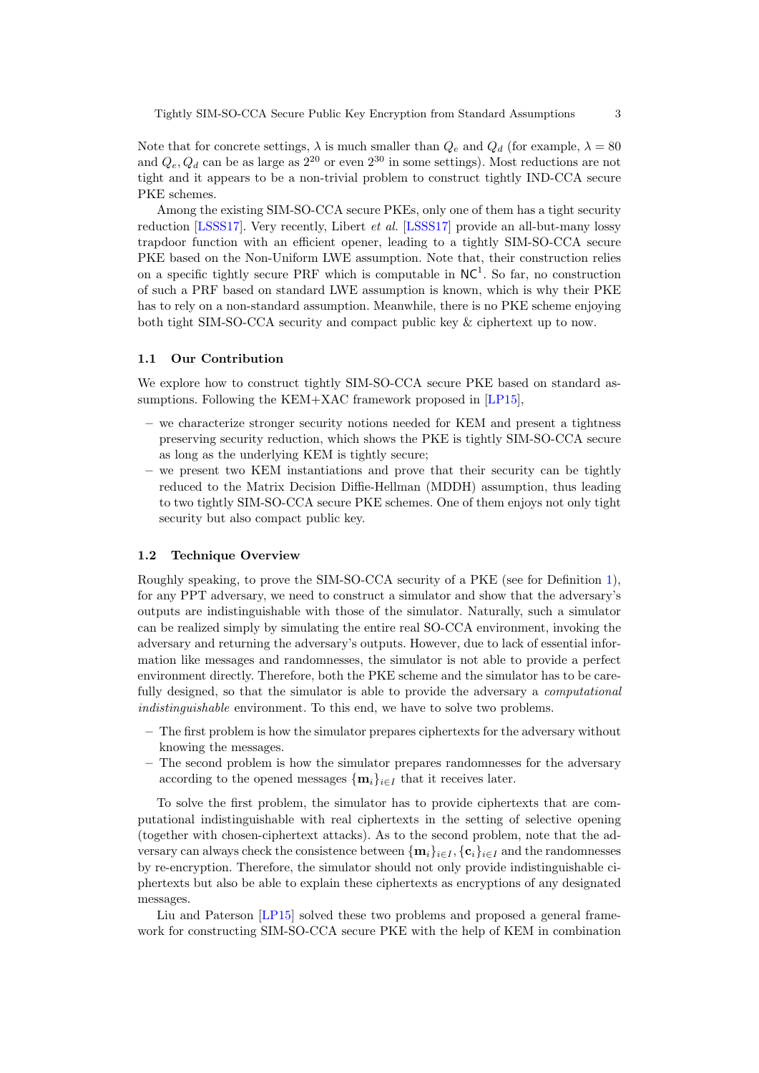Note that for concrete settings,  $\lambda$  is much smaller than  $Q_e$  and  $Q_d$  (for example,  $\lambda = 80$ ) and  $Q_e, Q_d$  can be as large as  $2^{20}$  or even  $2^{30}$  in some settings). Most reductions are not tight and it appears to be a non-trivial problem to construct tightly IND-CCA secure PKE schemes.

Among the existing SIM-SO-CCA secure PKEs, only one of them has a tight security reduction [\[LSSS17\]](#page-27-3). Very recently, Libert et al. [\[LSSS17\]](#page-27-3) provide an all-but-many lossy trapdoor function with an efficient opener, leading to a tightly SIM-SO-CCA secure PKE based on the Non-Uniform LWE assumption. Note that, their construction relies on a specific tightly secure PRF which is computable in  $NC<sup>1</sup>$ . So far, no construction of such a PRF based on standard LWE assumption is known, which is why their PKE has to rely on a non-standard assumption. Meanwhile, there is no PKE scheme enjoying both tight SIM-SO-CCA security and compact public key & ciphertext up to now.

## <span id="page-2-0"></span>1.1 Our Contribution

We explore how to construct tightly SIM-SO-CCA secure PKE based on standard as-sumptions. Following the KEM+XAC framework proposed in [\[LP15\]](#page-27-6),

- we characterize stronger security notions needed for KEM and present a tightness preserving security reduction, which shows the PKE is tightly SIM-SO-CCA secure as long as the underlying KEM is tightly secure;
- we present two KEM instantiations and prove that their security can be tightly reduced to the Matrix Decision Diffie-Hellman (MDDH) assumption, thus leading to two tightly SIM-SO-CCA secure PKE schemes. One of them enjoys not only tight security but also compact public key.

### <span id="page-2-1"></span>1.2 Technique Overview

Roughly speaking, to prove the SIM-SO-CCA security of a PKE (see for Definition [1\)](#page-5-0), for any PPT adversary, we need to construct a simulator and show that the adversary's outputs are indistinguishable with those of the simulator. Naturally, such a simulator can be realized simply by simulating the entire real SO-CCA environment, invoking the adversary and returning the adversary's outputs. However, due to lack of essential information like messages and randomnesses, the simulator is not able to provide a perfect environment directly. Therefore, both the PKE scheme and the simulator has to be carefully designed, so that the simulator is able to provide the adversary a *computational* indistinguishable environment. To this end, we have to solve two problems.

- The first problem is how the simulator prepares ciphertexts for the adversary without knowing the messages.
- The second problem is how the simulator prepares randomnesses for the adversary according to the opened messages  ${\{\mathbf{m}_i\}}_{i\in I}$  that it receives later.

To solve the first problem, the simulator has to provide ciphertexts that are computational indistinguishable with real ciphertexts in the setting of selective opening (together with chosen-ciphertext attacks). As to the second problem, note that the adversary can always check the consistence between  $\{\mathbf{m}_i\}_{i\in I}$ ,  $\{\mathbf{c}_i\}_{i\in I}$  and the randomnesses by re-encryption. Therefore, the simulator should not only provide indistinguishable ciphertexts but also be able to explain these ciphertexts as encryptions of any designated messages.

Liu and Paterson [\[LP15\]](#page-27-6) solved these two problems and proposed a general framework for constructing SIM-SO-CCA secure PKE with the help of KEM in combination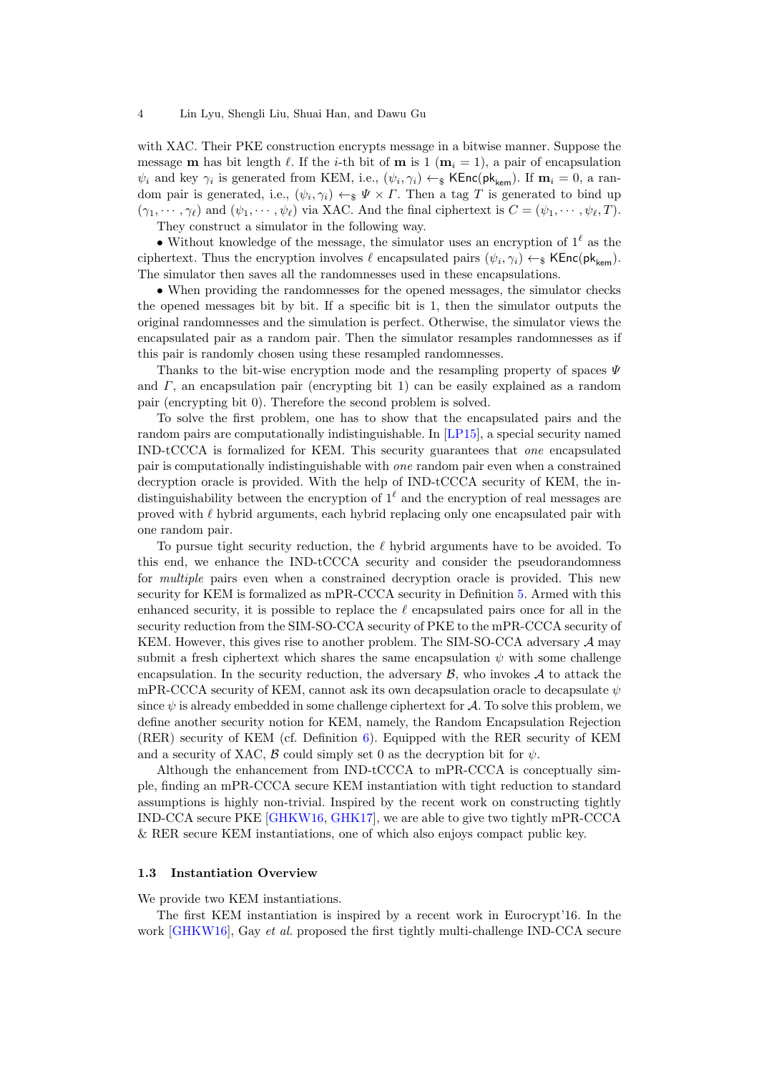with XAC. Their PKE construction encrypts message in a bitwise manner. Suppose the message **m** has bit length  $\ell$ . If the *i*-th bit of **m** is 1 ( $m_i = 1$ ), a pair of encapsulation  $\psi_i$  and key  $\gamma_i$  is generated from KEM, i.e.,  $(\psi_i, \gamma_i) \leftarrow \mathcal{L}$  KEnc(pk<sub>kem</sub>). If  $\mathbf{m}_i = 0$ , a random pair is generated, i.e.,  $(\psi_i, \gamma_i) \leftarrow \mathcal{F} \times \Gamma$ . Then a tag T is generated to bind up  $(\gamma_1, \cdots, \gamma_\ell)$  and  $(\psi_1, \cdots, \psi_\ell)$  via XAC. And the final ciphertext is  $C = (\psi_1, \cdots, \psi_\ell, T)$ . They construct a simulator in the following way.

• Without knowledge of the message, the simulator uses an encryption of  $1^\ell$  as the ciphertext. Thus the encryption involves  $\ell$  encapsulated pairs  $(\psi_i, \gamma_i) \leftarrow \S$  KEnc(pk<sub>kem</sub>). The simulator then saves all the randomnesses used in these encapsulations.

• When providing the randomnesses for the opened messages, the simulator checks the opened messages bit by bit. If a specific bit is 1, then the simulator outputs the original randomnesses and the simulation is perfect. Otherwise, the simulator views the encapsulated pair as a random pair. Then the simulator resamples randomnesses as if this pair is randomly chosen using these resampled randomnesses.

Thanks to the bit-wise encryption mode and the resampling property of spaces  $\Psi$ and  $\Gamma$ , an encapsulation pair (encrypting bit 1) can be easily explained as a random pair (encrypting bit 0). Therefore the second problem is solved.

To solve the first problem, one has to show that the encapsulated pairs and the random pairs are computationally indistinguishable. In [\[LP15\]](#page-27-6), a special security named IND-tCCCA is formalized for KEM. This security guarantees that one encapsulated pair is computationally indistinguishable with one random pair even when a constrained decryption oracle is provided. With the help of IND-tCCCA security of KEM, the indistinguishability between the encryption of  $1^\ell$  and the encryption of real messages are proved with  $\ell$  hybrid arguments, each hybrid replacing only one encapsulated pair with one random pair.

To pursue tight security reduction, the  $\ell$  hybrid arguments have to be avoided. To this end, we enhance the IND-tCCCA security and consider the pseudorandomness for multiple pairs even when a constrained decryption oracle is provided. This new security for KEM is formalized as mPR-CCCA security in Definition [5.](#page-7-0) Armed with this enhanced security, it is possible to replace the  $\ell$  encapsulated pairs once for all in the security reduction from the SIM-SO-CCA security of PKE to the mPR-CCCA security of KEM. However, this gives rise to another problem. The SIM-SO-CCA adversary  $\mathcal A$  may submit a fresh ciphertext which shares the same encapsulation  $\psi$  with some challenge encapsulation. In the security reduction, the adversary  $\mathcal{B}$ , who invokes  $\mathcal{A}$  to attack the mPR-CCCA security of KEM, cannot ask its own decapsulation oracle to decapsulate  $\psi$ since  $\psi$  is already embedded in some challenge ciphertext for A. To solve this problem, we define another security notion for KEM, namely, the Random Encapsulation Rejection (RER) security of KEM (cf. Definition [6\)](#page-8-0). Equipped with the RER security of KEM and a security of XAC,  $\beta$  could simply set 0 as the decryption bit for  $\psi$ .

Although the enhancement from IND-tCCCA to mPR-CCCA is conceptually simple, finding an mPR-CCCA secure KEM instantiation with tight reduction to standard assumptions is highly non-trivial. Inspired by the recent work on constructing tightly IND-CCA secure PKE [\[GHKW16,](#page-26-6) [GHK17\]](#page-26-8), we are able to give two tightly mPR-CCCA & RER secure KEM instantiations, one of which also enjoys compact public key.

### <span id="page-3-0"></span>1.3 Instantiation Overview

We provide two KEM instantiations.

The first KEM instantiation is inspired by a recent work in Eurocrypt'16. In the work [\[GHKW16\]](#page-26-6), Gay *et al.* proposed the first tightly multi-challenge IND-CCA secure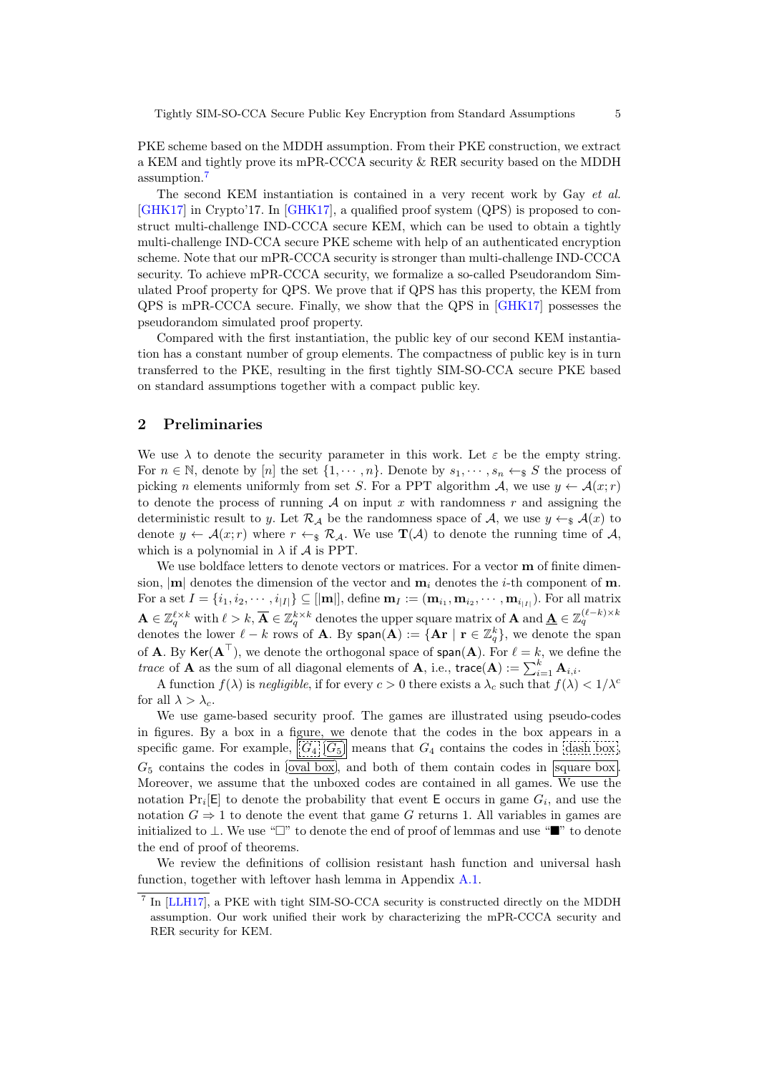PKE scheme based on the MDDH assumption. From their PKE construction, we extract a KEM and tightly prove its mPR-CCCA security & RER security based on the MDDH assumption.[7](#page-4-0)

The second KEM instantiation is contained in a very recent work by Gay et al. [\[GHK17\]](#page-26-8) in Crypto'17. In [\[GHK17\]](#page-26-8), a qualified proof system (QPS) is proposed to construct multi-challenge IND-CCCA secure KEM, which can be used to obtain a tightly multi-challenge IND-CCA secure PKE scheme with help of an authenticated encryption scheme. Note that our mPR-CCCA security is stronger than multi-challenge IND-CCCA security. To achieve mPR-CCCA security, we formalize a so-called Pseudorandom Simulated Proof property for QPS. We prove that if QPS has this property, the KEM from QPS is mPR-CCCA secure. Finally, we show that the QPS in [\[GHK17\]](#page-26-8) possesses the pseudorandom simulated proof property.

Compared with the first instantiation, the public key of our second KEM instantiation has a constant number of group elements. The compactness of public key is in turn transferred to the PKE, resulting in the first tightly SIM-SO-CCA secure PKE based on standard assumptions together with a compact public key.

# <span id="page-4-1"></span>2 Preliminaries

We use  $\lambda$  to denote the security parameter in this work. Let  $\varepsilon$  be the empty string. For  $n \in \mathbb{N}$ , denote by  $[n]$  the set  $\{1, \dots, n\}$ . Denote by  $s_1, \dots, s_n \leftarrow s$  S the process of picking n elements uniformly from set S. For a PPT algorithm A, we use  $y \leftarrow \mathcal{A}(x; r)$ to denote the process of running  $\mathcal A$  on input x with randomness r and assigning the deterministic result to y. Let  $\mathcal{R}_{\mathcal{A}}$  be the randomness space of  $\mathcal{A}$ , we use  $y \leftarrow_{\S} \mathcal{A}(x)$  to denote  $y \leftarrow \mathcal{A}(x; r)$  where  $r \leftarrow_{\S} \mathcal{R}_{\mathcal{A}}$ . We use  $\mathbf{T}(\mathcal{A})$  to denote the running time of  $\mathcal{A}$ , which is a polynomial in  $\lambda$  if  $\mathcal A$  is PPT.

We use boldface letters to denote vectors or matrices. For a vector **m** of finite dimension,  $|\mathbf{m}|$  denotes the dimension of the vector and  $\mathbf{m}_i$  denotes the *i*-th component of **m**. For a set  $I = \{i_1, i_2, \cdots, i_{|I|}\} \subseteq [|\mathbf{m}|]$ , define  $\mathbf{m}_I := (\mathbf{m}_{i_1}, \mathbf{m}_{i_2}, \cdots, \mathbf{m}_{i_{|I|}})$ . For all matrix  $\mathbf{A} \in \mathbb{Z}_q^{\ell \times k}$  with  $\ell > k, \overline{\mathbf{A}} \in \mathbb{Z}_q^{k \times k}$  denotes the upper square matrix of  $\mathbf{A}$  and  $\underline{\mathbf{A}} \in \mathbb{Z}_q^{(\ell - k) \times k}$ denotes the lower  $\ell - k$  rows of **A**. By span(**A**) := {**Ar** | **r**  $\in \mathbb{Z}_q^k$ }, we denote the span of **A**. By  $\text{Ker}(\mathbf{A}^{\top})$ , we denote the orthogonal space of span(**A**). For  $\ell = k$ , we define the *trace* of **A** as the sum of all diagonal elements of **A**, i.e.,  $\text{trace}(\mathbf{A}) := \sum_{i=1}^{k} \mathbf{A}_{i,i}$ .

A function  $f(\lambda)$  is negligible, if for every  $c > 0$  there exists a  $\lambda_c$  such that  $f(\lambda) < 1/\lambda^c$ for all  $\lambda > \lambda_c$ .

We use game-based security proof. The games are illustrated using pseudo-codes in figures. By a box in a figure, we denote that the codes in the box appears in a specific game. For example,  $\left|\left|\overline{G_4}\right|\right|$ ✂  $\frac{G_5}{G_5}$  means that  $G_4$  contains the codes in  $\frac{d}{d a sh}$  box;  $G_5$  contains the codes in  $\left[\right]$ ✂  $\frac{\text{equation}}{\text{eval box}}$ , and both of them contain codes in  $\boxed{\text{square box}}$ . Moreover, we assume that the unboxed codes are contained in all games. We use the notation  $Pr_i[E]$  to denote the probability that event E occurs in game  $G_i$ , and use the notation  $G \Rightarrow 1$  to denote the event that game G returns 1. All variables in games are initialized to ⊥. We use " $\Box$ " to denote the end of proof of lemmas and use " $\Box$ " to denote the end of proof of theorems.

We review the definitions of collision resistant hash function and universal hash function, together with leftover hash lemma in Appendix [A.1.](#page-28-0)

<span id="page-4-0"></span><sup>&</sup>lt;sup>7</sup> In [\[LLH17\]](#page-27-8), a PKE with tight SIM-SO-CCA security is constructed directly on the MDDH assumption. Our work unified their work by characterizing the mPR-CCCA security and RER security for KEM.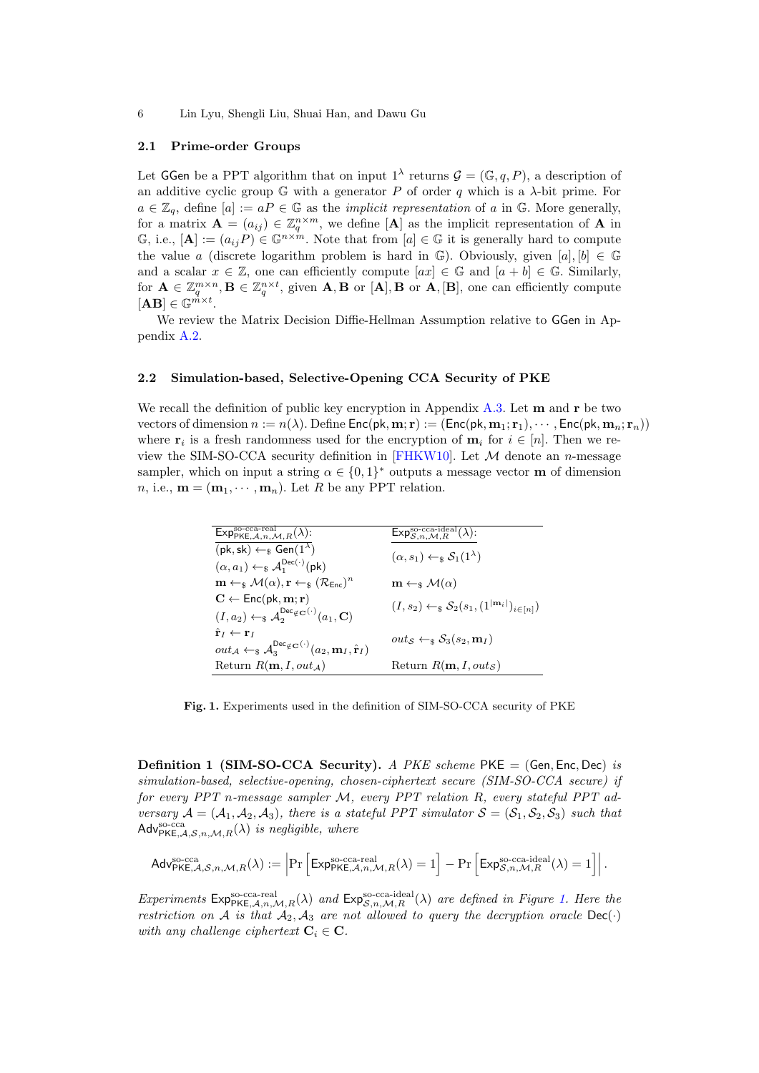### <span id="page-5-2"></span>2.1 Prime-order Groups

Let GGen be a PPT algorithm that on input  $1^{\lambda}$  returns  $\mathcal{G} = (\mathbb{G}, q, P)$ , a description of an additive cyclic group G with a generator P of order q which is a  $\lambda$ -bit prime. For  $a \in \mathbb{Z}_q$ , define  $[a] := aP \in \mathbb{G}$  as the *implicit representation* of a in  $\mathbb{G}$ . More generally, for a matrix  $\mathbf{A} = (a_{ij}) \in \mathbb{Z}_q^{n \times m}$ , we define  $[\mathbf{A}]$  as the implicit representation of  $\mathbf{A}$  in  $\mathbb{G}$ , i.e.,  $[\mathbf{A}] := (a_{ij}P) \in \mathbb{G}^{n \times m}$ . Note that from  $[a] \in \mathbb{G}$  it is generally hard to compute the value a (discrete logarithm problem is hard in  $\mathbb{G}$ ). Obviously, given [a], [b]  $\in \mathbb{G}$ and a scalar  $x \in \mathbb{Z}$ , one can efficiently compute  $[ax] \in \mathbb{G}$  and  $[a + b] \in \mathbb{G}$ . Similarly, for  $\mathbf{A} \in \mathbb{Z}_q^{m \times n}, \mathbf{B} \in \mathbb{Z}_q^{n \times t}$ , given  $\mathbf{A}, \mathbf{B}$  or  $[\mathbf{A}], \mathbf{B}$  or  $\mathbf{A}, [\mathbf{B}],$  one can efficiently compute  $[AB] \in \mathbb{G}^{m \times t}.$ 

We review the Matrix Decision Diffie-Hellman Assumption relative to GGen in Appendix [A.2.](#page-28-1)

### <span id="page-5-3"></span>2.2 Simulation-based, Selective-Opening CCA Security of PKE

We recall the definition of public key encryption in Appendix  $A.3$ . Let  $m$  and  $r$  be two vectors of dimension  $n := n(\lambda)$ . Define  $Enc(\mathsf{pk}, \mathbf{m}; \mathbf{r}) := (Enc(\mathsf{pk}, \mathbf{m}_1; \mathbf{r}_1), \cdots, Enc(\mathsf{pk}, \mathbf{m}_n; \mathbf{r}_n))$ where  $\mathbf{r}_i$  is a fresh randomness used for the encryption of  $\mathbf{m}_i$  for  $i \in [n]$ . Then we re-view the SIM-SO-CCA security definition in [\[FHKW10\]](#page-26-5). Let  $\mathcal M$  denote an *n*-message sampler, which on input a string  $\alpha \in \{0,1\}^*$  outputs a message vector **m** of dimension n, i.e.,  $\mathbf{m} = (\mathbf{m}_1, \dots, \mathbf{m}_n)$ . Let R be any PPT relation.

| $Exp_{PKE.A.n.M.B}^{so-cca-real}(\lambda)$ :                                                                                 | $Exp_{S.n.\mathcal{M},R}^{\text{so-cca-ideal}}(\lambda)$ :   |
|------------------------------------------------------------------------------------------------------------------------------|--------------------------------------------------------------|
| $(\mathsf{pk}, \mathsf{sk}) \leftarrow_{\mathsf{s}} \mathsf{Gen}(1^{\lambda})$                                               | $(\alpha, s_1) \leftarrow_s \mathcal{S}_1(1^{\lambda})$      |
| $(\alpha, a_1) \leftarrow_s \mathcal{A}_1^{\text{Dec}(\cdot)}(\text{pk})$                                                    |                                                              |
| $\mathbf{m} \leftarrow_{\$} \mathcal{M}(\alpha), \mathbf{r} \leftarrow_{\$} (\mathcal{R}_{\mathsf{Enc}})^n$                  | $\mathbf{m} \leftarrow_s \mathcal{M}(\alpha)$                |
| $C \leftarrow \mathsf{Enc}(\mathsf{pk}, \mathbf{m}; \mathbf{r})$                                                             | $(I, s_2) \leftarrow_{\$} S_2(s_1, (1^{ m_i })_{i \in [n]})$ |
| $(I, a_2) \leftarrow_{\$} \mathcal{A}_2^{\mathsf{Dec}_{\notin} \mathbf{C}^{(\cdot)}(a_1, \mathbf{C})}$                       |                                                              |
| $\hat{\mathbf{r}}_I \leftarrow \mathbf{r}_I$                                                                                 | $out_{\mathcal{S}} \leftarrow_{\$} \mathcal{S}_3(s_2, m_I)$  |
| $out_{\mathcal{A}} \leftarrow_{\$} \mathcal{A}_{3}^{\text{Dec}_{\notin} \mathbf{C}^{(\cdot)}(a_2, m_I, \hat{\mathbf{r}}_I)}$ |                                                              |
| Return $R(m, I, out_A)$                                                                                                      | Return $R(m, I, out_{S})$                                    |

<span id="page-5-1"></span>Fig. 1. Experiments used in the definition of SIM-SO-CCA security of PKE

<span id="page-5-0"></span>**Definition 1 (SIM-SO-CCA Security).** A PKE scheme PKE = (Gen, Enc, Dec) is simulation-based, selective-opening, chosen-ciphertext secure (SIM-SO-CCA secure) if for every PPT n-message sampler M, every PPT relation R, every stateful PPT adversary  $\mathcal{A} = (\mathcal{A}_1, \mathcal{A}_2, \mathcal{A}_3)$ , there is a stateful PPT simulator  $\mathcal{S} = (\mathcal{S}_1, \mathcal{S}_2, \mathcal{S}_3)$  such that Adv<sup>so-cca</sup>,  $A, S, n, M, R(\lambda)$  is negligible, where

$$
\mathsf{Adv}_{\mathsf{PKE},\mathcal{A},\mathcal{S},n,\mathcal{M},R}^{\text{so-cca}}(\lambda) := \left|\Pr\left[\mathsf{Exp}_{\mathsf{PKE},\mathcal{A},n,\mathcal{M},R}^{\text{so-cca-real}}(\lambda) = 1\right] - \Pr\left[\mathsf{Exp}_{\mathcal{S},n,\mathcal{M},R}^{\text{so-cca-ideal}}(\lambda) = 1\right]\right|.
$$

Experiments  $\mathsf{Exp}_{\mathsf{PKE},\mathcal{A},n,\mathcal{M},R}^{\text{so-cca-ideal}}(\lambda)$  and  $\mathsf{Exp}_{\mathcal{S},n,\mathcal{M},R}^{\text{so-cca-ideal}}(\lambda)$  are defined in Figure [1.](#page-5-1) Here the restriction on A is that  $A_2, A_3$  are not allowed to query the decryption oracle Dec( $\cdot$ ) with any challenge ciphertext  $C_i \in \mathbb{C}$ .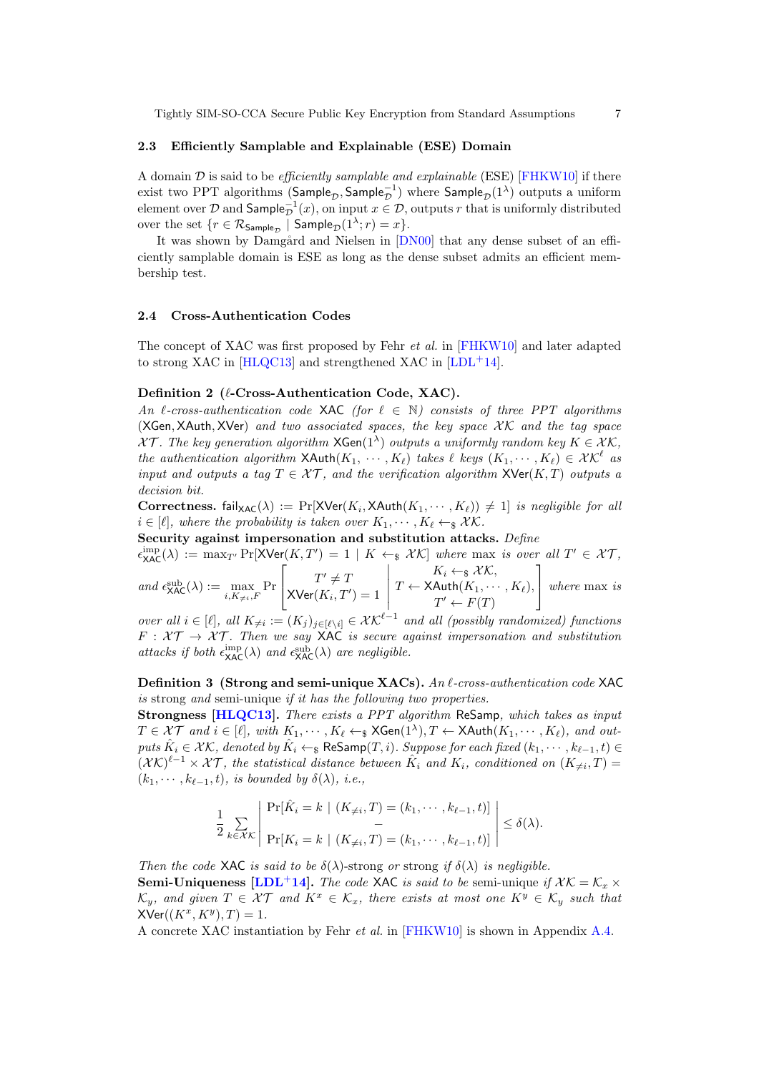### <span id="page-6-0"></span>2.3 Efficiently Samplable and Explainable (ESE) Domain

A domain  $\mathcal D$  is said to be *efficiently samplable and explainable* (ESE) [\[FHKW10\]](#page-26-5) if there exist two PPT algorithms  $(\mathsf{Sample}_{\mathcal{D}}, \mathsf{Sample}_{\mathcal{D}}^{-1})$  where  $\mathsf{Sample}_{\mathcal{D}}(1^\lambda)$  outputs a uniform element over  $\mathcal D$  and  $\mathsf{Sample}_{\mathcal D}^{-1}(x),$  on input  $x \in \mathcal D$ , outputs r that is uniformly distributed over the set  $\{r \in \mathcal{R}_{\sf Sample_{\mathcal{D}}}\;|\; {\sf Sample_{\mathcal{D}}}(1^{\lambda}; r) = x\}.$ 

It was shown by Damgård and Nielsen in [\[DN00\]](#page-26-9) that any dense subset of an efficiently samplable domain is ESE as long as the dense subset admits an efficient membership test.

# <span id="page-6-1"></span>2.4 Cross-Authentication Codes

The concept of XAC was first proposed by Fehr et al. in [\[FHKW10\]](#page-26-5) and later adapted to strong XAC in [\[HLQC13\]](#page-27-5) and strengthened XAC in [\[LDL](#page-27-9)+14].

### Definition 2 ( $\ell$ -Cross-Authentication Code, XAC).

An  $\ell$ -cross-authentication code XAC (for  $\ell \in \mathbb{N}$ ) consists of three PPT algorithms (XGen, XAuth, XVer) and two associated spaces, the key space  $XK$  and the tag space XT. The key generation algorithm  $\mathsf{XGen}(1^{\lambda})$  outputs a uniformly random key  $K \in \mathcal{XK}$ , the authentication algorithm  $\mathsf{X}\mathsf{Auth}(K_1, \cdots, K_\ell)$  takes  $\ell$  keys  $(K_1, \cdots, K_\ell) \in \mathcal{X}\mathcal{K}^\ell$  as input and outputs a tag  $T \in \mathcal{XT}$ , and the verification algorithm  $X\text{Ver}(K,T)$  outputs a decision bit.

**Correctness.** fail<sub>XAC</sub>( $\lambda$ ) := Pr[XVer( $K_i$ , XAuth( $K_1, \dots, K_\ell$ ))  $\neq 1$ ] is negligible for all  $i \in [\ell],$  where the probability is taken over  $K_1, \cdots, K_\ell \leftarrow_{\mathcal{S}} \mathcal{X} \mathcal{K}.$ 

Security against impersonation and substitution attacks. Define

 $\epsilon_{\text{XAC}}^{\text{imp}}(\lambda) := \max_{T'} \Pr[\text{XVer}(K, T') = 1 \mid K \leftarrow \text{X} \mathcal{K}]$  where max is over all  $T' \in \mathcal{XT}$ ,

$$
and \epsilon_{\mathsf{XAC}}^{\text{sub}}(\lambda) := \max_{i, K \neq i, F} \Pr\left[X\text{Ver}(K_i, T') = 1 \mid T \leftarrow \text{XAuth}(K_1, \cdots, K_\ell), \right] \text{ where } \max \text{ is}
$$

over all  $i \in [\ell],$  all  $K_{\neq i} := (K_j)_{j \in [\ell \setminus i]} \in \mathcal{X} \mathcal{K}^{\ell-1}$  and all (possibly randomized) functions  $F: \mathcal{X} \mathcal{T} \to \mathcal{X} \mathcal{T}$ . Then we say XAC is secure against impersonation and substitution attacks if both  $\epsilon_{\text{XAC}}^{\text{imp}}(\lambda)$  and  $\epsilon_{\text{XAC}}^{\text{sub}}(\lambda)$  are negligible.

Definition 3 (Strong and semi-unique XACs). An  $\ell$ -cross-authentication code XAC is strong and semi-unique if it has the following two properties.

Strongness [\[HLQC13\]](#page-27-5). There exists a PPT algorithm ReSamp, which takes as input  $T \in \mathcal{XT}$  and  $i \in [\ell],$  with  $K_1, \cdots, K_\ell \leftarrow \S$  XGen $(1^{\lambda}), T \leftarrow \mathsf{XAuthor}(K_1, \cdots, K_\ell)$ , and outputs  $\hat{K}_i \in \mathcal{X}\mathcal{K}$ , denoted by  $\hat{K}_i \leftarrow$  ReSamp $(T, i)$ . Suppose for each fixed  $(k_1, \cdots, k_{\ell-1}, t)$  $(\mathcal{X}\mathcal{K})^{\ell-1}\times\mathcal{X}\mathcal{T}$ , the statistical distance between  $\hat{K}_i$  and  $K_i$ , conditioned on  $(K_{\neq i},T)$  $(k_1, \dots, k_{\ell-1}, t)$ , is bounded by  $\delta(\lambda)$ , i.e.,

$$
\frac{1}{2} \sum_{k \in \mathcal{X} \mathcal{K}} \left| \frac{\Pr[\hat{K}_i = k \mid (K_{\neq i}, T) = (k_1, \cdots, k_{\ell-1}, t)]}{\Pr[K_i = k \mid (K_{\neq i}, T) = (k_1, \cdots, k_{\ell-1}, t)]} \right| \leq \delta(\lambda).
$$

Then the code XAC is said to be  $\delta(\lambda)$ -strong or strong if  $\delta(\lambda)$  is negligible.

**Semi-Uniqueness [\[LDL](#page-27-9)<sup>+</sup>14].** The code XAC is said to be semi-unique if  $XK = K_x \times$  $\mathcal{K}_y$ , and given  $T \in \mathcal{KT}$  and  $K^x \in \mathcal{K}_x$ , there exists at most one  $K^y \in \mathcal{K}_y$  such that  $X\text{Ver}((K^x, K^y), T) = 1.$ 

A concrete XAC instantiation by Fehr et al. in [\[FHKW10\]](#page-26-5) is shown in Appendix [A.4.](#page-30-0)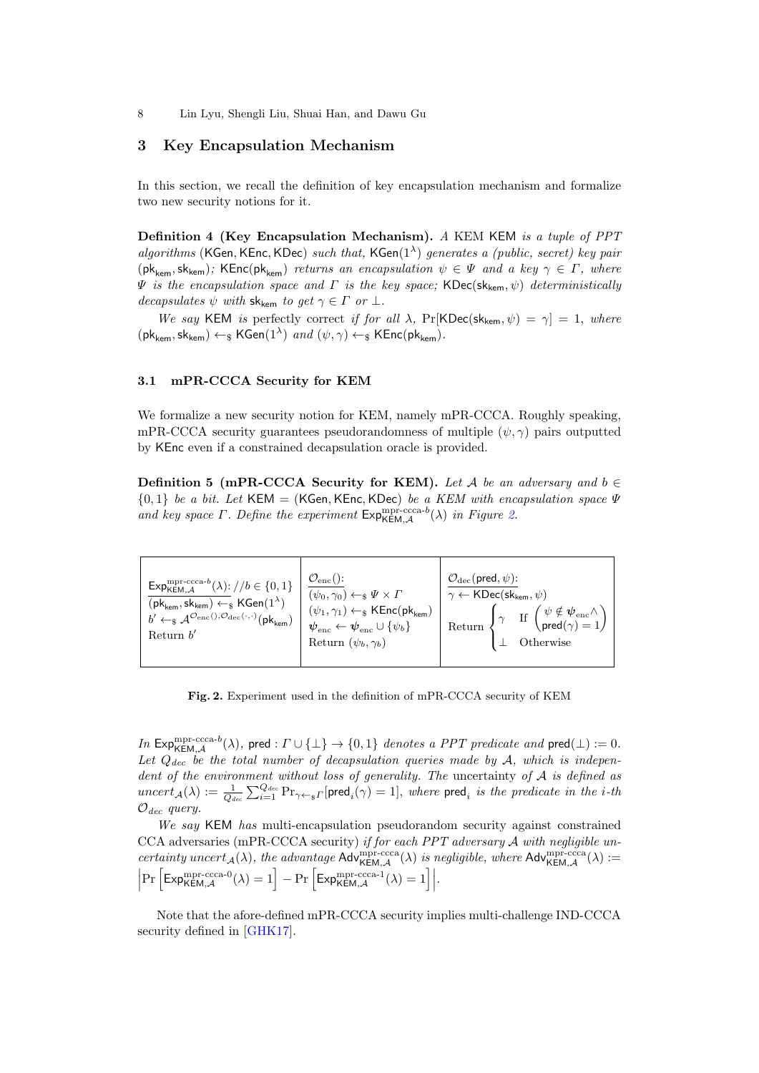# <span id="page-7-2"></span>3 Key Encapsulation Mechanism

In this section, we recall the definition of key encapsulation mechanism and formalize two new security notions for it.

Definition 4 (Key Encapsulation Mechanism). A KEM KEM is a tuple of PPT algorithms (KGen, KEnc, KDec) such that, KGen $(1^{\lambda})$  generates a (public, secret) key pair  $(\mathsf{pk}_{\mathsf{kem}},\mathsf{sk}_{\mathsf{kem}})$ ; KEnc $(\mathsf{pk}_{\mathsf{kem}})$  returns an encapsulation  $\psi \in \Psi$  and a key  $\gamma \in \Gamma$ , where  $\Psi$  is the encapsulation space and  $\Gamma$  is the key space; KDec(sk<sub>kem</sub>,  $\psi$ ) deterministically decapsulates  $\psi$  with sk<sub>kem</sub> to get  $\gamma \in \Gamma$  or  $\bot$ .

We say KEM is perfectly correct if for all  $\lambda$ , Pr[KDec(sk<sub>kem</sub>,  $\psi$ ) =  $\gamma$ ] = 1, where  $(\mathsf{pk}_{\mathsf{kem}},\mathsf{sk}_{\mathsf{kem}}) \leftarrow_\$ \mathsf{KGen}(1^\lambda) \textit{ and } (\psi,\gamma) \leftarrow_\$ \mathsf{KEnc}(\mathsf{pk}_{\mathsf{kem}}).$ 

### <span id="page-7-3"></span>3.1 mPR-CCCA Security for KEM

We formalize a new security notion for KEM, namely mPR-CCCA. Roughly speaking, mPR-CCCA security guarantees pseudorandomness of multiple  $(\psi, \gamma)$  pairs outputted by KEnc even if a constrained decapsulation oracle is provided.

<span id="page-7-0"></span>Definition 5 (mPR-CCCA Security for KEM). Let A be an adversary and b  $\in$  ${0, 1}$  be a bit. Let KEM = (KGen, KEnc, KDec) be a KEM with encapsulation space  $\Psi$ and key space  $\Gamma$ . Define the experiment  $\mathsf{Exp}_{\mathsf{KEM},\mathcal{A}}^{\text{mpr-ccca-}b}(\lambda)$  in Figure [2.](#page-7-1)

<span id="page-7-1"></span>Fig. 2. Experiment used in the definition of mPR-CCCA security of KEM

 $In \; \mathsf{Exp}_{\mathsf{KEM},\mathcal{A}}^{\text{mpr-ccca-}b}(\lambda)$ , pred :  $\Gamma \cup \{\bot\} \to \{0,1\}$  denotes a PPT predicate and  $\mathsf{pred}(\bot) := 0$ . Let  $Q_{dec}$  be the total number of decapsulation queries made by A, which is independent of the environment without loss of generality. The uncertainty of  $A$  is defined as  $uncert_{\mathcal{A}}(\lambda) := \frac{1}{Q_{dec}} \sum_{i=1}^{Q_{dec}} Pr_{\gamma \leftarrow g} F[\text{pred}_i(\gamma) = 1],$  where  $\text{pred}_i$  is the predicate in the i-th  $\mathcal{O}_{dec}$  query.

We say KEM has multi-encapsulation pseudorandom security against constrained CCA adversaries (mPR-CCCA security) if for each PPT adversary A with negligible uncertainty  $uncert_{\mathcal{A}}(\lambda)$ , the advantage  $\mathsf{Adv}_{\mathsf{KEM},\mathcal{A}}^{\text{mpr-ccc}}(\lambda)$  is negligible, where  $\mathsf{Adv}_{\mathsf{KEM},\mathcal{A}}^{\text{mpr-ccc}}(\lambda) :=$  $\left| \Pr \left[ \mathsf{Exp}_{\mathsf{KEM},\mathcal{A}}^{\text{mpr-ccca-0}}(\lambda) = 1 \right] - \Pr \left[ \mathsf{Exp}_{\mathsf{KEM},\mathcal{A}}^{\text{mpr-ccca-1}}(\lambda) = 1 \right] \right|$ .

Note that the afore-defined mPR-CCCA security implies multi-challenge IND-CCCA security defined in [\[GHK17\]](#page-26-8).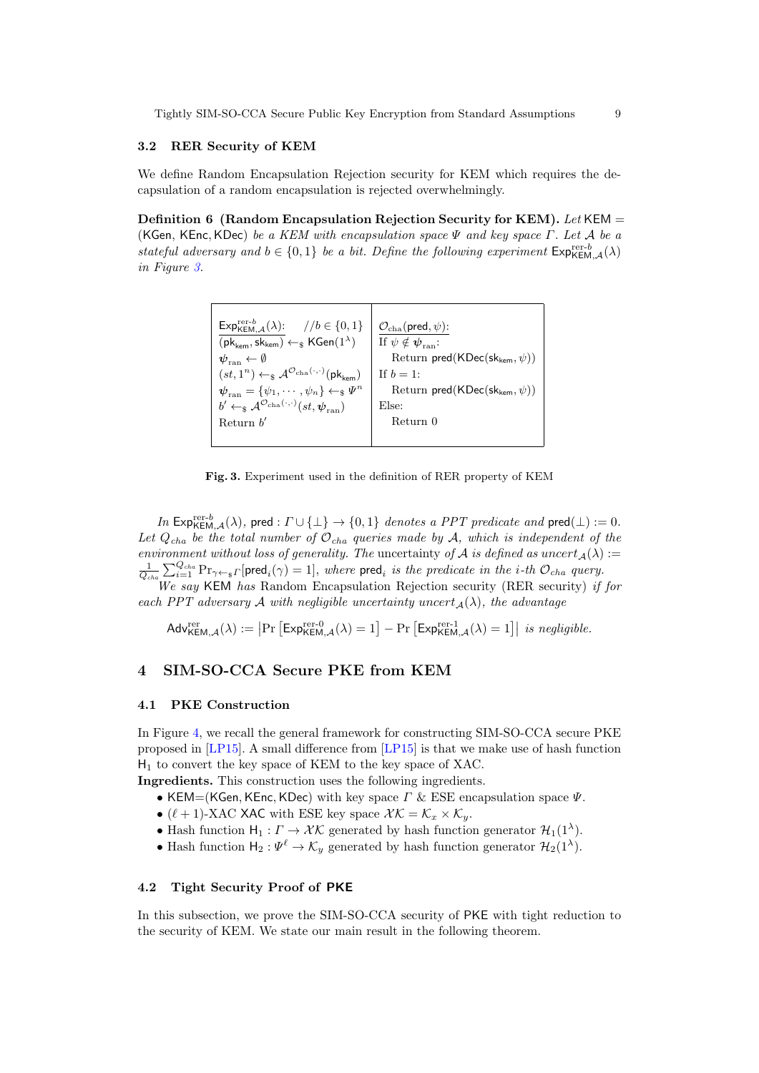### <span id="page-8-3"></span>3.2 RER Security of KEM

We define Random Encapsulation Rejection security for KEM which requires the decapsulation of a random encapsulation is rejected overwhelmingly.

<span id="page-8-0"></span>Definition 6 (Random Encapsulation Rejection Security for KEM). Let  $KEM$ (KGen, KEnc, KDec) be a KEM with encapsulation space  $\Psi$  and key space  $\Gamma$ . Let A be a stateful adversary and  $b \in \{0,1\}$  be a bit. Define the following experiment  $\mathsf{Exp}_{\mathsf{KEM},\mathcal{A}}^{\text{rer-}b}(\lambda)$ in Figure [3.](#page-8-1)

| $\mathsf{Exp}_{\mathsf{KEM.A}}^{\text{rer-}b}(\lambda): \quad //b \in \{0,1\}$<br>$(\mathsf{pk}_{\mathsf{kem}}, \mathsf{sk}_{\mathsf{kem}}) \leftarrow_{\$} \mathsf{KGen}(1^{\lambda})$<br>$\boldsymbol{\psi}_{\text{ran}} \leftarrow \emptyset$<br>$(st,1^n) \leftarrow_{\$} \mathcal{A}^{\mathcal{O}_{\text{cha}}(\cdot,\cdot)}(\text{pk}_{\text{kem}})$<br>$\boldsymbol{\psi}_{\text{ran}} = {\psi_1, \cdots, \psi_n} \leftarrow_{\$} \boldsymbol{\Psi}^n$ | $\mathcal{O}_{\text{cha}}(\text{pred}, \psi)$ :<br>If $\psi \notin \psi_{\text{ran}}$ :<br>Return pred(KDec(s $k_{kem}, \psi$ ))<br>If $b=1$ :<br>Return pred(KDec(sk <sub>kem</sub> , $\psi$ )) |
|---------------------------------------------------------------------------------------------------------------------------------------------------------------------------------------------------------------------------------------------------------------------------------------------------------------------------------------------------------------------------------------------------------------------------------------------------------------|--------------------------------------------------------------------------------------------------------------------------------------------------------------------------------------------------|
| $b' \leftarrow_{\rm \$} \mathcal{A}^{{\mathcal{O}}_{\rm cha}(\cdot,\cdot)}(st,\boldsymbol{\psi}_{\rm ran})$                                                                                                                                                                                                                                                                                                                                                   | Else:                                                                                                                                                                                            |
| Return $b'$                                                                                                                                                                                                                                                                                                                                                                                                                                                   | Return 0                                                                                                                                                                                         |

<span id="page-8-1"></span>Fig. 3. Experiment used in the definition of RER property of KEM

In  $\text{Exp}_{\mathsf{KEM},\mathcal{A}}^{\text{rer-}b}(\lambda)$ , pred :  $\Gamma \cup \{\bot\} \to \{0,1\}$  denotes a PPT predicate and  $\text{pred}(\bot) := 0$ . Let  $Q_{cha}$  be the total number of  $\mathcal{O}_{cha}$  queries made by A, which is independent of the environment without loss of generality. The uncertainty of A is defined as uncert<sub>A</sub>( $\lambda$ ) :=  $\frac{1}{Q_{cha}}\sum_{i=1}^{Q_{cha}}Pr_{\gamma\leftarrow s}\Gamma[\mathsf{pred}_i(\gamma)=1]$ , where  $\mathsf{pred}_i$  is the predicate in the i-th  $\mathcal{O}_{cha}$  query.

We say KEM has Random Encapsulation Rejection security (RER security) if for each PPT adversary A with negligible uncertainty uncert<sub>A</sub>( $\lambda$ ), the advantage

 $\mathsf{Adv}_{\mathsf{KEM},\mathcal{A}}^{\text{rer}}(\lambda) := \left| \Pr \left[ \mathsf{Exp}_{\mathsf{KEM},\mathcal{A}}^{\text{rer-1}}(\lambda) = 1 \right] - \Pr \left[ \mathsf{Exp}_{\mathsf{KEM},\mathcal{A}}^{\text{rer-1}}(\lambda) = 1 \right] \right| \text{ is negligible.}$ 

# <span id="page-8-4"></span>4 SIM-SO-CCA Secure PKE from KEM

# <span id="page-8-5"></span>4.1 PKE Construction

In Figure [4,](#page-9-0) we recall the general framework for constructing SIM-SO-CCA secure PKE proposed in [\[LP15\]](#page-27-6). A small difference from [\[LP15\]](#page-27-6) is that we make use of hash function  $H_1$  to convert the key space of KEM to the key space of XAC.

Ingredients. This construction uses the following ingredients.

- KEM=(KGen, KEnc, KDec) with key space  $\Gamma$  & ESE encapsulation space  $\Psi$ .
- $(\ell + 1)$ -XAC XAC with ESE key space  $\chi K = \mathcal{K}_x \times \mathcal{K}_y$ .
- Hash function  $H_1: \Gamma \to \mathcal{X} \mathcal{K}$  generated by hash function generator  $\mathcal{H}_1(1^{\lambda})$ .
- Hash function  $H_2: \Psi^{\ell} \to \mathcal{K}_y$  generated by hash function generator  $\mathcal{H}_2(1^{\lambda})$ .

## <span id="page-8-6"></span>4.2 Tight Security Proof of PKE

<span id="page-8-2"></span>In this subsection, we prove the SIM-SO-CCA security of PKE with tight reduction to the security of KEM. We state our main result in the following theorem.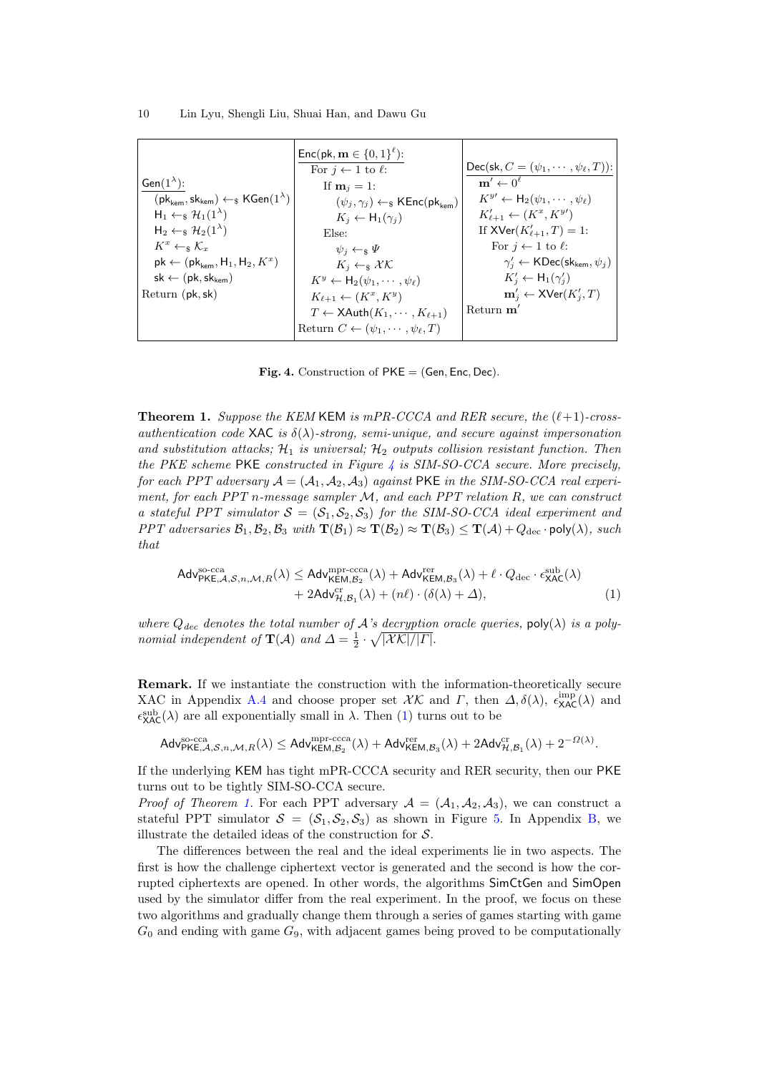| 10 | Lin Lyu, Shengli Liu, Shuai Han, and Dawu Gu |  |  |  |  |  |  |  |
|----|----------------------------------------------|--|--|--|--|--|--|--|
|----|----------------------------------------------|--|--|--|--|--|--|--|

| Gen $(1^{\lambda})$ :<br>$(\mathsf{pk}_{\mathsf{kem}}, \mathsf{sk}_{\mathsf{kem}}) \leftarrow_{\$} \mathsf{KGen}(1^{\lambda})$<br>$H_1 \leftarrow_s \mathcal{H}_1(1^{\lambda})$<br>$H_2 \leftarrow_s \mathcal{H}_2(1^{\lambda})$<br>$K^x \leftarrow_{\S} \mathcal{K}_x$ | $Enc(pk, m \in \{0, 1\}^{\ell})$ :<br>For $j \leftarrow 1$ to $\ell$ :<br>If $m_i = 1$ :<br>$(\psi_i, \gamma_i) \leftarrow_s \mathsf{KEnc}(\mathsf{pk}_{\mathsf{kem}})$<br>$K_i \leftarrow H_1(\gamma_i)$<br>Else: | $Dec(\mathsf{sk}, C = (\psi_1, \cdots, \psi_\ell, T))$ :<br>$\mathbf{m}' \leftarrow 0^{\ell}$<br>$K^{y} \leftarrow H_2(\psi_1, \cdots, \psi_\ell)$<br>$K'_{\ell+1} \leftarrow (K^x, K^{y'})$<br>If $XVer(K'_{\ell+1}, T) = 1$ :<br>For $i \leftarrow 1$ to $\ell$ : |
|-------------------------------------------------------------------------------------------------------------------------------------------------------------------------------------------------------------------------------------------------------------------------|--------------------------------------------------------------------------------------------------------------------------------------------------------------------------------------------------------------------|---------------------------------------------------------------------------------------------------------------------------------------------------------------------------------------------------------------------------------------------------------------------|
| $pk \leftarrow (pk_{\text{kem}}, H_1, H_2, K^x)$<br>$sk \leftarrow (pk, sk_{kem})$                                                                                                                                                                                      | $K_i \leftarrow_{\mathbb{S}} \mathcal{X} \mathcal{K}$<br>$K^y \leftarrow H_2(\psi_1, \cdots, \psi_\ell)$                                                                                                           | $\gamma'_i \leftarrow \mathsf{KDec}(\mathsf{sk}_\mathsf{kem}, \psi_j)$<br>$K'_i \leftarrow H_1(\gamma'_i)$                                                                                                                                                          |
| Return (pk, sk)                                                                                                                                                                                                                                                         | $K_{\ell+1} \leftarrow (K^x, K^y)$<br>$T \leftarrow \mathsf{XAuth}(K_1, \cdots, K_{\ell+1})$<br>Return $C \leftarrow (\psi_1, \cdots, \psi_\ell, T)$                                                               | $\mathbf{m}'_i \leftarrow \mathsf{XVer}(K'_i, T)$<br>Return m'                                                                                                                                                                                                      |

<span id="page-9-0"></span>Fig. 4. Construction of  $PKE = (Gen, Enc, Dec).$ 

**Theorem 1.** Suppose the KEM KEM is mPR-CCCA and RER secure, the  $(\ell+1)$ -crossauthentication code XAC is  $\delta(\lambda)$ -strong, semi-unique, and secure against impersonation and substitution attacks;  $\mathcal{H}_1$  is universal;  $\mathcal{H}_2$  outputs collision resistant function. Then the PKE scheme PKE constructed in Figure  $4$  is SIM-SO-CCA secure. More precisely, for each PPT adversary  $A = (A_1, A_2, A_3)$  against PKE in the SIM-SO-CCA real experiment, for each  $PPT$  n-message sampler  $M$ , and each  $PPT$  relation  $R$ , we can construct a stateful PPT simulator  $S = (S_1, S_2, S_3)$  for the SIM-SO-CCA ideal experiment and PPT adversaries  $\mathcal{B}_1, \mathcal{B}_2, \mathcal{B}_3$  with  $\mathbf{T}(\mathcal{B}_1) \approx \mathbf{T}(\mathcal{B}_2) \approx \mathbf{T}(\mathcal{B}_3) \leq \mathbf{T}(\mathcal{A}) + Q_{\text{dec}} \cdot \text{poly}(\lambda)$ , such that

<span id="page-9-1"></span>
$$
\mathsf{Adv}_{\mathsf{PKE},\mathcal{A},\mathcal{S},n,\mathcal{M},R}^{\text{so-cca}}(\lambda) \leq \mathsf{Adv}_{\mathsf{KEM},\mathcal{B}_2}^{\text{mpr-ccc}}(\lambda) + \mathsf{Adv}_{\mathsf{KEM},\mathcal{B}_3}^{\text{per}}(\lambda) + \ell \cdot Q_{\text{dec}} \cdot \epsilon_{\mathsf{XAC}}^{\text{sub}}(\lambda) + 2\mathsf{Adv}_{\mathcal{H},\mathcal{B}_1}^{\text{per}}(\lambda) + (n\ell) \cdot (\delta(\lambda) + \Delta),
$$
\n
$$
(1)
$$

where  $Q_{dec}$  denotes the total number of A's decryption oracle queries, poly( $\lambda$ ) is a polynomial independent of **T**( $\mathcal{A}$ ) and  $\Delta = \frac{1}{2} \cdot \sqrt{|\mathcal{X} \mathcal{K}|/|\mathcal{\Gamma}|}$ .

Remark. If we instantiate the construction with the information-theoretically secure XAC in Appendix [A.4](#page-30-0) and choose proper set  $\mathcal{X}\mathcal{K}$  and  $\Gamma$ , then  $\Delta$ ,  $\delta(\lambda)$ ,  $\epsilon_{\text{XAC}}^{\text{imp}}(\lambda)$  and  $\epsilon_{\text{XAC}}^{\text{sub}}(\lambda)$  are all exponentially small in  $\lambda$ . Then [\(1\)](#page-9-1) turns out to be

$$
\mathsf{Adv}_{\mathsf{PKE},\mathcal{A},\mathcal{S},n,\mathcal{M},R}^{\text{so-cca}}(\lambda) \leq \mathsf{Adv}_{\mathsf{KEM},\mathcal{B}_2}^{\text{mpr-ccc}}(\lambda) + \mathsf{Adv}_{\mathsf{KEM},\mathcal{B}_3}^{\text{rer}}(\lambda) + 2\mathsf{Adv}_{\mathcal{H},\mathcal{B}_1}^{\text{cr}}(\lambda) + 2^{-\varOmega(\lambda)}.
$$

If the underlying KEM has tight mPR-CCCA security and RER security, then our PKE turns out to be tightly SIM-SO-CCA secure.

*Proof of Theorem [1.](#page-8-2)* For each PPT adversary  $A = (A_1, A_2, A_3)$ , we can construct a stateful PPT simulator  $S = (S_1, S_2, S_3)$  as shown in Figure [5.](#page-10-0) In Appendix [B,](#page-30-1) we illustrate the detailed ideas of the construction for  $S$ .

The differences between the real and the ideal experiments lie in two aspects. The first is how the challenge ciphertext vector is generated and the second is how the corrupted ciphertexts are opened. In other words, the algorithms SimCtGen and SimOpen used by the simulator differ from the real experiment. In the proof, we focus on these two algorithms and gradually change them through a series of games starting with game  $G_0$  and ending with game  $G_9$ , with adjacent games being proved to be computationally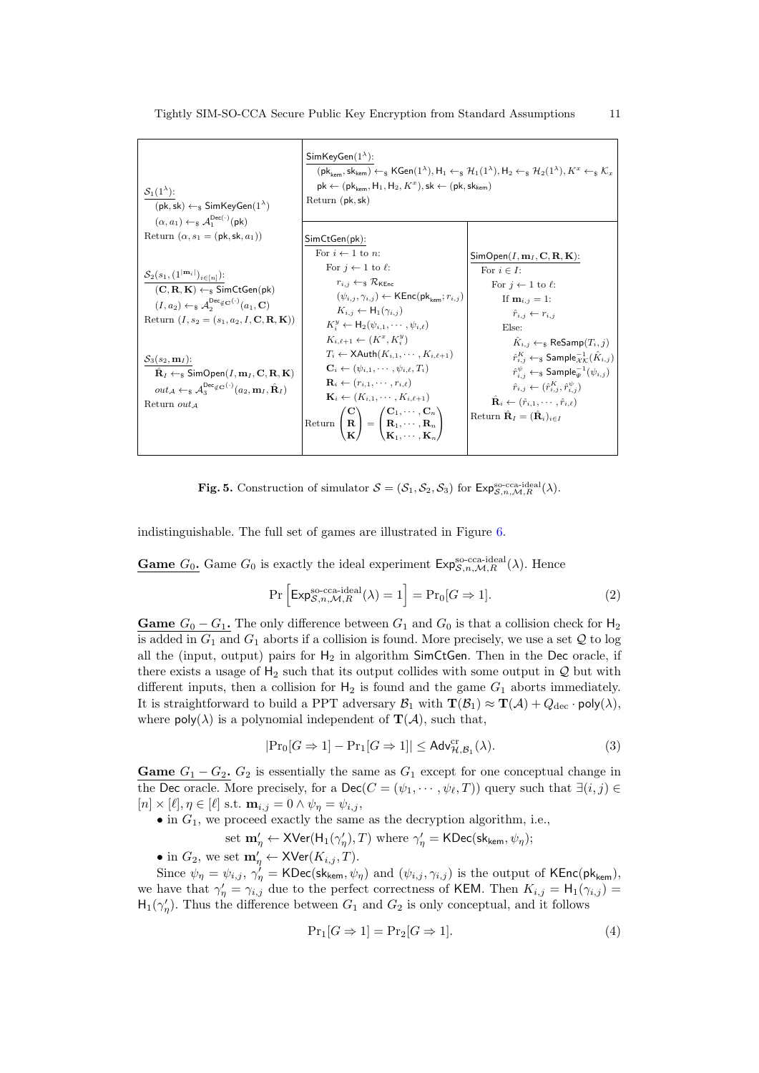| $S_1(1^{\lambda})$ :<br>$(\mathsf{pk}, \mathsf{sk}) \leftarrow_{\mathsf{s}} \mathsf{SimKeyGen}(1^{\lambda})$<br>$(\alpha, a_1) \leftarrow_s \mathcal{A}_1^{\mathsf{Dec}(\cdot)}(\mathsf{pk})$                                                                                                     | $SimKeyGen(1^{\lambda})$ :<br>$(\mathsf{pk}_{\mathsf{kem}}, \mathsf{sk}_{\mathsf{kem}}) \leftarrow_{\mathsf{S}} \mathsf{KGen}(1^{\lambda}), \mathsf{H}_1 \leftarrow_{\mathsf{S}} \mathcal{H}_1(1^{\lambda}), \mathsf{H}_2 \leftarrow_{\mathsf{S}} \mathcal{H}_2(1^{\lambda}), K^x \leftarrow_{\mathsf{S}} \mathcal{K}_x$<br>$pk \leftarrow (pk_{\text{bem}}, H_1, H_2, K^x), sk \leftarrow (pk, sk_{\text{kem}})$<br>Return (pk, sk)                                                         |                                                                                                                                                                                                                                                                                                                                                            |
|---------------------------------------------------------------------------------------------------------------------------------------------------------------------------------------------------------------------------------------------------------------------------------------------------|----------------------------------------------------------------------------------------------------------------------------------------------------------------------------------------------------------------------------------------------------------------------------------------------------------------------------------------------------------------------------------------------------------------------------------------------------------------------------------------------|------------------------------------------------------------------------------------------------------------------------------------------------------------------------------------------------------------------------------------------------------------------------------------------------------------------------------------------------------------|
| Return $(\alpha, s_1 = (\mathsf{pk}, \mathsf{sk}, a_1))$                                                                                                                                                                                                                                          | $SimCtGen(pk)$ :<br>For $i \leftarrow 1$ to n:                                                                                                                                                                                                                                                                                                                                                                                                                                               | $SimOpen(I, m_I, C, R, K)$ :                                                                                                                                                                                                                                                                                                                               |
| $S_2(s_1, (1^{ m_i })_{i \in [n]})$ :<br>$(C, R, K) \leftarrow_s$ SimCtGen(pk)<br>$(I, a_2) \leftarrow_s \mathcal{A}_2^{\mathsf{Dec}\notin\mathbf{C}(\cdot)}(a_1, \mathbf{C})$<br>Return $(I, s_2 = (s_1, a_2, I, \mathbf{C}, \mathbf{R}, \mathbf{K}))$                                           | For $i \leftarrow 1$ to $\ell$ :<br>$r_{i,i} \leftarrow s \mathcal{R}$ KFnc<br>$(\psi_{i,j}, \gamma_{i,j}) \leftarrow \mathsf{KEnc}(\mathsf{pk}_{\mathsf{kom}}; r_{i,j})$<br>$K_{i,i} \leftarrow H_1(\gamma_{i,i})$<br>$K_i^y \leftarrow H_2(\psi_{i,1}, \cdots, \psi_{i,\ell})$<br>$K_{i,\ell+1} \leftarrow (K^x, K^y)$                                                                                                                                                                     | For $i \in I$ :<br>For $j \leftarrow 1$ to $\ell$ :<br>If $\mathbf{m}_{i,j} = 1$ :<br>$\hat{r}_{i,j} \leftarrow r_{i,j}$<br>Else:<br>$K_{i,j} \leftarrow s$ ReSamp $(T_i, j)$                                                                                                                                                                              |
| $S_3(s_2, m_I)$ :<br>$\mathbf{R}_I \leftarrow$ SimOpen $(I, \mathbf{m}_I, \mathbf{C}, \mathbf{R}, \mathbf{K})$<br>$out_{\mathcal{A}} \leftarrow_{\mathbb{S}} \mathcal{A}_{3}^{\text{Dec}_{\notin \mathbf{C}}(\cdot)}(a_{2}, \mathbf{m}_{I}, \hat{\mathbf{R}}_{I})$<br>Return <i>out</i> $\Lambda$ | $T_i \leftarrow \mathsf{XAuth}(K_{i,1}, \cdots, K_{i,\ell+1})$<br>$\mathbf{C}_i \leftarrow (\psi_{i,1}, \cdots, \psi_{i,\ell}, T_i)$<br>$\mathbf{R}_i \leftarrow (r_{i,1}, \cdots, r_{i,\ell})$<br>$\mathbf{K}_i \leftarrow (K_{i,1}, \cdots, K_{i,\ell+1})$<br>Return $\begin{pmatrix} \mathbf{C} \\ \mathbf{R} \\ \mathbf{K} \end{pmatrix} = \begin{pmatrix} \mathbf{C}_1, \cdots, \mathbf{C}_n \\ \mathbf{R}_1, \cdots, \mathbf{R}_n \\ \mathbf{K}_1, \cdots, \mathbf{K}_n \end{pmatrix}$ | $\hat{r}_{i,i}^K \leftarrow \S$ Sample $\mathbb{R}_{k}^{1}(\hat{K}_{i,j})$<br>$\hat{r}_{i,j}^{\psi} \leftarrow_{\$} Sample_{\Psi}^{-1}(\psi_{i,j})$<br>$\hat{r}_{i,j} \leftarrow (\hat{r}_{i,j}^K, \hat{r}_{i,j}^{\psi})$<br>$\hat{\mathbf{R}}_i \leftarrow (\hat{r}_{i,1}, \cdots, \hat{r}_{i,\ell})$<br>Return $\mathbf{R}_I = (\mathbf{R}_i)_{i \in I}$ |

<span id="page-10-0"></span>**Fig. 5.** Construction of simulator  $S = (S_1, S_2, S_3)$  for  $Exp_{S,n,\mathcal{M},R}^{\text{so-cca-ideal}}(\lambda)$ .

indistinguishable. The full set of games are illustrated in Figure [6.](#page-11-0)

**Game**  $G_0$ . Game  $G_0$  is exactly the ideal experiment  $Exp_{S,n,\mathcal{M},R}^{so\text{-}cca\text{-}ideal}(\lambda)$ . Hence

<span id="page-10-1"></span>
$$
\Pr\left[\text{Exp}_{\mathcal{S},n,\mathcal{M},R}^{\text{soc-ca-ideal}}(\lambda) = 1\right] = \Pr_0[G \Rightarrow 1].\tag{2}
$$

**Game**  $G_0 - G_1$ . The only difference between  $G_1$  and  $G_0$  is that a collision check for  $H_2$ is added in  $G_1$  and  $G_1$  aborts if a collision is found. More precisely, we use a set  $\mathcal Q$  to log all the (input, output) pairs for  $H_2$  in algorithm SimCtGen. Then in the Dec oracle, if there exists a usage of  $H_2$  such that its output collides with some output in  $\mathcal Q$  but with different inputs, then a collision for  $H_2$  is found and the game  $G_1$  aborts immediately. It is straightforward to build a PPT adversary  $\mathcal{B}_1$  with  $\mathbf{T}(\mathcal{B}_1) \approx \mathbf{T}(\mathcal{A}) + Q_{\text{dec}} \cdot \text{poly}(\lambda)$ , where  $\mathsf{poly}(\lambda)$  is a polynomial independent of  $\mathbf{T}(\mathcal{A})$ , such that,

<span id="page-10-2"></span>
$$
|\Pr_0[G \Rightarrow 1] - \Pr_1[G \Rightarrow 1]| \leq \mathsf{Adv}_{\mathcal{H},\mathcal{B}_1}^{\mathrm{cr}}(\lambda). \tag{3}
$$

**Game**  $G_1 - G_2$ .  $G_2$  is essentially the same as  $G_1$  except for one conceptual change in the Dec oracle. More precisely, for a Dec( $C = (\psi_1, \cdots, \psi_{\ell}, T)$ ) query such that  $\exists (i, j) \in$  $[n] \times [\ell], \eta \in [\ell] \text{ s.t. } \mathbf{m}_{i,j} = 0 \wedge \psi_{\eta} = \psi_{i,j},$ 

• in  $G_1$ , we proceed exactly the same as the decryption algorithm, i.e.,

set 
$$
\mathbf{m}'_{\eta} \leftarrow \mathsf{XVer}(\mathsf{H}_1(\gamma'_{\eta}), T)
$$
 where  $\gamma'_{\eta} = \mathsf{KDec}(\mathsf{sk}_\mathsf{kem}, \psi_{\eta});$ 

• in  $G_2$ , we set  $\mathbf{m}'_{\eta} \leftarrow \mathsf{XVer}(K_{i,j}, T)$ .

Since  $\psi_{\eta} = \psi_{i,j}, \gamma'_{\eta} = \text{KDec}(\text{sk}_{\text{kem}}, \psi_{\eta})$  and  $(\psi_{i,j}, \gamma_{i,j})$  is the output of  $\text{KEnc}(\text{pk}_{\text{kem}})$ , we have that  $\gamma'_{\eta} = \gamma_{i,j}$  due to the perfect correctness of KEM. Then  $K_{i,j} = H_1(\gamma_{i,j}) =$  $H_1(\gamma'_\eta)$ . Thus the difference between  $G_1$  and  $G_2$  is only conceptual, and it follows

<span id="page-10-3"></span>
$$
\Pr_1[G \Rightarrow 1] = \Pr_2[G \Rightarrow 1].\tag{4}
$$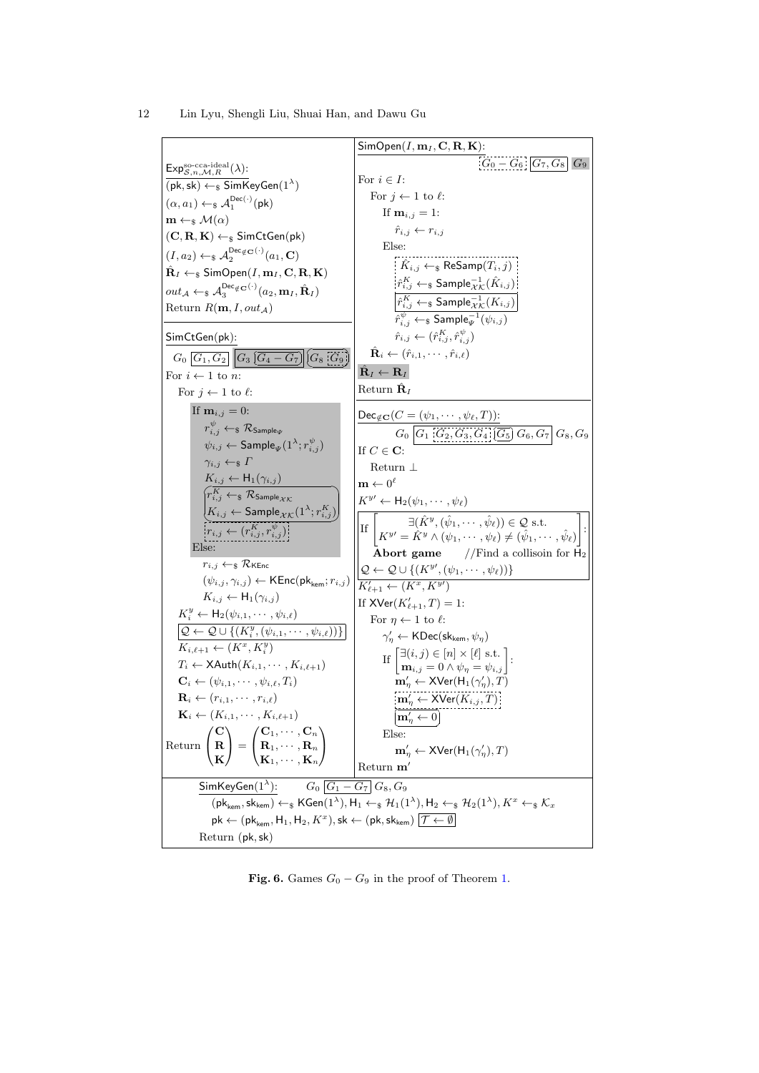

<span id="page-11-0"></span>**Fig. 6.** Games  $G_0 - G_9$  in the proof of Theorem [1.](#page-8-2)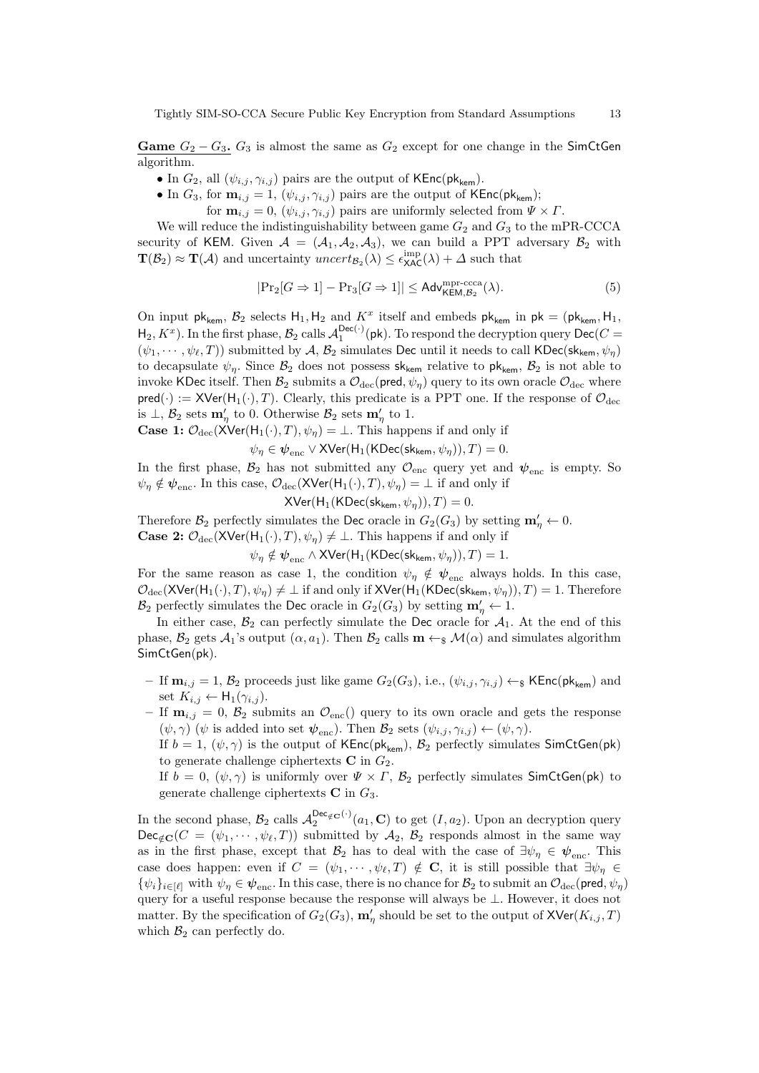Game  $G_2 - G_3$ .  $G_3$  is almost the same as  $G_2$  except for one change in the SimCtGen algorithm.

- In  $G_2$ , all  $(\psi_{i,j}, \gamma_{i,j})$  pairs are the output of  $\mathsf{KEnc}(\mathsf{pk}_{\mathsf{kem}})$ .
- In  $G_3$ , for  $\mathbf{m}_{i,j} = 1$ ,  $(\psi_{i,j}, \gamma_{i,j})$  pairs are the output of KEnc( $\mathsf{pk}_{\mathsf{kem}}$ );
	- for  $\mathbf{m}_{i,j} = 0$ ,  $(\psi_{i,j}, \gamma_{i,j})$  pairs are uniformly selected from  $\Psi \times \Gamma$ .

We will reduce the indistinguishability between game  $G_2$  and  $G_3$  to the mPR-CCCA security of KEM. Given  $A = (A_1, A_2, A_3)$ , we can build a PPT adversary  $B_2$  with  $\mathbf{T}(\mathcal{B}_2) \approx \mathbf{T}(\mathcal{A})$  and uncertainty  $uncert_{\mathcal{B}_2}(\lambda) \leq \epsilon_{\text{XAC}}^{\text{imp}}(\lambda) + \Delta$  such that

<span id="page-12-0"></span>
$$
|\Pr_2[G \Rightarrow 1] - \Pr_3[G \Rightarrow 1]| \leq \mathsf{Adv}_{\mathsf{KEM},\mathcal{B}_2}^{\text{mpr-ccca}}(\lambda). \tag{5}
$$

On input  $pk_{\text{kem}}$ ,  $B_2$  selects  $H_1, H_2$  and  $K^x$  itself and embeds  $pk_{\text{kem}}$  in  $pk = (pk_{\text{kem}}, H_1,$  $H_2, K^x$ ). In the first phase,  $B_2$  calls  $\mathcal{A}_1^{\text{Dec}(\cdot)}(\text{pk})$ . To respond the decryption query Dec(C =  $(\psi_1, \dots, \psi_\ell, T)$ ) submitted by A,  $\mathcal{B}_2$  simulates Dec until it needs to call KDec(sk<sub>kem</sub>,  $\psi_n$ ) to decapsulate  $\psi_{\eta}$ . Since  $\mathcal{B}_2$  does not possess sk<sub>kem</sub> relative to pk<sub>kem</sub>,  $\mathcal{B}_2$  is not able to invoke KDec itself. Then  $B_2$  submits a  $\mathcal{O}_{\text{dec}}(\text{pred}, \psi_{\eta})$  query to its own oracle  $\mathcal{O}_{\text{dec}}$  where  $\mathsf{pred}(\cdot) := \mathsf{XVer}(\mathsf{H}_1(\cdot), T)$ . Clearly, this predicate is a PPT one. If the response of  $\mathcal{O}_{\text{dec}}$ is  $\perp$ ,  $\mathcal{B}_2$  sets  $\mathbf{m}'_{\eta}$  to 0. Otherwise  $\mathcal{B}_2$  sets  $\mathbf{m}'_{\eta}$  to 1.

**Case 1:**  $\mathcal{O}_{\text{dec}}(\mathsf{XVer}(\mathsf{H}_1(\cdot), T), \psi_{\eta}) = \bot$ . This happens if and only if

$$
\psi_{\eta} \in \psi_{\text{enc}} \vee \text{XVer}(\mathsf{H}_1(\text{KDec}(\mathsf{sk}_{\text{kem}}, \psi_{\eta})), T) = 0.
$$

In the first phase,  $\mathcal{B}_2$  has not submitted any  $\mathcal{O}_{\text{enc}}$  query yet and  $\psi_{\text{enc}}$  is empty. So  $\psi_{\eta} \notin \psi_{\text{enc}}$ . In this case,  $\mathcal{O}_{\text{dec}}(\mathsf{XVer}(\mathsf{H}_1(\cdot), T), \psi_{\eta}) = \bot$  if and only if

$$
\mathsf{XVer}(\mathsf{H}_1(\mathsf{KDec}(\mathsf{sk}_\mathsf{kem}, \psi_\eta)), T) = 0.
$$

Therefore  $\mathcal{B}_2$  perfectly simulates the Dec oracle in  $G_2(G_3)$  by setting  $\mathbf{m}'_{\eta} \leftarrow 0$ . **Case 2:**  $\mathcal{O}_{\text{dec}}(\mathsf{XVer}(\mathsf{H}_1(\cdot), T), \psi_n) \neq \bot$ . This happens if and only if

 $\psi_{\eta} \notin \psi_{\text{enc}} \wedge \mathsf{XVer}(\mathsf{H}_1(\mathsf{KDec}(\mathsf{sk}_\mathsf{kem}, \psi_{\eta})), T) = 1.$ 

For the same reason as case 1, the condition  $\psi_n \notin \psi_{\text{enc}}$  always holds. In this case,  $\mathcal{O}_{\text{dec}}(\textsf{XVer}(\mathsf{H}_1(\cdot), T), \psi_{\eta}) \neq \bot$  if and only if  $\textsf{XVer}(\mathsf{H}_1(\textsf{KDec}(\textsf{sk}_{\textsf{kem}}, \psi_{\eta})), T) = 1$ . Therefore  $\mathcal{B}_2$  perfectly simulates the Dec oracle in  $G_2(G_3)$  by setting  $\mathbf{m}'_{\eta} \leftarrow 1$ .

In either case,  $\mathcal{B}_2$  can perfectly simulate the Dec oracle for  $\mathcal{A}_1$ . At the end of this phase,  $\mathcal{B}_2$  gets  $\mathcal{A}_1$ 's output  $(\alpha, a_1)$ . Then  $\mathcal{B}_2$  calls  $\mathbf{m} \leftarrow \mathcal{B} \mathcal{M}(\alpha)$  and simulates algorithm SimCtGen(pk).

- If  $m_{i,j} = 1$ ,  $\mathcal{B}_2$  proceeds just like game  $G_2(G_3)$ , i.e.,  $(\psi_{i,j}, \gamma_{i,j}) \leftarrow \S$  KEnc(pk<sub>kem</sub>) and set  $K_{i,j} \leftarrow H_1(\gamma_{i,j}).$
- If  $\mathbf{m}_{i,j} = 0$ ,  $\mathcal{B}_2$  submits an  $\mathcal{O}_{\text{enc}}($ ) query to its own oracle and gets the response  $(\psi, \gamma)$  ( $\psi$  is added into set  $\psi_{\text{enc}}$ ). Then  $\mathcal{B}_2$  sets  $(\psi_{i,j}, \gamma_{i,j}) \leftarrow (\psi, \gamma)$ .

If  $b = 1$ ,  $(\psi, \gamma)$  is the output of KEnc(pk<sub>kem</sub>),  $\mathcal{B}_2$  perfectly simulates SimCtGen(pk) to generate challenge ciphertexts  $C$  in  $G_2$ .

If  $b = 0$ ,  $(\psi, \gamma)$  is uniformly over  $\Psi \times \Gamma$ ,  $\mathcal{B}_2$  perfectly simulates SimCtGen(pk) to generate challenge ciphertexts  $C$  in  $G_3$ .

In the second phase,  $\mathcal{B}_2$  calls  $\mathcal{A}_2^{\text{Dec}_{\not\in}C}(\cdot)(a_1, \mathbf{C})$  to get  $(I, a_2)$ . Upon an decryption query  $\mathsf{Dec}_{\notin \mathbf{C}}(C = (\psi_1, \cdots, \psi_\ell, T))$  submitted by  $\mathcal{A}_2$ ,  $\mathcal{B}_2$  responds almost in the same way as in the first phase, except that  $\mathcal{B}_2$  has to deal with the case of  $\exists \psi_{\eta} \in \psi_{\text{enc}}$ . This case does happen: even if  $C = (\psi_1, \cdots, \psi_\ell, T) \notin \mathbb{C}$ , it is still possible that  $\exists \psi_\eta \in \mathbb{C}$  $\{\psi_i\}_{i\in[\ell]}$  with  $\psi_\eta \in \psi_{\text{enc}}$ . In this case, there is no chance for  $\mathcal{B}_2$  to submit an  $\mathcal{O}_{\text{dec}}(\text{pred}, \psi_\eta)$ query for a useful response because the response will always be ⊥. However, it does not matter. By the specification of  $G_2(G_3)$ ,  $\mathbf{m}'_\eta$  should be set to the output of  $X\text{Ver}(K_{i,j}, T)$ which  $B_2$  can perfectly do.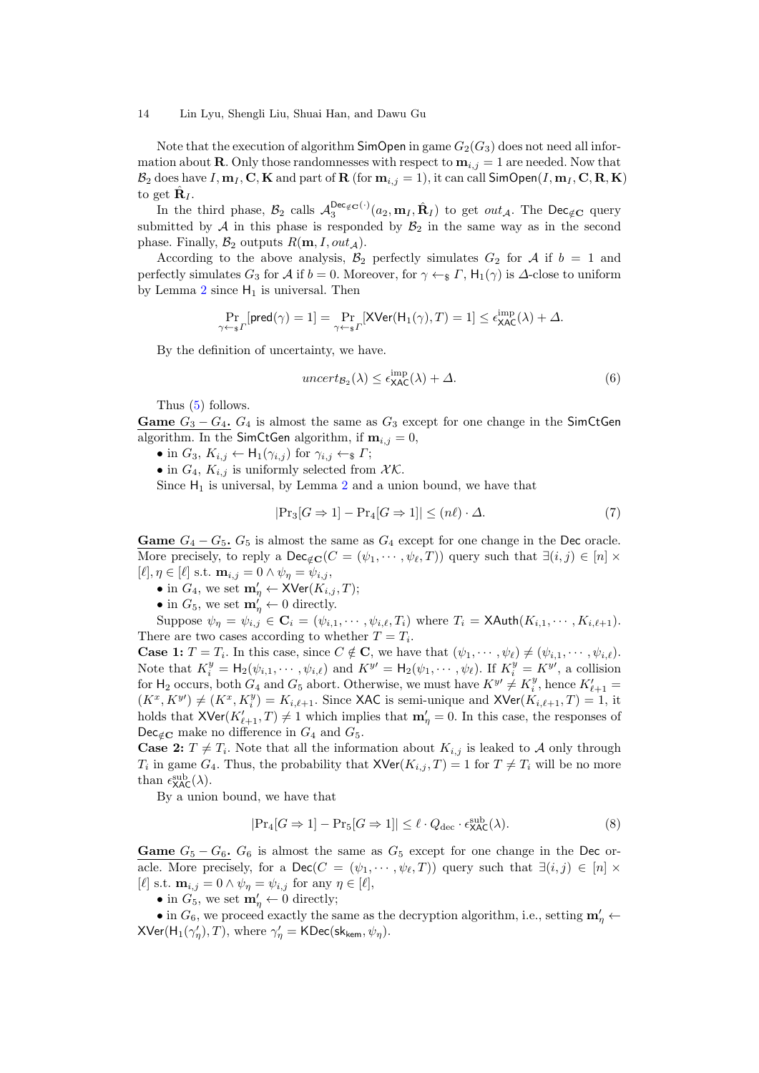Note that the execution of algorithm  $\mathsf{SimOpen}$  in game  $G_2(G_3)$  does not need all information about **R**. Only those randomnesses with respect to  $\mathbf{m}_{i,j} = 1$  are needed. Now that  $B_2$  does have I,  $m_I$ , C, K and part of R (for  $m_{i,j} = 1$ ), it can call  $\mathsf{SimOpen}(I, m_I, C, R, K)$ to get  $\hat{\mathbf{R}}_I$ .

In the third phase,  $B_2$  calls  $\mathcal{A}_3^{\text{Dec}_{\not\in \mathbf{C}}(\cdot)}(a_2, \mathbf{m}_I, \hat{\mathbf{R}}_I)$  to get  $out_{\mathcal{A}}$ . The Dec<sub>∉C</sub> query submitted by  $A$  in this phase is responded by  $B_2$  in the same way as in the second phase. Finally,  $\mathcal{B}_2$  outputs  $R(\mathbf{m}, I, out_{\mathcal{A}})$ .

According to the above analysis,  $\mathcal{B}_2$  perfectly simulates  $G_2$  for A if  $b = 1$  and perfectly simulates  $G_3$  for  $\mathcal A$  if  $b = 0$ . Moreover, for  $\gamma \leftarrow s \Gamma$ ,  $H_1(\gamma)$  is  $\Delta$ -close to uniform by Lemma [2](#page-28-2) since  $H_1$  is universal. Then

$$
\Pr_{\gamma \leftarrow_{\mathbb{S}} \Gamma}[\mathsf{pred}(\gamma) = 1] = \Pr_{\gamma \leftarrow_{\mathbb{S}} \Gamma}[\mathsf{XVer}(\mathsf{H}_1(\gamma), T) = 1] \leq \epsilon_{\mathsf{XAC}}^{\mathrm{imp}}(\lambda) + \Delta.
$$

By the definition of uncertainty, we have.

<span id="page-13-0"></span>
$$
uncert_{\mathcal{B}_2}(\lambda) \le \epsilon_{\text{XAC}}^{\text{imp}}(\lambda) + \Delta. \tag{6}
$$

Thus [\(5\)](#page-12-0) follows.

Game  $G_3 - G_4$ .  $G_4$  is almost the same as  $G_3$  except for one change in the SimCtGen algorithm. In the SimCtGen algorithm, if  $m_{i,j} = 0$ ,

• in  $G_3, K_{i,j} \leftarrow H_1(\gamma_{i,j})$  for  $\gamma_{i,j} \leftarrow_F I$ ;

• in  $G_4$ ,  $K_{i,j}$  is uniformly selected from  $\mathcal{X} \mathcal{K}$ .

Since  $H_1$  is universal, by Lemma [2](#page-28-2) and a union bound, we have that

<span id="page-13-1"></span>
$$
|\Pr_3[G \Rightarrow 1] - \Pr_4[G \Rightarrow 1]| \le (n\ell) \cdot \Delta. \tag{7}
$$

**Game**  $G_4 - G_5$ .  $G_5$  is almost the same as  $G_4$  except for one change in the Dec oracle. More precisely, to reply a  $\text{Dec}_{\not\in \mathbf{C}}(C = (\psi_1, \dots, \psi_\ell, T))$  query such that  $\exists (i, j) \in [n] \times$  $[\ell], \eta \in [\ell] \text{ s.t. } \mathbf{m}_{i,j} = 0 \wedge \psi_{\eta} = \psi_{i,j},$ 

- in  $G_4$ , we set  $\mathbf{m}'_{\eta} \leftarrow \mathsf{XVer}(K_{i,j}, T);$
- in  $G_5$ , we set  $\mathbf{m}'_{\eta} \leftarrow 0$  directly.

Suppose  $\psi_{\eta} = \psi_{i,j} \in \mathbf{C}_i = (\psi_{i,1}, \cdots, \psi_{i,\ell}, T_i)$  where  $T_i = \mathsf{XAuth}(K_{i,1}, \cdots, K_{i,\ell+1}).$ There are two cases according to whether  $T = T_i$ .

**Case 1:**  $T = T_i$ . In this case, since  $C \notin \mathbf{C}$ , we have that  $(\psi_1, \dots, \psi_\ell) \neq (\psi_{i,1}, \dots, \psi_{i,\ell})$ . Note that  $K_i^y = H_2(\psi_{i,1}, \dots, \psi_{i,\ell})$  and  $K^{y'} = H_2(\psi_1, \dots, \psi_{\ell})$ . If  $K_i^y = K^{y'}$ , a collision for  $H_2$  occurs, both  $G_4$  and  $G_5$  abort. Otherwise, we must have  $K^{y'} \neq K^y_i$ , hence  $K'_{\ell+1} =$  $(K^x, K^{y\prime}) \neq (K^x, K^y_i) = K_{i,\ell+1}$ . Since XAC is semi-unique and XVer $(K_{i,\ell+1}, T) = 1$ , it holds that  $XVer(K'_{\ell+1}, T) \neq 1$  which implies that  $m'_\eta = 0$ . In this case, the responses of Dec<sub>∉C</sub> make no difference in  $G_4$  and  $G_5$ .

**Case 2:**  $T \neq T_i$ . Note that all the information about  $K_{i,j}$  is leaked to A only through  $T_i$  in game  $G_4$ . Thus, the probability that  $X\text{Ver}(K_{i,j}, T) = 1$  for  $T \neq T_i$  will be no more than  $\epsilon_{\text{XAC}}^{\text{sub}}(\lambda)$ .

By a union bound, we have that

<span id="page-13-2"></span>
$$
|\Pr_4[G \Rightarrow 1] - \Pr_5[G \Rightarrow 1]| \le \ell \cdot Q_{\text{dec}} \cdot \epsilon_{\text{XAC}}^{\text{sub}}(\lambda). \tag{8}
$$

**Game**  $G_5 - G_6$ .  $G_6$  is almost the same as  $G_5$  except for one change in the Dec oracle. More precisely, for a Dec( $C = (\psi_1, \dots, \psi_\ell, T)$ ) query such that  $\exists (i, j) \in [n] \times$ [ $\ell$ ] s.t.  $\mathbf{m}_{i,j} = 0 \wedge \psi_{\eta} = \psi_{i,j}$  for any  $\eta \in [\ell],$ 

• in  $G_5$ , we set  $\mathbf{m}'_{\eta} \leftarrow 0$  directly;

• in  $G_6$ , we proceed exactly the same as the decryption algorithm, i.e., setting  $\mathbf{m}'_\eta \leftarrow$  $X\text{Ver}(\text{H}_1(\gamma'_\eta), T)$ , where  $\gamma'_\eta = \text{KDec}(\text{sk}_{\text{kem}}, \psi_\eta)$ .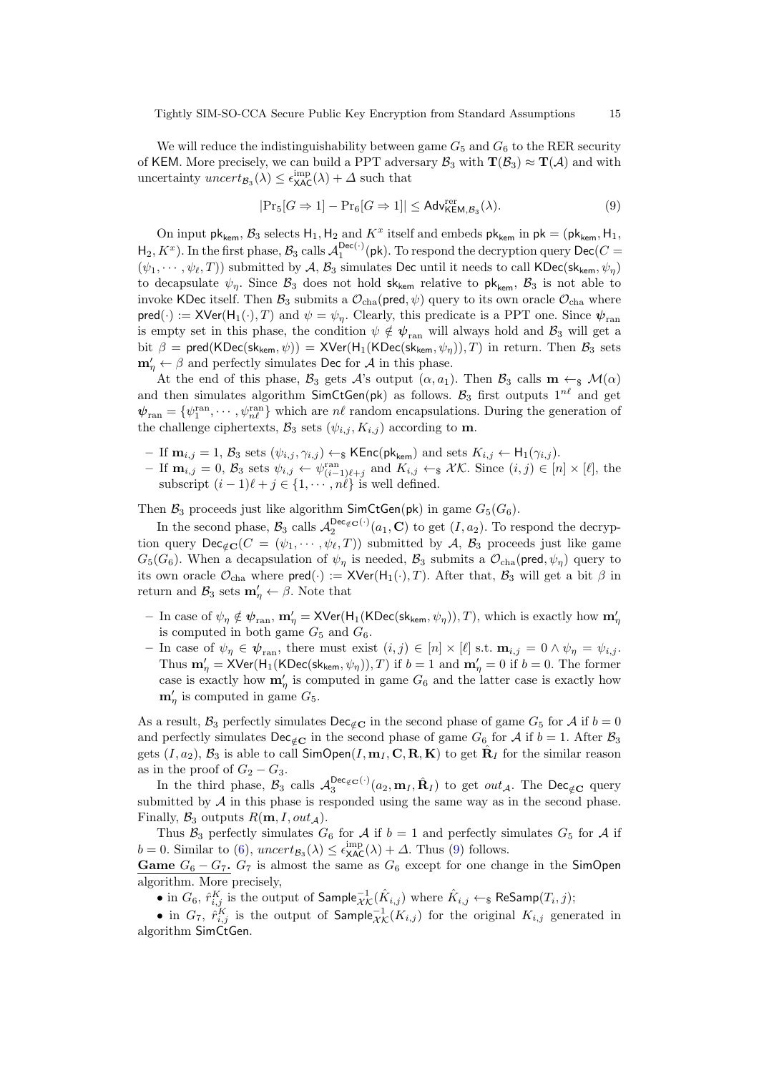We will reduce the indistinguishability between game  $G_5$  and  $G_6$  to the RER security of KEM. More precisely, we can build a PPT adversary  $\mathcal{B}_3$  with  $\mathbf{T}(\mathcal{B}_3) \approx \mathbf{T}(\mathcal{A})$  and with uncertainty  $\mathit{uncert}_{\mathcal{B}_3}(\lambda) \leq \epsilon_{\text{XAC}}^{\text{imp}}(\lambda) + \Delta$  such that

<span id="page-14-0"></span>
$$
|\mathrm{Pr}_5[G \Rightarrow 1] - \mathrm{Pr}_6[G \Rightarrow 1]| \le \mathsf{Adv}_{\mathsf{KEM},\mathcal{B}_3}^{\text{rer}}(\lambda). \tag{9}
$$

On input  $pk_{\text{kem}}$ ,  $B_3$  selects  $H_1$ ,  $H_2$  and  $K^x$  itself and embeds  $pk_{\text{kem}}$  in  $pk = (pk_{\text{kem}}$ ,  $H_1$ ,  $H_2, K^x$ ). In the first phase,  $B_3$  calls  $\mathcal{A}_1^{\text{Dec}(\cdot)}(\mathsf{pk})$ . To respond the decryption query  $\text{Dec}(C =$  $(\psi_1, \dots, \psi_\ell, T)$  submitted by A,  $\mathcal{B}_3$  simulates Dec until it needs to call KDec(sk<sub>kem</sub>,  $\psi_\eta$ ) to decapsulate  $\psi_{\eta}$ . Since  $\mathcal{B}_3$  does not hold sk<sub>kem</sub> relative to pk<sub>kem</sub>,  $\mathcal{B}_3$  is not able to invoke KDec itself. Then  $\mathcal{B}_3$  submits a  $\mathcal{O}_{\text{cha}}(\text{pred}, \psi)$  query to its own oracle  $\mathcal{O}_{\text{cha}}$  where  $\text{pred}(\cdot) := \text{XVer}(\mathsf{H}_1(\cdot), T)$  and  $\psi = \psi_\eta$ . Clearly, this predicate is a PPT one. Since  $\psi_{\text{ran}}$ is empty set in this phase, the condition  $\psi \notin \psi_{\text{ran}}$  will always hold and  $\mathcal{B}_3$  will get a bit  $\beta = \text{pred}(\text{KDec}(\text{sk}_{\text{kem}}, \psi)) = \text{XVer}(\text{H}_1(\text{KDec}(\text{sk}_{\text{kem}}, \psi_{\eta})), T)$  in return. Then  $\mathcal{B}_3$  sets  $\mathbf{m}'_{\eta} \leftarrow \beta$  and perfectly simulates Dec for A in this phase.

At the end of this phase,  $\mathcal{B}_3$  gets A's output  $(\alpha, a_1)$ . Then  $\mathcal{B}_3$  calls  $\mathbf{m} \leftarrow_{\$} \mathcal{M}(\alpha)$ and then simulates algorithm SimCtGen(pk) as follows.  $B_3$  first outputs  $1^{n\ell}$  and get  $\psi_{\text{ran}} = \{\psi_1^{\text{ran}}, \cdots, \psi_{n\ell}^{\text{ran}}\}$  which are  $n\ell$  random encapsulations. During the generation of the challenge ciphertexts,  $\mathcal{B}_3$  sets  $(\psi_{i,j}, K_{i,j})$  according to **m**.

- If  $\mathbf{m}_{i,j} = 1$ ,  $\mathcal{B}_3$  sets  $(\psi_{i,j}, \gamma_{i,j}) \leftarrow \mathbb{R}$  KEnc(pk<sub>kem</sub>) and sets  $K_{i,j} \leftarrow H_1(\gamma_{i,j})$ .
- If  $\mathbf{m}_{i,j} = 0$ ,  $\mathcal{B}_3$  sets  $\psi_{i,j} \leftarrow \psi_{(i-1)\ell+j}^{\text{ran}}$  and  $K_{i,j} \leftarrow \mathcal{K}$ . Since  $(i,j) \in [n] \times [\ell]$ , the subscript  $(i - 1)\ell + j \in \{1, \cdots, n\ell\}$  is well defined.

Then  $\mathcal{B}_3$  proceeds just like algorithm SimCtGen(pk) in game  $G_5(G_6)$ .

In the second phase,  $\mathcal{B}_3$  calls  $\mathcal{A}_2^{\text{Dec}_{\not\in \mathbf{C}}(\cdot)}(a_1, \mathbf{C})$  to get  $(I, a_2)$ . To respond the decryption query  $\mathsf{Dec}_{\not\in \mathbf{C}}(C = (\psi_1, \cdots, \psi_\ell, T))$  submitted by A, B<sub>3</sub> proceeds just like game  $G_5(G_6)$ . When a decapsulation of  $\psi_\eta$  is needed,  $\mathcal{B}_3$  submits a  $\mathcal{O}_{\text{cha}}(\text{pred}, \psi_\eta)$  query to its own oracle  $\mathcal{O}_{\text{cha}}$  where  $\text{pred}(\cdot) := \text{XVer}(\mathsf{H}_1(\cdot), T)$ . After that,  $\mathcal{B}_3$  will get a bit  $\beta$  in return and  $\mathcal{B}_3$  sets  $\mathbf{m}'_{\eta} \leftarrow \beta$ . Note that

- In case of  $\psi_{\eta} \notin \psi_{\text{ran}}, \mathbf{m}'_{\eta} = \textsf{XVer}(\mathsf{H}_{1}(\textsf{KDec}(\textsf{sk}_{\textsf{kem}}, \psi_{\eta})), T),$  which is exactly how  $\mathbf{m}'_{\eta}$ is computed in both game  $G_5$  and  $G_6$ .
- In case of  $\psi_{\eta} \in \psi_{\text{ran}}$ , there must exist  $(i, j) \in [n] \times [\ell]$  s.t.  $\mathbf{m}_{i,j} = 0 \wedge \psi_{\eta} = \psi_{i,j}$ . Thus  $\mathbf{m}'_{\eta} = \mathsf{XVer}(\mathsf{H}_1(\mathsf{KDec}(\mathsf{sk}_{\mathsf{kem}}, \psi_{\eta})), T)$  if  $b = 1$  and  $\mathbf{m}'_{\eta} = 0$  if  $b = 0$ . The former case is exactly how  $\mathbf{m}'_{\eta}$  is computed in game  $G_6$  and the latter case is exactly how  $\mathbf{m}'_{\eta}$  is computed in game  $G_5$ .

As a result,  $\mathcal{B}_3$  perfectly simulates Dec<sub>∉C</sub> in the second phase of game  $G_5$  for A if  $b = 0$ and perfectly simulates  $\text{Dec}_{\notin \mathbb{C}}$  in the second phase of game  $G_6$  for A if  $b = 1$ . After  $\mathcal{B}_3$ gets  $(I, a_2)$ ,  $\mathcal{B}_3$  is able to call  $\mathsf{SimOpen}(I, \mathbf{m}_I, \mathbf{C}, \mathbf{R}, \mathbf{K})$  to get  $\hat{\mathbf{R}}_I$  for the similar reason as in the proof of  $G_2 - G_3$ .

In the third phase,  $B_3$  calls  $\mathcal{A}_3^{\text{Dec}_{\not\in \mathbf{C}}(\cdot)}(a_2, \mathbf{m}_I, \hat{\mathbf{R}}_I)$  to get  $out_{\mathcal{A}}$ . The Dec<sub>∉C</sub> query submitted by  $A$  in this phase is responded using the same way as in the second phase. Finally,  $\mathcal{B}_3$  outputs  $R(\mathbf{m}, I, out_A)$ .

Thus  $\mathcal{B}_3$  perfectly simulates  $G_6$  for A if  $b = 1$  and perfectly simulates  $G_5$  for A if  $b = 0$ . Similar to [\(6\)](#page-13-0),  $uncert_{\mathcal{B}_3}(\lambda) \leq \epsilon_{\text{XAC}}^{\text{imp}}(\lambda) + \Delta$ . Thus [\(9\)](#page-14-0) follows.

**Game**  $G_6 - G_7$ .  $G_7$  is almost the same as  $G_6$  except for one change in the SimOpen algorithm. More precisely,

 $\bullet$  in  $G_6, \, \hat{r}_{i,j}^K$  is the output of  $\mathsf{Sample}^{-1}_{\mathcal{X}\mathcal{K}}(\hat{K}_{i,j})$  where  $\hat{K}_{i,j} \leftarrow_\$ \mathsf{ReSamp}(T_i,j);$ 

• in  $G_7$ ,  $\hat{r}_{i,j}^K$  is the output of  $\textsf{Sample}_{\mathcal{X}\mathcal{K}}^{-1}(K_{i,j})$  for the original  $K_{i,j}$  generated in algorithm SimCtGen.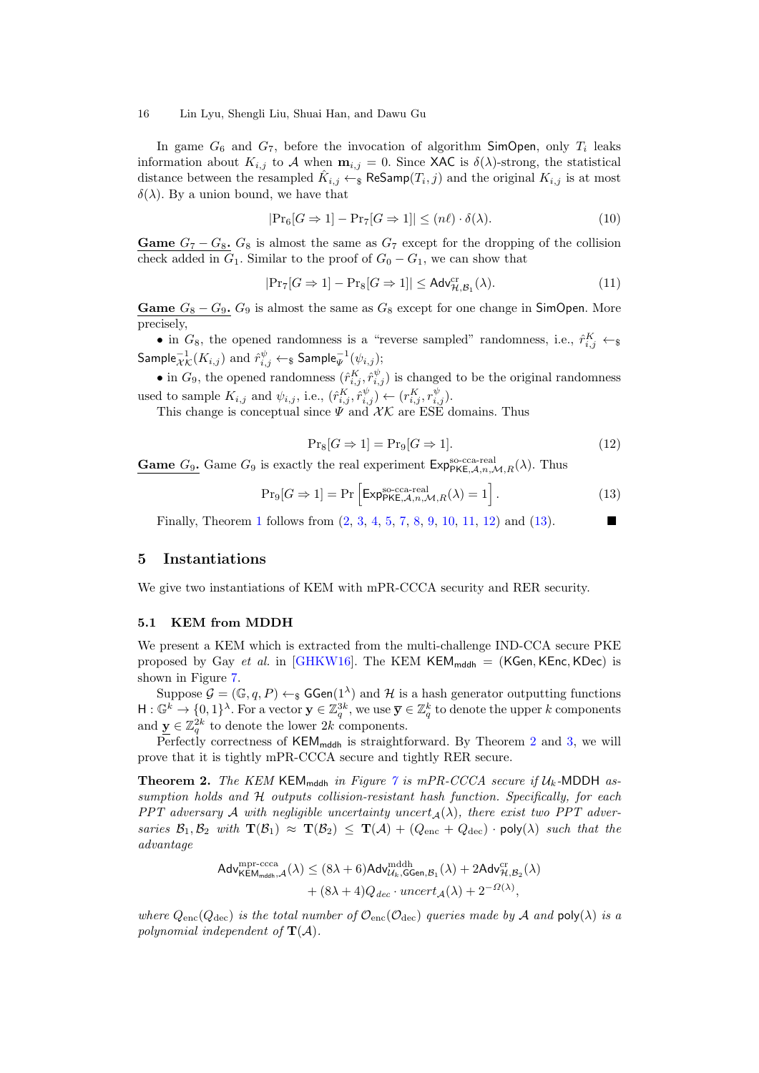In game  $G_6$  and  $G_7$ , before the invocation of algorithm SimOpen, only  $T_i$  leaks information about  $K_{i,j}$  to A when  $\mathbf{m}_{i,j} = 0$ . Since XAC is  $\delta(\lambda)$ -strong, the statistical distance between the resampled  $\hat{K}_{i,j} \leftarrow$  ReSamp $(T_i, j)$  and the original  $K_{i,j}$  is at most  $\delta(\lambda)$ . By a union bound, we have that

<span id="page-15-0"></span>
$$
|\Pr_6[G \Rightarrow 1] - \Pr_7[G \Rightarrow 1]| \leq (n\ell) \cdot \delta(\lambda). \tag{10}
$$

**Game**  $G_7 - G_8$ .  $G_8$  is almost the same as  $G_7$  except for the dropping of the collision check added in  $G_1$ . Similar to the proof of  $G_0 - G_1$ , we can show that

<span id="page-15-1"></span>
$$
|\Pr_{7}[G \Rightarrow 1] - \Pr_{8}[G \Rightarrow 1]| \leq \mathsf{Adv}_{\mathcal{H},\mathcal{B}_1}^{\mathrm{cr}}(\lambda). \tag{11}
$$

**Game**  $G_8 - G_9$ .  $G_9$  is almost the same as  $G_8$  except for one change in SimOpen. More precisely,

• in  $G_8$ , the opened randomness is a "reverse sampled" randomness, i.e.,  $\hat{r}_{i,j}^K \leftarrow$  $\mathsf{Sample}^{-1}_{\mathcal{X}\mathcal{K}}(K_{i,j}) \text{ and } \hat{r}^{\psi}_{i,j} \leftarrow_{\$} \mathsf{Sample}^{-1}_{\varPsi}(\psi_{i,j});$ 

• in  $G_9$ , the opened randomness  $(\hat{r}_{i,j}^K, \hat{r}_{i,j}^{\psi})$  is changed to be the original randomness used to sample  $K_{i,j}$  and  $\psi_{i,j}$ , i.e.,  $(\hat{r}_{i,j}^K, \hat{r}_{i,j}^{\psi}) \leftarrow (r_{i,j}^K, r_{i,j}^{\psi})$ .

This change is conceptual since  $\overline{\Psi}$  and  $\chi K$  are ESE domains. Thus

<span id="page-15-2"></span>
$$
Pr_8[G \Rightarrow 1] = Pr_9[G \Rightarrow 1].
$$
\n(12)

**Game**  $G_9$ . Game  $G_9$  is exactly the real experiment  $Exp_{\mathsf{PKE},\mathcal{A},n,\mathcal{M},R}^{so\text{-}cca\text{-}real}(\lambda)$ . Thus

<span id="page-15-3"></span>
$$
\Pr_{9}[G \Rightarrow 1] = \Pr\left[\text{Exp}_{\text{PKE},\mathcal{A},n,\mathcal{M},R}^{\text{so-cca-real}}(\lambda) = 1\right].\tag{13}
$$

Finally, Theorem [1](#page-8-2) follows from [\(2,](#page-10-1) [3,](#page-10-2) [4,](#page-10-3) [5,](#page-12-0) [7,](#page-13-1) [8,](#page-13-2) [9,](#page-14-0) [10,](#page-15-0) [11,](#page-15-1) [12\)](#page-15-2) and [\(13\)](#page-15-3).

### <span id="page-15-6"></span>5 Instantiations

We give two instantiations of KEM with mPR-CCCA security and RER security.

### <span id="page-15-7"></span>5.1 KEM from MDDH

We present a KEM which is extracted from the multi-challenge IND-CCA secure PKE proposed by Gay et al. in [\[GHKW16\]](#page-26-6). The KEM KEM<sub>mddh</sub> = (KGen, KEnc, KDec) is shown in Figure [7.](#page-16-0)

Suppose  $\mathcal{G} = (\mathbb{G}, q, P) \leftarrow_{\$} \mathsf{GGen}(1^{\lambda})$  and  $\mathcal{H}$  is a hash generator outputting functions  $H: \mathbb{G}^k \to \{0,1\}^{\lambda}$ . For a vector  $\mathbf{y} \in \mathbb{Z}_q^{3k}$ , we use  $\overline{\mathbf{y}} \in \mathbb{Z}_q^k$  to denote the upper k components and  $\underline{y} \in \mathbb{Z}_q^{2k}$  to denote the lower  $2k$  components.

Perfectly correctness of  $KEM_{\text{mddh}}$  is straightforward. By Theorem [2](#page-15-4) and [3,](#page-15-5) we will prove that it is tightly mPR-CCCA secure and tightly RER secure.

<span id="page-15-4"></span>**Theorem 2.** The KEM KEM<sub>mddh</sub> in Figure [7](#page-16-0) is mPR-CCCA secure if  $U_k$ -MDDH assumption holds and H outputs collision-resistant hash function. Specifically, for each PPT adversary A with negligible uncertainty uncert<sub>A</sub>( $\lambda$ ), there exist two PPT adversaries  $\mathcal{B}_1, \mathcal{B}_2$  with  $\mathbf{T}(\mathcal{B}_1) \approx \mathbf{T}(\mathcal{B}_2) \leq \mathbf{T}(\mathcal{A}) + (Q_{\text{enc}} + Q_{\text{dec}}) \cdot \text{poly}(\lambda)$  such that the advantage

$$
\begin{aligned} \mathsf{Adv}_{\mathsf{KEM}_{\mathsf{mddh}},\mathcal{A}}^{\text{mpr-ccca}}(\lambda) & \leq (8\lambda+6) \mathsf{Adv}_{\mathcal{U}_k,\mathsf{GGen},\mathcal{B}_1}^{\text{mddh}}(\lambda) + 2 \mathsf{Adv}_{\mathcal{H},\mathcal{B}_2}^{\text{cr}}(\lambda) \\ & + (8\lambda+4) Q_{dec} \cdot \text{uncert}_{\mathcal{A}}(\lambda) + 2^{-\varOmega(\lambda)}, \end{aligned}
$$

<span id="page-15-5"></span>where  $Q_{\text{enc}}(Q_{\text{dec}})$  is the total number of  $\mathcal{O}_{\text{enc}}(\mathcal{O}_{\text{dec}})$  queries made by A and poly( $\lambda$ ) is a polynomial independent of  $\mathbf{T}(\mathcal{A})$ .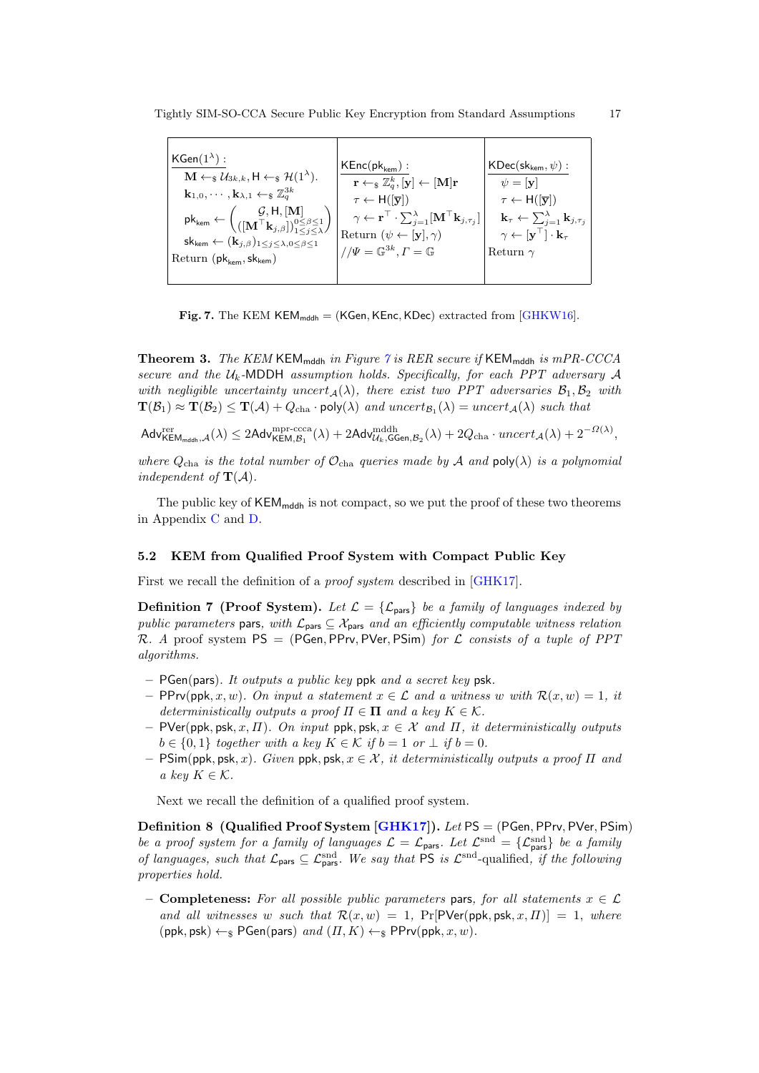| $KGen(1^{\lambda})$ :                                                                                                                                                                                 | $KEnc(pk_{kem})$ :                                                                                          | $\mathsf{KDec}(\mathsf{sk}_\mathsf{kem}, \psi)$ :                         |
|-------------------------------------------------------------------------------------------------------------------------------------------------------------------------------------------------------|-------------------------------------------------------------------------------------------------------------|---------------------------------------------------------------------------|
| $\mathbf{M} \leftarrow_{\$} \mathcal{U}_{3k,k}, \mathsf{H} \leftarrow_{\$} \mathcal{H}(1^{\lambda}).$                                                                                                 | $\mathbf{r} \leftarrow_{\$} \mathbb{Z}_q^k, [\mathbf{y}] \leftarrow [\mathbf{M}] \mathbf{r}$                | $\psi = [\mathbf{v}]$                                                     |
| $\mathbf{k}_{1,0},\cdots,\mathbf{k}_{\lambda,1} \leftarrow_{\$} \mathbb{Z}_{a}^{3k}$                                                                                                                  | $\tau \leftarrow H([\overline{\mathbf{v}}])$                                                                | $\tau \leftarrow H([\overline{\mathbf{v}}])$                              |
| $\mathsf{pk}_{\mathsf{kem}} \leftarrow \begin{pmatrix} \mathcal{G}, \mathsf{H}, [\mathbf{M}] \\ ([\mathbf{M}^\top \mathbf{k}_{j,\beta}])_{1 \leq j \leq \lambda}^{0 \leq \beta \leq 1} \end{pmatrix}$ | $\gamma \leftarrow \mathbf{r}^{\top} \cdot \sum_{i=1}^{\lambda} [\mathbf{M}^{\top} \mathbf{k}_{j, \tau_i}]$ | $\mathbf{k}_{\tau} \leftarrow \sum_{i=1}^{\lambda} \mathbf{k}_{j,\tau_i}$ |
| $\mathsf{sk}_{\mathsf{kem}} \leftarrow (\mathbf{k}_{j, \beta})_{1 \leq j \leq \lambda, 0 \leq \beta \leq 1}$                                                                                          | Return $(\psi \leftarrow [\mathbf{y}], \gamma)$                                                             | $\gamma \leftarrow [\mathbf{y}^\top] \cdot \mathbf{k}_\tau$               |
| Return $(\mathsf{pk}_{\mathsf{kem}}, \mathsf{sk}_{\mathsf{kem}})$                                                                                                                                     | $//\Psi = \mathbb{G}^{3k}, \Gamma = \mathbb{G}$                                                             | Return $\gamma$                                                           |
|                                                                                                                                                                                                       |                                                                                                             |                                                                           |

<span id="page-16-0"></span>Fig. 7. The KEM  $KEM_{\text{mddh}} = (KGen, KEnc, KDec)$  extracted from  $[GHKW16]$ .

**Theorem 3.** The KEM KEM<sub>mddh</sub> in Figure  $\gamma$  is RER secure if KEM<sub>mddh</sub> is mPR-CCCA secure and the  $U_k$ -MDDH assumption holds. Specifically, for each PPT adversary A with negligible uncertainty uncert<sub>A</sub>( $\lambda$ ), there exist two PPT adversaries  $\mathcal{B}_1, \mathcal{B}_2$  with  $\mathbf{T}(\mathcal{B}_1) \approx \mathbf{T}(\mathcal{B}_2) \leq \mathbf{T}(\mathcal{A}) + Q_{\text{cha}} \cdot \text{poly}(\lambda)$  and  $uncert_{\mathcal{B}_1}(\lambda) = uncert_{\mathcal{A}}(\lambda)$  such that

$$
\mathsf{Adv}_{\mathsf{KEM}_{\mathsf{mddh}},\mathcal{A}}^{\mathrm{rer}}(\lambda) \leq 2\mathsf{Adv}_{\mathsf{KEM},\mathcal{B}_1}^{\mathrm{mpr-ccca}}(\lambda) + 2\mathsf{Adv}_{\mathcal{U}_k,\mathsf{GGen},\mathcal{B}_2}^{\mathrm{mddh}}(\lambda) + 2Q_{\mathrm{cha}} \cdot \mathit{uncert}_{\mathcal{A}}(\lambda) + 2^{-\varOmega(\lambda)},
$$

where  $Q_{\text{cha}}$  is the total number of  $\mathcal{O}_{\text{cha}}$  queries made by A and  $\text{poly}(\lambda)$  is a polynomial independent of  $\mathbf{T}(\mathcal{A})$ .

The public key of  $KEM_{\text{mddh}}$  is not compact, so we put the proof of these two theorems in Appendix [C](#page-31-0) and [D.](#page-41-0)

# <span id="page-16-1"></span>5.2 KEM from Qualified Proof System with Compact Public Key

First we recall the definition of a *proof system* described in [\[GHK17\]](#page-26-8).

**Definition 7 (Proof System).** Let  $\mathcal{L} = {\mathcal{L}_{\text{pars}}}$  be a family of languages indexed by public parameters pars, with  $\mathcal{L}_{\text{pars}} \subseteq \mathcal{X}_{\text{pars}}$  and an efficiently computable witness relation R. A proof system  $PS = (PGen, PPrv, PVer, PSim)$  for L consists of a tuple of PPT algorithms.

- $-$  PGen(pars). It outputs a public key ppk and a secret key psk.
- PPrv(ppk, x, w). On input a statement  $x \in \mathcal{L}$  and a witness w with  $\mathcal{R}(x, w) = 1$ , it deterministically outputs a proof  $\Pi \in \Pi$  and a key  $K \in \mathcal{K}$ .
- PVer(ppk, psk, x,  $\Pi$ ). On input ppk, psk,  $x \in \mathcal{X}$  and  $\Pi$ , it deterministically outputs  $b \in \{0,1\}$  together with a key  $K \in \mathcal{K}$  if  $b = 1$  or  $\perp$  if  $b = 0$ .
- PSim(ppk, psk, x). Given ppk, psk,  $x \in \mathcal{X}$ , it deterministically outputs a proof  $\Pi$  and a key  $K \in \mathcal{K}$ .

Next we recall the definition of a qualified proof system.

Definition 8 (Qualified Proof System [\[GHK17\]](#page-26-8)). Let PS = (PGen, PPrv, PVer, PSim) be a proof system for a family of languages  $\mathcal{L} = \mathcal{L}_{\text{pars}}$ . Let  $\mathcal{L}^{\text{snd}} = {\{\mathcal{L}_{\text{pars}}^{\text{snd}}\}}$  be a family of languages, such that  $\mathcal{L}_{\text{pars}} \subseteq \mathcal{L}_{\text{pars}}^{\text{snd}}$ . We say that PS is  $\mathcal{L}^{\text{snd}}$ -qualified, if the following properties hold.

– Completeness: For all possible public parameters pars, for all statements  $x \in \mathcal{L}$ and all witnesses w such that  $\mathcal{R}(x, w) = 1$ , Pr[PVer(ppk, psk, x,  $\Pi$ )] = 1, where  $(\text{ppk}, \text{psk}) \leftarrow$  PGen(pars) and  $(\Pi, K) \leftarrow$  PPrv(ppk, x, w).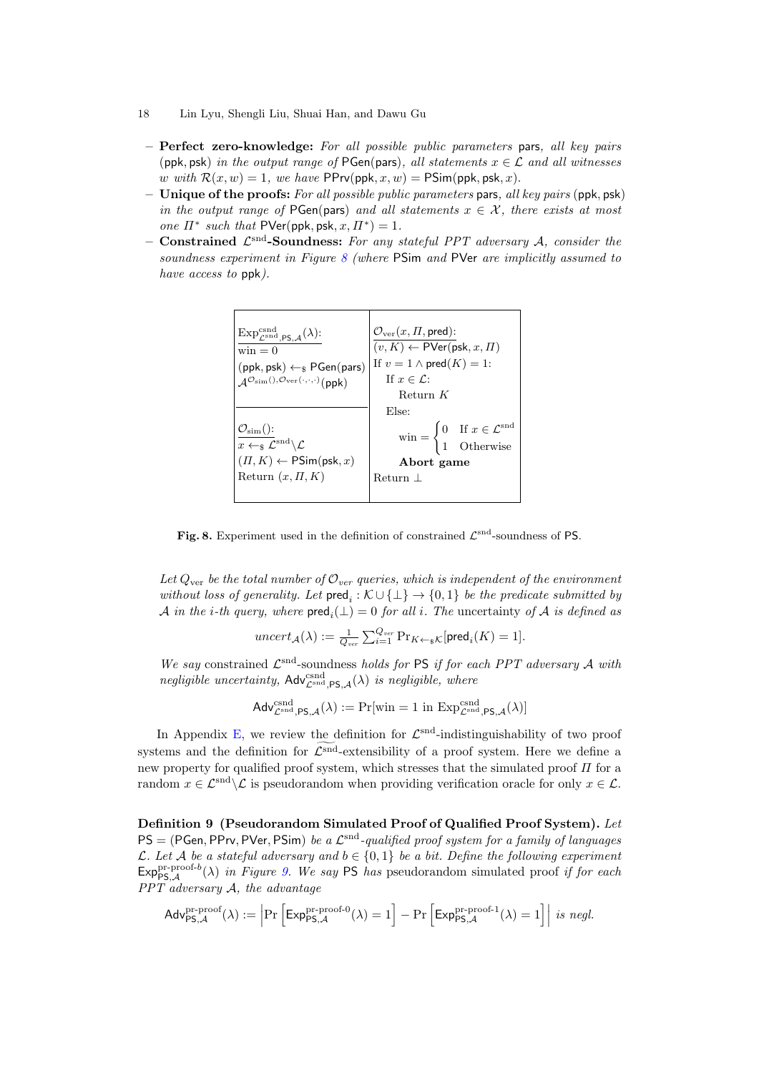- 18 Lin Lyu, Shengli Liu, Shuai Han, and Dawu Gu
- Perfect zero-knowledge: For all possible public parameters pars, all key pairs (ppk, psk) in the output range of PGen(pars), all statements  $x \in \mathcal{L}$  and all witnesses w with  $\mathcal{R}(x, w) = 1$ , we have PPrv(ppk, x, w) = PSim(ppk, psk, x).
- Unique of the proofs: For all possible public parameters pars, all key pairs (ppk, psk) in the output range of PGen(pars) and all statements  $x \in \mathcal{X}$ , there exists at most one  $\Pi^*$  such that PVer(ppk, psk,  $x, \Pi^*$ ) = 1.
- $-$  Constrained  $\mathcal{L}^{\text{snd}}$ -Soundness: For any stateful PPT adversary A, consider the soundness experiment in Figure  $8$  (where PSim and PVer are implicitly assumed to have access to ppk).

| $Exp_{\mathcal{L}^{\text{snd}}, \text{PS}, \mathcal{A}}^{\text{cend}}(\lambda)$ :<br>$\sin = 0$<br>$(ppk, psk) \leftarrow s PGen(pars)$<br>$\mathcal{A}^{\mathcal{O}_{sim}(),\mathcal{O}_{ver}(\cdot,\cdot,\cdot)}(ppk)$ | $\mathcal{O}_{\rm ver}(x,\Pi,{\sf pred})$ :<br>$\overline{(v,K) \leftarrow \textsf{PVer}(\textsf{psk},x,\Pi)}$<br>If $v = 1 \wedge \text{pred}(K) = 1$ :<br>If $x \in \mathcal{L}$ :<br>Return $K$ |
|--------------------------------------------------------------------------------------------------------------------------------------------------------------------------------------------------------------------------|----------------------------------------------------------------------------------------------------------------------------------------------------------------------------------------------------|
| $\mathcal{O}_{\text{sim}}()$ :                                                                                                                                                                                           | Else:                                                                                                                                                                                              |
| $x \leftarrow_s \mathcal{L}^{\text{snd}} \backslash \mathcal{L}$                                                                                                                                                         | win = $\begin{cases} 0 & \text{If } x \in \mathcal{L}^{\text{snd}} \\ 1 & \text{Otherwise} \end{cases}$                                                                                            |
| $(\Pi, K) \leftarrow \text{PSim}(\text{psk}, x)$                                                                                                                                                                         | Abort game                                                                                                                                                                                         |
| Return $(x, \Pi, K)$                                                                                                                                                                                                     | $Return \perp$                                                                                                                                                                                     |

<span id="page-17-0"></span>Fig. 8. Experiment used in the definition of constrained  $\mathcal{L}^{\text{snd}}$ -soundness of PS.

Let  $Q_{\text{ver}}$  be the total number of  $\mathcal{O}_{\text{ver}}$  queries, which is independent of the environment without loss of generality. Let  $\text{pred}_i : \mathcal{K} \cup \{\perp\} \to \{0,1\}$  be the predicate submitted by A in the *i*-th query, where  $\text{pred}_i(\perp) = 0$  for all *i*. The uncertainty of A is defined as

$$
\mathit{uncert}_{\mathcal{A}}(\lambda) := \tfrac{1}{Q_{\mathit{ver}}}\sum_{i=1}^{Q_{\mathit{ver}}} \Pr_{K \leftarrow \mathit{s}} \kappa[\mathit{pred}_i(K) = 1].
$$

We say constrained  $\mathcal{L}^{\text{snd}}$ -soundness holds for PS if for each PPT adversary A with negligible uncertainty,  $\mathsf{Adv}^{\text{csnd}}_{\mathcal{L}^{\text{snd}},\mathsf{PS},\mathcal{A}}(\lambda)$  is negligible, where

$$
\mathsf{Adv}^{\mathrm{csnd}}_{\mathcal{L}^{\mathrm{snd}}, \mathsf{PS}, \mathcal{A}}(\lambda) := \Pr[\mathrm{win} = 1 \text{ in } \mathrm{Exp}_{\mathcal{L}^{\mathrm{snd}}, \mathsf{PS}, \mathcal{A}}(\lambda)]
$$

In Appendix [E,](#page-43-0) we review the definition for  $\mathcal{L}^{\text{snd}}$ -indistinguishability of two proof systems and the definition for  $\mathcal{L}^{\text{snd}}$ -extensibility of a proof system. Here we define a new property for qualified proof system, which stresses that the simulated proof  $\Pi$  for a random  $x \in \mathcal{L}^{\text{snd}} \backslash \mathcal{L}$  is pseudorandom when providing verification oracle for only  $x \in \mathcal{L}$ .

Definition 9 (Pseudorandom Simulated Proof of Qualified Proof System). Let  $PS = (PGen, PPrv, PVer, PSim)$  be a  $\mathcal{L}^{snd}$ -qualified proof system for a family of languages L. Let A be a stateful adversary and  $b \in \{0,1\}$  be a bit. Define the following experiment  $Exp_{PS,A}^{\text{pr-proo-f-}b}(\lambda)$  in Figure [9.](#page-18-0) We say PS has pseudorandom simulated proof if for each PPT adversary A, the advantage

$$
\mathsf{Adv}_{\mathsf{PS},\mathcal{A}}^{\mathrm{pr\text{-}proof}}(\lambda) := \Big|\!\Pr\Big[\mathsf{Exp}_{\mathsf{PS},\mathcal{A}}^{\mathrm{pr\text{-}proof-0}}(\lambda) = 1\Big] - \Pr\Big[\mathsf{Exp}_{\mathsf{PS},\mathcal{A}}^{\mathrm{pr\text{-}proof-1}}(\lambda) = 1\Big]\!\Big| \text{ is negl.}
$$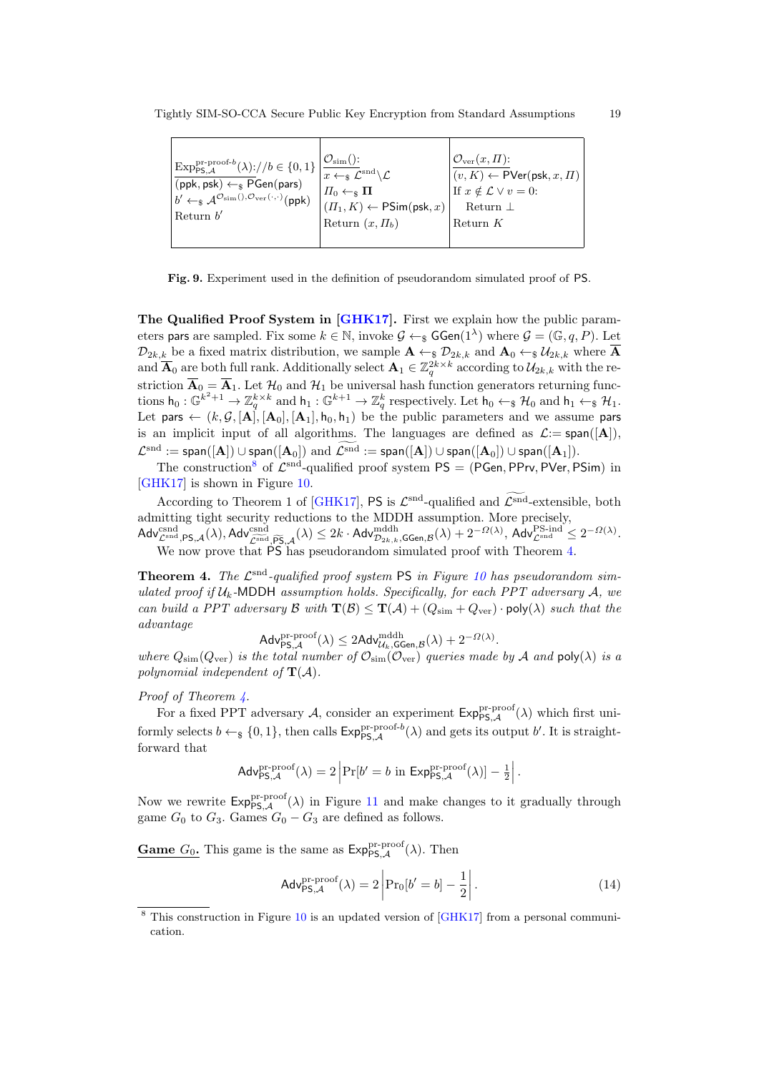<span id="page-18-0"></span>Fig. 9. Experiment used in the definition of pseudorandom simulated proof of PS.

<span id="page-18-4"></span>The Qualified Proof System in [\[GHK17\]](#page-26-8). First we explain how the public parameters pars are sampled. Fix some  $k \in \mathbb{N}$ , invoke  $\mathcal{G} \leftarrow_{\$} \mathsf{GGen}(1^{\lambda})$  where  $\mathcal{G} = (\mathbb{G}, q, P)$ . Let  $\mathcal{D}_{2k,k}$  be a fixed matrix distribution, we sample  $\mathbf{A} \leftarrow \mathcal{D}_{2k,k}$  and  $\mathbf{A}_0 \leftarrow \mathcal{U}_{2k,k}$  where  $\overline{\mathbf{A}}$ and  $\overline{A}_0$  are both full rank. Additionally select  $A_1 \in \mathbb{Z}_q^{2k \times k}$  according to  $\mathcal{U}_{2k,k}$  with the restriction  $\overline{\mathbf{A}}_0 = \overline{\mathbf{A}}_1$ . Let  $\mathcal{H}_0$  and  $\mathcal{H}_1$  be universal hash function generators returning functions  $h_0: \mathbb{G}^{k^2+1} \to \mathbb{Z}_q^{k \times k}$  and  $h_1: \mathbb{G}^{k+1} \to \mathbb{Z}_q^k$  respectively. Let  $h_0 \leftarrow_s \mathcal{H}_0$  and  $h_1 \leftarrow_s \mathcal{H}_1$ . Let pars  $\leftarrow$   $(k, \mathcal{G}, [\mathbf{A}], [\mathbf{A}_0], [\mathbf{A}_1], \mathbf{h}_0, \mathbf{h}_1)$  be the public parameters and we assume pars is an implicit input of all algorithms. The languages are defined as  $\mathcal{L}:=\text{span}([\mathbf{A}]),$  $\mathcal{L}^{\rm{snd}} := {\sf{span}}([{\bf A}]) \cup {\sf{span}}([{\bf A}_0]) \text{ and } \mathcal{L}^{\rm{snd}} := {\sf{span}}([{\bf A}]) \cup {\sf{span}}([{\bf A}_0]) \cup {\sf{span}}([{\bf A}_1]).$ 

The construction<sup>[8](#page-18-1)</sup> of  $\mathcal{L}^{\text{snd}}$ -qualified proof system  $PS = (PGen, PPrv, PVer, PSim)$  in [\[GHK17\]](#page-26-8) is shown in Figure [10.](#page-19-0)

According to Theorem 1 of [\[GHK17\]](#page-26-8), PS is  $\mathcal{L}^{\text{snd}}$ -qualified and  $\mathcal{L}^{\text{snd}}$ -extensible, both admitting tight security reductions to the MDDH assumption. More precisely,  $\mathsf{Adv}_{\mathcal{L}^{\text{snd}},\mathsf{PS},\mathcal{A}}^{\text{card}}(\lambda),\mathsf{Adv}_{\mathcal{L}^{\text{snd}}^{\text{CS}},\mathcal{A}}^{\text{card}}(\lambda) \leq 2k \cdot \mathsf{Adv}_{\mathcal{D}_{2k,k},\mathsf{GGen},\mathcal{B}}^{\text{addh}}(\lambda) + 2^{-\Omega(\lambda)},\mathsf{Adv}_{\mathcal{L}^{\text{snd}}}^{\mathsf{PS-ind}} \leq 2^{-\Omega(\lambda)}.$ 

We now prove that  $\widetilde{PS}$  has pseudorandom simulated proof with Theorem [4.](#page-18-2)

<span id="page-18-2"></span>**Theorem 4.** The  $\mathcal{L}^{\text{snd}}$ -qualified proof system PS in Figure [10](#page-19-0) has pseudorandom simulated proof if  $U_k$ -MDDH assumption holds. Specifically, for each PPT adversary A, we can build a PPT adversary B with  $\mathbf{T}(\mathcal{B}) \leq \mathbf{T}(\mathcal{A}) + (Q_{\text{sim}} + Q_{\text{ver}}) \cdot \text{poly}(\lambda)$  such that the advantage

$$
\mathsf{Adv}_{\mathsf{PS},\mathcal{A}}^{\mathrm{pr\text{-}proof}}(\lambda) \leq 2\mathsf{Adv}_{\mathcal{U}_k,\mathsf{GGen},\mathcal{B}}^{\mathrm{mddh}}(\lambda) + 2^{-\varOmega(\lambda)}.
$$

where  $Q_{sim}(Q_{ver})$  is the total number of  $\mathcal{O}_{sim}(\mathcal{O}_{ver})$  queries made by A and poly( $\lambda$ ) is a polynomial independent of  $\mathbf{T}(\mathcal{A})$ .

# Proof of Theorem [4.](#page-18-2)

For a fixed PPT adversary A, consider an experiment  $\mathsf{Exp}_{\mathsf{PS},\mathcal{A}}^{\text{pr-proof}}(\lambda)$  which first uniformly selects  $b \leftarrow s \{0,1\}$ , then calls  $\mathsf{Exp}_{\mathsf{PS},\mathcal{A}}^{\text{pr-proof-}b}(\lambda)$  and gets its output  $b'$ . It is straightforward that

$$
\mathsf{Adv}_{\mathsf{PS},\mathcal{A}}^{\mathrm{pr-proof}}(\lambda) = 2 \left| \Pr[b' = b \text{ in } \mathsf{Exp}_{\mathsf{PS},\mathcal{A}}^{\mathrm{pr-proof}}(\lambda)] - \frac{1}{2} \right|.
$$

Now we rewrite  $\mathsf{Exp}_{\mathsf{PS},\mathcal{A}}^{\text{pr-proof}}(\lambda)$  in Figure [11](#page-20-0) and make changes to it gradually through game  $G_0$  to  $G_3$ . Games  $G_0 - G_3$  are defined as follows.

**Game**  $G_0$ . This game is the same as  $Exp_{PS,\mathcal{A}}^{pr-proof}(\lambda)$ . Then

<span id="page-18-3"></span>
$$
Adv_{PS,\mathcal{A}}^{\text{pr-proof}}(\lambda) = 2 \left| Pr_0[b'=b] - \frac{1}{2} \right|.
$$
 (14)

<span id="page-18-1"></span>This construction in Figure [10](#page-19-0) is an updated version of [\[GHK17\]](#page-26-8) from a personal communication.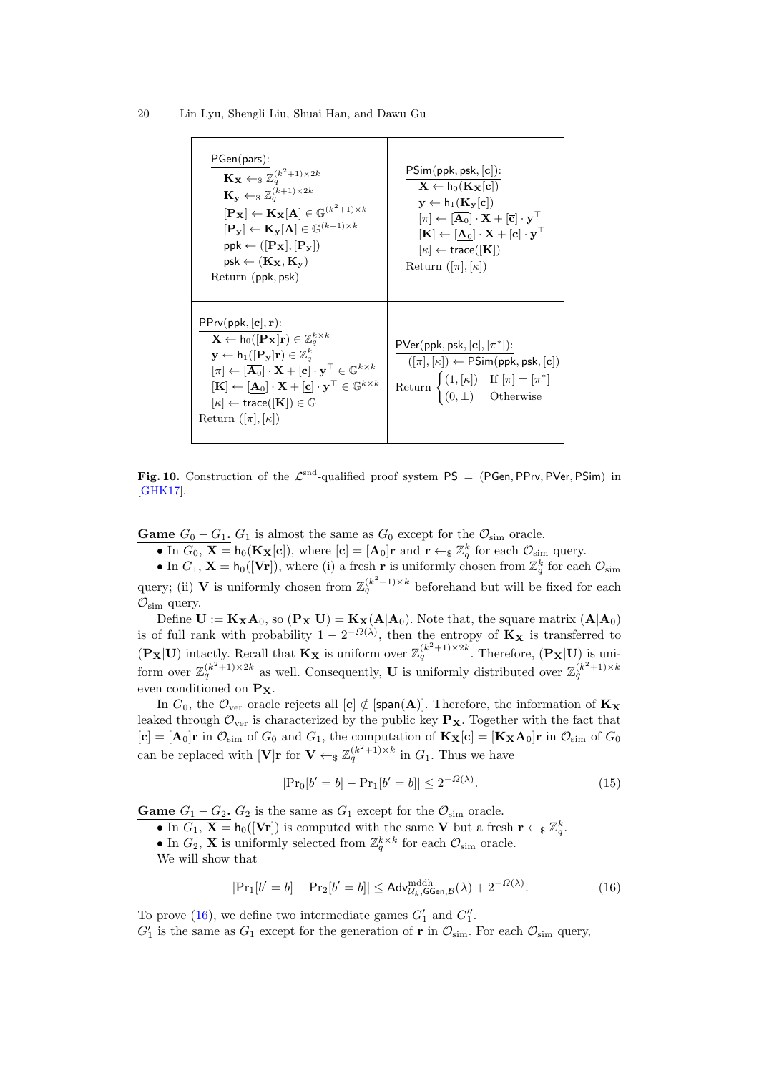20 Lin Lyu, Shengli Liu, Shuai Han, and Dawu Gu

| PGen(pars):<br>$\mathbf{Kx} \leftarrow \mathbb{Z}_q^{(k^2+1)\times 2k}$<br>$\mathbf{K_y} \leftarrow \mathbb{S} \mathbb{Z}_q^{(k+1) \times 2k}$<br>$[\mathbf{P}_\mathbf{X}] \leftarrow \mathbf{K}_\mathbf{X}[\mathbf{A}] \in \mathbb{G}^{(k^2+1) \times k}$<br>$[\mathbf{P}_\mathbf{y}] \leftarrow \mathbf{K}_\mathbf{y}[\mathbf{A}] \in \mathbb{G}^{(k+1) \times k}$<br>$ppk \leftarrow ([\mathbf{P_X}], [\mathbf{P_v}])$<br>$psk \leftarrow (\mathbf{K_X}, \mathbf{K_v})$<br>Return (ppk, psk)                                                                                                                                                  | $\mathsf{PSim}(\mathsf{ppk}, \mathsf{psk},  \mathbf{c} )$ :<br>$\mathbf{X} \leftarrow h_0(\mathbf{K_X}[\mathbf{c}])$<br>$\mathbf{y} \leftarrow h_1(\mathbf{K}_\mathbf{v}[\mathbf{c}])$<br>$[\pi] \leftarrow [\overline{\mathbf{A}_0}] \cdot \mathbf{X} + [\overline{\mathbf{c}}] \cdot \mathbf{y}^\top$<br>$[\mathbf{K}] \leftarrow [\mathbf{A}_0] \cdot \mathbf{X} + [\underline{\mathbf{c}}] \cdot \mathbf{y}^\top$<br>$[\kappa] \leftarrow \text{trace}([\mathbf{K}])$<br>Return $( \pi ,  \kappa )$ |
|--------------------------------------------------------------------------------------------------------------------------------------------------------------------------------------------------------------------------------------------------------------------------------------------------------------------------------------------------------------------------------------------------------------------------------------------------------------------------------------------------------------------------------------------------------------------------------------------------------------------------------------------------|---------------------------------------------------------------------------------------------------------------------------------------------------------------------------------------------------------------------------------------------------------------------------------------------------------------------------------------------------------------------------------------------------------------------------------------------------------------------------------------------------------|
| $PPrv(ppk,  c , r)$ :<br>$\mathbf{X} \leftarrow h_0([\mathbf{P}_{\mathbf{X}}] \mathbf{r}) \in \mathbb{Z}_q^{k \times k}$<br>$\mathbf{y} \leftarrow h_1([\mathbf{P}_{\mathbf{y}}] \mathbf{r}) \in \mathbb{Z}_q^k$<br>$\bm{\pi} \left[ \pi \right] \leftarrow \lbrack \overline{\mathbf{A}_0} \rbrack \cdot \mathbf{X} + \lbrack \overline{\mathbf{c}} \rbrack \cdot \mathbf{y}^\top \in \mathbb{G}^{k \times k}$<br>$[\mathbf{K}] \leftarrow [\mathbf{A}_0] \cdot \mathbf{X} + [\mathbf{c}] \cdot \mathbf{y}^\top \in \mathbb{G}^{k \times k}$<br>$[\kappa] \leftarrow \textsf{trace}([\mathbf{K}]) \in \mathbb{G}$<br>Return $( \pi ,  \kappa )$ | $PVer(ppk, psk, [c], [\pi^*])$ :<br>$([\pi], [\kappa]) \leftarrow \mathsf{PSim}(\mathsf{ppk}, \mathsf{psk}, [\mathbf{c}])$<br>Return $\begin{cases} (1,[\kappa]) & \text{If } [\pi] = [\pi^*] \\ (0,\perp) & \text{Otherwise} \end{cases}$                                                                                                                                                                                                                                                              |

<span id="page-19-0"></span>**Fig. 10.** Construction of the  $\mathcal{L}^{\text{snd}}$ -qualified proof system PS = (PGen, PPrv, PVer, PSim) in [\[GHK17\]](#page-26-8).

**Game**  $G_0 - G_1$ .  $G_1$  is almost the same as  $G_0$  except for the  $\mathcal{O}_{sim}$  oracle.

• In  $G_0$ ,  $\mathbf{X} = \mathsf{h}_0(\mathbf{K}_{\mathbf{X}}[\mathbf{c}])$ , where  $[\mathbf{c}] = [\mathbf{A}_0] \mathbf{r}$  and  $\mathbf{r} \leftarrow_{\$} \mathbb{Z}_q^k$  for each  $\mathcal{O}_{\text{sim}}$  query.

• In  $G_1$ ,  $\mathbf{X} = \mathsf{h}_0([\mathbf{Vr}])$ , where (i) a fresh r is uniformly chosen from  $\mathbb{Z}_q^k$  for each  $\mathcal{O}_{\text{sim}}$ query; (ii) V is uniformly chosen from  $\mathbb{Z}_q^{(k^2+1)\times k}$  beforehand but will be fixed for each

 $\mathcal{O}_{sim}$  query. Define  $\mathbf{U} := \mathbf{K}_{\mathbf{X}} \mathbf{A}_0$ , so  $(\mathbf{P}_{\mathbf{X}} | \mathbf{U}) = \mathbf{K}_{\mathbf{X}} (\mathbf{A} | \mathbf{A}_0)$ . Note that, the square matrix  $(\mathbf{A} | \mathbf{A}_0)$ is of full rank with probability  $1 - 2^{-\Omega(\lambda)}$ , then the entropy of  $\mathbf{K}_{\mathbf{X}}$  is transferred to  $(\mathbf{P}_{\mathbf{X}}|\mathbf{U})$  intactly. Recall that  $\mathbf{K}_{\mathbf{X}}$  is uniform over  $\mathbb{Z}_q^{(k^2+1)\times 2k}$ . Therefore,  $(\mathbf{P}_{\mathbf{X}}|\mathbf{U})$  is uni-

form over  $\mathbb{Z}_q^{(k^2+1)\times 2k}$  as well. Consequently, **U** is uniformly distributed over  $\mathbb{Z}_q^{(k^2+1)\times k}$ even conditioned on  $P_X$ .

In  $G_0$ , the  $\mathcal{O}_{ver}$  oracle rejects all  $[c] \notin [\text{span}(\mathbf{A})]$ . Therefore, the information of  $\mathbf{K}_{\mathbf{X}}$ leaked through  $\mathcal{O}_{\text{ver}}$  is characterized by the public key  $\mathbf{P}_{\mathbf{X}}$ . Together with the fact that  $[\mathbf{c}] = [\mathbf{A}_0] \mathbf{r}$  in  $\mathcal{O}_{\text{sim}}$  of  $G_0$  and  $G_1$ , the computation of  $\mathbf{K}_{\mathbf{X}}[\mathbf{c}] = [\mathbf{K}_{\mathbf{X}} \mathbf{A}_0] \mathbf{r}$  in  $\mathcal{O}_{\text{sim}}$  of  $G_0$ can be replaced with [V]**r** for  $V \leftarrow \S \mathbb{Z}_q^{(k^2+1)\times k}$  in  $G_1$ . Thus we have

<span id="page-19-2"></span>
$$
|\Pr_0[b'=b] - \Pr_1[b'=b]| \le 2^{-\Omega(\lambda)}.
$$
\n(15)

**Game**  $G_1 - G_2$ .  $G_2$  is the same as  $G_1$  except for the  $\mathcal{O}_{sim}$  oracle.

- In  $G_1$ ,  $\mathbf{X} = \mathsf{h}_0([\mathbf{V_r}])$  is computed with the same V but a fresh  $\mathbf{r} \leftarrow_{\$} \mathbb{Z}_q^k$ .
- In  $G_2$ , **X** is uniformly selected from  $\mathbb{Z}_q^{k \times k}$  for each  $\mathcal{O}_{sim}$  oracle.

We will show that

<span id="page-19-1"></span>
$$
|\Pr_1[b'=b] - \Pr_2[b'=b]| \leq \mathsf{Adv}_{\mathcal{U}_k,\mathsf{GGen},\mathcal{B}}^{\mathrm{mddh}}(\lambda) + 2^{-\Omega(\lambda)}.
$$
 (16)

To prove [\(16\)](#page-19-1), we define two intermediate games  $G'_1$  and  $G''_1$ .

 $G_1'$  is the same as  $G_1$  except for the generation of **r** in  $\mathcal{O}_{\text{sim}}$ . For each  $\mathcal{O}_{\text{sim}}$  query,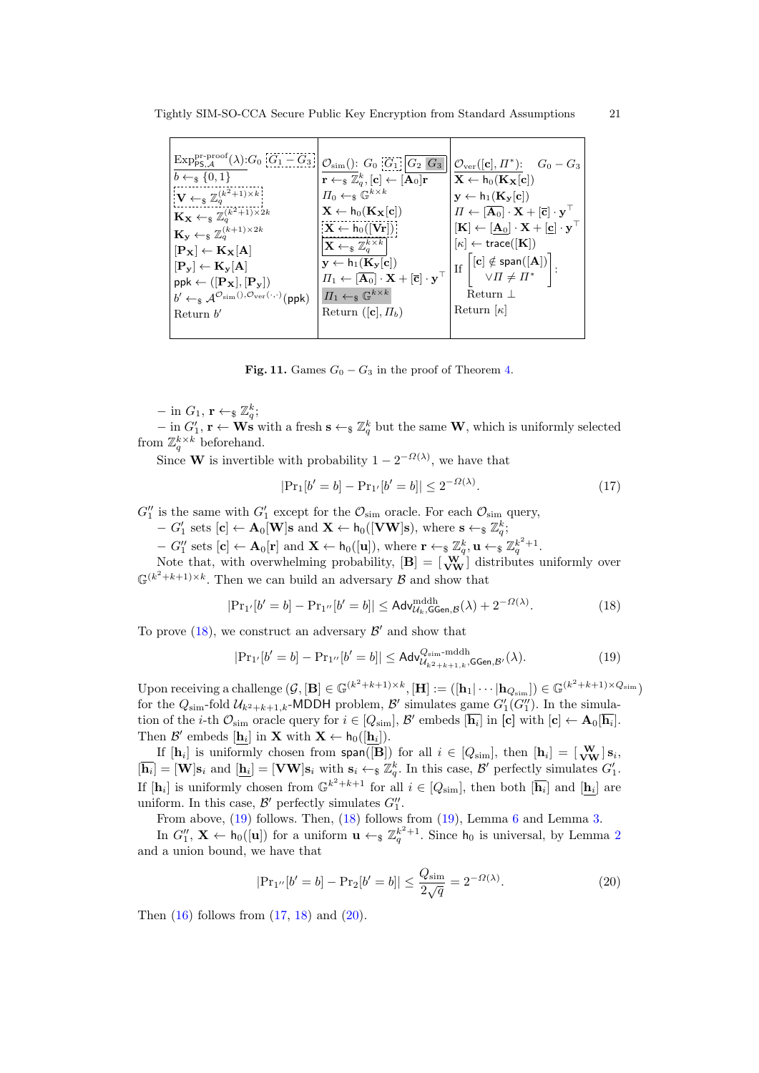| $Exp_{PS,A}^{\text{pr-proof}}(\lambda)$ : $G_0$ $G_1 - G_3$                                                  | $\big  \mathcal{O}_{\rm sim}(\): G_0[G_1] \big  G_2[G_3] \big $                                                           | $\mathcal{O}_{\rm ver}([\mathbf{c}], \Pi^*)$ : $G_0 - G_3$                                                                  |
|--------------------------------------------------------------------------------------------------------------|---------------------------------------------------------------------------------------------------------------------------|-----------------------------------------------------------------------------------------------------------------------------|
| $b \leftarrow_{\$} \{0,1\}$                                                                                  | $\overline{\mathbf{r} \leftarrow_{\$} \mathbb{Z}_{q}^{k}}, [\mathbf{c}] \leftarrow [\overline{\mathbf{A}_0] \mathbf{r}}]$ | $\mathbf{X} \leftarrow h_0(\mathbf{K_X}[\mathbf{c}])$                                                                       |
| $\mathbf{V} \leftarrow_{\$} \mathbb{Z}_q^{(k^2+1) \times k}$                                                 | $\varPi_0 \leftarrow_\$ \mathbb{G}^{k \times k}$                                                                          | $y \leftarrow h_1(K_y[c])$                                                                                                  |
| $\mathbf{K_X} \leftarrow \mathbb{S} \mathbb{Z}_q^{(k^2+1) \times 2k}$                                        | $\mathbf{X} \leftarrow h_0(\mathbf{K_X}[\mathbf{c}])$                                                                     | $\boldsymbol{\varPi} \leftarrow [\overline{\mathbf{A}_0}] \cdot \mathbf{X} + [\overline{\mathbf{c}}] \cdot \mathbf{y}^\top$ |
| $\mathbf{K_y} \leftarrow \mathcal{Z}_q^{(k+1) \times 2k}$                                                    | $\mathbf{X} \leftarrow h_0([\mathbf{Vr}])$                                                                                | $[\mathbf{K}] \leftarrow [\mathbf{A}_0] \cdot \mathbf{X} + [\underline{\mathbf{c}}] \cdot \mathbf{y}^\top$                  |
| $[P_X] \leftarrow K_X[A]$                                                                                    | $\mathbf{X} \leftarrow_{\$} \mathbb{Z}_{a}^{k \times k}$                                                                  | $[\kappa] \leftarrow \text{trace}([\mathbf{K}])$                                                                            |
| $[\mathbf{P}_{\mathbf{y}}] \leftarrow \mathbf{K}_{\mathbf{y}}[\mathbf{A}]$                                   | $\mathbf{y} \leftarrow \mathsf{h}_1(\mathbf{K}_\mathbf{y}[\mathbf{c}])$                                                   | If $\begin{bmatrix} [\mathbf{c}] \notin \mathsf{span}([\mathbf{A}]) \\ \forall \Pi \neq \Pi^* \end{bmatrix}$                |
| $\mathsf{ppk} \leftarrow ([\mathbf{P_X}], [\mathbf{P_y}])$                                                   | $\Pi_1 \leftarrow [\overline{\mathbf{A}_0}] \cdot \mathbf{X} + [\overline{\mathbf{c}}] \cdot \mathbf{y}^\top$             |                                                                                                                             |
| $b' \leftarrow_{\$} \mathcal{A}^{\mathcal{O}_{\text{sim}}}(0, \mathcal{O}_{\text{ver}}(\cdot, \cdot))$ (ppk) | $\Pi_1 \leftarrow \mathbb{S} \mathbb{G}^{k \times k}$                                                                     | Return $\perp$                                                                                                              |
| Return $b'$                                                                                                  | Return $([\mathbf{c}], \Pi_b)$                                                                                            | Return $ \kappa $                                                                                                           |
|                                                                                                              |                                                                                                                           |                                                                                                                             |

<span id="page-20-0"></span>Fig. 11. Games  $G_0 - G_3$  in the proof of Theorem [4.](#page-18-2)

 $-$  in  $G_1$ ,  $\mathbf{r} \leftarrow_{\$} \mathbb{Z}_q^k$ ;

 $-$  in  $G'_1$ ,  $\mathbf{r} \leftarrow \mathbf{W} \mathbf{s}$  with a fresh  $\mathbf{s} \leftarrow \mathbf{s} \mathbb{Z}_q^k$  but the same  $\mathbf{W}$ , which is uniformly selected from  $\mathbb{Z}_q^{k \times k}$  beforehand.

Since **W** is invertible with probability  $1 - 2^{-\Omega(\lambda)}$ , we have that

<span id="page-20-3"></span>
$$
|\Pr_1[b'=b] - \Pr_{1'}[b'=b]| \le 2^{-\Omega(\lambda)}.
$$
\n(17)

 $G_1''$  is the same with  $G_1'$  except for the  $\mathcal{O}_{\text{sim}}$  oracle. For each  $\mathcal{O}_{\text{sim}}$  query,

- −  $G'_1$  sets  $[c] \leftarrow \mathbf{A}_0[\mathbf{W}]$ s and  $\mathbf{X} \leftarrow h_0([\mathbf{VW}]s)$ , where  $s \leftarrow_s \mathbb{Z}_q^k$ ;
- $-G''_1$  sets  $[\mathbf{c}] \leftarrow \mathbf{A}_0[\mathbf{r}]$  and  $\mathbf{X} \leftarrow h_0([\mathbf{u}]),$  where  $\mathbf{r} \leftarrow_{\$} \mathbb{Z}_q^k, \mathbf{u} \leftarrow_{\$} \mathbb{Z}_q^{k^2+1}.$

Note that, with overwhelming probability,  $[\mathbf{B}] = [\mathbf{W}_{\mathbf{W}}]$  distributes uniformly over  $\mathbb{G}^{(k^2+k+1)\times k}$ . Then we can build an adversary  $\mathcal{B}$  and show that

<span id="page-20-1"></span>
$$
|\Pr_{1'}[b'=b] - \Pr_{1''}[b'=b]| \leq \mathsf{Adv}_{\mathcal{U}_k,\mathsf{GGen},\mathcal{B}}^{\mathrm{mddh}}(\lambda) + 2^{-\Omega(\lambda)}.\tag{18}
$$

To prove  $(18)$ , we construct an adversary  $\mathcal{B}'$  and show that

<span id="page-20-2"></span>
$$
|\Pr_{1'}[b'=b] - \Pr_{1''}[b'=b]| \leq \mathsf{Adv}_{\mathcal{U}_{k^2+k+1,k}}^{\mathcal{Q}_{\mathrm{sim}} \text{-mddh}}(\lambda). \tag{19}
$$

Upon receiving a challenge  $(\mathcal{G}, [\mathbf{B}] \in \mathbb{G}^{(k^2 + k + 1) \times k}, [\mathbf{H}] := ([\mathbf{h}_1| \cdots | \mathbf{h}_{Q_{sim}}]) \in \mathbb{G}^{(k^2 + k + 1) \times Q_{sim}})$ for the  $Q_{\text{sim}}$ -fold  $\mathcal{U}_{k^2+k+1,k}$ -MDDH problem,  $\mathcal{B}'$  simulates game  $G'_{1}(G''_{1})$ . In the simulation of the *i*-th  $\mathcal{O}_{sim}$  oracle query for  $i \in [Q_{sim}]$ ,  $\mathcal{B}'$  embeds  $[\overline{\mathbf{h}_{i}}]$  in  $[\mathbf{c}]$  with  $[\mathbf{c}] \leftarrow \mathbf{A}_{0}[\overline{\mathbf{h}_{i}}]$ . Then  $\mathcal{B}'$  embeds  $[\mathbf{h}_i]$  in  $\mathbf{X}$  with  $\mathbf{X} \leftarrow h_0([\mathbf{h}_i])$ .

If  $[\mathbf{h}_i]$  is uniformly chosen from span( $[\mathbf{B}])$  for all  $i \in [Q_{sim}]$ , then  $[\mathbf{h}_i] = [\begin{bmatrix} \mathbf{W} \ \mathbf{V} \mathbf{W} \end{bmatrix} \mathbf{s}_i$ ,  $[\overline{\mathbf{h}_{i}}] = [\mathbf{W}]\mathbf{s}_{i}$  and  $[\mathbf{h}_{i}] = [\mathbf{V}\mathbf{W}]\mathbf{s}_{i}$  with  $\mathbf{s}_{i} \leftarrow \mathcal{Z}_{q}^{k}$ . In this case,  $\mathcal{B}'$  perfectly simulates  $G'_{1}$ . If  $[\mathbf{h}_i]$  is uniformly chosen from  $\mathbb{G}^{k^2+k+1}$  for all  $i \in [Q_{sim}]$ , then both  $[\overline{\mathbf{h}_i}]$  and  $[\mathbf{h}_i]$  are uniform. In this case,  $\mathcal{B}'$  perfectly simulates  $G''_1$ .

From above, [\(19\)](#page-20-2) follows. Then, [\(18\)](#page-20-1) follows from [\(19\)](#page-20-2), Lemma [6](#page-29-1) and Lemma [3.](#page-28-3)

In  $G''_1$ ,  $\mathbf{X} \leftarrow h_0([\mathbf{u}])$  for a uniform  $\mathbf{u} \leftarrow \mathbb{S} \mathbb{Z}_q^{k^2+1}$  $\mathbf{u} \leftarrow \mathbb{S} \mathbb{Z}_q^{k^2+1}$  $\mathbf{u} \leftarrow \mathbb{S} \mathbb{Z}_q^{k^2+1}$ . Since  $h_0$  is universal, by Lemma 2 and a union bound, we have that

<span id="page-20-4"></span>
$$
|\Pr_{1''}[b' = b] - \Pr_2[b' = b]| \le \frac{Q_{\text{sim}}}{2\sqrt{q}} = 2^{-\Omega(\lambda)}.
$$
 (20)

Then  $(16)$  follows from  $(17, 18)$  $(17, 18)$  $(17, 18)$  and  $(20)$ .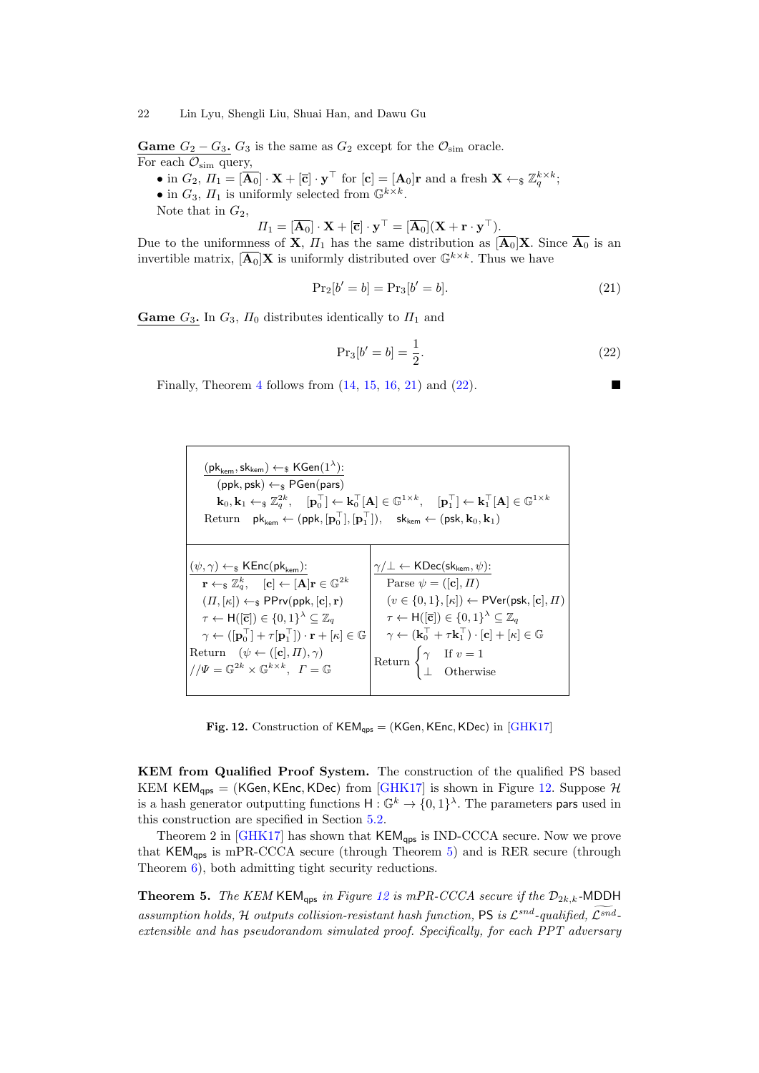Game  $G_2 - G_3$ .  $G_3$  is the same as  $G_2$  except for the  $\mathcal{O}_{sim}$  oracle. For each  $\mathcal{O}_{sim}$  query,

- in  $G_2$ ,  $\Pi_1 = [\overline{\mathbf{A}_0}] \cdot \mathbf{X} + [\overline{\mathbf{c}}] \cdot \mathbf{y}^\top$  for  $[\mathbf{c}] = [\mathbf{A}_0] \mathbf{r}$  and a fresh  $\mathbf{X} \leftarrow_{\$} \mathbb{Z}_q^{k \times k}$ ;
- in  $G_3$ ,  $\Pi_1$  is uniformly selected from  $\mathbb{G}^{k \times k}$ .

Note that in  $G_2$ ,

$$
\varPi_1 = [\overline{\mathbf{A}_0}] \cdot \mathbf{X} + [\overline{\mathbf{c}}] \cdot \mathbf{y}^\top = [\overline{\mathbf{A}_0}] (\mathbf{X} + \mathbf{r} \cdot \mathbf{y}^\top).
$$

Due to the uniformness of **X**,  $\Pi_1$  has the same distribution as  $[\mathbf{A}_0]$ **X**. Since  $\mathbf{A}_0$  is an invertible matrix,  $[\overline{\mathbf{A}_0}]\mathbf{X}$  is uniformly distributed over  $\mathbb{G}^{k\times k}$ . Thus we have

<span id="page-21-0"></span>
$$
Pr_2[b' = b] = Pr_3[b' = b].
$$
\n(21)

**Game**  $G_3$ . In  $G_3$ ,  $\Pi_0$  distributes identically to  $\Pi_1$  and

<span id="page-21-1"></span>
$$
Pr_3[b' = b] = \frac{1}{2}.
$$
\n(22)

Finally, Theorem [4](#page-18-2) follows from  $(14, 15, 16, 21)$  $(14, 15, 16, 21)$  $(14, 15, 16, 21)$  $(14, 15, 16, 21)$  $(14, 15, 16, 21)$  $(14, 15, 16, 21)$  $(14, 15, 16, 21)$  and  $(22)$ .

| $(\mathsf{pk}_{\mathsf{kem}}, \mathsf{sk}_{\mathsf{kem}}) \leftarrow_{\$} \mathsf{KGen}(1^{\lambda})$ :<br>$(ppk, psk) \leftarrow_s PGen(pars)$<br>Return $pk_{kem} \leftarrow (ppk, [p_0^{\top}], [p_1^{\top}]), \quad sk_{kem} \leftarrow (psk, k_0, k_1)$                                                                                                                                                                                                                                                                                                                                                                             | $\mathbf{k}_0, \mathbf{k}_1 \leftarrow_{\$} \mathbb{Z}_q^{2k}, \quad [\mathbf{p}_0^\top] \leftarrow \mathbf{k}_0^\top[\mathbf{A}] \in \mathbb{G}^{1 \times k}, \quad [\mathbf{p}_1^\top] \leftarrow \mathbf{k}_1^\top[\mathbf{A}] \in \mathbb{G}^{1 \times k}$                                                                                                                                                                                                                                  |
|------------------------------------------------------------------------------------------------------------------------------------------------------------------------------------------------------------------------------------------------------------------------------------------------------------------------------------------------------------------------------------------------------------------------------------------------------------------------------------------------------------------------------------------------------------------------------------------------------------------------------------------|-------------------------------------------------------------------------------------------------------------------------------------------------------------------------------------------------------------------------------------------------------------------------------------------------------------------------------------------------------------------------------------------------------------------------------------------------------------------------------------------------|
| $(\psi, \gamma) \leftarrow_{\$} \mathsf{KEnc}(\mathsf{pk}_{\mathsf{kem}})$ :<br>$\mathbf{r} \leftarrow_{\$} \mathbb{Z}_q^k$ , $[\mathbf{c}] \leftarrow [\mathbf{A}] \mathbf{r} \in \mathbb{G}^{2k}$<br>$(\Pi, [\kappa]) \leftarrow_{\rm s} \text{PPrv}(\text{ppk}, [\mathbf{c}], \mathbf{r})$<br>$\tau \leftarrow H([\overline{c}]) \in \{0,1\}^{\lambda} \subseteq \mathbb{Z}_a$<br>$\gamma \leftarrow ( [\mathbf{p}_0^{\top}] + \tau [\mathbf{p}_1^{\top}] ) \cdot \mathbf{r} + [\kappa] \in \mathbb{G}$<br>Return $(\psi \leftarrow ([c], \Pi), \gamma)$<br>$1/\Psi = \mathbb{G}^{2k} \times \mathbb{G}^{k \times k}, T = \mathbb{G}$ | $\gamma/\bot \leftarrow \mathsf{KDec}(\mathsf{sk}_\mathsf{kem}, \psi)$ :<br>Parse $\psi = ([c], \Pi)$<br>$(v \in \{0,1\}, [\kappa]) \leftarrow \text{PVer}(\text{psk}, [\textbf{c}], \Pi)$<br>$\tau \leftarrow H([\overline{c}]) \in \{0,1\}^{\lambda} \subseteq \mathbb{Z}_q$<br>$\gamma \leftarrow (\mathbf{k}_0^{\top} + \tau \mathbf{k}_1^{\top}) \cdot [\mathbf{c}] + [\kappa] \in \mathbb{G}$<br>Return $\begin{cases} \gamma & \text{If } v = 1 \\ \perp & \text{Otherwise} \end{cases}$ |

<span id="page-21-2"></span>Fig. 12. Construction of  $KEM_{qps} = (KGen, KEnc, KDec)$  in  $[GHK17]$ 

KEM from Qualified Proof System. The construction of the qualified PS based KEM KEM<sub>qps</sub> = (KGen, KEnc, KDec) from [\[GHK17\]](#page-26-8) is shown in Figure [12.](#page-21-2) Suppose H is a hash generator outputting functions  $H: \mathbb{G}^k \to \{0,1\}^{\lambda}$ . The parameters pars used in this construction are specified in Section [5.2.](#page-18-4)

Theorem 2 in  $[GHK17]$  has shown that  $KEM_{qps}$  is IND-CCCA secure. Now we prove that  $KEM_{qps}$  is mPR-CCCA secure (through Theorem [5\)](#page-21-3) and is RER secure (through Theorem [6\)](#page-25-0), both admitting tight security reductions.

<span id="page-21-3"></span>**Theorem 5.** The KEM KEM<sub>qps</sub> in Figure [12](#page-21-2) is mPR-CCCA secure if the  $\mathcal{D}_{2k,k}$ -MDDH assumption holds, H outputs collision-resistant hash function, PS is  $\mathcal{L}^{snd}$ -qualified,  $\mathcal{L}^{snd}$ extensible and has pseudorandom simulated proof. Specifically, for each PPT adversary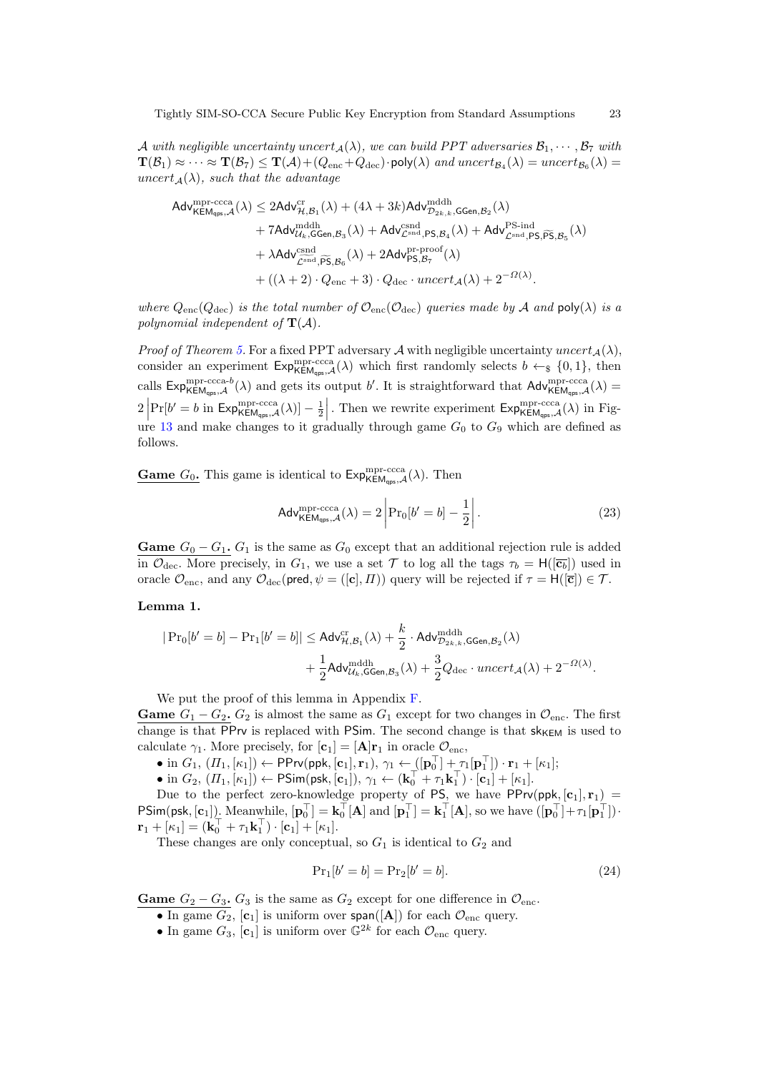A with negligible uncertainty uncert<sub>A</sub>( $\lambda$ ), we can build PPT adversaries  $\mathcal{B}_1, \cdots, \mathcal{B}_7$  with  $\textbf{T}(\mathcal{B}_1)\approx\cdots\approx\textbf{T}(\mathcal{B}_7)\leq \textbf{T}(\mathcal{A})+(Q_{\text{enc}}+Q_{\text{dec}})\cdot \textsf{poly}(\lambda)$  and  $uncert_{\mathcal{B}_4}(\lambda)=uncert_{\mathcal{B}_6}(\lambda)=$ uncert<sub>4</sub>( $\lambda$ ), such that the advantage

$$
\begin{aligned} \mathsf{Adv}_{\mathsf{KEM}_{\mathsf{qps}},\mathcal{A}}^{\mathrm{mpr-ccca}}(\lambda) & \leq 2\mathsf{Adv}_{\mathcal{H},\mathcal{B}_1}^{\mathrm{cr}}(\lambda) + (4\lambda+3k)\mathsf{Adv}_{\mathcal{D}_{2k,k},\mathsf{GGen},\mathcal{B}_2}^{\mathrm{mddh}}(\lambda) \\ & \qquad + 7\mathsf{Adv}_{\mathcal{U}_k,\mathsf{GGen},\mathcal{B}_3}^{\mathrm{mddh}}(\lambda) + \mathsf{Adv}_{\mathcal{L}^{\mathrm{snd}},\mathsf{PS},\mathcal{B}_4}^{\mathrm{csmd}}(\lambda) + \mathsf{Adv}_{\mathcal{L}^{\mathrm{snd}},\mathsf{PS},\widetilde{\mathsf{PS}},\mathcal{B}_5}^{\mathrm{P5-int}}(\lambda) \\ & \qquad + \lambda \mathsf{Adv}_{\mathcal{L}^{\mathrm{snd}},\widetilde{\mathsf{PS}},\mathcal{B}_6}^{\mathrm{card}}(\lambda) + 2\mathsf{Adv}_{\mathsf{PS},\mathcal{B}_7}^{\mathrm{pr-prof}}(\lambda) \\ & \qquad + ((\lambda+2)\cdot Q_{\mathrm{enc}}+3)\cdot Q_{\mathrm{dec}}\cdot \textit{uncert}_{\mathcal{A}}(\lambda) + 2^{-\varOmega(\lambda)}. \end{aligned}
$$

where  $Q_{\text{enc}}(Q_{\text{dec}})$  is the total number of  $\mathcal{O}_{\text{enc}}(\mathcal{O}_{\text{dec}})$  queries made by A and poly( $\lambda$ ) is a polynomial independent of  $\mathbf{T}(\mathcal{A})$ .

*Proof of Theorem [5.](#page-21-3)* For a fixed PPT adversary A with negligible uncertainty uncert<sub>A</sub>( $\lambda$ ), consider an experiment  $\mathsf{Exp}_{\mathsf{NEM}_{\mathsf{qps}},\mathcal{A}}^{\text{mpr-ccc}}(\lambda)$  which first randomly selects  $b \leftarrow_{\$} \{0,1\}$ , then calls  $\mathsf{Exp}^{\text{mpr-ccca-}b}_{\mathsf{KEM}_{\text{qps}},\mathcal{A}}(\lambda)$  and gets its output b'. It is straightforward that  $\mathsf{Adv}^{\text{mpr-ccca}}_{\mathsf{KEM}_{\text{qps}},\mathcal{A}}(\lambda)$  $2\left|\Pr[b'=b \text{ in } \mathsf{Exp}_{\mathsf{KEM}_{\mathsf{qps}},\mathcal{A}}^{\text{mpr-ccca}}(\lambda)]-\frac{1}{2}\right|$ . Then we rewrite experiment  $\mathsf{Exp}_{\mathsf{KEM}_{\mathsf{qps}},\mathcal{A}}^{\text{mpr-ccca}}(\lambda)$  in Fig-ure [13](#page-23-0) and make changes to it gradually through game  $G_0$  to  $G_9$  which are defined as follows.

**Game**  $G_0$ . This game is identical to  $Exp_{\mathsf{KEM}_{\mathsf{qps}},\mathcal{A}}^{\text{mpr-ccc}}(\lambda)$ . Then

<span id="page-22-0"></span>
$$
\mathsf{Adv}_{\mathsf{KEM}_{\mathsf{qps}},\mathcal{A}}^{\text{mpr-ccca}}(\lambda) = 2 \left| \Pr_0[b'=b] - \frac{1}{2} \right|.
$$
 (23)

**Game**  $G_0 - G_1$ .  $G_1$  is the same as  $G_0$  except that an additional rejection rule is added in  $\mathcal{O}_{\text{dec}}$ . More precisely, in  $G_1$ , we use a set  $\mathcal T$  to log all the tags  $\tau_b = \mathsf{H}([\overline{\mathbf{c}_b}])$  used in oracle  $\mathcal{O}_{\text{enc}}$ , and any  $\mathcal{O}_{\text{dec}}(\text{pred}, \psi = ([c], \Pi))$  query will be rejected if  $\tau = H([\overline{c}]) \in \mathcal{T}$ .

# <span id="page-22-1"></span>Lemma 1.

$$
\begin{aligned} |\Pr_0[b'=b]-\Pr_1[b'=b]|\leq \mathsf{Adv}_{\mathcal{H},\mathcal{B}_1}^{\mathrm{cr}}(\lambda)+\frac{k}{2}\cdot \mathsf{Adv}_{\mathcal{D}_{2k,k},\mathsf{GGen},\mathcal{B}_2}^{\mathrm{mddh}}(\lambda)\\ &+\frac{1}{2}\mathsf{Adv}_{\mathcal{U}_k,\mathsf{GGen},\mathcal{B}_3}^{\mathrm{mddh}}(\lambda)+\frac{3}{2}Q_{\mathrm{dec}}\cdot \mathit{uncert}_{\mathcal{A}}(\lambda)+2^{-\varOmega(\lambda)}. \end{aligned}
$$

We put the proof of this lemma in Appendix [F.](#page-44-0)

**Game**  $G_1 - G_2$ .  $G_2$  is almost the same as  $G_1$  except for two changes in  $\mathcal{O}_{\text{enc}}$ . The first change is that PPrv is replaced with PSim. The second change is that  $sk_{KEM}$  is used to calculate  $\gamma_1$ . More precisely, for  $[\mathbf{c}_1] = [\mathbf{A}]\mathbf{r}_1$  in oracle  $\mathcal{O}_{\text{enc}}$ ,

• in  $G_1$ ,  $(\Pi_1, [\kappa_1]) \leftarrow \textsf{PPrv}(\textsf{ppk}, [\mathbf{c}_1], \mathbf{r}_1), \gamma_1 \leftarrow ([\mathbf{p}_0^\top] + \tau_1[\mathbf{p}_1^\top]) \cdot \mathbf{r}_1 + [\kappa_1];$ 

• in  $G_2$ ,  $(\Pi_1, [\kappa_1]) \leftarrow \mathsf{PSim}(\mathsf{psk}, [\mathbf{c}_1]), \gamma_1 \leftarrow (\mathbf{k}_0^{\top} + \tau_1 \mathbf{k}_1^{\top}) \cdot [\mathbf{c}_1] + [\kappa_1].$ 

Due to the perfect zero-knowledge property of PS, we have  $PPrv(ppk, [c_1], r_1)$  $\mathsf{PSim}(\mathsf{psk}, [\mathbf{c}_1])$ . Meanwhile,  $[\mathbf{p}_0^\top] = \mathbf{k}_0^\top[\mathbf{A}]$  and  $[\mathbf{p}_1^\top] = \mathbf{k}_1^\top[\mathbf{A}]$ , so we have  $([\mathbf{p}_0^\top] + \tau_1[\mathbf{p}_1^\top])$ .  $\mathbf{r}_1 + [\kappa_1] = (\mathbf{k}_0^{\top} + \tau_1 \mathbf{k}_1^{\top}) \cdot [\mathbf{c}_1] + [\kappa_1].$ 

These changes are only conceptual, so  $G_1$  is identical to  $G_2$  and

<span id="page-22-2"></span>
$$
Pr_1[b' = b] = Pr_2[b' = b].
$$
\n(24)

Game  $G_2 - G_3$ .  $G_3$  is the same as  $G_2$  except for one difference in  $\mathcal{O}_{\text{enc}}$ .

- In game  $G_2$ ,  $[\mathbf{c}_1]$  is uniform over span([A]) for each  $\mathcal{O}_{\text{enc}}$  query.
- In game  $G_3$ ,  $[\mathbf{c}_1]$  is uniform over  $\mathbb{G}^{2k}$  for each  $\mathcal{O}_{\text{enc}}$  query.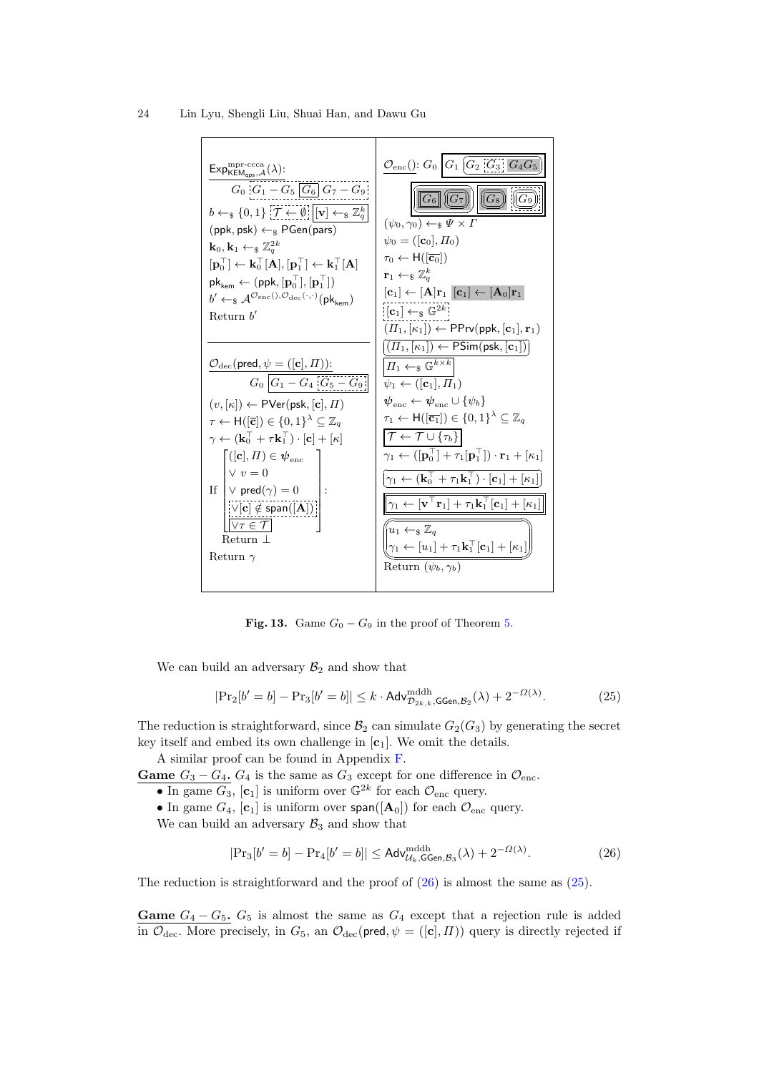24 Lin Lyu, Shengli Liu, Shuai Han, and Dawu Gu



<span id="page-23-0"></span>Fig. 13. Game  $G_0 - G_9$  in the proof of Theorem [5.](#page-21-3)

We can build an adversary  $\mathcal{B}_2$  and show that

<span id="page-23-2"></span>
$$
|\Pr_2[b' = b] - \Pr_3[b' = b]| \le k \cdot \text{Adv}_{\mathcal{D}_{2k}, k, \text{GGen}, \mathcal{B}_2}^{\text{mddh}}(\lambda) + 2^{-\Omega(\lambda)}.
$$
 (25)

The reduction is straightforward, since  $\mathcal{B}_2$  can simulate  $G_2(G_3)$  by generating the secret key itself and embed its own challenge in  $[c_1]$ . We omit the details.

A similar proof can be found in Appendix [F.](#page-44-0)

**Game**  $G_3 - G_4$ .  $G_4$  is the same as  $G_3$  except for one difference in  $\mathcal{O}_{\text{enc}}$ .

• In game  $G_3$ ,  $[\mathbf{c}_1]$  is uniform over  $\mathbb{G}^{2k}$  for each  $\mathcal{O}_{\text{enc}}$  query.

• In game  $G_4$ ,  $[\mathbf{c}_1]$  is uniform over  $\text{span}([\mathbf{A}_0])$  for each  $\mathcal{O}_{\text{enc}}$  query.

We can build an adversary  $\mathcal{B}_3$  and show that

<span id="page-23-1"></span>
$$
|\mathrm{Pr}_3[b'=b] - \mathrm{Pr}_4[b'=b]| \le \mathsf{Adv}_{\mathcal{U}_k,\mathsf{GGen},\mathcal{B}_3}^{\mathrm{mddh}}(\lambda) + 2^{-\Omega(\lambda)}.\tag{26}
$$

The reduction is straightforward and the proof of [\(26\)](#page-23-1) is almost the same as [\(25\)](#page-23-2).

**Game**  $G_4 - G_5$ .  $G_5$  is almost the same as  $G_4$  except that a rejection rule is added in  $\mathcal{O}_{\text{dec}}$ . More precisely, in  $G_5$ , an  $\mathcal{O}_{\text{dec}}(\text{pred}, \psi = ([c], \Pi))$  query is directly rejected if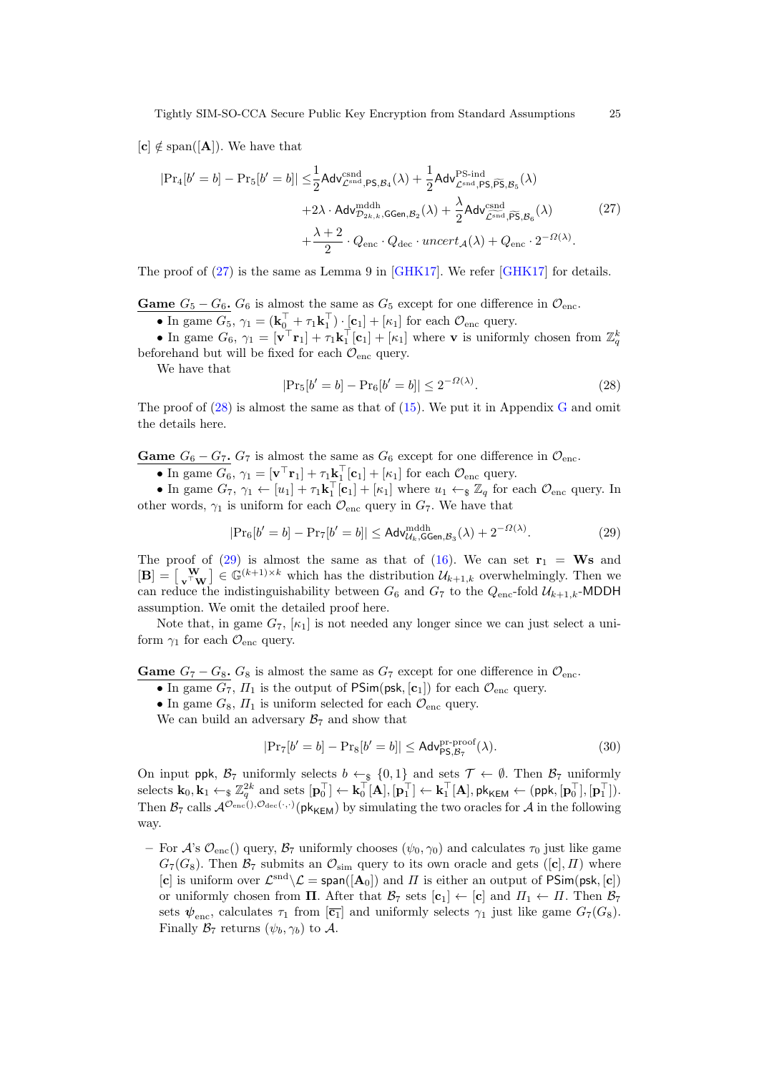$[c] \notin \text{span}([\mathbf{A}])$ . We have that

<span id="page-24-0"></span>
$$
|\Pr_4[b'=b] - \Pr_5[b'=b]| \le \frac{1}{2} \text{Adv}_{\mathcal{L}^{\text{snd}}, \text{PS}, \mathcal{B}_4}^{\text{csnd}}(\lambda) + \frac{1}{2} \text{Adv}_{\mathcal{L}^{\text{snd}}, \text{PS}, \widetilde{\text{PS}}, \mathcal{B}_5}^{\text{PS-ind}}(\lambda) + 2\lambda \cdot \text{Adv}_{\mathcal{D}_{2k,k}, \text{GGen}, \mathcal{B}_2}^{\text{mddh}}(\lambda) + \frac{\lambda}{2} \text{Adv}_{\mathcal{L}^{\text{end}}, \widetilde{\text{PS}}, \mathcal{B}_6}^{\text{csnd}}(\lambda) + \frac{\lambda + 2}{2} \cdot Q_{\text{enc}} \cdot Q_{\text{dec}} \cdot \text{uncert}_{\mathcal{A}}(\lambda) + Q_{\text{enc}} \cdot 2^{-\Omega(\lambda)}.
$$
\n(27)

The proof of [\(27\)](#page-24-0) is the same as Lemma 9 in [\[GHK17\]](#page-26-8). We refer [\[GHK17\]](#page-26-8) for details.

**Game**  $G_5 - G_6$ .  $G_6$  is almost the same as  $G_5$  except for one difference in  $\mathcal{O}_{\text{enc}}$ .

• In game  $G_5$ ,  $\gamma_1 = (\mathbf{k}_0^{\top} + \tau_1 \mathbf{k}_1^{\top}) \cdot [\mathbf{c}_1] + [\kappa_1]$  for each  $\mathcal{O}_{\text{enc}}$  query.

• In game  $G_6$ ,  $\gamma_1 = [\mathbf{v}^\top \mathbf{r}_1] + \tau_1 \mathbf{k}_1^\top [\mathbf{c}_1] + [\kappa_1]$  where **v** is uniformly chosen from  $\mathbb{Z}_q^k$ beforehand but will be fixed for each  $\mathcal{O}_{\text{enc}}$  query.

We have that

<span id="page-24-1"></span>
$$
|\Pr_5[b'=b] - \Pr_6[b'=b]| \le 2^{-\Omega(\lambda)}.\tag{28}
$$

The proof of [\(28\)](#page-24-1) is almost the same as that of [\(15\)](#page-19-2). We put it in Appendix [G](#page-48-0) and omit the details here.

**Game**  $G_6 - G_7$ .  $G_7$  is almost the same as  $G_6$  except for one difference in  $\mathcal{O}_{\text{enc}}$ .

• In game  $G_6$ ,  $\gamma_1 = [\mathbf{v}^\top \mathbf{r}_1] + \tau_1 \mathbf{k}_1^\top [\mathbf{c}_1] + [\kappa_1]$  for each  $\mathcal{O}_{\text{enc}}$  query.

• In game  $G_7, \gamma_1 \leftarrow [u_1] + \tau_1 \mathbf{k}_1^{\top}[\mathbf{c}_1] + [\kappa_1]$  where  $u_1 \leftarrow_{\$} \mathbb{Z}_q$  for each  $\mathcal{O}_{\text{enc}}$  query. In other words,  $\gamma_1$  is uniform for each  $\mathcal{O}_{\text{enc}}$  query in  $G_7$ . We have that

<span id="page-24-2"></span>
$$
|\Pr_6[b'=b] - \Pr_7[b'=b]| \le \mathsf{Adv}_{\mathcal{U}_k, \mathsf{GGen}, \mathcal{B}_3}^{\mathrm{mddh}}(\lambda) + 2^{-\Omega(\lambda)}.
$$
 (29)

The proof of [\(29\)](#page-24-2) is almost the same as that of [\(16\)](#page-19-1). We can set  $\mathbf{r}_1 = \mathbf{W}\mathbf{s}$  and  $[\mathbf{B}] = \begin{bmatrix} \mathbf{W} \\ \mathbf{v}^\top \mathbf{W} \end{bmatrix} \in \mathbb{G}^{(k+1)\times k}$  which has the distribution  $\mathcal{U}_{k+1,k}$  overwhelmingly. Then we can reduce the indistinguishability between  $G_6$  and  $G_7$  to the  $Q_{\text{enc}}$ -fold  $\mathcal{U}_{k+1,k}$ -MDDH assumption. We omit the detailed proof here.

Note that, in game  $G_7$ ,  $[\kappa_1]$  is not needed any longer since we can just select a uniform  $\gamma_1$  for each  $\mathcal{O}_{\text{enc}}$  query.

**Game**  $G_7 - G_8$ .  $G_8$  is almost the same as  $G_7$  except for one difference in  $\mathcal{O}_{\text{enc}}$ .

- In game  $G_7$ ,  $\Pi_1$  is the output of PSim(psk,  $[\mathbf{c}_1]$ ) for each  $\mathcal{O}_{\text{enc}}$  query.
- In game  $G_8$ ,  $\Pi_1$  is uniform selected for each  $\mathcal{O}_{\text{enc}}$  query.

We can build an adversary  $\mathcal{B}_7$  and show that

<span id="page-24-3"></span>
$$
|\Pr_7[b'=b] - \Pr_8[b'=b]| \le \mathsf{Adv}_{\mathsf{PS},\mathcal{B}_7}^{\text{pr-proof}}(\lambda). \tag{30}
$$

On input ppk,  $\mathcal{B}_7$  uniformly selects  $b \leftarrow_s \{0, 1\}$  and sets  $\mathcal{T} \leftarrow \emptyset$ . Then  $\mathcal{B}_7$  uniformly selects  $\mathbf{k}_0, \mathbf{k}_1 \leftarrow_{\$} \mathbb{Z}_q^{2k}$  and sets  $[\mathbf{p}_0^{\top}] \leftarrow \mathbf{k}_0^{\top}[\mathbf{A}], [\mathbf{p}_1^{\top}] \leftarrow \mathbf{k}_1^{\top}[\mathbf{A}], \mathsf{pk}_{\mathsf{KEM}} \leftarrow (\mathsf{ppk}, [\mathbf{p}_0^{\top}], [\mathbf{p}_1^{\top}]).$ Then  $\mathcal{B}_7$  calls  $\mathcal{A}^{\mathcal{O}_{\text{enc}}}(\cdot,\cdot)$  ( $\mathsf{pk}_{\mathsf{KEM}}$ ) by simulating the two oracles for  $\mathcal{A}$  in the following way.

– For A's  $\mathcal{O}_{\text{enc}}$  query,  $\mathcal{B}_7$  uniformly chooses  $(\psi_0, \gamma_0)$  and calculates  $\tau_0$  just like game  $G_7(G_8)$ . Then  $\mathcal{B}_7$  submits an  $\mathcal{O}_{sim}$  query to its own oracle and gets ([**c**],  $\Pi$ ) where [c] is uniform over  $\mathcal{L}^{\text{snd}}\setminus\mathcal{L} = \text{span}([\mathbf{A}_0])$  and  $\Pi$  is either an output of PSim(psk, [c]) or uniformly chosen from  $\Pi$ . After that  $\mathcal{B}_7$  sets  $[\mathbf{c}_1] \leftarrow [\mathbf{c}]$  and  $\Pi_1 \leftarrow \Pi$ . Then  $\mathcal{B}_7$ sets  $\psi_{\text{enc}}$ , calculates  $\tau_1$  from  $\overline{c_1}$  and uniformly selects  $\gamma_1$  just like game  $G_7(G_8)$ . Finally  $\mathcal{B}_7$  returns  $(\psi_b, \gamma_b)$  to A.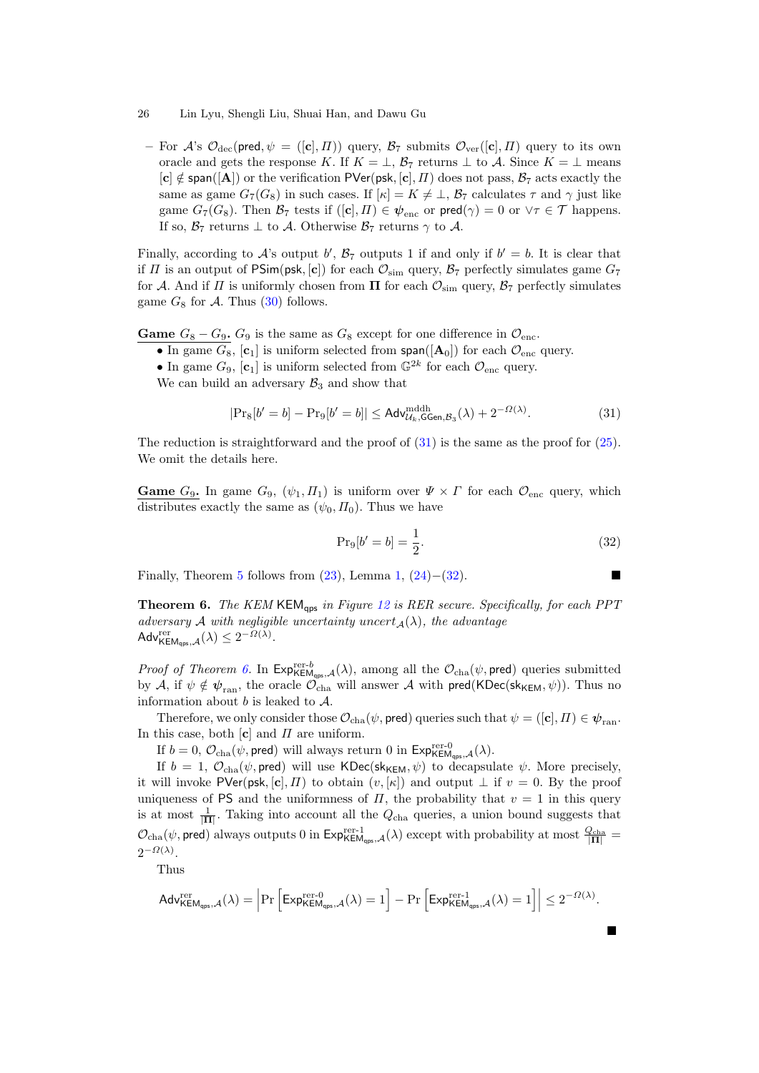– For A's  $\mathcal{O}_{\text{dec}}(\text{pred}, \psi = ([c], \Pi))$  query,  $\mathcal{B}_7$  submits  $\mathcal{O}_{\text{ver}}([c], \Pi)$  query to its own oracle and gets the response K. If  $K = \perp$ ,  $\mathcal{B}_7$  returns  $\perp$  to A. Since  $K = \perp$  means  $[c] \notin \text{span}([\mathbf{A}])$  or the verification PVer(psk,  $[c]$ ,  $\Pi$ ) does not pass,  $\mathcal{B}_7$  acts exactly the same as game  $G_7(G_8)$  in such cases. If  $[\kappa] = K \neq \bot$ ,  $\mathcal{B}_7$  calculates  $\tau$  and  $\gamma$  just like game  $G_7(G_8)$ . Then  $\mathcal{B}_7$  tests if  $([\mathbf{c}], \Pi) \in \psi_{\text{enc}}$  or  $\mathsf{pred}(\gamma) = 0$  or  $\forall \tau \in \mathcal{T}$  happens. If so,  $\mathcal{B}_7$  returns  $\perp$  to A. Otherwise  $\mathcal{B}_7$  returns  $\gamma$  to A.

Finally, according to A's output b',  $\mathcal{B}_7$  outputs 1 if and only if  $b' = b$ . It is clear that if  $\Pi$  is an output of PSim(psk, [c]) for each  $\mathcal{O}_{sim}$  query,  $\mathcal{B}_7$  perfectly simulates game  $G_7$ for A. And if  $\Pi$  is uniformly chosen from  $\Pi$  for each  $\mathcal{O}_{sim}$  query,  $\mathcal{B}_7$  perfectly simulates game  $G_8$  for A. Thus [\(30\)](#page-24-3) follows.

**Game**  $G_8 - G_9$ .  $G_9$  is the same as  $G_8$  except for one difference in  $\mathcal{O}_{\text{enc}}$ .

- In game  $G_8$ ,  $[\mathbf{c}_1]$  is uniform selected from span( $[\mathbf{A}_0]$ ) for each  $\mathcal{O}_{\text{enc}}$  query.
- In game  $G_9$ ,  $[\mathbf{c}_1]$  is uniform selected from  $\mathbb{G}^{2k}$  for each  $\mathcal{O}_{\text{enc}}$  query.

We can build an adversary  $\mathcal{B}_3$  and show that

<span id="page-25-1"></span>
$$
|\Pr_8[b'=b] - \Pr_9[b'=b]| \le \mathsf{Adv}_{\mathcal{U}_k,\mathsf{GGen},\mathcal{B}_3}^{\mathrm{mddh}}(\lambda) + 2^{-\Omega(\lambda)}.
$$
\n(31)

The reduction is straightforward and the proof of  $(31)$  is the same as the proof for  $(25)$ . We omit the details here.

**Game**  $G_9$ . In game  $G_9$ ,  $(\psi_1, \Pi_1)$  is uniform over  $\Psi \times \Gamma$  for each  $\mathcal{O}_{\text{enc}}$  query, which distributes exactly the same as  $(\psi_0, \Pi_0)$ . Thus we have

<span id="page-25-2"></span>
$$
Pr_9[b' = b] = \frac{1}{2}.
$$
\n(32)

■

<span id="page-25-0"></span>Finally, Theorem [5](#page-21-3) follows from  $(23)$ , Lemma [1,](#page-22-1)  $(24)–(32)$  $(24)–(32)$  $(24)–(32)$ .

**Theorem 6.** The KEM KEM<sub>qps</sub> in Figure [12](#page-21-2) is RER secure. Specifically, for each PPT adversary A with negligible uncertainty uncert<sub>A</sub>( $\lambda$ ), the advantage  $\mathsf{Adv}_{\mathsf{KEM}_{\mathsf{qps}},\mathcal{A}}^{\textup{rer}}(\lambda) \leq 2^{-\varOmega(\lambda)}.$ 

*Proof of Theorem [6.](#page-25-0)* In  $\mathsf{Exp}_{\mathsf{KEM}_{\mathsf{qps}},\mathcal{A}}^{\text{rer-}b}(\lambda)$ , among all the  $\mathcal{O}_{\text{cha}}(\psi,\text{pred})$  queries submitted by A, if  $\psi \notin \psi_{\text{ran}}$ , the oracle  $\mathcal{O}_{\text{cha}}$  will answer A with  $\text{pred}(\text{KDec}(\text{sk}_{\text{KEM}}, \psi))$ . Thus no information about  $b$  is leaked to  $\mathcal{A}$ .

Therefore, we only consider those  $\mathcal{O}_{\text{cha}}(\psi, \text{pred})$  queries such that  $\psi = ([c], \Pi) \in \psi_{\text{ran}}$ . In this case, both  $[c]$  and  $\Pi$  are uniform.

If  $b = 0$ ,  $\mathcal{O}_{\text{cha}}(\psi, \text{pred})$  will always return 0 in  $\text{Exp}_{\mathsf{KEM}_{\text{qps}}, \mathcal{A}}^{\text{rer-0}}(\lambda)$ .

If  $b = 1$ ,  $\mathcal{O}_{\text{cha}}(\psi, \text{pred})$  will use KDec(sk<sub>KEM</sub>,  $\psi$ ) to decapsulate  $\psi$ . More precisely, it will invoke  $\text{PVer}(\text{psk}, [\text{c}], \Pi)$  to obtain  $(v, [\kappa])$  and output  $\bot$  if  $v = 0$ . By the proof uniqueness of PS and the uniformness of  $\Pi$ , the probability that  $v = 1$  in this query is at most  $\frac{1}{\vert \Pi \vert}$ . Taking into account all the  $Q_{\text{cha}}$  queries, a union bound suggests that  $\mathcal{O}_{\text{cha}}(\psi, \text{pred})$  always outputs 0 in  $\text{Exp}_{\text{KEM}_{\text{qps}},\mathcal{A}}^{\text{rer-1}}(\lambda)$  except with probability at most  $\frac{Q_{\text{cha}}}{|\Pi|}$  =  $2^{-\Omega(\lambda)}$ .

Thus

$$
\mathsf{Adv}^{\mathrm{rer}}_{\mathsf{KEM}_{\mathsf{qps}},\mathcal{A}}(\lambda) = \Big|\mathrm{Pr}\left[\mathsf{Exp}^{\mathrm{rer-0}}_{\mathsf{KEM}_{\mathsf{qps}},\mathcal{A}}(\lambda) = 1\right] - \mathrm{Pr}\left[\mathsf{Exp}^{\mathrm{rer-1}}_{\mathsf{KEM}_{\mathsf{qps}},\mathcal{A}}(\lambda) = 1\right]\Big| \leq 2^{-\varOmega(\lambda)}.
$$

<sup>26</sup> Lin Lyu, Shengli Liu, Shuai Han, and Dawu Gu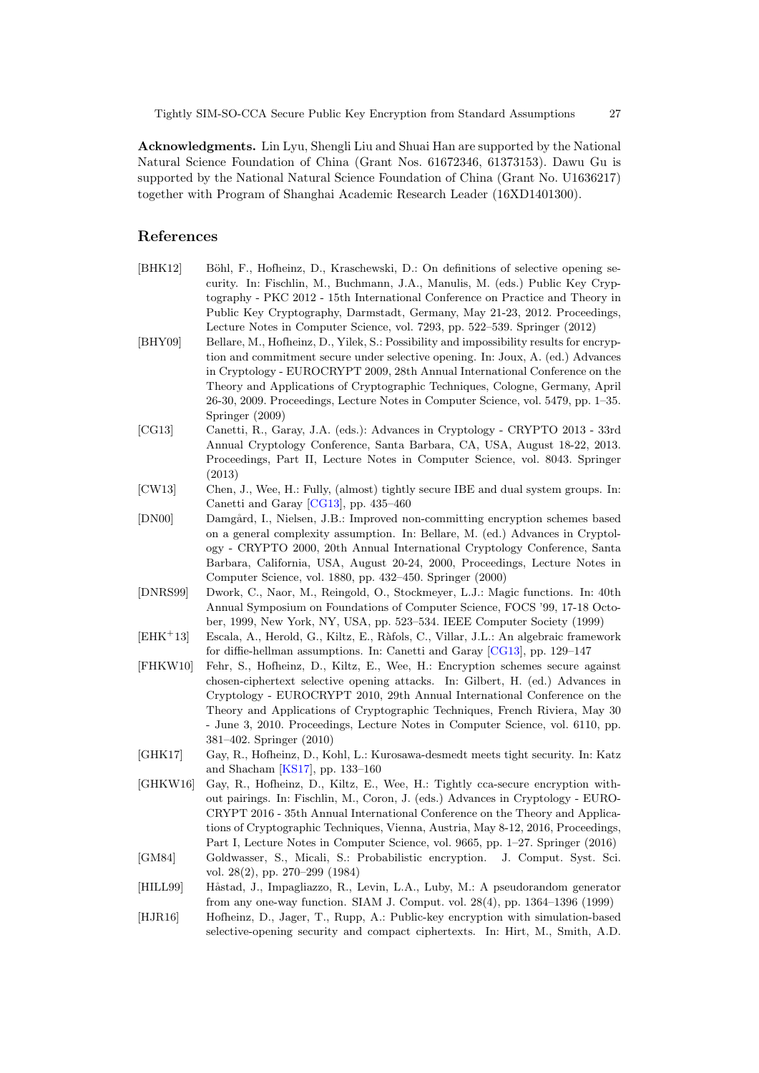Tightly SIM-SO-CCA Secure Public Key Encryption from Standard Assumptions 27

Acknowledgments. Lin Lyu, Shengli Liu and Shuai Han are supported by the National Natural Science Foundation of China (Grant Nos. 61672346, 61373153). Dawu Gu is supported by the National Natural Science Foundation of China (Grant No. U1636217) together with Program of Shanghai Academic Research Leader (16XD1401300).

# References

<span id="page-26-12"></span><span id="page-26-11"></span><span id="page-26-10"></span><span id="page-26-9"></span><span id="page-26-8"></span><span id="page-26-7"></span><span id="page-26-6"></span><span id="page-26-5"></span><span id="page-26-4"></span><span id="page-26-3"></span><span id="page-26-2"></span><span id="page-26-1"></span><span id="page-26-0"></span>

| BHK12      | Böhl, F., Hofheinz, D., Kraschewski, D.: On definitions of selective opening se-<br>curity. In: Fischlin, M., Buchmann, J.A., Manulis, M. (eds.) Public Key Cryp-<br>tography - PKC 2012 - 15th International Conference on Practice and Theory in<br>Public Key Cryptography, Darmstadt, Germany, May 21-23, 2012. Proceedings,                                                                                                                                                                             |
|------------|--------------------------------------------------------------------------------------------------------------------------------------------------------------------------------------------------------------------------------------------------------------------------------------------------------------------------------------------------------------------------------------------------------------------------------------------------------------------------------------------------------------|
| [BHY09]    | Lecture Notes in Computer Science, vol. 7293, pp. 522–539. Springer (2012)<br>Bellare, M., Hofheinz, D., Yilek, S.: Possibility and impossibility results for encryp-<br>tion and commitment secure under selective opening. In: Joux, A. (ed.) Advances<br>in Cryptology - EUROCRYPT 2009, 28th Annual International Conference on the<br>Theory and Applications of Cryptographic Techniques, Cologne, Germany, April<br>26-30, 2009. Proceedings, Lecture Notes in Computer Science, vol. 5479, pp. 1–35. |
| [CG13]     | Springer (2009)<br>Canetti, R., Garay, J.A. (eds.): Advances in Cryptology - CRYPTO 2013 - 33rd<br>Annual Cryptology Conference, Santa Barbara, CA, USA, August 18-22, 2013.<br>Proceedings, Part II, Lecture Notes in Computer Science, vol. 8043. Springer<br>(2013)                                                                                                                                                                                                                                       |
| [CW13]     | Chen, J., Wee, H.: Fully, (almost) tightly secure IBE and dual system groups. In:<br>Canetti and Garay $ CG13 $ , pp. 435–460                                                                                                                                                                                                                                                                                                                                                                                |
| [DN00]     | Damgård, I., Nielsen, J.B.: Improved non-committing encryption schemes based<br>on a general complexity assumption. In: Bellare, M. (ed.) Advances in Cryptol-<br>ogy - CRYPTO 2000, 20th Annual International Cryptology Conference, Santa<br>Barbara, California, USA, August 20-24, 2000, Proceedings, Lecture Notes in<br>Computer Science, vol. 1880, pp. 432–450. Springer (2000)                                                                                                                      |
| [DNRS99]   | Dwork, C., Naor, M., Reingold, O., Stockmeyer, L.J.: Magic functions. In: 40th<br>Annual Symposium on Foundations of Computer Science, FOCS '99, 17-18 Octo-<br>ber, 1999, New York, NY, USA, pp. 523–534. IEEE Computer Society (1999)                                                                                                                                                                                                                                                                      |
| $[EHK+13]$ | Escala, A., Herold, G., Kiltz, E., Ràfols, C., Villar, J.L.: An algebraic framework<br>for diffie-hellman assumptions. In: Canetti and Garay $ CG13 $ , pp. 129–147                                                                                                                                                                                                                                                                                                                                          |
| [FHKW10]   | Fehr, S., Hofheinz, D., Kiltz, E., Wee, H.: Encryption schemes secure against<br>chosen-ciphertext selective opening attacks. In: Gilbert, H. (ed.) Advances in<br>Cryptology - EUROCRYPT 2010, 29th Annual International Conference on the<br>Theory and Applications of Cryptographic Techniques, French Riviera, May 30<br>- June 3, 2010. Proceedings, Lecture Notes in Computer Science, vol. 6110, pp.<br>381–402. Springer (2010)                                                                     |
| [GHK17]    | Gay, R., Hofheinz, D., Kohl, L.: Kurosawa-desmedt meets tight security. In: Katz<br>and Shacham [ $KS17$ ], pp. 133-160                                                                                                                                                                                                                                                                                                                                                                                      |
| [GHKW16]   | Gay, R., Hofheinz, D., Kiltz, E., Wee, H.: Tightly cca-secure encryption with-<br>out pairings. In: Fischlin, M., Coron, J. (eds.) Advances in Cryptology - EURO-<br>CRYPT 2016 - 35th Annual International Conference on the Theory and Applica-<br>tions of Cryptographic Techniques, Vienna, Austria, May 8-12, 2016, Proceedings,<br>Part I, Lecture Notes in Computer Science, vol. 9665, pp. 1–27. Springer (2016)                                                                                     |
| [GM84]     | Goldwasser, S., Micali, S.: Probabilistic encryption.<br>J. Comput. Syst. Sci.<br>vol. 28(2), pp. 270-299 (1984)                                                                                                                                                                                                                                                                                                                                                                                             |
| [HILL99]   | Håstad, J., Impagliazzo, R., Levin, L.A., Luby, M.: A pseudorandom generator<br>from any one-way function. SIAM J. Comput. vol. 28(4), pp. 1364-1396 (1999)                                                                                                                                                                                                                                                                                                                                                  |
| [HJR16]    | Hofheinz, D., Jager, T., Rupp, A.: Public-key encryption with simulation-based<br>selective-opening security and compact ciphertexts. In: Hirt, M., Smith, A.D.                                                                                                                                                                                                                                                                                                                                              |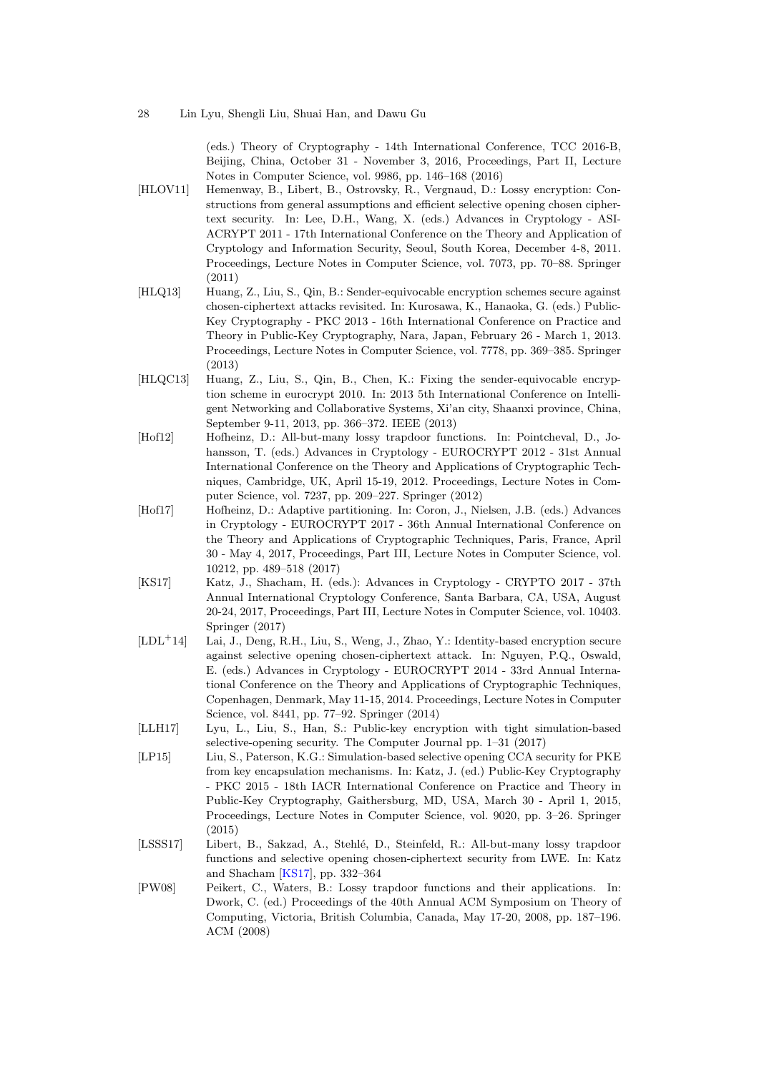(eds.) Theory of Cryptography - 14th International Conference, TCC 2016-B, Beijing, China, October 31 - November 3, 2016, Proceedings, Part II, Lecture Notes in Computer Science, vol. 9986, pp. 146–168 (2016)

- <span id="page-27-0"></span>[HLOV11] Hemenway, B., Libert, B., Ostrovsky, R., Vergnaud, D.: Lossy encryption: Constructions from general assumptions and efficient selective opening chosen ciphertext security. In: Lee, D.H., Wang, X. (eds.) Advances in Cryptology - ASI-ACRYPT 2011 - 17th International Conference on the Theory and Application of Cryptology and Information Security, Seoul, South Korea, December 4-8, 2011. Proceedings, Lecture Notes in Computer Science, vol. 7073, pp. 70–88. Springer (2011)
- <span id="page-27-4"></span>[HLQ13] Huang, Z., Liu, S., Qin, B.: Sender-equivocable encryption schemes secure against chosen-ciphertext attacks revisited. In: Kurosawa, K., Hanaoka, G. (eds.) Public-Key Cryptography - PKC 2013 - 16th International Conference on Practice and Theory in Public-Key Cryptography, Nara, Japan, February 26 - March 1, 2013. Proceedings, Lecture Notes in Computer Science, vol. 7778, pp. 369–385. Springer (2013)
- <span id="page-27-5"></span>[HLQC13] Huang, Z., Liu, S., Qin, B., Chen, K.: Fixing the sender-equivocable encryption scheme in eurocrypt 2010. In: 2013 5th International Conference on Intelligent Networking and Collaborative Systems, Xi'an city, Shaanxi province, China, September 9-11, 2013, pp. 366–372. IEEE (2013)
- <span id="page-27-1"></span>[Hof12] Hofheinz, D.: All-but-many lossy trapdoor functions. In: Pointcheval, D., Johansson, T. (eds.) Advances in Cryptology - EUROCRYPT 2012 - 31st Annual International Conference on the Theory and Applications of Cryptographic Techniques, Cambridge, UK, April 15-19, 2012. Proceedings, Lecture Notes in Computer Science, vol. 7237, pp. 209–227. Springer (2012)
- <span id="page-27-7"></span>[Hof17] Hofheinz, D.: Adaptive partitioning. In: Coron, J., Nielsen, J.B. (eds.) Advances in Cryptology - EUROCRYPT 2017 - 36th Annual International Conference on the Theory and Applications of Cryptographic Techniques, Paris, France, April 30 - May 4, 2017, Proceedings, Part III, Lecture Notes in Computer Science, vol. 10212, pp. 489–518 (2017)
- <span id="page-27-10"></span>[KS17] Katz, J., Shacham, H. (eds.): Advances in Cryptology - CRYPTO 2017 - 37th Annual International Cryptology Conference, Santa Barbara, CA, USA, August 20-24, 2017, Proceedings, Part III, Lecture Notes in Computer Science, vol. 10403. Springer (2017)
- <span id="page-27-9"></span>[LDL<sup>+</sup>14] Lai, J., Deng, R.H., Liu, S., Weng, J., Zhao, Y.: Identity-based encryption secure against selective opening chosen-ciphertext attack. In: Nguyen, P.Q., Oswald, E. (eds.) Advances in Cryptology - EUROCRYPT 2014 - 33rd Annual International Conference on the Theory and Applications of Cryptographic Techniques, Copenhagen, Denmark, May 11-15, 2014. Proceedings, Lecture Notes in Computer Science, vol. 8441, pp. 77–92. Springer (2014)
- <span id="page-27-8"></span>[LLH17] Lyu, L., Liu, S., Han, S.: Public-key encryption with tight simulation-based selective-opening security. The Computer Journal pp. 1–31 (2017)
- <span id="page-27-6"></span>[LP15] Liu, S., Paterson, K.G.: Simulation-based selective opening CCA security for PKE from key encapsulation mechanisms. In: Katz, J. (ed.) Public-Key Cryptography - PKC 2015 - 18th IACR International Conference on Practice and Theory in Public-Key Cryptography, Gaithersburg, MD, USA, March 30 - April 1, 2015, Proceedings, Lecture Notes in Computer Science, vol. 9020, pp. 3–26. Springer (2015)
- <span id="page-27-3"></span>[LSSS17] Libert, B., Sakzad, A., Stehl´e, D., Steinfeld, R.: All-but-many lossy trapdoor functions and selective opening chosen-ciphertext security from LWE. In: Katz and Shacham [\[KS17\]](#page-27-10), pp. 332–364
- <span id="page-27-2"></span>[PW08] Peikert, C., Waters, B.: Lossy trapdoor functions and their applications. In: Dwork, C. (ed.) Proceedings of the 40th Annual ACM Symposium on Theory of Computing, Victoria, British Columbia, Canada, May 17-20, 2008, pp. 187–196. ACM (2008)

<sup>28</sup> Lin Lyu, Shengli Liu, Shuai Han, and Dawu Gu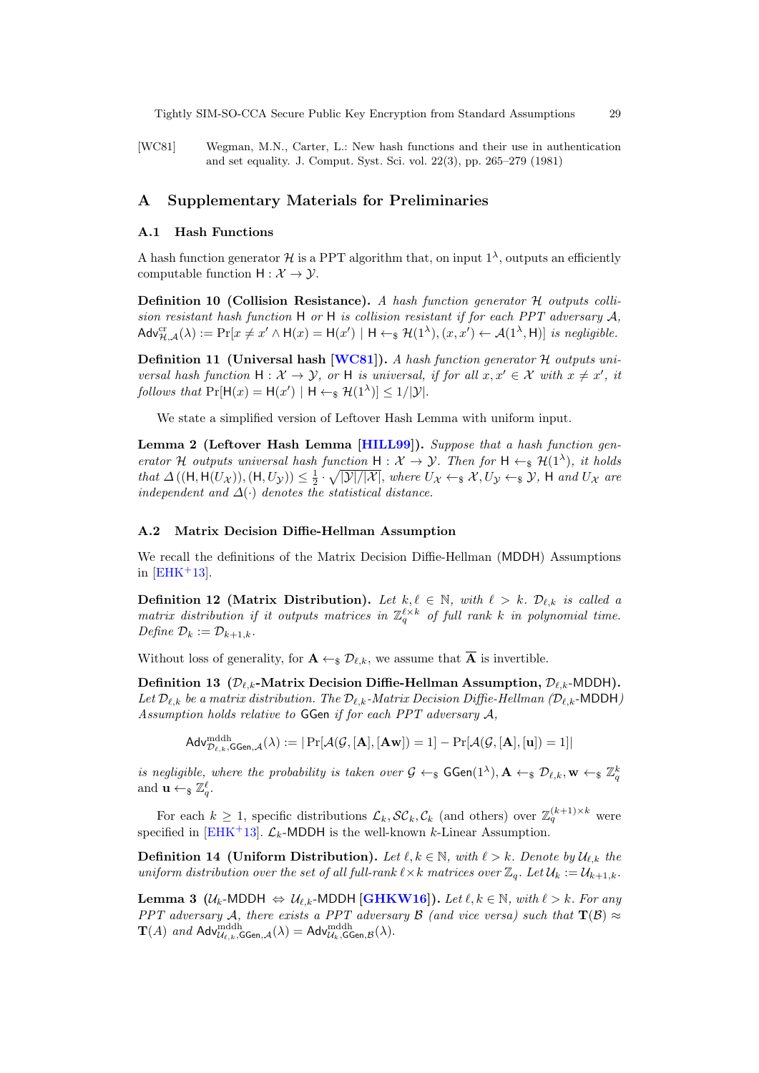<span id="page-28-4"></span>[WC81] Wegman, M.N., Carter, L.: New hash functions and their use in authentication and set equality. J. Comput. Syst. Sci. vol. 22(3), pp. 265–279 (1981)

# <span id="page-28-5"></span>A Supplementary Materials for Preliminaries

### <span id="page-28-0"></span>A.1 Hash Functions

A hash function generator  $\mathcal{H}$  is a PPT algorithm that, on input  $1^{\lambda}$ , outputs an efficiently computable function  $H: \mathcal{X} \to \mathcal{Y}$ .

Definition 10 (Collision Resistance). A hash function generator H outputs collision resistant hash function  $H$  or  $H$  is collision resistant if for each PPT adversary  $A$ ,  $\mathsf{Adv}^{\mathrm{cr}}_{\mathcal{H},\mathcal{A}}(\lambda) := \Pr[x \neq x' \land \mathsf{H}(x) = \mathsf{H}(x') \mid \mathsf{H} \leftarrow_{\$} \mathcal{H}(1^{\lambda}), (x,x') \leftarrow \mathcal{A}(1^{\lambda},\mathsf{H})] \text{ is negligible.}$ 

Definition 11 (Universal hash  $[WC81]$ ). A hash function generator  $H$  outputs universal hash function  $H: \mathcal{X} \to \mathcal{Y}$ , or  $H$  is universal, if for all  $x, x' \in \mathcal{X}$  with  $x \neq x'$ , it follows that  $Pr[H(x) = H(x') | H \leftarrow_{\$} \mathcal{H}(1^{\lambda})] \leq 1/|\mathcal{Y}|$ .

We state a simplified version of Leftover Hash Lemma with uniform input.

<span id="page-28-2"></span>Lemma 2 (Leftover Hash Lemma [\[HILL99\]](#page-26-11)). Suppose that a hash function generator H outputs universal hash function  $H: \mathcal{X} \to \mathcal{Y}$ . Then for  $H \leftarrow_{\$} \mathcal{H}(1^{\lambda})$ , it holds that  $\Delta((H, H(U_{\mathcal{X}})), (H, U_{\mathcal{Y}})) \leq \frac{1}{2} \cdot \sqrt{|\mathcal{Y}|/|\mathcal{X}|}$ , where  $U_{\mathcal{X}} \leftarrow_{\$} \mathcal{X}, U_{\mathcal{Y}} \leftarrow_{\$} \mathcal{Y}, H$  and  $U_{\mathcal{X}}$  are independent and  $\Delta(\cdot)$  denotes the statistical distance.

### <span id="page-28-1"></span>A.2 Matrix Decision Diffie-Hellman Assumption

We recall the definitions of the Matrix Decision Diffie-Hellman (MDDH) Assumptions in  $[EHK+13]$  $[EHK+13]$ .

Definition 12 (Matrix Distribution). Let  $k, \ell \in \mathbb{N}$ , with  $\ell > k$ .  $\mathcal{D}_{\ell,k}$  is called a matrix distribution if it outputs matrices in  $\mathbb{Z}_q^{\ell \times k}$  of full rank k in polynomial time. Define  $\mathcal{D}_k := \mathcal{D}_{k+1,k}$ .

Without loss of generality, for  $\mathbf{A} \leftarrow_{\$} \mathcal{D}_{\ell,k}$ , we assume that  $\overline{\mathbf{A}}$  is invertible.

Definition 13 ( $\mathcal{D}_{\ell,k}$ -Matrix Decision Diffie-Hellman Assumption,  $\mathcal{D}_{\ell,k}$ -MDDH). Let  $\mathcal{D}_{\ell,k}$  be a matrix distribution. The  $\mathcal{D}_{\ell,k}$ -Matrix Decision Diffie-Hellman ( $\mathcal{D}_{\ell,k}$ -MDDH) Assumption holds relative to GGen if for each PPT adversary A,

$$
\mathsf{Adv}_{\mathcal{D}_{\ell,k},\mathsf{GGen},\mathcal{A}}^{\mathrm{mddh}}(\lambda) := |\Pr[\mathcal{A}(\mathcal{G},[\mathbf{A}],[\mathbf{A}\mathbf{w}]) = 1] - \Pr[\mathcal{A}(\mathcal{G},[\mathbf{A}],[\mathbf{u}]) = 1]|
$$

is negligible, where the probability is taken over  $\mathcal{G} \leftarrow_{\$} \mathsf{GGen}(1^{\lambda}), \mathbf{A} \leftarrow_{\$} \mathcal{D}_{\ell,k}, \mathbf{w} \leftarrow_{\$} \mathbb{Z}_q^k$ and  $\mathbf{u} \leftarrow_{\$} \mathbb{Z}_q^{\ell}$ .

For each  $k \geq 1$ , specific distributions  $\mathcal{L}_k$ ,  $\mathcal{SC}_k$ ,  $\mathcal{C}_k$  (and others) over  $\mathbb{Z}_q^{(k+1)\times k}$  were specified in [\[EHK](#page-26-12)+13].  $\mathcal{L}_k$ -MDDH is the well-known k-Linear Assumption.

**Definition 14 (Uniform Distribution).** Let  $\ell, k \in \mathbb{N}$ , with  $\ell > k$ . Denote by  $\mathcal{U}_{\ell,k}$  the uniform distribution over the set of all full-rank  $\ell \times k$  matrices over  $\mathbb{Z}_q$ . Let  $\mathcal{U}_k := \mathcal{U}_{k+1,k}$ .

<span id="page-28-3"></span>**Lemma 3** ( $\mathcal{U}_k$ -MDDH  $\Leftrightarrow \mathcal{U}_{\ell,k}$ -MDDH [\[GHKW16\]](#page-26-6)). Let  $\ell, k \in \mathbb{N}$ , with  $\ell > k$ . For any PPT adversary A, there exists a PPT adversary B (and vice versa) such that  $\mathbf{T}(\mathcal{B}) \approx$  $\mathbf{T}(A)$  and  $\mathsf{Adv}^{\text{mddh}}_{\mathcal{U}_{\ell,k},\mathsf{GGen},\mathcal{A}}(\lambda) = \mathsf{Adv}^{\text{mddh}}_{\mathcal{U}_k,\mathsf{GGen},\mathcal{B}}(\lambda).$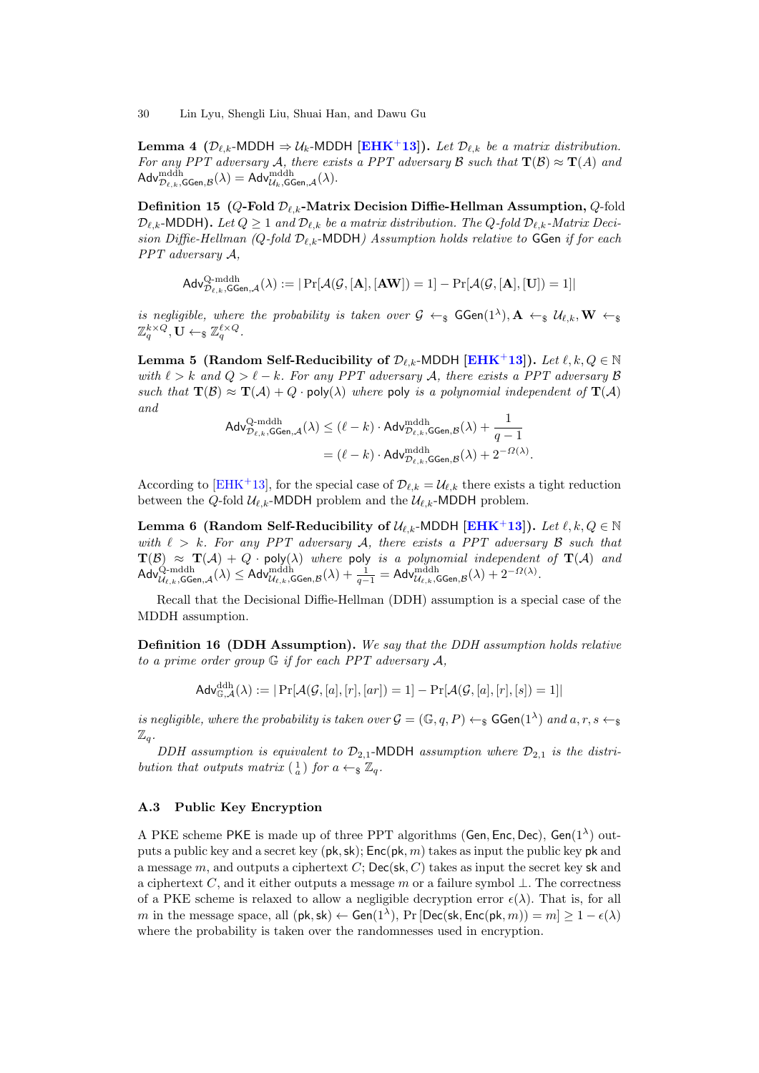**Lemma 4** ( $\mathcal{D}_{\ell,k}$ -MDDH  $\Rightarrow \mathcal{U}_k$ -MDDH [\[EHK](#page-26-12)<sup>+</sup>13]). Let  $\mathcal{D}_{\ell,k}$  be a matrix distribution. For any PPT adversary A, there exists a PPT adversary B such that  $\mathbf{T}(\mathcal{B}) \approx \mathbf{T}(A)$  and  $\mathsf{Adv}_{\mathcal{D}_{\ell,k},\mathsf{GGen},\mathcal{B}}^{\mathrm{mddh}}(\lambda) = \mathsf{Adv}_{\mathcal{U}_k,\mathsf{GGen},\mathcal{A}}^{\mathrm{mddh}}(\lambda).$ 

Definition 15 (Q-Fold  $\mathcal{D}_{\ell,k}$ -Matrix Decision Diffie-Hellman Assumption, Q-fold  $\mathcal{D}_{\ell,k}$ -MDDH). Let  $Q \geq 1$  and  $\mathcal{D}_{\ell,k}$  be a matrix distribution. The  $Q$ -fold  $\mathcal{D}_{\ell,k}$ -Matrix Decision Diffie-Hellman (Q-fold  $\mathcal{D}_{\ell,k}$ -MDDH) Assumption holds relative to GGen if for each PPT adversary A,

$$
\mathsf{Adv}_{\mathcal{D}_{\ell,k},\mathsf{GGen},\mathcal{A}}^{\mathrm{Q-mddh}}(\lambda) := |\Pr[\mathcal{A}(\mathcal{G},[\mathbf{A}],[\mathbf{A}\mathbf{W}]) = 1] - \Pr[\mathcal{A}(\mathcal{G},[\mathbf{A}],[\mathbf{U}]) = 1]|
$$

is negligible, where the probability is taken over  $G \leftarrow s$   $GGen(1^{\lambda}), A \leftarrow s$   $\mathcal{U}_{\ell,k}, W \leftarrow s$  $\mathbb{Z}_q^{k \times Q}, \mathbf{U} \leftarrow \mathbb{S} \mathbb{Z}_q^{\ell \times Q}.$ 

<span id="page-29-2"></span>Lemma 5 (Random Self-Reducibility of  $\mathcal{D}_{\ell,k}$ -MDDH [\[EHK](#page-26-12)+13]). Let  $\ell, k, Q \in \mathbb{N}$ with  $\ell > k$  and  $Q > \ell - k$ . For any PPT adversary A, there exists a PPT adversary B such that  $\mathbf{T}(\mathcal{B}) \approx \mathbf{T}(\mathcal{A}) + Q \cdot \text{poly}(\lambda)$  where poly is a polynomial independent of  $\mathbf{T}(\mathcal{A})$ and

$$
\begin{aligned} \mathsf{Adv}_{\mathcal{D}_{\ell,k},\mathsf{GGen},\mathcal{A}}^{\text{Q-mddh}}(\lambda) &\leq (\ell-k) \cdot \mathsf{Adv}_{\mathcal{D}_{\ell,k},\mathsf{GGen},\mathcal{B}}^{\text{mddh}}(\lambda) + \frac{1}{q-1} \\ & = (\ell-k) \cdot \mathsf{Adv}_{\mathcal{D}_{\ell,k},\mathsf{GGen},\mathcal{B}}^{\text{mddh}}(\lambda) + 2^{-\varOmega(\lambda)} \end{aligned}
$$

<span id="page-29-1"></span>.

According to [\[EHK](#page-26-12)+13], for the special case of  $\mathcal{D}_{\ell,k} = \mathcal{U}_{\ell,k}$  there exists a tight reduction between the Q-fold  $\mathcal{U}_{\ell,k}$ -MDDH problem and the  $\mathcal{U}_{\ell,k}$ -MDDH problem.

Lemma 6 (Random Self-Reducibility of  $\mathcal{U}_{\ell,k}$ -MDDH [\[EHK](#page-26-12)<sup>+</sup>13]). Let  $\ell, k, Q \in \mathbb{N}$ with  $\ell > k$ . For any PPT adversary A, there exists a PPT adversary B such that  $\mathbf{T}(\mathcal{B}) \approx \mathbf{T}(\mathcal{A}) + Q \cdot \text{poly}(\lambda)$  where poly is a polynomial independent of  $\mathbf{T}(\mathcal{A})$  and  $\mathsf{Adv}_{\mathcal{U}_{\ell,k},\mathsf{GGen},\mathcal{A}}^{\mathrm{Q-mddh}}(\lambda) \leq \mathsf{Adv}_{\mathcal{U}_{\ell,k},\mathsf{GGen},\mathcal{B}}^{\mathrm{mddh}}(\lambda) + \tfrac{1}{q-1} = \mathsf{Adv}_{\mathcal{U}_{\ell,k},\mathsf{GGen},\mathcal{B}}^{\mathrm{mddh}}(\lambda) + 2^{-\varOmega(\lambda)}.$ 

Recall that the Decisional Diffie-Hellman (DDH) assumption is a special case of the MDDH assumption.

Definition 16 (DDH Assumption). We say that the DDH assumption holds relative to a prime order group  $G$  if for each PPT adversary  $A$ ,

$$
\mathsf{Adv}_{\mathbb{G},\mathcal{A}}^{\mathrm{ddh}}(\lambda):=|\Pr[\mathcal{A}(\mathcal{G},[a],[r],[ar])=1]-\Pr[\mathcal{A}(\mathcal{G},[a],[r],[s])=1]|
$$

is negligible, where the probability is taken over  $\mathcal{G} = (\mathbb{G}, q, P) \leftarrow_s \mathsf{GGen}(1^{\lambda})$  and  $a, r, s \leftarrow_s$  $\mathbb{Z}_q$ .

DDH assumption is equivalent to  $\mathcal{D}_{2,1}$ -MDDH assumption where  $\mathcal{D}_{2,1}$  is the distribution that outputs matrix  $\begin{pmatrix} 1 \\ a \end{pmatrix}$  for  $a \leftarrow_{\$} \mathbb{Z}_q$ .

### <span id="page-29-0"></span>A.3 Public Key Encryption

A PKE scheme PKE is made up of three PPT algorithms (Gen, Enc, Dec), Gen( $1^{\lambda}$ ) outputs a public key and a secret key ( $pk, sk$ );  $Enc(pk, m)$  takes as input the public key pk and a message m, and outputs a ciphertext C; Dec(sk, C) takes as input the secret key sk and a ciphertext C, and it either outputs a message m or a failure symbol  $\bot$ . The correctness of a PKE scheme is relaxed to allow a negligible decryption error  $\epsilon(\lambda)$ . That is, for all m in the message space, all  $(\mathsf{pk}, \mathsf{sk}) \leftarrow \mathsf{Gen}(1^{\lambda}), \Pr[\mathsf{Dec}(\mathsf{sk}, \mathsf{Enc}(\mathsf{pk}, m)) = m] \ge 1 - \epsilon(\lambda)$ where the probability is taken over the randomnesses used in encryption.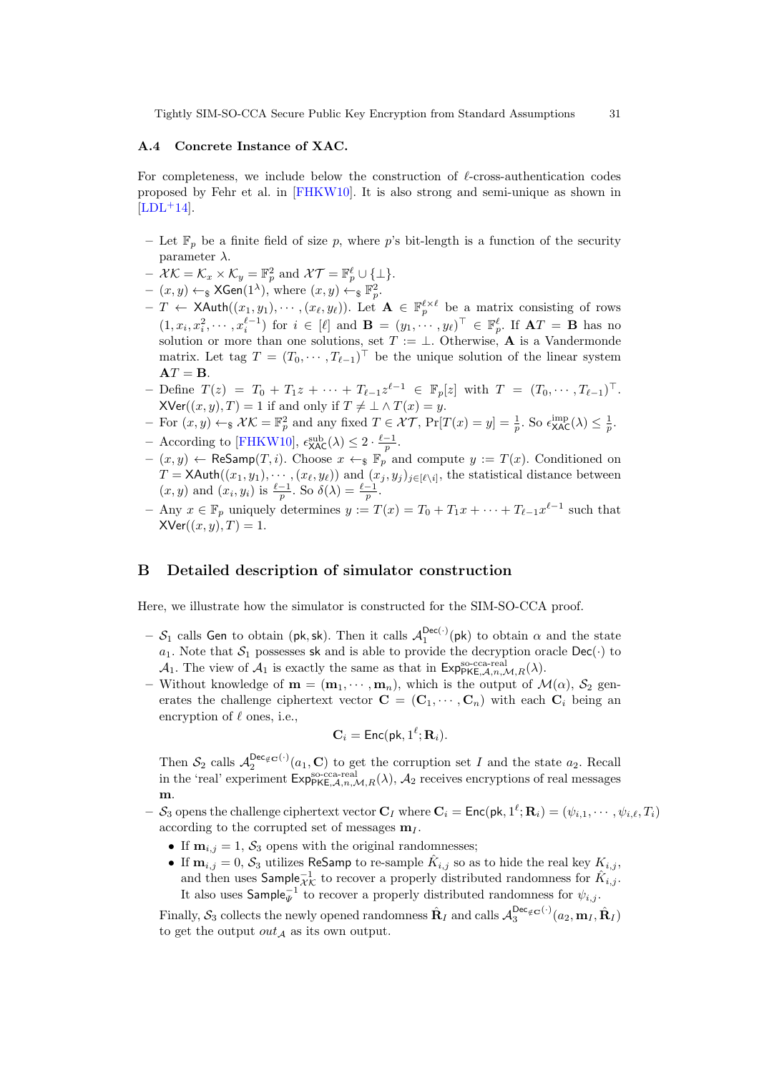### <span id="page-30-0"></span>A.4 Concrete Instance of XAC.

For completeness, we include below the construction of  $\ell$ -cross-authentication codes proposed by Fehr et al. in [\[FHKW10\]](#page-26-5). It is also strong and semi-unique as shown in  $[LDL+14].$  $[LDL+14].$ 

- Let  $\mathbb{F}_p$  be a finite field of size p, where p's bit-length is a function of the security parameter  $\lambda$ .
- $\mathcal{X} \mathcal{K} = \mathcal{K}_x \times \mathcal{K}_y = \mathbb{F}_p^2$  and  $\mathcal{X} \mathcal{T} = \mathbb{F}_p^{\ell} \cup \{\perp\}.$
- $(x, y) \leftarrow_{\$} \mathsf{XGen}(1^{\lambda}), \text{ where } (x, y) \leftarrow_{\$} \mathbb{F}_p^2.$
- $-T \leftarrow \mathsf{XAuth}((x_1, y_1), \cdots, (x_\ell, y_\ell)).$  Let  $\mathbf{A} \in \mathbb{F}_p^{\ell \times \ell}$  be a matrix consisting of rows  $(1, x_i, x_i^2, \cdots, x_i^{\ell-1})$  for  $i \in [\ell]$  and  $\mathbf{B} = (y_1, \cdots, y_\ell)^\top \in \mathbb{F}_p^{\ell}$ . If  $\mathbf{A}T = \mathbf{B}$  has no solution or more than one solutions, set  $T := \bot$ . Otherwise, **A** is a Vandermonde matrix. Let tag  $T = (T_0, \dots, T_{\ell-1})^\top$  be the unique solution of the linear system  $AT = B$ .
- Define  $T(z) = T_0 + T_1 z + \cdots + T_{\ell-1} z^{\ell-1} \in \mathbb{F}_p[z]$  with  $T = (T_0, \cdots, T_{\ell-1})^\top$ .  $X\text{Ver}((x, y), T) = 1$  if and only if  $T \neq \bot \wedge T(x) = y$ .
- For  $(x, y) \leftarrow_{\mathcal{S}} \mathcal{X} \mathcal{K} = \mathbb{F}_p^2$  and any fixed  $T \in \mathcal{X} \mathcal{T}$ ,  $\Pr[T(x) = y] = \frac{1}{p}$ . So  $\epsilon_{\text{XAC}}^{\text{imp}}(\lambda) \leq \frac{1}{p}$ .
- According to [\[FHKW10\]](#page-26-5),  $\epsilon_{\text{XAC}}^{\text{sub}}(\lambda) \leq 2 \cdot \frac{\ell-1}{p}$ .
- $(x, y)$   $\leftarrow$  ReSamp $(T, i)$ . Choose  $x \leftarrow_{\mathcal{S}} \mathbb{F}_p^r$  and compute  $y := T(x)$ . Conditioned on  $T = \mathsf{XAuthor}((x_1, y_1), \cdots, (x_\ell, y_\ell))$  and  $(x_j, y_j)_{j \in [\ell \setminus i]}$ , the statistical distance between  $(x, y)$  and  $(x_i, y_i)$  is  $\frac{\ell-1}{p}$ . So  $\delta(\lambda) = \frac{\ell-1}{p}$ .
- Any  $x \in \mathbb{F}_p$  uniquely determines  $y := T(x) = T_0 + T_1x + \cdots + T_{\ell-1}x^{\ell-1}$  such that  $XVer((x, y), T) = 1.$

# <span id="page-30-1"></span>B Detailed description of simulator construction

Here, we illustrate how the simulator is constructed for the SIM-SO-CCA proof.

- $S_1$  calls Gen to obtain (pk,sk). Then it calls  $\mathcal{A}_1^{\mathsf{Dec}(\cdot)}(\mathsf{pk})$  to obtain  $\alpha$  and the state  $a_1$ . Note that  $S_1$  possesses sk and is able to provide the decryption oracle Dec( $\cdot$ ) to  $\mathcal{A}_1$ . The view of  $\mathcal{A}_1$  is exactly the same as that in  $\mathsf{Exp}_{\mathsf{PKE},\mathcal{A},n,\mathcal{M},R}^{\text{so-}\text{cca-real}}(\lambda)$ .
- Without knowledge of  $\mathbf{m} = (\mathbf{m}_1, \dots, \mathbf{m}_n)$ , which is the output of  $\mathcal{M}(\alpha)$ ,  $\mathcal{S}_2$  generates the challenge ciphertext vector  $C = (C_1, \dots, C_n)$  with each  $C_i$  being an encryption of  $\ell$  ones, i.e.,

$$
\mathbf{C}_i = \mathsf{Enc}(\mathsf{pk}, 1^{\ell}; \mathbf{R}_i).
$$

Then  $S_2$  calls  $\mathcal{A}_2^{\mathsf{Dec}_{\not\in\mathbf{C}}(\cdot)}(a_1, \mathbf{C})$  to get the corruption set I and the state  $a_2$ . Recall in the 'real' experiment  $\mathsf{Exp}_{\mathsf{PKE},\mathcal{A},n,\mathcal{M},R}^{\text{so-cca-real}}(\lambda), \mathcal{A}_2$  receives encryptions of real messages m.

- $\mathcal{S}_3$  opens the challenge ciphertext vector  $\mathbf{C}_I$  where  $\mathbf{C}_i = \mathsf{Enc}(\mathsf{pk}, 1^\ell; \mathbf{R}_i) = (\psi_{i,1}, \cdots, \psi_{i,\ell}, T_i)$ according to the corrupted set of messages  $m<sub>I</sub>$ .
	- If  $m_{i,j} = 1$ ,  $S_3$  opens with the original randomnesses;
	- If  $\mathbf{m}_{i,j} = 0$ ,  $\mathcal{S}_3$  utilizes ReSamp to re-sample  $\hat{K}_{i,j}$  so as to hide the real key  $K_{i,j}$ , and then uses Sample $^{-1}_{\mathcal{X}\mathcal{K}}$  to recover a properly distributed randomness for  $\hat{K}_{i,j}$ . It also uses  $\mathsf{Sample}_{\Psi}^{-1}$  to recover a properly distributed randomness for  $\psi_{i,j}$ .

Finally,  $S_3$  collects the newly opened randomness  $\hat{\mathbf{R}}_I$  and calls  $\mathcal{A}_3^{\mathsf{Dec}_{\not\in\mathbf{C}}(\cdot)}(a_2, \mathbf{m}_I, \hat{\mathbf{R}}_I)$ to get the output  $out_A$  as its own output.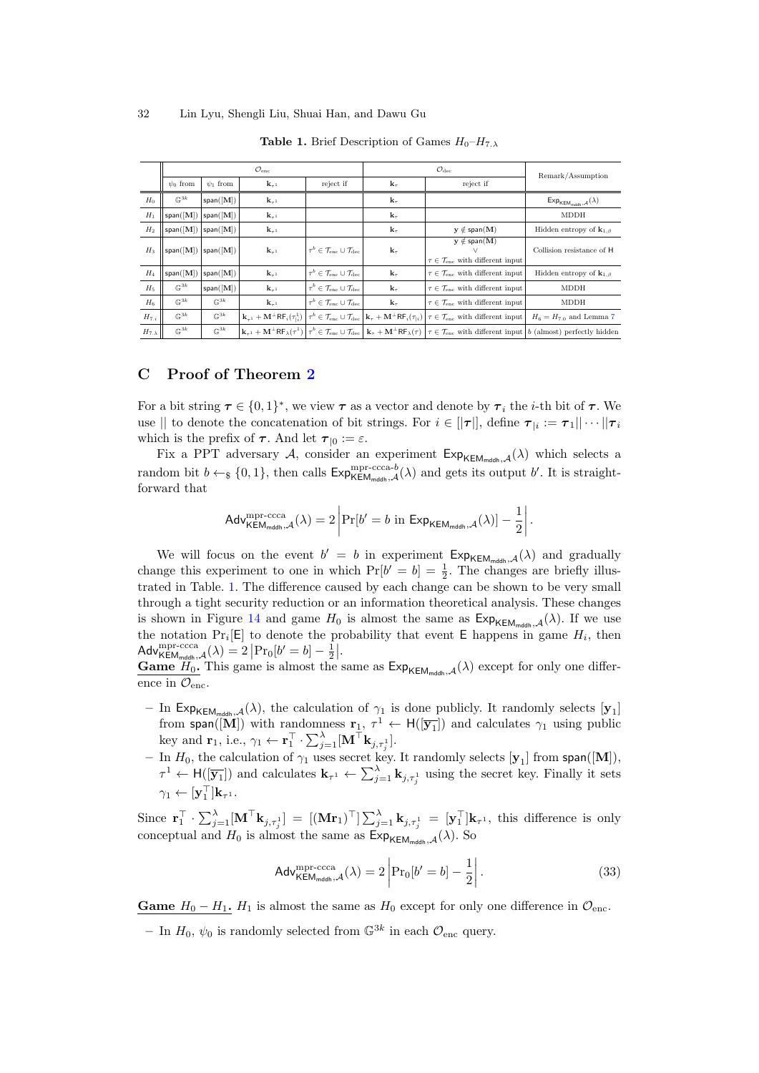|                 | $\mathcal{O}_{\mathrm{enc}}$ |                   |                       |                                                                     | $\mathcal{O}_{\rm dec}$ |                                                                                                                                                                                                                                                                                                                   | Remark/Assumption                               |  |
|-----------------|------------------------------|-------------------|-----------------------|---------------------------------------------------------------------|-------------------------|-------------------------------------------------------------------------------------------------------------------------------------------------------------------------------------------------------------------------------------------------------------------------------------------------------------------|-------------------------------------------------|--|
|                 | $\psi_0$ from                | $\psi_1$ from     | $\mathbf{k}_{\tau^1}$ | reject if                                                           | $\mathbf{k}_{\tau}$     | reject if                                                                                                                                                                                                                                                                                                         |                                                 |  |
| $H_0$           | $\mathbb{G}^{3k}$            | span([M])         | $\mathbf{k}_{\tau}$   |                                                                     | $\mathbf{k}_{\tau}$     |                                                                                                                                                                                                                                                                                                                   | $Exp_{KEM_{\text{mddh}}, \mathcal{A}}(\lambda)$ |  |
| $H_1$           | span([M])                    | span([M])         | $\mathbf{k}_{\tau^1}$ |                                                                     | $\mathbf{k}_{\tau}$     |                                                                                                                                                                                                                                                                                                                   | MDDH                                            |  |
| $H_2$           | span([M])                    | span([M])         | $\mathbf{k}_{\tau^1}$ |                                                                     | $\mathbf{k}_{\tau}$     | $y \notin span(M)$                                                                                                                                                                                                                                                                                                | Hidden entropy of $\mathbf{k}_{1.6}$            |  |
| $H_3$           | span([M])                    | span([M])         | $\mathbf{k}_{\tau^1}$ | $\tau^b \in \mathcal{T}_{\text{enc}} \cup \mathcal{T}_{\text{dec}}$ | $\mathbf{k}_{\tau}$     | $y \notin span(M)$<br>v<br>$\tau \in \mathcal{T}_{\text{enc}}$ with different input                                                                                                                                                                                                                               | Collision resistance of H                       |  |
| $H_4$           | span([M])                    | span([M])         | $\mathbf{k}_{\tau1}$  | $\tau^b \in \mathcal{T}_{\text{enc}} \cup \mathcal{T}_{\text{dec}}$ | $\mathbf{k}_{\tau}$     | $\tau \in \mathcal{T}_{\text{enc}}$ with different input                                                                                                                                                                                                                                                          | Hidden entropy of $\mathbf{k}_{1.6}$            |  |
| $H_5$           | $\mathbb{G}^{3k}$            | span([M])         | $\mathbf{k}_{\tau^1}$ | $\tau^b \in \mathcal{T}_{\text{enc}} \cup \mathcal{T}_{\text{dec}}$ | $\mathbf{k}_{\tau}$     | $\tau \in \mathcal{T}_{\text{enc}}$ with different input                                                                                                                                                                                                                                                          | <b>MDDH</b>                                     |  |
| $H_6$           | $\mathbb{G}^{3k}$            | $\mathbb{G}^{3k}$ | $\mathbf{k}_{\tau^1}$ | $\tau^b \in \mathcal{T}_{\text{enc}} \cup \mathcal{T}_{\text{dec}}$ | $\mathbf{k}_{\tau}$     | $\tau \in \mathcal{T}_{\text{enc}}$ with different input                                                                                                                                                                                                                                                          | MDDH                                            |  |
| $H_{7,i}$       | $\mathbb{G}^{3k}$            | $\mathbb{G}^{3k}$ |                       |                                                                     |                         | $\mathbf{k}_{\tau}$ + $\mathbf{M}^{\perp}$ RF <sub>i</sub> $(\tau_{i_{\tau}}^{\perp})$ $\tau^{b} \in \mathcal{T}_{\text{enc}} \cup \mathcal{T}_{\text{dec}}$ $\mid \mathbf{k}_{\tau} + \mathbf{M}^{\perp}$ RF <sub>i</sub> $(\tau_{i_{\tau}}) \mid \tau \in \mathcal{T}_{\text{enc}}$ with different input        | $H_6 = H_{7,0}$ and Lemma 7                     |  |
| $H_{7,\lambda}$ | $\mathbb{G}^{3k}$            | $\mathbb{G}^{3k}$ |                       |                                                                     |                         | $\mathbf{k}_{\tau^1} + \mathbf{M}^{\perp} \mathsf{RF}_{\lambda}(\tau^1) \mid \tau^b \in \mathcal{T}_{\text{enc}} \cup \mathcal{T}_{\text{dec}} \mid \mathbf{k}_{\tau} + \mathbf{M}^{\perp} \mathsf{RF}_{\lambda}(\tau) \mid \tau \in \mathcal{T}_{\text{enc}}$ with different input   b (almost) perfectly hidden |                                                 |  |

<span id="page-31-1"></span>**Table 1.** Brief Description of Games  $H_0-H_{7,\lambda}$ 

# <span id="page-31-0"></span>C Proof of Theorem [2](#page-15-4)

For a bit string  $\tau \in \{0,1\}^*$ , we view  $\tau$  as a vector and denote by  $\tau_i$  the *i*-th bit of  $\tau$ . We use || to denote the concatenation of bit strings. For  $i \in [\lvert \tau \rvert]$ , define  $\tau_{\lvert i} := \tau_1 || \cdots || \tau_i$ which is the prefix of  $\tau$ . And let  $\tau_{\vert 0} := \varepsilon$ .

Fix a PPT adversary A, consider an experiment  $Exp_{KEM_{\text{model}},\mathcal{A}}(\lambda)$  which selects a random bit  $b \leftarrow_{\S} \{0,1\}$ , then calls  $\mathsf{Exp}_{\mathsf{KEM}_{\mathsf{mddh}},\mathcal{A}}^{\text{mpr-ccca-}b}(\lambda)$  and gets its output  $b'$ . It is straightforward that

$$
\mathsf{Adv}_{\mathsf{KEM}_{\mathsf{mddh},\mathcal{A}}^{\text{mpr-ccc}}(\lambda)}^{\text{mpr-ccc}} = 2 \left| \Pr[b' = b \text{ in } \mathsf{Exp}_{\mathsf{KEM}_{\mathsf{mddh},\mathcal{A}}(\lambda)] - \frac{1}{2} \right|.
$$

We will focus on the event  $b' = b$  in experiment  $Exp_{KEM_{\text{modh}},\mathcal{A}}(\lambda)$  and gradually change this experiment to one in which  $Pr[b' = b] = \frac{1}{2}$ . The changes are briefly illustrated in Table. [1.](#page-31-1) The difference caused by each change can be shown to be very small through a tight security reduction or an information theoretical analysis. These changes is shown in Figure [14](#page-32-0) and game  $H_0$  is almost the same as  $Exp_{KEM_{\text{modth}},\mathcal{A}}(\lambda)$ . If we use the notation  $Pr_i[E]$  to denote the probability that event E happens in game  $H_i$ , then Adv $\mathsf{diag}_{\mathsf{KEM}_{\mathsf{medib}},\mathcal{A}}^{\text{mpr-ccca}}(\lambda) = 2 \left| \Pr_0[b' = b] - \frac{1}{2} \right|.$ 

Game  $H_0$ . This game is almost the same as  $\text{Exp}_{\mathsf{KEM}_{\text{mddh}},\mathcal{A}}(\lambda)$  except for only one difference in  $\mathcal{O}_{\text{enc}}$ .

- In  $\text{Exp}_{\mathsf{KEM}_{\text{modth}},\mathcal{A}}(\lambda)$ , the calculation of  $\gamma_1$  is done publicly. It randomly selects  $[\mathbf{y}_1]$ from span( $[M]$ ) with randomness  $\mathbf{r}_1, \tau^1 \leftarrow H([\overline{\mathbf{y}_1}])$  and calculates  $\gamma_1$  using public key and  $\mathbf{r}_1$ , i.e.,  $\gamma_1 \leftarrow \mathbf{r}_1^{\top} \cdot \sum_{j=1}^{\lambda} [\mathbf{M}^{\top} \mathbf{k}_{j, \tau_i^1}].$
- $\frac{1}{\ln H_0}$ , the calculation of  $\gamma_1$  uses secret key. It randomly selects [**y**<sub>1</sub>] from span([**M**]),  $\tau^1 \leftarrow H([\overline{\mathbf{y}_1}])$  and calculates  $\mathbf{k}_{\tau^1} \leftarrow \sum_{j=1}^{\lambda} \mathbf{k}_{j,\tau_j^1}$  using the secret key. Finally it sets  $\gamma_1 \leftarrow [{\mathbf y}_1^\top] {\mathbf k}_{\tau^1}.$

Since  $\mathbf{r}_1^{\top} \cdot \sum_{j=1}^{\lambda} [\mathbf{M}^{\top} \mathbf{k}_{j, \tau_j^1}] = [(\mathbf{M} \mathbf{r}_1)^{\top}] \sum_{j=1}^{\lambda} \mathbf{k}_{j, \tau_j^1} = [\mathbf{y}_1^{\top}] \mathbf{k}_{\tau^1}$ , this difference is only conceptual and  $H_0$  is almost the same as  $\overline{\mathsf{Exp}}_{\mathsf{KEM}_{\mathsf{maddh}},\mathcal{A}}(\lambda)$ . So

<span id="page-31-2"></span>
$$
\mathsf{Adv}_{\mathsf{KEM}_{\mathsf{mddh}},\mathcal{A}}^{\text{mpr-ccca}}(\lambda) = 2 \left| \Pr_0[b' = b] - \frac{1}{2} \right|.
$$
 (33)

**Game**  $H_0 - H_1$ .  $H_1$  is almost the same as  $H_0$  except for only one difference in  $\mathcal{O}_{\text{enc}}$ .

- In  $H_0$ ,  $\psi_0$  is randomly selected from  $\mathbb{G}^{3k}$  in each  $\mathcal{O}_{\text{enc}}$  query.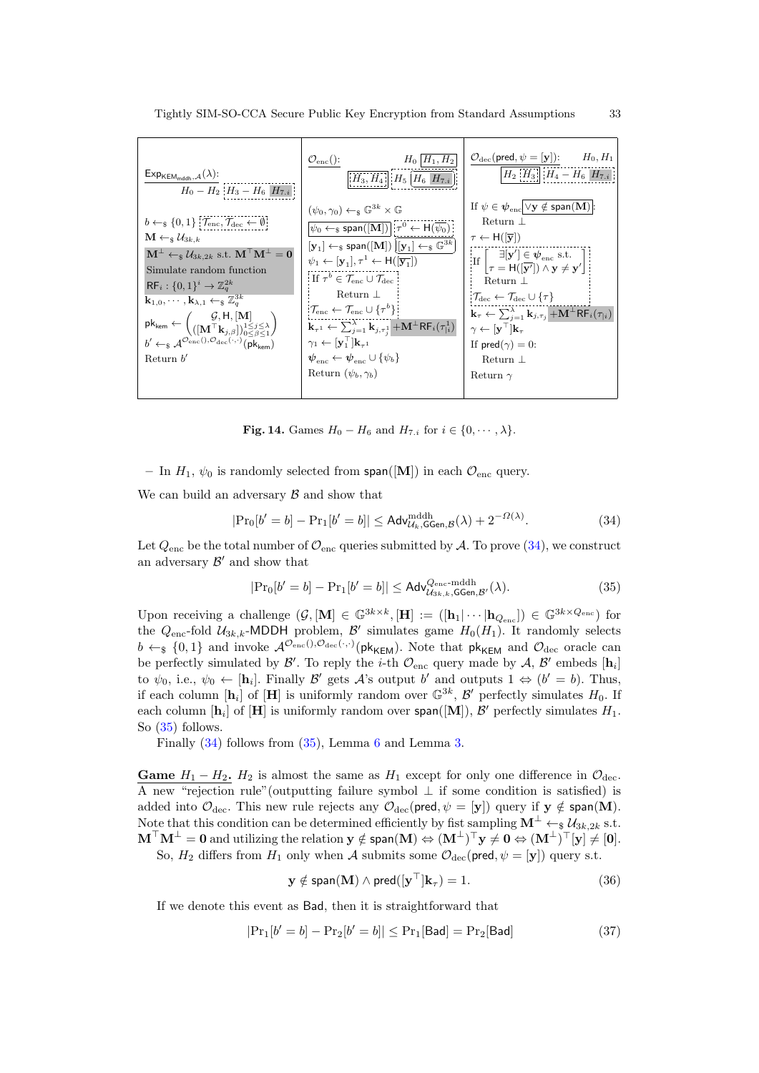<span id="page-32-0"></span>Fig. 14. Games  $H_0 - H_6$  and  $H_{7,i}$  for  $i \in \{0, \dots, \lambda\}.$ 

– In  $H_1$ ,  $\psi_0$  is randomly selected from span([M]) in each  $\mathcal{O}_{\text{enc}}$  query.

We can build an adversary  $\beta$  and show that

<span id="page-32-1"></span>
$$
|\Pr_0[b'=b] - \Pr_1[b'=b]| \le \mathsf{Adv}_{\mathcal{U}_k, \mathsf{GGen}, \mathcal{B}}^{\mathrm{mddh}}(\lambda) + 2^{-\Omega(\lambda)}.
$$
\n(34)

Let  $Q_{\text{enc}}$  be the total number of  $\mathcal{O}_{\text{enc}}$  queries submitted by A. To prove [\(34\)](#page-32-1), we construct an adversary  $\mathcal{B}'$  and show that

<span id="page-32-2"></span>
$$
|\Pr_0[b'=b] - \Pr_1[b'=b]| \le \mathsf{Adv}_{\mathcal{U}_{3k,k},\mathsf{GGen},\mathcal{B}'}^{\mathcal{Q}_{\text{enc}}\text{-mddh}}(\lambda). \tag{35}
$$

Upon receiving a challenge  $(\mathcal{G}, [\mathbf{M}] \in \mathbb{G}^{3k \times k}, [\mathbf{H}] := ([\mathbf{h}_1 | \cdots | \mathbf{h}_{Q_{\text{enc}}}] ) \in \mathbb{G}^{3k \times Q_{\text{enc}}}$  for the  $Q_{\text{enc}}$ -fold  $\mathcal{U}_{3k,k}$ -MDDH problem,  $\mathcal{B}'$  simulates game  $H_0(H_1)$ . It randomly selects  $b \leftarrow_{\S} \{0,1\}$  and invoke  $\mathcal{A}^{\mathcal{O}_{\text{enc}}(\cdot,\cdot)}(\mathsf{pk}_{\mathsf{KEM}})$ . Note that  $\mathsf{pk}_{\mathsf{KEM}}$  and  $\mathcal{O}_{\text{dec}}$  oracle can be perfectly simulated by  $\mathcal{B}'$ . To reply the *i*-th  $\mathcal{O}_{\text{enc}}$  query made by  $\mathcal{A}, \mathcal{B}'$  embeds  $[\mathbf{h}_i]$ to  $\psi_0$ , i.e.,  $\psi_0 \leftarrow [\mathbf{h}_i]$ . Finally  $\mathcal{B}'$  gets  $\mathcal{A}$ 's output  $b'$  and outputs  $1 \Leftrightarrow (b' = b)$ . Thus, if each column  $[\mathbf{h}_i]$  of  $[\mathbf{H}]$  is uniformly random over  $\mathbb{G}^{3k}$ ,  $\mathcal{B}'$  perfectly simulates  $H_0$ . If each column  $[\mathbf{h}_i]$  of  $[\mathbf{H}]$  is uniformly random over span( $[\mathbf{M}]$ ),  $\mathcal{B}'$  perfectly simulates  $H_1$ . So [\(35\)](#page-32-2) follows.

Finally [\(34\)](#page-32-1) follows from [\(35\)](#page-32-2), Lemma [6](#page-29-1) and Lemma [3.](#page-28-3)

**Game**  $H_1 - H_2$ ,  $H_2$  is almost the same as  $H_1$  except for only one difference in  $\mathcal{O}_{\text{dec}}$ . A new "rejection rule"(outputting failure symbol ⊥ if some condition is satisfied) is added into  $\mathcal{O}_{\text{dec}}$ . This new rule rejects any  $\mathcal{O}_{\text{dec}}(\text{pred}, \psi = [\mathbf{y}])$  query if  $\mathbf{y} \notin \text{span}(\mathbf{M})$ . Note that this condition can be determined efficiently by fist sampling  $M^{\perp} \leftarrow \mathcal{Y}_{3k,2k}$  s.t.  $\mathbf{M}^\top \mathbf{M}^\perp = \mathbf{0}$  and utilizing the relation  $\mathbf{y} \notin \textsf{span}(\mathbf{M}) \Leftrightarrow (\mathbf{M}^\perp)^\top \mathbf{y} \neq \mathbf{0} \Leftrightarrow (\mathbf{M}^\perp)^\top [\mathbf{y}] \neq [\mathbf{0}].$ 

So,  $H_2$  differs from  $H_1$  only when A submits some  $\mathcal{O}_{\text{dec}}(\text{pred}, \psi = [\mathbf{y}])$  query s.t.

$$
\mathbf{y} \notin \text{span}(\mathbf{M}) \land \text{pred}([\mathbf{y}^{\top}]\mathbf{k}_{\tau}) = 1. \tag{36}
$$

If we denote this event as Bad, then it is straightforward that

<span id="page-32-3"></span>
$$
|\Pr_1[b' = b] - \Pr_2[b' = b]| \leq \Pr_1[\text{Bad}] = \Pr_2[\text{Bad}]
$$
 (37)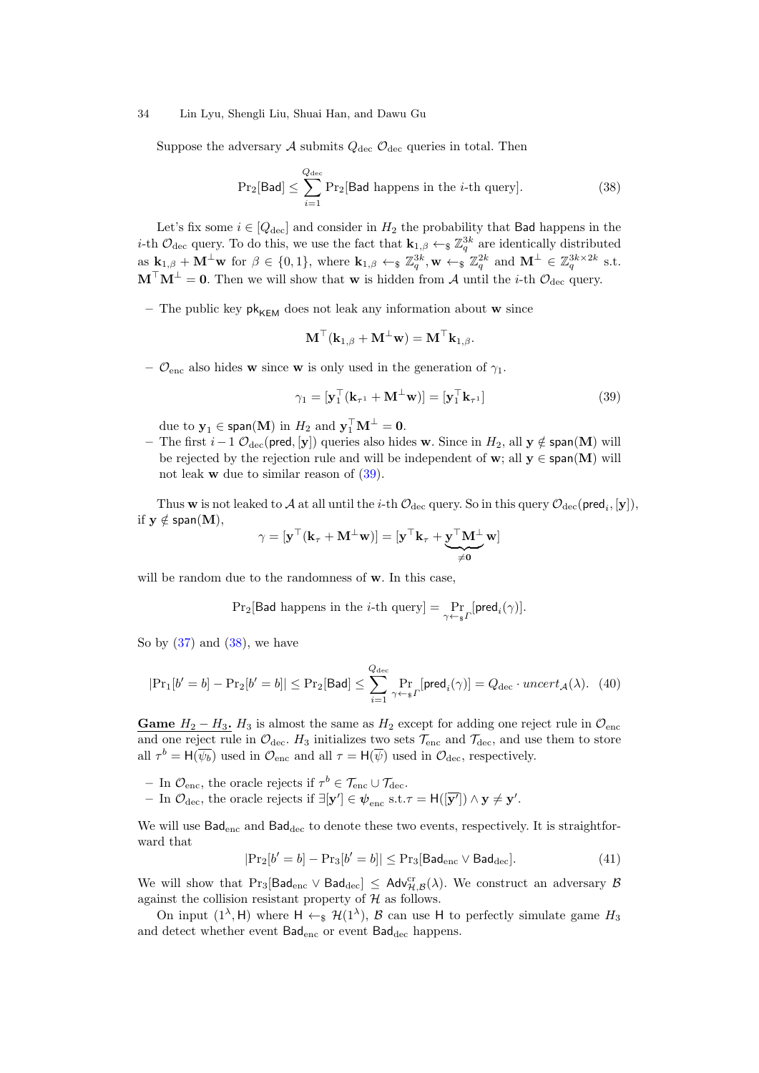Suppose the adversary A submits  $Q_{\text{dec}}$   $\mathcal{O}_{\text{dec}}$  queries in total. Then

<span id="page-33-1"></span>
$$
\Pr_2[\mathsf{Bad}] \le \sum_{i=1}^{Q_{\text{dec}}} \Pr_2[\mathsf{Bad happens in the } i\text{-th query}].\tag{38}
$$

Let's fix some  $i \in [Q_{\text{dec}}]$  and consider in  $H_2$  the probability that Bad happens in the *i*-th  $\mathcal{O}_{\text{dec}}$  query. To do this, we use the fact that  $\mathbf{k}_{1,\beta} \leftarrow \mathcal{Z}_q^{3k}$  are identically distributed as  $\mathbf{k}_{1,\beta} + \mathbf{M}^{\perp} \mathbf{w}$  for  $\beta \in \{0,1\}$ , where  $\mathbf{k}_{1,\beta} \leftarrow \mathbb{S} \mathbb{Z}_q^{3k}$ ,  $\mathbf{w} \leftarrow \mathbb{S} \mathbb{Z}_q^{2k}$  and  $\mathbf{M}^{\perp} \in \mathbb{Z}_q^{3k \times 2k}$  s.t.  $\mathbf{M}^{\top} \mathbf{M}^{\perp} = \mathbf{0}$ . Then we will show that **w** is hidden from A until the *i*-th  $\mathcal{O}_{\text{dec}}$  query.

– The public key  $pk_{KEM}$  does not leak any information about w since

$$
\mathbf{M}^\top(\mathbf{k}_{1,\beta} + \mathbf{M}^\perp \mathbf{w}) = \mathbf{M}^\top \mathbf{k}_{1,\beta}.
$$

–  $\mathcal{O}_{\text{enc}}$  also hides **w** since **w** is only used in the generation of  $\gamma_1$ .

<span id="page-33-0"></span>
$$
\gamma_1 = [\mathbf{y}_1^\top(\mathbf{k}_{\tau^1} + \mathbf{M}^\perp \mathbf{w})] = [\mathbf{y}_1^\top \mathbf{k}_{\tau^1}]
$$
\n(39)

- due to  $\mathbf{y}_1 \in \textsf{span}(\mathbf{M})$  in  $H_2$  and  $\mathbf{y}_1^{\top} \mathbf{M}^{\perp} = \mathbf{0}$ .
- The first  $i-1$  O<sub>dec</sub>(pred, [y]) queries also hides w. Since in  $H_2$ , all y ∉ span(M) will be rejected by the rejection rule and will be independent of w; all  $y \in span(M)$  will not leak w due to similar reason of [\(39\)](#page-33-0).

Thus  ${\bf w}$  is not leaked to  ${\cal A}$  at all until the *i*-th  ${\cal O}_{\rm dec}$  query. So in this query  ${\cal O}_{\rm dec}(\textsf{pred}_i, [{\bf y}]),$ if  $y \notin span(M)$ ,

$$
\gamma = [\mathbf{y}^\top(\mathbf{k}_\tau + \mathbf{M}^\perp \mathbf{w})] = [\mathbf{y}^\top \mathbf{k}_\tau + \underbrace{\mathbf{y}^\top \mathbf{M}^\perp}_{\neq 0} \mathbf{w}]
$$

will be random due to the randomness of **w**. In this case,

$$
\Pr_2[\mathsf{Bad \; happens \; in \; the \; } i\text{-th \; query}] = \Pr_{\gamma \leftarrow \mathsf{s} \varGamma}[\mathsf{pred}_i(\gamma)].
$$

So by  $(37)$  and  $(38)$ , we have

<span id="page-33-3"></span>
$$
|\Pr_1[b'=b] - \Pr_2[b'=b]| \le \Pr_2[\text{Bad}] \le \sum_{i=1}^{Q_{\text{dec}}} \Pr_{\gamma \leftarrow_{\text{S}} \Gamma}[\text{pred}_i(\gamma)] = Q_{\text{dec}} \cdot \text{uncert}_{\mathcal{A}}(\lambda). \tag{40}
$$

**Game**  $H_2 - H_3$ .  $H_3$  is almost the same as  $H_2$  except for adding one reject rule in  $\mathcal{O}_{\text{enc}}$ and one reject rule in  $\mathcal{O}_{\text{dec}}$ . H<sub>3</sub> initializes two sets  $\mathcal{T}_{\text{enc}}$  and  $\mathcal{T}_{\text{dec}}$ , and use them to store all  $\tau^b = \mathsf{H}(\overline{\psi_b})$  used in  $\mathcal{O}_{\text{enc}}$  and all  $\tau = \mathsf{H}(\overline{\psi})$  used in  $\mathcal{O}_{\text{dec}}$ , respectively.

- In  $\mathcal{O}_{\text{enc}}$ , the oracle rejects if  $\tau^b \in \mathcal{T}_{\text{enc}} \cup \mathcal{T}_{\text{dec}}$ .
- In  $\mathcal{O}_{\text{dec}}$ , the oracle rejects if  $\exists [\mathbf{y}'] \in \psi_{\text{enc}} \text{ s.t. } \tau = \mathsf{H}([\overline{\mathbf{y}'}]) \wedge \mathbf{y} \neq \mathbf{y}'.$

We will use  $\text{Bad}_{\text{enc}}$  and  $\text{Bad}_{\text{dec}}$  to denote these two events, respectively. It is straightforward that

<span id="page-33-2"></span>
$$
|\Pr_2[b'=b] - \Pr_3[b'=b]| \le \Pr_3[\text{Bad}_{\text{enc}} \vee \text{Bad}_{\text{dec}}].\tag{41}
$$

We will show that  $Pr_3[Bad_{enc} \vee Bad_{dec}] \leq Adv_{\mathcal{H},\mathcal{B}}^{cr}(\lambda)$ . We construct an adversary  $\mathcal{B}$ against the collision resistant property of  $H$  as follows.

On input  $(1^{\lambda}, H)$  where  $H \leftarrow_{\mathcal{S}} \mathcal{H}(1^{\lambda}), \mathcal{B}$  can use H to perfectly simulate game  $H_3$ and detect whether event Bad<sub>enc</sub> or event Bad<sub>dec</sub> happens.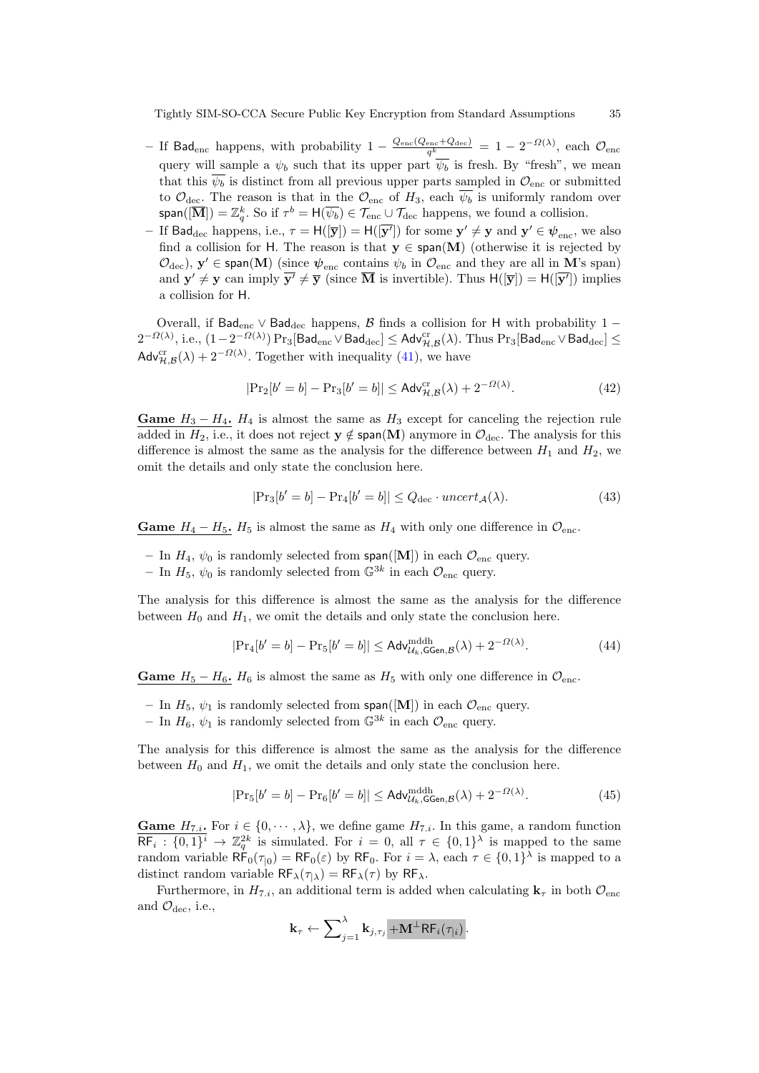Tightly SIM-SO-CCA Secure Public Key Encryption from Standard Assumptions 35

- $-$  If Bad<sub>enc</sub> happens, with probability 1  $-\frac{Q_{\text{enc}}(Q_{\text{enc}}+Q_{\text{dec}})}{q^k} = 1 2^{-Ω(λ)}$ , each  $\mathcal{O}_{\text{enc}}$ query will sample a  $\psi_b$  such that its upper part  $\psi_b$  is fresh. By "fresh", we mean that this  $\overline{\psi_b}$  is distinct from all previous upper parts sampled in  $\mathcal{O}_{\text{enc}}$  or submitted to  $\mathcal{O}_{\text{dec}}$ . The reason is that in the  $\mathcal{O}_{\text{enc}}$  of  $H_3$ , each  $\overline{\psi_b}$  is uniformly random over  $\textsf{span}([\overline{\mathbf{M}}]) = \mathbb{Z}_q^k$ . So if  $\tau^b = \mathsf{H}(\overline{\psi_b}) \in \mathcal{T}_{\text{enc}} \cup \mathcal{T}_{\text{dec}}$  happens, we found a collision.
- If Bad<sub>dec</sub> happens, i.e.,  $\tau = H([\overline{\mathbf{y}}]) = H([\overline{\mathbf{y}}'])$  for some  $\mathbf{y}' \neq \mathbf{y}$  and  $\mathbf{y}' \in \psi_{\text{enc}}$ , we also find a collision for H. The reason is that  $y \in span(M)$  (otherwise it is rejected by  $\mathcal{O}_{\text{dec}}$ ),  $\mathbf{y}' \in \text{span}(\mathbf{M})$  (since  $\psi_{\text{enc}}$  contains  $\psi_b$  in  $\mathcal{O}_{\text{enc}}$  and they are all in M's span) and  $\mathbf{y}' \neq \mathbf{y}$  can imply  $\overline{\mathbf{y}'} \neq \overline{\mathbf{y}}$  (since  $\overline{\mathbf{M}}$  is invertible). Thus  $H([\overline{\mathbf{y}}]) = H([\overline{\mathbf{y}'}])$  implies a collision for H.

Overall, if  $Bad_{enc} \vee Bad_{dec}$  happens,  $\beta$  finds a collision for H with probability 1 –  $2^{-\varOmega(\lambda)},$  i.e.,  $(1-2^{-\varOmega(\lambda)})\Pr_3[\mathsf{Bad}_{\rm enc}\vee\mathsf{Bad}_{\rm dec}]\leq \mathsf{Adv}^{\rm cr}_{\mathcal{H},\mathcal{B}}(\lambda).$  Thus  $\Pr_3[\mathsf{Bad}_{\rm enc}\vee\mathsf{Bad}_{\rm dec}]\leq$ Adv $_{\mathcal{H},\mathcal{B}}^{cr}(\lambda) + 2^{-\Omega(\lambda)}$ . Together with inequality [\(41\)](#page-33-2), we have

<span id="page-34-0"></span>
$$
|\Pr_2[b'=b] - \Pr_3[b'=b]| \le \mathsf{Adv}_{\mathcal{H},\mathcal{B}}^{\text{cr}}(\lambda) + 2^{-\Omega(\lambda)}.
$$
\n(42)

Game  $H_3 - H_4$ .  $H_4$  is almost the same as  $H_3$  except for canceling the rejection rule added in  $H_2$ , i.e., it does not reject  $y \notin \text{span}(\mathbf{M})$  anymore in  $\mathcal{O}_{\text{dec}}$ . The analysis for this difference is almost the same as the analysis for the difference between  $H_1$  and  $H_2$ , we omit the details and only state the conclusion here.

<span id="page-34-1"></span>
$$
|\Pr_3[b'=b] - \Pr_4[b'=b]| \le Q_{\text{dec}} \cdot \text{uncert}_{\mathcal{A}}(\lambda). \tag{43}
$$

**Game**  $H_4 - H_5$ .  $H_5$  is almost the same as  $H_4$  with only one difference in  $\mathcal{O}_{\text{enc}}$ .

- In  $H_4$ ,  $\psi_0$  is randomly selected from span([M]) in each  $\mathcal{O}_{\text{enc}}$  query.
- In  $H_5$ ,  $\psi_0$  is randomly selected from  $\mathbb{G}^{3k}$  in each  $\mathcal{O}_{\text{enc}}$  query.

The analysis for this difference is almost the same as the analysis for the difference between  $H_0$  and  $H_1$ , we omit the details and only state the conclusion here.

<span id="page-34-2"></span>
$$
|\Pr_4[b'=b] - \Pr_5[b'=b]| \le \mathsf{Adv}_{\mathcal{U}_k, \mathsf{GGen}, \mathcal{B}}^{\mathrm{mddh}}(\lambda) + 2^{-\Omega(\lambda)}.
$$
\n(44)

**Game**  $H_5 - H_6$ .  $H_6$  is almost the same as  $H_5$  with only one difference in  $\mathcal{O}_{\text{enc}}$ .

- In  $H_5$ ,  $\psi_1$  is randomly selected from span([M]) in each  $\mathcal{O}_{\text{enc}}$  query.
- In  $H_6$ ,  $\psi_1$  is randomly selected from  $\mathbb{G}^{3k}$  in each  $\mathcal{O}_{\text{enc}}$  query.

The analysis for this difference is almost the same as the analysis for the difference between  $H_0$  and  $H_1$ , we omit the details and only state the conclusion here.

<span id="page-34-3"></span>
$$
|\Pr_5[b'=b] - \Pr_6[b'=b]| \le \mathsf{Adv}_{\mathcal{U}_k, \mathsf{GGen}, \mathcal{B}}^{\mathrm{mddh}}(\lambda) + 2^{-\Omega(\lambda)}.
$$
\n(45)

**Game**  $H_{7,i}$ . For  $i \in \{0, \dots, \lambda\}$ , we define game  $H_{7,i}$ . In this game, a random function  $\overline{\mathsf{RF}}_i: \{0,1\}^i \to \mathbb{Z}_q^{2k}$  is simulated. For  $i=0$ , all  $\tau \in \{0,1\}^{\lambda}$  is mapped to the same random variable  $\mathsf{RF}_0(\tau_{|0}) = \mathsf{RF}_0(\varepsilon)$  by  $\mathsf{RF}_0$ . For  $i = \lambda$ , each  $\tau \in \{0,1\}^{\lambda}$  is mapped to a distinct random variable  $RF_{\lambda}(\tau_{\lambda}) = RF_{\lambda}(\tau)$  by  $RF_{\lambda}$ .

Furthermore, in  $H_{7,i}$ , an additional term is added when calculating  $\mathbf{k}_{\tau}$  in both  $\mathcal{O}_{\text{enc}}$ and  $\mathcal{O}_{\text{dec}}$ , i.e.,

$$
\mathbf{k}_{\tau} \leftarrow \sum_{j=1}^{\lambda} \mathbf{k}_{j,\tau_j} + \mathbf{M}^{\perp} \mathsf{RF}_i(\tau_{|i}).
$$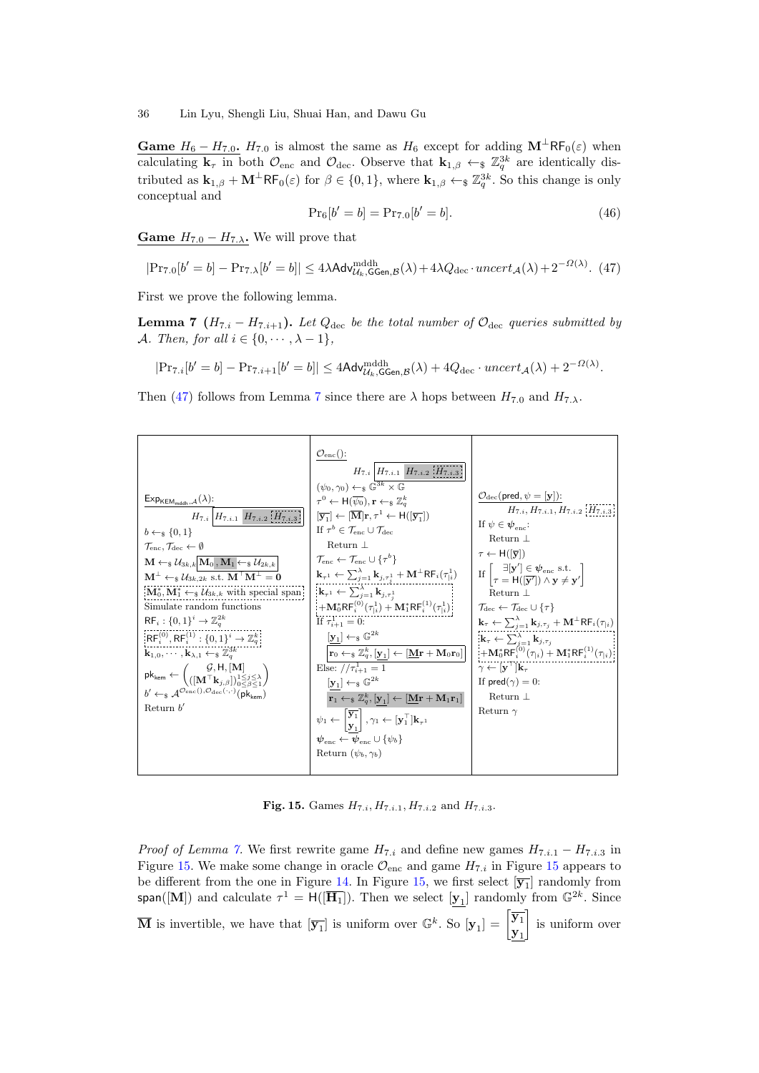**Game**  $H_6 - H_{7.0}$ .  $H_{7.0}$  is almost the same as  $H_6$  except for adding  $M^{\perp}RF_0(\varepsilon)$  when calculating  $\mathbf{k}_{\tau}$  in both  $\mathcal{O}_{\text{enc}}$  and  $\mathcal{O}_{\text{dec}}$ . Observe that  $\mathbf{k}_{1,\beta} \leftarrow \mathcal{Z}_q^{3k}$  are identically distributed as  $\mathbf{k}_{1,\beta} + \mathbf{M}^{\perp} \mathsf{RF}_{0}(\varepsilon)$  for  $\beta \in \{0,1\}$ , where  $\mathbf{k}_{1,\beta} \leftarrow \mathbb{S} \mathbb{Z}_{q}^{3k}$ . So this change is only conceptual and

<span id="page-35-3"></span><span id="page-35-0"></span>
$$
Pr_6[b' = b] = Pr_{7.0}[b' = b].
$$
\n(46)

**Game**  $H_{7.0} - H_{7.\lambda}$ . We will prove that

<span id="page-35-1"></span>
$$
|\Pr_{7.0}[b'=b] - \Pr_{7.\lambda}[b'=b]| \le 4\lambda \mathsf{Adv}_{\mathcal{U}_k,\mathsf{GGen},\mathcal{B}}^{\text{mddh}}(\lambda) + 4\lambda Q_{\text{dec}} \cdot \text{uncert}_{\mathcal{A}}(\lambda) + 2^{-\Omega(\lambda)}. \tag{47}
$$

First we prove the following lemma.

**Lemma 7** ( $H_{7,i} - H_{7,i+1}$ ). Let  $Q_{\text{dec}}$  be the total number of  $\mathcal{O}_{\text{dec}}$  queries submitted by A. Then, for all  $i \in \{0, \dots, \lambda - 1\}$ ,

$$
|\Pr_{7.i}[b'=b] - \Pr_{7.i+1}[b'=b]| \leq 4\text{Adv}_{\mathcal{U}_k,\mathsf{GGen},\mathcal{B}}^{\text{mddh}}(\lambda) + 4Q_{\text{dec}} \cdot \text{uncert}_{\mathcal{A}}(\lambda) + 2^{-\Omega(\lambda)}.
$$

Then [\(47\)](#page-35-1) follows from Lemma [7](#page-35-0) since there are  $\lambda$  hops between  $H_{7,0}$  and  $H_{7,\lambda}$ .



<span id="page-35-2"></span>Fig. 15. Games  $H_{7,i}$ ,  $H_{7,i,1}$ ,  $H_{7,i,2}$  and  $H_{7,i,3}$ .

*Proof of Lemma [7.](#page-35-0)* We first rewrite game  $H_{7,i}$  and define new games  $H_{7,i,1} - H_{7,i,3}$  in Figure [15.](#page-35-2) We make some change in oracle  $\mathcal{O}_{\text{enc}}$  and game  $H_{7,i}$  in Figure [15](#page-35-2) appears to be different from the one in Figure [14.](#page-32-0) In Figure [15,](#page-35-2) we first select  $[\overline{y_1}]$  randomly from span([M]) and calculate  $\tau^1 = H([\overline{H_1}])$ . Then we select  $[y_1]$  randomly from  $\mathbb{G}^{2k}$ . Since  $\overline{\mathbf{M}}$  is invertible, we have that  $[\overline{\mathbf{y}}_1]$  is uniform over  $\mathbb{G}^k$ . So  $[\mathbf{y}_1] = \begin{bmatrix} \overline{\mathbf{y}}_1 \\ \mathbf{y}_2 \end{bmatrix}$  $y_1$ is uniform over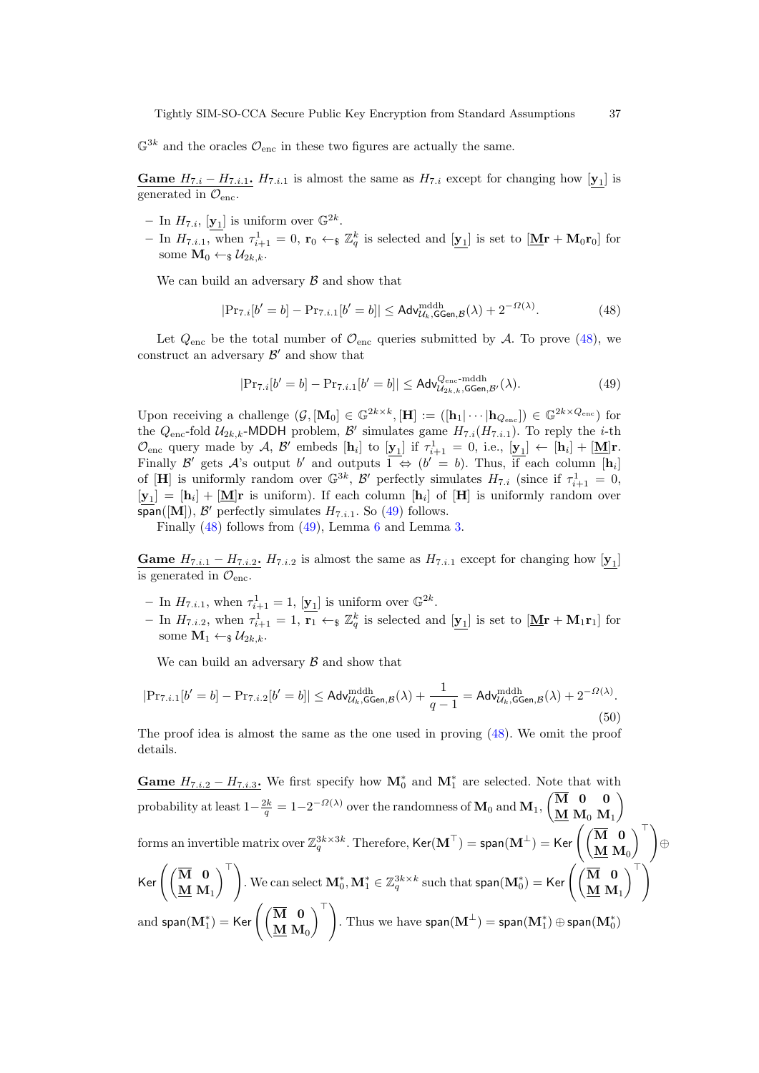$\mathbb{G}^{3k}$  and the oracles  $\mathcal{O}_{\text{enc}}$  in these two figures are actually the same.

Game  $H_{7,i} - H_{7,i,1}$ .  $H_{7,i,1}$  is almost the same as  $H_{7,i}$  except for changing how  $[y_1]$  is generated in  $\mathcal{O}_{\text{enc}}$ .

- In  $H_{7,i}$ ,  $[\mathbf{y}_1]$  is uniform over  $\mathbb{G}^{2k}$ .
- $-$  In  $H_{7,i,1}$ , when  $\tau_{i+1}^1 = 0$ ,  $\mathbf{r}_0 \leftarrow \mathcal{Z}_q^k$  is selected and  $[\mathbf{y}_1]$  is set to  $[\underline{\mathbf{M}}\mathbf{r} + \mathbf{M}_0\mathbf{r}_0]$  for some  $\mathbf{M}_0 \leftarrow \mathbf{S} \mathcal{U}_{2k,k}$ .

We can build an adversary  $\beta$  and show that

<span id="page-36-0"></span>
$$
|\text{Pr}_{7.i}[b'=b] - \text{Pr}_{7.i.1}[b'=b]| \leq \text{Adv}_{\mathcal{U}_k,\text{GGen},\mathcal{B}}^{\text{mddh}}(\lambda) + 2^{-\Omega(\lambda)}.
$$
 (48)

Let  $Q_{\text{enc}}$  be the total number of  $\mathcal{O}_{\text{enc}}$  queries submitted by A. To prove [\(48\)](#page-36-0), we construct an adversary  $\mathcal{B}'$  and show that

<span id="page-36-1"></span>
$$
|\text{Pr}_{7.i}[b'=b] - \text{Pr}_{7.i.1}[b'=b]| \leq \text{Adv}_{\mathcal{U}_{2k,k},\text{GGen},\mathcal{B}'}^{\text{Qenc-mddh}}(\lambda). \tag{49}
$$

Upon receiving a challenge  $(\mathcal{G}, [\mathbf{M}_0] \in \mathbb{G}^{2k \times k}, [\mathbf{H}] := ([\mathbf{h}_1 | \cdots | \mathbf{h}_{Q_{\text{enc}}}] ) \in \mathbb{G}^{2k \times Q_{\text{enc}}}$  for the  $Q_{\text{enc}}$ -fold  $\mathcal{U}_{2k,k}$ -MDDH problem,  $\mathcal{B}'$  simulates game  $H_{7,i}(H_{7,i,1})$ . To reply the *i*-th  $\mathcal{O}_{\text{enc}}$  query made by A, B' embeds  $[\mathbf{h}_i]$  to  $[\mathbf{y}_1]$  if  $\tau_{i+1}^1 = 0$ , i.e.,  $[\mathbf{y}_1] \leftarrow [\mathbf{h}_i] + [\underline{\mathbf{M}}] \mathbf{r}$ . Finally B' gets A's output b' and outputs  $\overline{1} \Leftrightarrow (b' = b)$ . Thus, if each column [h<sub>i</sub>] of [H] is uniformly random over  $\mathbb{G}^{3k}$ ,  $\mathcal{B}'$  perfectly simulates  $H_{7,i}$  (since if  $\tau_{i+1}^1 = 0$ ,  $[\mathbf{y}_1] = [\mathbf{h}_i] + [\underline{\mathbf{M}}] \mathbf{r}$  is uniform). If each column  $[\mathbf{h}_i]$  of  $[\mathbf{H}]$  is uniformly random over  $\overline{\textsf{span}}([M]), \mathcal{B}'$  perfectly simulates  $H_{7,i,1}$ . So [\(49\)](#page-36-1) follows.

Finally [\(48\)](#page-36-0) follows from [\(49\)](#page-36-1), Lemma [6](#page-29-1) and Lemma [3.](#page-28-3)

Game  $H_{7,i,1} - H_{7,i,2}$ ,  $H_{7,i,2}$  is almost the same as  $H_{7,i,1}$  except for changing how  $[y_1]$ is generated in  $\mathcal{O}_{\text{enc}}$ .

- In  $H_{7,i,1}$ , when  $\tau_{i+1}^1 = 1$ ,  $[\mathbf{y}_1]$  is uniform over  $\mathbb{G}^{2k}$ .
- In  $H_{7,i,2}$ , when  $\tau_{i+1}^1 = 1$ ,  $\mathbf{r}_1 \leftarrow \mathbf{g} \mathbb{Z}_q^k$  is selected and  $[\mathbf{y}_1]$  is set to  $[\mathbf{M}\mathbf{r} + \mathbf{M}_1\mathbf{r}_1]$  for some  $\mathbf{M}_1 \leftarrow_{\$} \mathcal{U}_{2k,k}$ .

We can build an adversary  $\beta$  and show that

<span id="page-36-2"></span>
$$
|\mathrm{Pr}_{7.i.1}[b'=b] - \mathrm{Pr}_{7.i.2}[b'=b]| \leq \mathsf{Adv}_{\mathcal{U}_k,\mathsf{GGen},\mathcal{B}}^{\mathrm{mddh}}(\lambda) + \frac{1}{q-1} = \mathsf{Adv}_{\mathcal{U}_k,\mathsf{GGen},\mathcal{B}}^{\mathrm{mddh}}(\lambda) + 2^{-\Omega(\lambda)}.
$$
\n
$$
(50)
$$

The proof idea is almost the same as the one used in proving [\(48\)](#page-36-0). We omit the proof details.

Game  $H_{7,i,2} - H_{7,i,3}$ . We first specify how  $M_0^*$  and  $M_1^*$  are selected. Note that with probability at least  $1-\frac{2k}{q}=1-2^{-\varOmega(\lambda)}$  over the randomness of  $\mathbf{M}_0$  and  $\mathbf{M}_1,$   $\left(\begin{matrix}\mathbf{M} & 0 & 0 \\ \mathbf{M} & 0 & 0\end{matrix}\right)$  $\underline{\mathbf{M}}$ 0  $\mathbf{M}_0$ 0  $\mathbf{M}_1$  $\setminus$ forms an invertible matrix over  $\mathbb{Z}_q^{3k\times 3k}.$  Therefore,  $\mathsf{Ker}(\mathbf{M}^{\top})=\mathsf{span}(\mathbf{M}^{\perp})=\mathsf{Ker}\left(\left(\frac{\overline{\mathbf{M}}}{\mathbf{M}}\right)^{k+1}\right)$ 0  $\mathbf{M}_0$  $\bigwedge^\top \bigwedge$ ⊕ Ker $\Bigg(\begin{matrix} \overline{\mathbf{M}}\ \underline{\mathbf{M}}\end{matrix}$ 0  $\mathbf{M}_1$  $\bigg(\bigg)^{\top}\bigg) .$  We can select  $\mathbf{M}^*_0,\mathbf{M}^*_1\in\mathbb{Z}_q^{3k\times k}$  such that  $\mathsf{span}(\mathbf{M}^*_0)=\mathsf{Ker}\left(\left(\frac{\overline{\mathbf{M}}}{\mathbf{M}}\right)^{\top}\right)$ 0  $\mathbf{M}_1$  $\bigwedge^{\top}$ and  $\mathsf{span}(\mathbf{M}_1^*)=\mathsf{Ker}\left(\begin{pmatrix} \overline{\mathbf{M}}\ \underline{\mathbf{M}}\end{pmatrix}\right)$ 0  $\mathbf{M}_0$  $\bigcap^{\top}$  . Thus we have span $(\mathbf{M}^{\perp}) = \mathsf{span}(\mathbf{M}^*_1) \oplus \mathsf{span}(\mathbf{M}^*_0)$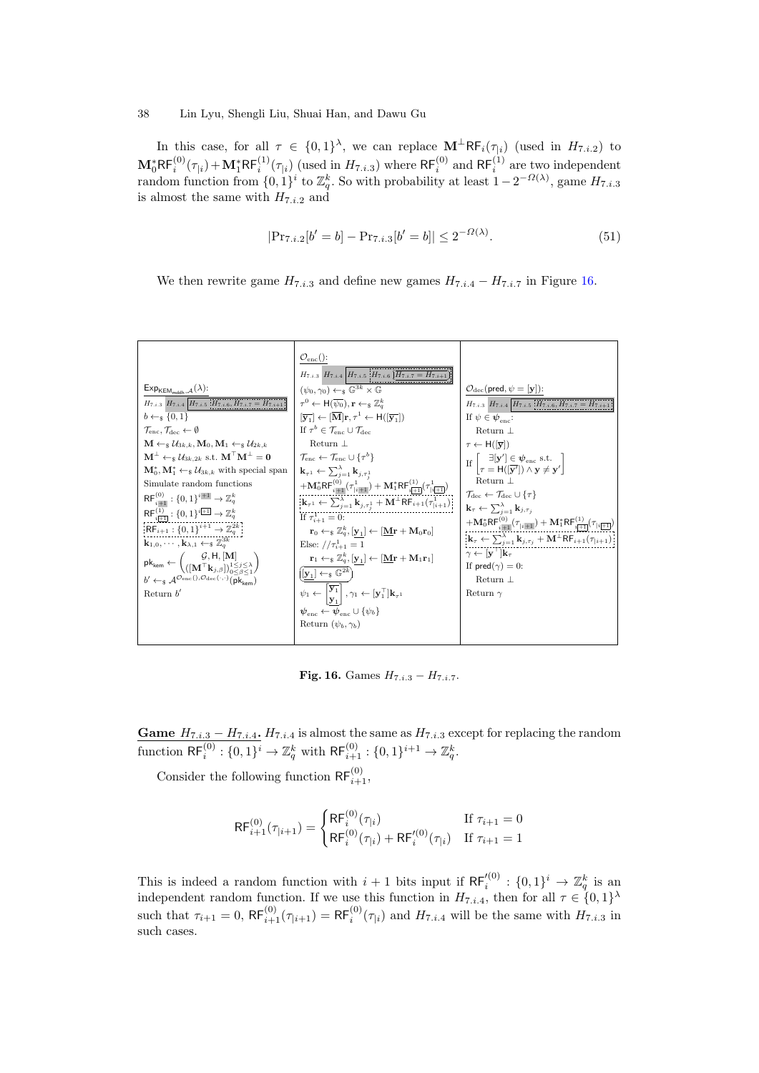In this case, for all  $\tau \in \{0,1\}^{\lambda}$ , we can replace  $\mathbf{M}^{\perp} \mathsf{RF}_{i}(\tau_{i})$  (used in  $H_{7,i,2}$ ) to  $\mathbf{M}_0^* R \mathsf{F}_i^{(0)}(\tau_i) + \mathbf{M}_1^* R \mathsf{F}_i^{(1)}(\tau_i)$  (used in  $H_{7,i,3}$ ) where  $R \mathsf{F}_i^{(0)}$  and  $R \mathsf{F}_i^{(1)}$  are two independent random function from  $\{0,1\}^i$  to  $\mathbb{Z}_q^k$ . So with probability at least  $1 - 2^{-\Omega(\lambda)}$ , game  $H_{7,i,3}$ is almost the same with  $H_{7,i,2}$  and

<span id="page-37-1"></span>
$$
|\Pr_{7,i.2}[b'=b] - \Pr_{7,i.3}[b'=b]| \le 2^{-\Omega(\lambda)}.
$$
\n(51)

We then rewrite game  $H_{7,i,3}$  and define new games  $H_{7,i,4} - H_{7,i,7}$  in Figure [16.](#page-37-0)



<span id="page-37-0"></span>**Fig. 16.** Games  $H_{7,i,3} - H_{7,i,7}$ .

Game  $H_{7,i,3} - H_{7,i,4}$ .  $H_{7,i,4}$  is almost the same as  $H_{7,i,3}$  except for replacing the random function  $\mathsf{RF}^{(0)}_i: \{0,1\}^i \to \mathbb{Z}_q^k$  with  $\mathsf{RF}^{(0)}_{i+1}: \{0,1\}^{i+1} \to \mathbb{Z}_q^k$ .

Consider the following function  $\mathsf{RF}_{i+1}^{(0)}$ ,

$$
\mathsf{RF}^{(0)}_{i+1}(\tau_{|i+1}) = \begin{cases} \mathsf{RF}^{(0)}_i(\tau_{|i}) & \text{if } \tau_{i+1} = 0\\ \mathsf{RF}^{(0)}_i(\tau_{|i}) + \mathsf{RF}'^{(0)}_i(\tau_{|i}) & \text{if } \tau_{i+1} = 1 \end{cases}
$$

This is indeed a random function with  $i+1$  bits input if  $\mathsf{RF}'^{(0)}_i: \{0,1\}^i \to \mathbb{Z}_q^k$  is an independent random function. If we use this function in  $H_{7,i,4}$ , then for all  $\tau \in \{0,1\}^{\lambda}$ such that  $\tau_{i+1} = 0$ ,  $\mathsf{RF}_{i+1}^{(0)}(\tau_{i+1}) = \mathsf{RF}_{i}^{(0)}(\tau_{i})$  and  $H_{7,i,4}$  will be the same with  $H_{7,i,3}$  in such cases.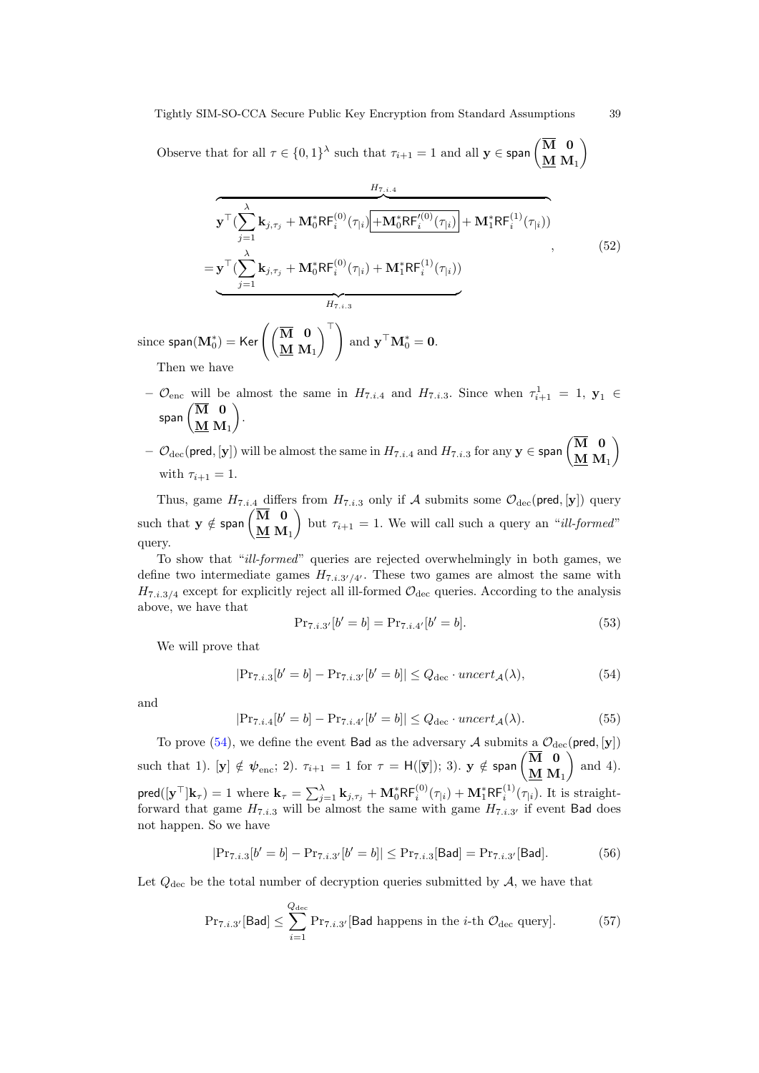Observe that for all  $\tau \in \{0,1\}^{\lambda}$  such that  $\tau_{i+1} = 1$  and all  $y \in span\left(\frac{\overline{M}}{\underline{M}}\right)$ 0  $\mathrm{M}_1$  $\setminus$ 

$$
\mathbf{y}^{\top}(\sum_{j=1}^{\lambda}\mathbf{k}_{j,\tau_{j}} + \mathbf{M}_{0}^{*}\mathsf{RF}_{i}^{(0)}(\tau_{|i}) + \mathbf{M}_{0}^{*}\mathsf{RF}_{i}^{'(0)}(\tau_{|i}) + \mathbf{M}_{1}^{*}\mathsf{RF}_{i}^{(1)}(\tau_{|i}))
$$
\n
$$
= \mathbf{y}^{\top}(\sum_{j=1}^{\lambda}\mathbf{k}_{j,\tau_{j}} + \mathbf{M}_{0}^{*}\mathsf{RF}_{i}^{(0)}(\tau_{|i}) + \mathbf{M}_{1}^{*}\mathsf{RF}_{i}^{(1)}(\tau_{|i}))
$$
\n
$$
\mathbf{H}_{7,i,3}
$$
\n(52)

 $\text{since span}(\mathbf{M}_{0}^{*})=\mathsf{Ker}\left(\begin{pmatrix} \overline{\mathbf{M}}\ \underline{\mathbf{M}}\end{pmatrix}\right)$ 0  $\mathbf{M}_1$  $\binom{\top}{ }$ and  $\mathbf{y}^\top \mathbf{M}_0^* = \mathbf{0}$ . Then we have

- $\mathcal{O}_{\text{enc}}$  will be almost the same in  $H_{7,i,4}$  and  $H_{7,i,3}$ . Since when  $\tau_{i+1}^1 = 1$ ,  $\mathbf{y}_1 \in$ span  $\Big(\begin{matrix} \overline{\mathbf{M}}\ \underline{\mathbf{M}}\end{matrix}$ 0  $\mathrm{M}_1$ .
- $-\left( \mathcal{O}_{\text{dec}}(\textsf{pred}, [\mathbf{y}]) \right.$  will be almost the same in  $H_{7.i.4}$  and  $H_{7.i.3}$  for any  $\mathbf{y} \in \textsf{span}\left( \overline{\mathbf{M}}\right)$ 0  $\mathbf{M}_1$  $\setminus$ with  $\tau_{i+1} = 1$ .

Thus, game  $H_{7,i,4}$  differs from  $H_{7,i,3}$  only if A submits some  $\mathcal{O}_{\text{dec}}(\text{pred}, [\mathbf{y}])$  query such that  $\mathbf{y} \notin \mathsf{span}\left(\begin{matrix}\mathbf{\overline{M}}\ \mathbf{\underline{M}}\end{matrix}\right)$ 0  $\mathrm{M}_1$ but  $\tau_{i+1} = 1$ . We will call such a query an "ill-formed" query.

To show that "ill-formed" queries are rejected overwhelmingly in both games, we define two intermediate games  $H_{7,i,3'/4'}$ . These two games are almost the same with  $H_{7,i,3/4}$  except for explicitly reject all ill-formed  $\mathcal{O}_{\text{dec}}$  queries. According to the analysis above, we have that

<span id="page-38-4"></span>
$$
\Pr_{7.i.3'}[b'=b] = \Pr_{7.i.4'}[b'=b].\tag{53}
$$

We will prove that

<span id="page-38-0"></span>
$$
|\text{Pr}_{7.i.3}[b'=b] - \text{Pr}_{7.i.3'}[b'=b]| \le Q_{\text{dec}} \cdot uncert_{\mathcal{A}}(\lambda),\tag{54}
$$

and

<span id="page-38-3"></span>
$$
|\text{Pr}_{7.i.4}[b'=b] - \text{Pr}_{7.i.4'}[b'=b]| \le Q_{\text{dec}} \cdot uncert_{\mathcal{A}}(\lambda). \tag{55}
$$

To prove [\(54\)](#page-38-0), we define the event Bad as the adversary A submits a  $\mathcal{O}_{\text{dec}}(\text{pred}, [\mathbf{y}])$ such that 1).  $[\mathbf{y}] \notin \psi_\text{enc};$   $2)$ .  $\tau_{i+1} = 1$  for  $\tau = \mathsf{H}([\overline{\mathbf{y}}]);$   $3)$ .  $\mathbf{y} \notin \mathsf{span}\left( \frac{\mathbf{\overline{M}}}{\mathbf{M}}\right)$ 0  $\mathbf{M}_1$  $\Big)$  and 4). pred $([\mathbf{y}^\top] \mathbf{k}_{\tau}) = 1$  where  $\mathbf{k}_{\tau} = \sum_{j=1}^{\lambda} \mathbf{k}_{j,\tau_j} + \mathbf{M}_0^* \mathsf{RF}_i^{(0)}(\tau_{|i}) + \mathbf{M}_1^* \mathsf{RF}_i^{(1)}(\tau_{|i})$ . It is straightforward that game  $H_{7,i,3}$  will be almost the same with game  $H_{7,i,3'}$  if event Bad does not happen. So we have

<span id="page-38-2"></span>
$$
|\Pr_{7,i,3}[b'=b] - \Pr_{7,i,3'}[b'=b]| \leq \Pr_{7,i,3}[Bad] = \Pr_{7,i,3'}[Bad].
$$
 (56)

Let  $Q_{\text{dec}}$  be the total number of decryption queries submitted by  $A$ , we have that

<span id="page-38-1"></span>
$$
\Pr_{7.i.3'}[\text{Bad}] \le \sum_{i=1}^{Q_{\text{dec}}} \Pr_{7.i.3'}[\text{Bad happens in the } i\text{-th } \mathcal{O}_{\text{dec}} \text{ query}].\tag{57}
$$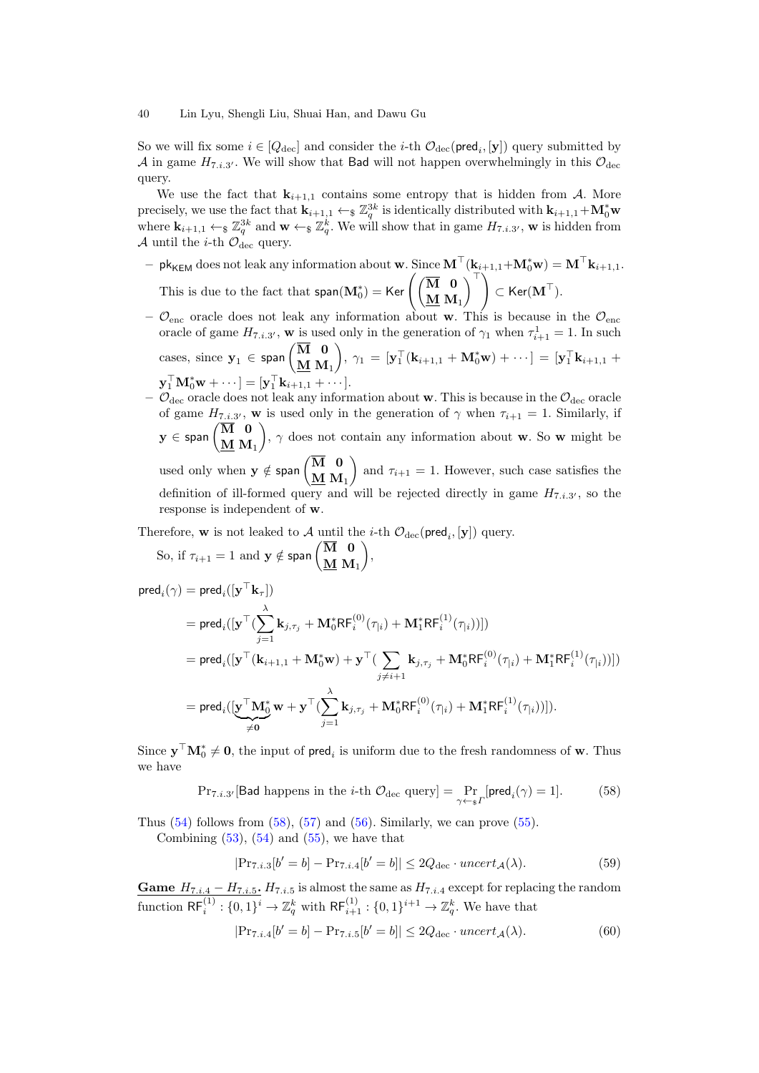So we will fix some  $i \in [Q_{\text{dec}}]$  and consider the *i*-th  $\mathcal{O}_{\text{dec}}(\text{pred}_i, [\mathbf{y}])$  query submitted by A in game  $H_{7,i,3'}$ . We will show that Bad will not happen overwhelmingly in this  $\mathcal{O}_{\text{dec}}$ query.

We use the fact that  $\mathbf{k}_{i+1,1}$  contains some entropy that is hidden from A. More precisely, we use the fact that  $\mathbf{k}_{i+1,1} \leftarrow \mathcal{Z}_q^{3k}$  is identically distributed with  $\mathbf{k}_{i+1,1} + \mathbf{M}_0^* \mathbf{w}$ where  $\mathbf{k}_{i+1,1} \leftarrow_{\S} \mathbb{Z}_q^{3k}$  and  $\mathbf{w} \leftarrow_{\S} \mathbb{Z}_q^{k}$ . We will show that in game  $H_{7,i,3'}$ , w is hidden from  ${\mathcal A}$  until the *i*-th  $\hat{{\mathcal O}}_{\rm dec}$  query.

- $-$  pk<sub>KEM</sub> does not leak any information about w. Since  $\mathbf{M}^\top(\mathbf{k}_{i+1,1} + \mathbf{M}_0^* \mathbf{w}) = \mathbf{M}^\top \mathbf{k}_{i+1,1}.$ This is due to the fact that  $\mathsf{span}(\mathbf{M}_0^*) = \mathsf{Ker}\left(\begin{pmatrix} \overline{\mathbf{M}} & \mathbf{M}^T & \mathbf{M}^T & \mathbf{M}^T & \mathbf{M}^T & \mathbf{M}^T & \mathbf{M}^T & \mathbf{M}^T & \mathbf{M}^T & \mathbf{M}^T & \mathbf{M}^T & \mathbf{M}^T & \mathbf{M}^T & \mathbf{M}^T & \mathbf{M}^T & \mathbf{M}^T & \mathbf{M}^T & \mathbf{M}^$ 0  $\mathbf{M}_1$  $\Big(\bigcap_{i=1}^{n} \bigcap_{i=1}^{n} \mathsf{Ker}(\mathbf{M}^{\top}).$
- $\mathcal{O}_{\text{enc}}$  oracle does not leak any information about **w**. This is because in the  $\mathcal{O}_{\text{enc}}$ oracle of game  $H_{7,i,3'}$ , w is used only in the generation of  $\gamma_1$  when  $\tau_{i+1}^1 = 1$ . In such cases, since  $\mathbf{y}_1 \in \mathsf{span}\left(\overline{\mathbf{M}} \atop \mathbf{M}\right)$ 0  $\mathbf{M}_1$  $\Big),\ \gamma_1\,=\,[\textbf{y}_1^\top(\textbf{k}_{i+1,1}+\textbf{M}_0^*\textbf{w})+\cdots]\,=\,[\textbf{y}_1^\top\textbf{k}_{i+1,1}+1]$  $\mathbf{y}_1^\top \mathbf{M}_0^* \mathbf{w} + \cdots] = [\mathbf{y}_1^\top \mathbf{k}_{i+1,1} + \cdots].$
- $\mathcal{O}_{\text{dec}}$  oracle does not leak any information about **w**. This is because in the  $\mathcal{O}_{\text{dec}}$  oracle of game  $H_{7,i,3'}$ , w is used only in the generation of  $\gamma$  when  $\tau_{i+1} = 1$ . Similarly, if  $\mathbf{y}\, \in \, \mathsf{span}\left(\overline{\mathbf{M}}\right)$ 0  $\mathbf{M}_1$ ),  $\gamma$  does not contain any information about w. So w might be used only when  $\mathbf{y} \notin \mathsf{span}\left(\overline{\mathbf{M}}\right)$ 0  $\mathrm{M}_1$ and  $\tau_{i+1} = 1$ . However, such case satisfies the definition of ill-formed query and will be rejected directly in game  $H_{7,i,3'}$ , so the response is independent of w.

Therefore, **w** is not leaked to A until the *i*-th  $\mathcal{O}_{\text{dec}}(\text{pred}_i, [\mathbf{y}])$  query.

So, if  $\tau_{i+1} = 1$  and  $\mathbf{y} \notin \mathsf{span}\left(\overline{\mathbf{M}} \right)$ 0  $\mathbf{M}_1$  $\bigg),$ 

$$
\begin{aligned} \mathrm{pred}_i(\gamma) &= \mathrm{pred}_i([\mathbf{y}^\top \mathbf{k}_\tau]) \\ &= \mathrm{pred}_i([\mathbf{y}^\top (\sum_{j=1}^\lambda \mathbf{k}_{j,\tau_j} + \mathbf{M}_0^* \mathsf{RF}_i^{(0)}(\tau_{|i}) + \mathbf{M}_1^* \mathsf{RF}_i^{(1)}(\tau_{|i}) )]) \\ &= \mathrm{pred}_i([\mathbf{y}^\top (\mathbf{k}_{i+1,1} + \mathbf{M}_0^* \mathbf{w}) + \mathbf{y}^\top (\sum_{j \neq i+1} \mathbf{k}_{j,\tau_j} + \mathbf{M}_0^* \mathsf{RF}_i^{(0)}(\tau_{|i}) + \mathbf{M}_1^* \mathsf{RF}_i^{(1)}(\tau_{|i}) )]) \\ &= \mathrm{pred}_i([\underbrace{\mathbf{y}^\top \mathbf{M}_0^*}_{\neq 0} \mathbf{w} + \mathbf{y}^\top (\sum_{j=1}^\lambda \mathbf{k}_{j,\tau_j} + \mathbf{M}_0^* \mathsf{RF}_i^{(0)}(\tau_{|i}) + \mathbf{M}_1^* \mathsf{RF}_i^{(1)}(\tau_{|i}) )]). \end{aligned}
$$

Since  $\mathbf{y}^\top \mathbf{M}_0^* \neq \mathbf{0}$ , the input of  $\mathsf{pred}_i$  is uniform due to the fresh randomness of w. Thus we have

<span id="page-39-0"></span> $\Pr_{7,i,3'}$ [Bad happens in the *i*-th  $\mathcal{O}_{\text{dec}}$  query] =  $\Pr_{\gamma \leftarrow s} \Gamma[\text{pred}_i(\gamma) = 1].$  (58)

Thus  $(54)$  follows from  $(58)$ ,  $(57)$  and  $(56)$ . Similarly, we can prove  $(55)$ .

Combining  $(53)$ ,  $(54)$  and  $(55)$ , we have that

<span id="page-39-2"></span>
$$
|\text{Pr}_{7.i.3}[b'=b] - \text{Pr}_{7.i.4}[b'=b]| \le 2Q_{\text{dec}} \cdot uncert_{\mathcal{A}}(\lambda). \tag{59}
$$

Game  $H_{7,i,4} - H_{7,i,5}$ .  $H_{7,i,5}$  is almost the same as  $H_{7,i,4}$  except for replacing the random function  $\mathsf{RF}^{(1)}_i:\{0,1\}^i\to \mathbb{Z}_q^k$  with  $\mathsf{RF}^{(1)}_{i+1}:\{0,1\}^{i+1}\to \mathbb{Z}_q^k$ . We have that

<span id="page-39-1"></span>
$$
|\text{Pr}_{7.i.4}[b'=b] - \text{Pr}_{7.i.5}[b'=b]| \le 2Q_{\text{dec}} \cdot \text{uncert}_{\mathcal{A}}(\lambda). \tag{60}
$$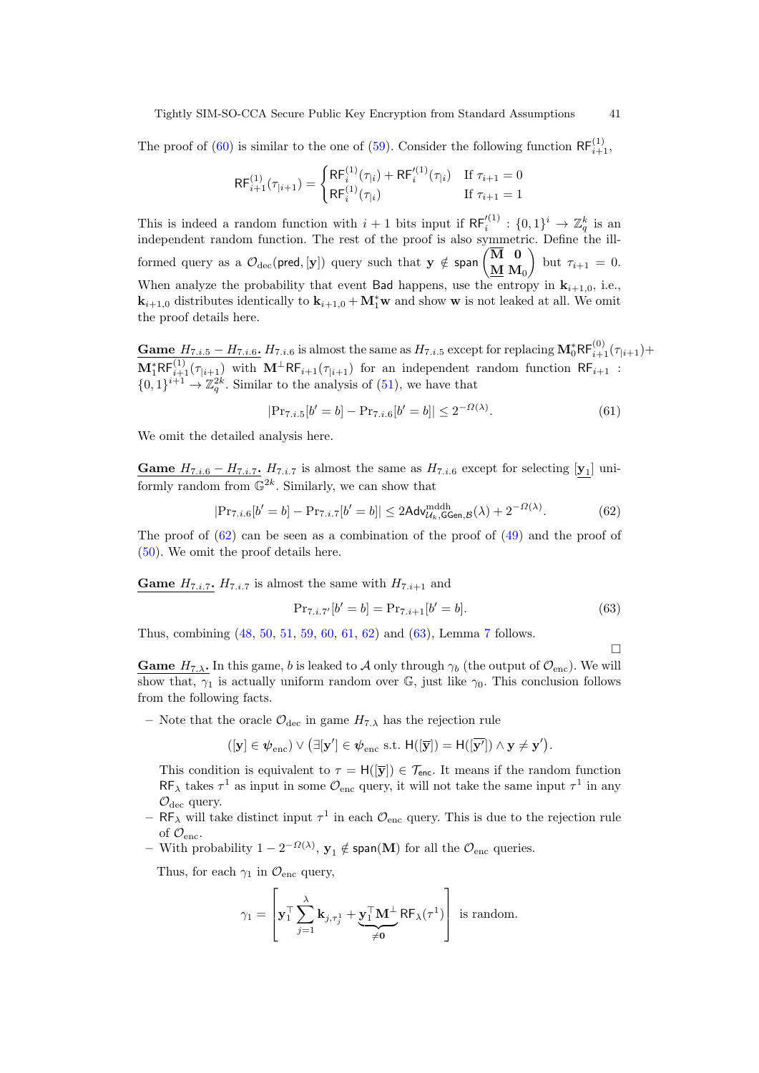The proof of [\(60\)](#page-39-1) is similar to the one of [\(59\)](#page-39-2). Consider the following function  $\mathsf{RF}_{i+1}^{(1)}$ ,

$$
\mathsf{RF}_{i+1}^{(1)}(\tau_{|i+1}) = \begin{cases} \mathsf{RF}_{i}^{(1)}(\tau_{|i}) + \mathsf{RF}_{i}'^{(1)}(\tau_{|i}) & \text{If } \tau_{i+1} = 0\\ \mathsf{RF}_{i}^{(1)}(\tau_{|i}) & \text{If } \tau_{i+1} = 1 \end{cases}
$$

This is indeed a random function with  $i+1$  bits input if  $\mathsf{RF}'^{(1)}_i: \{0,1\}^i \to \mathbb{Z}_q^k$  is an independent random function. The rest of the proof is also symmetric. Define the illformed query as a  $\mathcal{O}_{\text{dec}}(\text{pred}, [\mathbf{y}])$  query such that  $\mathbf{y} \notin \textsf{span}\left(\overline{\textbf{M}}\right)$ 0  $\mathbf{M}_0$ ) but  $\tau_{i+1} = 0$ . When analyze the probability that event Bad happens, use the entropy in  $\mathbf{k}_{i+1,0}$ , i.e.,  $\mathbf{k}_{i+1,0}$  distributes identically to  $\mathbf{k}_{i+1,0} + \mathbf{M}_{1}^{*}\mathbf{w}$  and show w is not leaked at all. We omit the proof details here.

Game  $H_{7,i.5} - H_{7,i.6}$ ,  $H_{7,i.6}$  is almost the same as  $H_{7,i.5}$  except for replacing  $\mathbf{M}_{0}^{*} R F_{i+1}^{(0)}(\tau_{|i+1}) +$  $M_1^*RF_{i+1}^{(1)}(\tau_{i+1})$  with  $M^{\perp}RF_{i+1}(\tau_{i+1})$  for an independent random function  $RF_{i+1}$ :  $\{0,1\}^{i+1} \to \mathbb{Z}_q^{2k}$ . Similar to the analysis of [\(51\)](#page-37-1), we have that

<span id="page-40-1"></span>
$$
|\Pr_{7.i.5}[b'=b] - \Pr_{7.i.6}[b'=b]| \le 2^{-\Omega(\lambda)}.
$$
 (61)

We omit the detailed analysis here.

Game  $H_{7,i.6} - H_{7,i.7}$ ,  $H_{7,i.7}$  is almost the same as  $H_{7,i.6}$  except for selecting  $[\mathbf{y}_1]$  uniformly random from  $\mathbb{G}^{2k}$ . Similarly, we can show that

<span id="page-40-0"></span>
$$
|\Pr_{7.i.6}[b'=b] - \Pr_{7.i.7}[b'=b]| \leq 2\text{Adv}_{\mathcal{U}_k,\text{GGen},\mathcal{B}}^{\text{mddh}}(\lambda) + 2^{-\Omega(\lambda)}.
$$
 (62)

The proof of  $(62)$  can be seen as a combination of the proof of  $(49)$  and the proof of [\(50\)](#page-36-2). We omit the proof details here.

**Game**  $H_{7,i.7}$ .  $H_{7,i.7}$  is almost the same with  $H_{7,i+1}$  and

<span id="page-40-2"></span>
$$
Pr_{7.i.7'}[b'=b] = Pr_{7.i+1}[b'=b].
$$
\n(63)

Thus, combining [\(48,](#page-36-0) [50,](#page-36-2) [51,](#page-37-1) [59,](#page-39-2) [60,](#page-39-1) [61,](#page-40-1) [62\)](#page-40-0) and [\(63\)](#page-40-2), Lemma [7](#page-35-0) follows.

**Game**  $H_{7,\lambda}$ . In this game, b is leaked to A only through  $\gamma_b$  (the output of  $\mathcal{O}_{\text{enc}}$ ). We will show that,  $\gamma_1$  is actually uniform random over  $\mathbb{G}$ , just like  $\gamma_0$ . This conclusion follows from the following facts.

– Note that the oracle  $\mathcal{O}_{\text{dec}}$  in game  $H_{7,\lambda}$  has the rejection rule

 $([\mathbf{y}] \in \psi_{\text{enc}}) \vee (\exists [\mathbf{y}'] \in \psi_{\text{enc}} \text{ s.t. } H([\overline{\mathbf{y}}]) = H([\overline{\mathbf{y}'}]) \wedge \mathbf{y} \neq \mathbf{y}')$ .

This condition is equivalent to  $\tau = H([\bar{y}]) \in \mathcal{T}_{enc}$ . It means if the random function  $RF_{\lambda}$  takes  $\tau^1$  as input in some  $\mathcal{O}_{\text{enc}}$  query, it will not take the same input  $\tau^1$  in any  $\mathcal{O}_{\text{dec}}$  query.

- $-$  RF<sub> $\lambda$ </sub> will take distinct input  $\tau^1$  in each  $\mathcal{O}_{\text{enc}}$  query. This is due to the rejection rule of  $\mathcal{O}_{\text{enc}}$ .
- With probability 1 − 2<sup>-Ω(λ)</sup>,  $y_1$  ∉ span(M) for all the  $\mathcal{O}_{\text{enc}}$  queries.

Thus, for each  $\gamma_1$  in  $\mathcal{O}_{\text{enc}}$  query,

$$
\gamma_1 = \left[ \mathbf{y}_1^\top \sum_{j=1}^{\lambda} \mathbf{k}_{j,\tau_j^1} + \underbrace{\mathbf{y}_1^\top \mathbf{M}^\perp}_{\neq \mathbf{0}} \mathsf{RF}_{\lambda}(\tau^1) \right] \text{ is random.}
$$

 $\Box$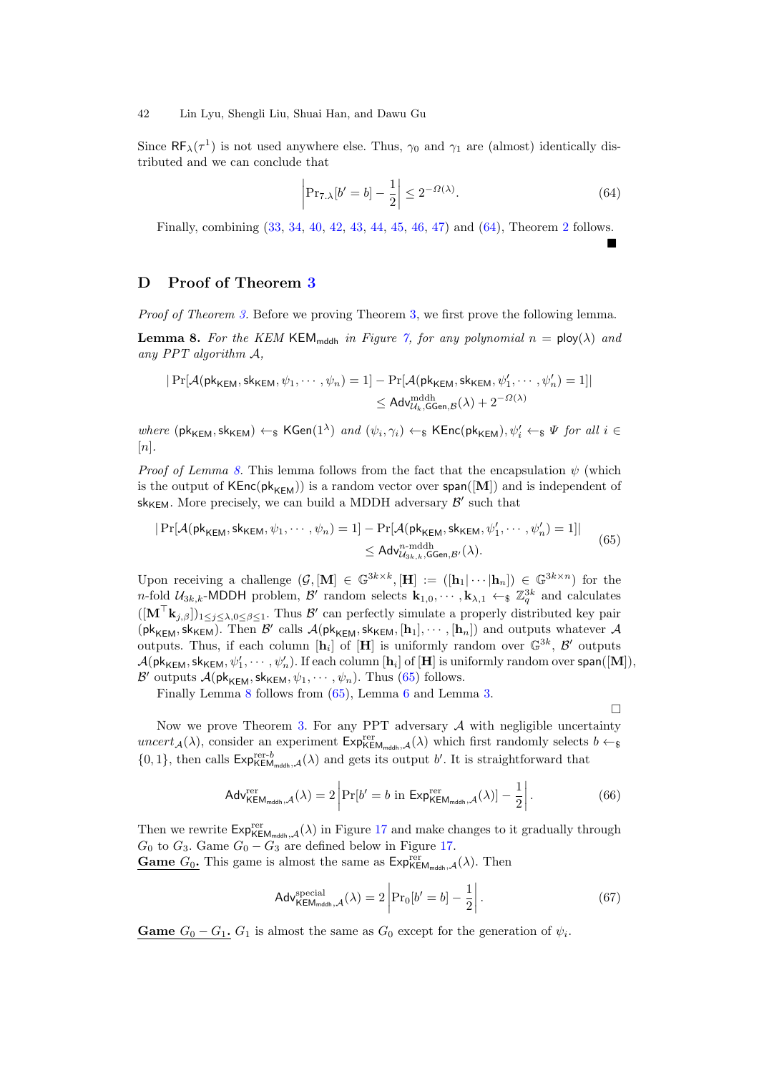Since  $\mathsf{RF}_{\lambda}(\tau^1)$  is not used anywhere else. Thus,  $\gamma_0$  and  $\gamma_1$  are (almost) identically distributed and we can conclude that

<span id="page-41-1"></span>
$$
\left|\Pr_{7,\lambda}[b'=b]-\frac{1}{2}\right| \le 2^{-\Omega(\lambda)}.\tag{64}
$$

Finally, combining [\(33,](#page-31-2) [34,](#page-32-1) [40,](#page-33-3) [42,](#page-34-0) [43,](#page-34-1) [44,](#page-34-2) [45,](#page-34-3) [46,](#page-35-3) [47\)](#page-35-1) and [\(64\)](#page-41-1), Theorem [2](#page-15-4) follows.

# <span id="page-41-0"></span>D Proof of Theorem [3](#page-15-5)

Proof of Theorem [3.](#page-15-5) Before we proving Theorem [3,](#page-15-5) we first prove the following lemma.

**Lemma 8.** For the KEM KEM<sub>mddh</sub> in Figure [7,](#page-16-0) for any polynomial  $n = \text{plog}(\lambda)$  and any PPT algorithm A,

$$
\begin{aligned} |\Pr[\mathcal{A}(\mathsf{pk}_{\mathsf{KEM}},\mathsf{sk}_{\mathsf{KEM}},\psi_1,\cdots,\psi_n)=1]-\Pr[\mathcal{A}(\mathsf{pk}_{\mathsf{KEM}},\mathsf{sk}_{\mathsf{KEM}},\psi_1',\cdots,\psi_n')=1]| \\ & \leq \mathsf{Adv}_{\mathcal{U}_k,\mathsf{GGen},\mathcal{B}}^{mdth}(\lambda)+2^{-\varOmega(\lambda)} \end{aligned}
$$

 $where (pk_{KEM}, sk_{KEM}) \leftarrow s KGen(1^{\lambda}) and ( \psi_i, \gamma_i) \leftarrow s KEnc(pk_{KEM}), \psi'_i \leftarrow s \Psi$  for all  $i \in$  $[n]$ .

*Proof of Lemma [8.](#page-41-2)* This lemma follows from the fact that the encapsulation  $\psi$  (which is the output of  $\text{KEnc}(\text{pk}_{\text{KEM}})$ ) is a random vector over span([M]) and is independent of sk<sub>KEM</sub>. More precisely, we can build a MDDH adversary  $\mathcal{B}'$  such that

<span id="page-41-3"></span>
$$
|\Pr[\mathcal{A}(\mathsf{pk}_{\mathsf{KEM}}, \mathsf{sk}_{\mathsf{KEM}}, \psi_1, \cdots, \psi_n) = 1] - \Pr[\mathcal{A}(\mathsf{pk}_{\mathsf{KEM}}, \mathsf{sk}_{\mathsf{KEM}}, \psi'_1, \cdots, \psi'_n) = 1]|
$$
  
\$\leq \mathsf{Adv}\_{\mathcal{U}\_{3k,k}, \mathsf{GGen}, \mathcal{B}'}^{\mathsf{n}\text{-mddh}}(\lambda).\$ (65)

Upon receiving a challenge  $(\mathcal{G}, [\mathbf{M}] \in \mathbb{G}^{3k \times k}, [\mathbf{H}] := ([\mathbf{h}_1 | \cdots | \mathbf{h}_n]) \in \mathbb{G}^{3k \times n}$  for the *n*-fold  $\mathcal{U}_{3k,k}$ -MDDH problem,  $\mathcal{B}'$  random selects  $\mathbf{k}_{1,0},\cdots,\mathbf{k}_{\lambda,1} \leftarrow \mathbb{S} \mathbb{Z}_q^{3k}$  and calculates  $([M^{\top} k_{j,\beta}])_{1\leq j\leq\lambda,0\leq\beta\leq1}$ . Thus  $\mathcal{B}'$  can perfectly simulate a properly distributed key pair  $(pk_{KEM}, sk_{KEM})$ . Then  $\mathcal{B}'$  calls  $\mathcal{A}(pk_{KEM}, sk_{KEM}, [\mathbf{h}_1], \cdots, [\mathbf{h}_n])$  and outputs whatever  $\mathcal{A}$ outputs. Thus, if each column  $[\mathbf{h}_i]$  of  $[\mathbf{H}]$  is uniformly random over  $\mathbb{G}^{3k}$ ,  $\mathcal{B}'$  outputs  $\mathcal{A}(\mathsf{pk}_{\mathsf{KEM}},\mathsf{sk}_{\mathsf{KEM}},\psi_1',\cdots,\psi_n').$  If each column  $[\mathbf{h}_i]$  of  $[\mathbf{H}]$  is uniformly random over  $\mathsf{span}([\mathbf{M}]),$ B' outputs  $\mathcal{A}(\mathsf{pk}_{\mathsf{KEM}},\mathsf{sk}_{\mathsf{KEM}},\psi_1,\cdots,\psi_n)$ . Thus [\(65\)](#page-41-3) follows.

Finally Lemma [8](#page-41-2) follows from [\(65\)](#page-41-3), Lemma [6](#page-29-1) and Lemma [3.](#page-28-3)

 $\Box$ 

<span id="page-41-2"></span> $\blacksquare$ 

Now we prove Theorem [3.](#page-15-5) For any PPT adversary  $A$  with negligible uncertainty uncert<sub>A</sub>( $\lambda$ ), consider an experiment  $\mathsf{Exp}_{\mathsf{KEM}_{\mathsf{mddh}},\mathcal{A}}^{\text{rer}}(\lambda)$  which first randomly selects  $b \leftarrow$  $\{0,1\}$ , then calls  $\mathsf{Exp}_{\mathsf{KEM}_{\mathsf{mddh}},\mathcal{A}}^{\text{rer-}b}(\lambda)$  and gets its output  $b'$ . It is straightforward that

$$
\mathsf{Adv}_{\mathsf{KEM}_{\mathsf{mddh}},\mathcal{A}}^{\text{rer}}(\lambda) = 2 \left| \Pr[b' = b \text{ in } \mathsf{Exp}_{\mathsf{KEM}_{\mathsf{mddh}},\mathcal{A}}^{\text{rer}}(\lambda)] - \frac{1}{2} \right|.
$$
 (66)

Then we rewrite  $\mathsf{Exp}_{\mathsf{KEM}_{\mathsf{mddh}},\mathcal{A}}^{\text{rer}}(\lambda)$  in Figure [17](#page-42-0) and make changes to it gradually through  $G_0$  to  $G_3$ . Game  $G_0 - G_3$  are defined below in Figure [17.](#page-42-0)

**Game**  $G_0$ . This game is almost the same as  $Exp_{\mathsf{KEM}_{\mathsf{mddh}},\mathcal{A}}^{\text{rer}}(\lambda)$ . Then

<span id="page-41-4"></span>
$$
\mathsf{Adv}_{\mathsf{KEM}_{\mathsf{maddh}},\mathcal{A}}^{\text{special}}(\lambda) = 2 \left| \Pr_0[b' = b] - \frac{1}{2} \right|.
$$
 (67)

**Game**  $G_0 - G_1$ .  $G_1$  is almost the same as  $G_0$  except for the generation of  $\psi_i$ .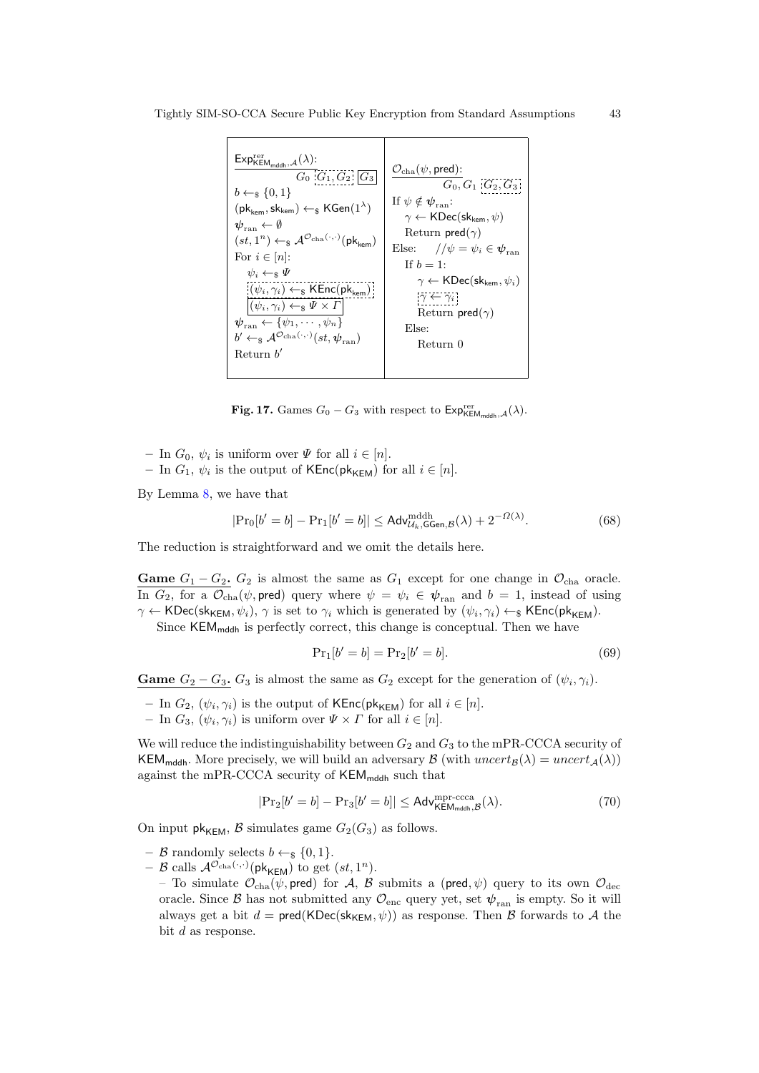<span id="page-42-0"></span>**Fig. 17.** Games  $G_0 - G_3$  with respect to  $Exp_{\mathsf{KEM}_{\mathsf{maddh}},\mathcal{A}}^{\text{ref}}(\lambda)$ .

- $\text{ In } G_0, \psi_i \text{ is uniform over } \Psi \text{ for all } i \in [n].$
- In  $G_1$ ,  $\psi_i$  is the output of  $\mathsf{KEnc}(\mathsf{pk}_{\mathsf{KEM}})$  for all  $i \in [n]$ .

By Lemma [8,](#page-41-2) we have that

<span id="page-42-2"></span>
$$
|\Pr_0[b'=b] - \Pr_1[b'=b]| \le \mathsf{Adv}_{\mathcal{U}_k, \mathsf{GGen}, \mathcal{B}}^{\mathrm{mddh}}(\lambda) + 2^{-\Omega(\lambda)}.
$$
\n(68)

The reduction is straightforward and we omit the details here.

Game  $G_1 - G_2$ .  $G_2$  is almost the same as  $G_1$  except for one change in  $\mathcal{O}_{\text{cha}}$  oracle. In  $G_2$ , for a  $\mathcal{O}_{\text{cha}}(\psi, \text{pred})$  query where  $\psi = \psi_i \in \psi_{\text{ran}}$  and  $b = 1$ , instead of using  $\gamma \leftarrow \mathsf{KDec}(\mathsf{sk}_{\mathsf{KEM}}, \psi_i), \, \gamma \text{ is set to } \gamma_i \text{ which is generated by } (\psi_i, \gamma_i) \leftarrow_\$ \mathsf{KEnc}(\mathsf{pk}_{\mathsf{KEM}}).$ 

Since KEM<sub>mddh</sub> is perfectly correct, this change is conceptual. Then we have

<span id="page-42-3"></span>
$$
Pr_1[b' = b] = Pr_2[b' = b].
$$
\n(69)

**Game**  $G_2 - G_3$ ,  $G_3$  is almost the same as  $G_2$  except for the generation of  $(\psi_i, \gamma_i)$ .

- In  $G_2$ ,  $(\psi_i, \gamma_i)$  is the output of  $\mathsf{KEnc}(\mathsf{pk}_{\mathsf{KEM}})$  for all  $i \in [n]$ .
- In  $G_3$ ,  $(\psi_i, \gamma_i)$  is uniform over  $\Psi \times \Gamma$  for all  $i \in [n]$ .

We will reduce the indistinguishability between  $G_2$  and  $G_3$  to the mPR-CCCA security of KEM<sub>mddh</sub>. More precisely, we will build an adversary  $\mathcal{B}$  (with  $uncert_{\mathcal{B}}(\lambda) = uncert_{\mathcal{A}}(\lambda)$ ) against the mPR-CCCA security of  $KEM_{\text{mddh}}$  such that

<span id="page-42-1"></span>
$$
|\Pr_2[b'=b] - \Pr_3[b'=b]| \le \mathsf{Adv}_{\mathsf{KEM}_{\mathsf{mddh}},\mathcal{B}}^{\text{mpr-ccc}}(\lambda). \tag{70}
$$

On input  $\mathsf{pk}_{\mathsf{KFM}}$ ,  $\mathcal B$  simulates game  $G_2(G_3)$  as follows.

- B randomly selects  $b \leftarrow_{\$} \{0, 1\}.$
- $-$  B calls  $\mathcal{A}^{\mathcal{O}_{\text{cha}}(\cdot,\cdot)}(\textsf{pk}_{\textsf{KEM}})$  to get  $(st,1^n)$ .
	- To simulate  $\mathcal{O}_{\text{cha}}(\psi, \text{pred})$  for A, B submits a (pred,  $\psi$ ) query to its own  $\mathcal{O}_{\text{dec}}$ oracle. Since  $\beta$  has not submitted any  $\mathcal{O}_{\rm enc}$  query yet, set  $\psi_{\rm ran}$  is empty. So it will always get a bit  $d = \text{pred}(\text{KDec}(\text{sk}_{\text{KEM}}, \psi))$  as response. Then  $\beta$  forwards to  $\mathcal A$  the bit  $d$  as response.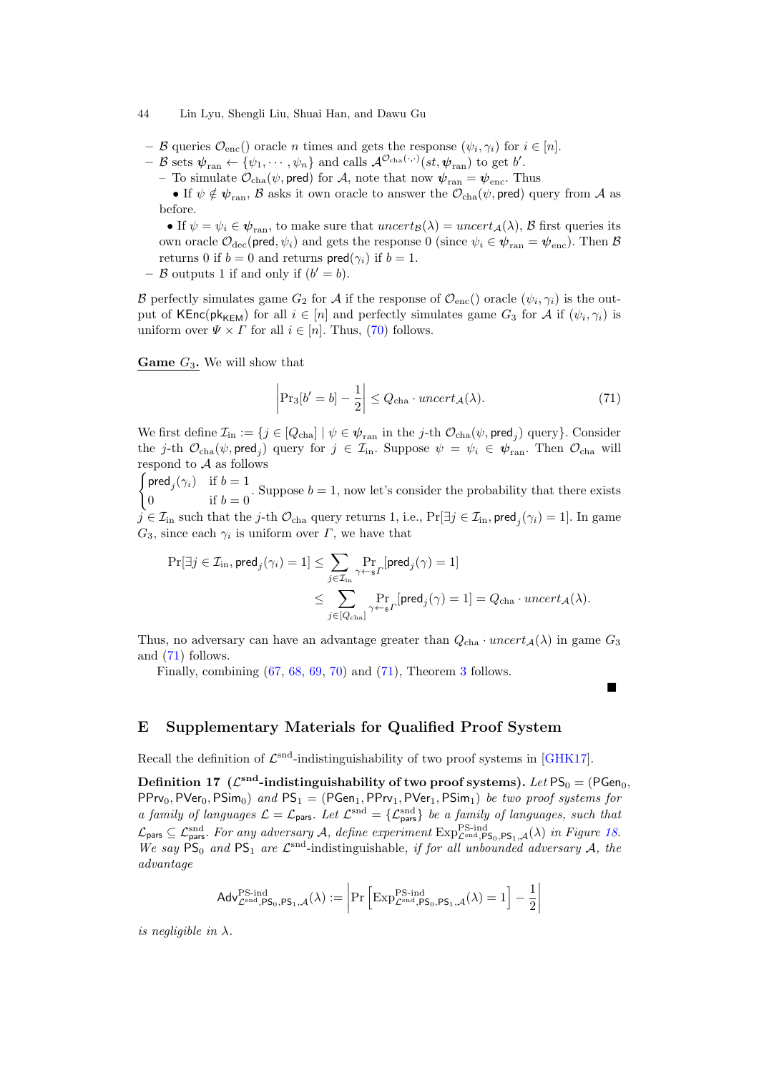- $-$  B queries  $\mathcal{O}_{\text{enc}}($ ) oracle n times and gets the response  $(\psi_i, \gamma_i)$  for  $i \in [n]$ .
- $-$  B sets  $\psi_{\text{ran}} \leftarrow {\psi_1, \cdots, \psi_n}$  and calls  $\mathcal{A}^{\mathcal{O}_{\text{cha}}(\cdot,\cdot)}(st, \psi_{\text{ran}})$  to get b'.
	- To simulate  $\mathcal{O}_{\mathrm{cha}}(\psi, \mathsf{pred})$  for  $\mathcal{A},$  note that now  $\psi_{\mathrm{ran}} = \psi_{\mathrm{enc}}.$  Thus

• If  $\psi \notin \psi_{\text{ran}}$ ,  $\beta$  asks it own oracle to answer the  $\mathcal{O}_{\text{cha}}(\psi, \text{pred})$  query from A as before.

• If  $\psi = \psi_i \in \psi_{\text{ran}}$ , to make sure that  $uncert_{\mathcal{B}}(\lambda) = uncert_{\mathcal{A}}(\lambda), \mathcal{B}$  first queries its own oracle  $\mathcal{O}_{\text{dec}}(\text{pred}, \psi_i)$  and gets the response 0 (since  $\psi_i \in \psi_{\text{ran}} = \psi_{\text{enc}}$ ). Then  $\mathcal{B}$ returns 0 if  $b = 0$  and returns  $\text{pred}(\gamma_i)$  if  $b = 1$ .

 $-$  B outputs 1 if and only if  $(b' = b)$ .

B perfectly simulates game  $G_2$  for A if the response of  $\mathcal{O}_{\text{enc}}($ ) oracle  $(\psi_i, \gamma_i)$  is the output of  $\mathsf{KEnc}(\mathsf{pk}_{\mathsf{KEM}})$  for all  $i \in [n]$  and perfectly simulates game  $G_3$  for A if  $(\psi_i, \gamma_i)$  is uniform over  $\Psi \times \Gamma$  for all  $i \in [n]$ . Thus, [\(70\)](#page-42-1) follows.

**Game**  $G_3$ . We will show that

<span id="page-43-1"></span>
$$
\left|\Pr_3[b'=b] - \frac{1}{2}\right| \le Q_{\text{cha}} \cdot \text{uncert}_{\mathcal{A}}(\lambda). \tag{71}
$$

 $\blacksquare$ 

We first define  $\mathcal{I}_{\text{in}} := \{j \in [Q_{\text{cha}}] \mid \psi \in \psi_{\text{ran}} \text{ in the } j\text{-th } \mathcal{O}_{\text{cha}}(\psi, \text{pred}_j) \text{ query}\}\.$  Consider the j-th  $\mathcal{O}_{\text{cha}}(\psi, \text{pred}_j)$  query for  $j \in \mathcal{I}_{\text{in}}$ . Suppose  $\psi = \psi_i \in \psi_{\text{ran}}$ . Then  $\mathcal{O}_{\text{cha}}$  will respond to  $A$  as follows

 $\int \text{pred}_j(\gamma_i)$  if  $b = 1$ 0 if  $b = 0$ . Suppose  $b = 1$ , now let's consider the probability that there exists  $j \in \mathcal{I}_{\text{in}}$  such that the j-th  $\mathcal{O}_{\text{cha}}$  query returns 1, i.e.,  $\Pr[\exists j \in \mathcal{I}_{\text{in}}, \mathsf{pred}_j(\gamma_i) = 1].$  In game  $G_3$ , since each  $\gamma_i$  is uniform over  $\Gamma$ , we have that

$$
\begin{aligned} \Pr[\exists j \in \mathcal{I}_{\text{in}}, \text{pred}_j(\gamma_i) = 1] & \leq \sum_{j \in \mathcal{I}_{\text{in}}} \Pr_{\gamma \leftarrow \text{s} \varGamma}[\text{pred}_j(\gamma) = 1] \\ & \leq \sum_{j \in [Q_{\text{cha}}]} \Pr_{\gamma \leftarrow \text{s} \varGamma}[\text{pred}_j(\gamma) = 1] = Q_{\text{cha}} \cdot \text{uncert}_{\mathcal{A}}(\lambda). \end{aligned}
$$

Thus, no adversary can have an advantage greater than  $Q_{\text{cha}} \cdot \text{uncert}_{\mathcal{A}}(\lambda)$  in game  $G_3$ and [\(71\)](#page-43-1) follows.

Finally, combining [\(67,](#page-41-4) [68,](#page-42-2) [69,](#page-42-3) [70\)](#page-42-1) and [\(71\)](#page-43-1), Theorem [3](#page-15-5) follows.

# <span id="page-43-0"></span>E Supplementary Materials for Qualified Proof System

Recall the definition of  $\mathcal{L}^{\text{snd}}$ -indistinguishability of two proof systems in [\[GHK17\]](#page-26-8).

Definition 17 ( $\mathcal{L}^{\texttt{snd}}$ -indistinguishability of two proof systems). Let PS $_0$  = (PGen $_0$ ,  $PPrv_0, PVer_0, PSim_0)$  and  $PS_1 = (PGen_1, PPrv_1, PVer_1, PSim_1)$  be two proof systems for a family of languages  $\mathcal{L} = \mathcal{L}_{\text{pars}}$ . Let  $\mathcal{L}^{\text{snd}} = {\{\mathcal{L}^{\text{snd}}_{\text{pars}}\}}$  be a family of languages, such that  $\mathcal{L}_{\text{pars}} \subseteq \mathcal{L}_{\text{pars}}^{\text{snd}}$ . For any adversary A, define experiment  $\text{Exp}_{\mathcal{L}^{\text{snd}},\text{PS}_0,\text{PS}_1,\mathcal{A}}(\lambda)$  in Figure [18.](#page-44-1) We say  $PS_0$  and  $PS_1$  are  $\mathcal{L}^{\text{snd}}$ -indistinguishable, if for all unbounded adversary A, the advantage

$$
\mathsf{Adv}^{\operatorname{PS-ind}}_{\mathcal{L}^{\operatorname{snd}},\mathsf{PS}_0,\mathsf{PS}_1,\mathcal{A}}(\lambda) := \left| \operatorname{Pr} \left[ \operatorname{Exp}^{\operatorname{PS-ind}}_{\mathcal{L}^{\operatorname{snd}},\mathsf{PS}_0,\mathsf{PS}_1,\mathcal{A}}(\lambda) = 1 \right] - \frac{1}{2} \right|
$$

is negligible in  $\lambda$ .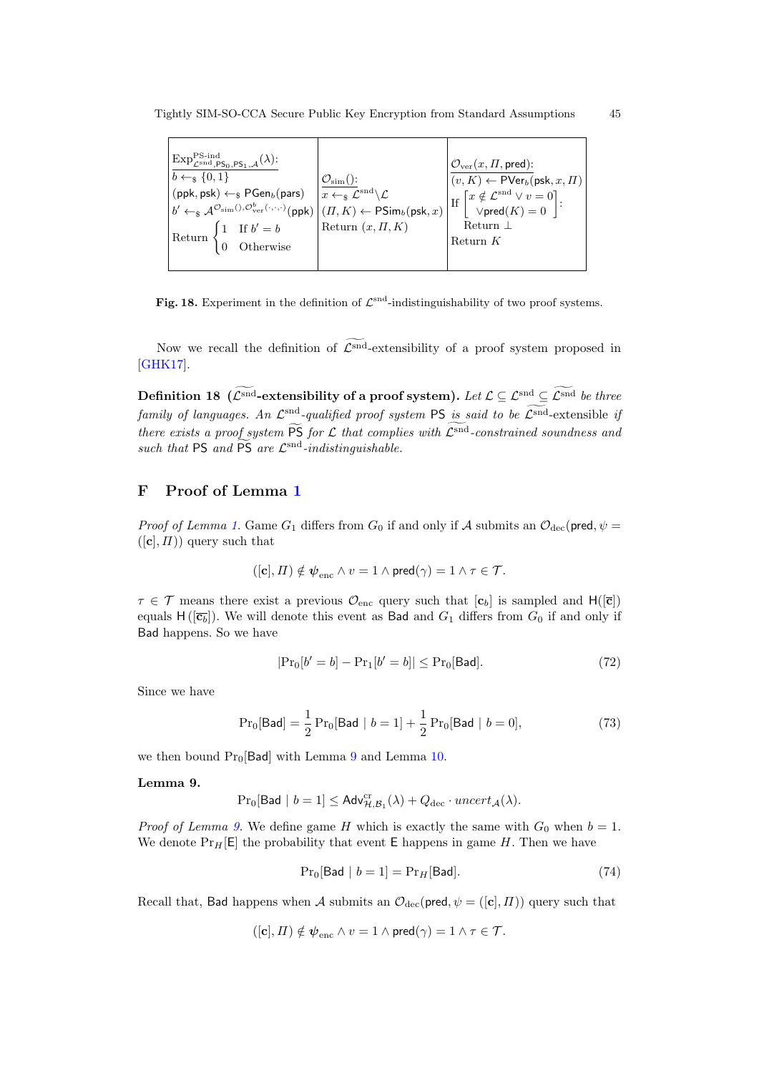| $\mathrm{Exp}^\mathrm{PS-ind}_{\mathcal{L}^\mathrm{snd}, \mathsf{PS}_0, \mathsf{PS}_1, \mathcal{A}}(\lambda)$ :                                                                  |                                                                                        | $\mathcal{O}_{\rm ver}(x,\Pi,{\sf pred})$ :                                                     |
|----------------------------------------------------------------------------------------------------------------------------------------------------------------------------------|----------------------------------------------------------------------------------------|-------------------------------------------------------------------------------------------------|
| $b \leftarrow_s \{0,1\}$                                                                                                                                                         | $\mathcal{O}_{\text{sim}}()$ :                                                         | $\lceil \overline{(v,K) \leftarrow \textsf{PVer}_b(\textsf{psk},x,\Pi) \rceil} \rceil$          |
| $(ppk, psk) \leftarrow$ <sub>\$</sub> PGen <sub>b</sub> (pars)                                                                                                                   | $x \leftarrow_{\mathsf{s}} \overline{\mathcal{L}}^{\text{snd}} \backslash \mathcal{L}$ | If $\left[ x \notin \mathcal{L}^{\text{snd}} \vee v = 0 \right]$ :<br>$\vee \text{pred}(K) = 0$ |
| $(b' \leftarrow_{\$} \mathcal{A}^{\mathcal{O}_{\text{sim}}(), \mathcal{O}_{\text{ver}}^b(\cdot, \cdot, \cdot)}(\text{ppk})   (H, K) \leftarrow \textsf{PSim}_b(\textsf{psk}, x)$ |                                                                                        |                                                                                                 |
|                                                                                                                                                                                  | Return $(x, \Pi, K)$                                                                   | Return $\perp$                                                                                  |
| Return $\begin{cases} 1 & \text{If } b' = b \\ 0 & \text{Otherwise} \end{cases}$                                                                                                 |                                                                                        | Return $K$                                                                                      |
|                                                                                                                                                                                  |                                                                                        |                                                                                                 |

<span id="page-44-1"></span>Fig. 18. Experiment in the definition of  $\mathcal{L}^{\text{snd}}$ -indistinguishability of two proof systems.

Now we recall the definition of  $\widetilde{\mathcal{L}}^{\text{snd}}$ -extensibility of a proof system proposed in [\[GHK17\]](#page-26-8).

Definition 18 ( $\widetilde{\mathcal{L}}^{\text{snd}}$ -extensibility of a proof system). Let  $\mathcal{L} \subseteq \mathcal{L}^{\text{snd}} \subseteq \widetilde{\mathcal{L}^{\text{snd}}}$  be three family of languages. An  $\mathcal{L}^{\text{snd}}$ -qualified proof system PS is said to be  $\mathcal{L}^{\text{snd}}$ -extensible if there exists a proof system  $\widetilde{PS}$  for  $\mathcal L$  that complies with  $\widetilde{\mathcal{L}}^{\text{snd}}$ -constrained soundness and such that PS and  $\overline{PS}$  are  $\mathcal{L}^{\text{snd}}$ -indistinguishable.

# <span id="page-44-0"></span>F Proof of Lemma [1](#page-22-1)

*Proof of Lemma [1.](#page-22-1)* Game  $G_1$  differs from  $G_0$  if and only if A submits an  $\mathcal{O}_{\text{dec}}(\text{pred}, \psi =$  $([c], \Pi)$  query such that

$$
([\mathbf{c}], \Pi) \notin \psi_{\text{enc}} \land v = 1 \land \mathsf{pred}(\gamma) = 1 \land \tau \in \mathcal{T}.
$$

 $\tau \in \mathcal{T}$  means there exist a previous  $\mathcal{O}_{\text{enc}}$  query such that  $[\mathbf{c}_b]$  is sampled and  $H([\bar{c}])$ equals  $H([\overline{c_b}])$ . We will denote this event as Bad and  $G_1$  differs from  $G_0$  if and only if Bad happens. So we have

<span id="page-44-4"></span>
$$
|\Pr_0[b' = b] - \Pr_1[b' = b]| \le \Pr_0[\text{Bad}].\tag{72}
$$

Since we have

<span id="page-44-5"></span>
$$
Pr_0[Bad] = \frac{1}{2} Pr_0[Bad | b = 1] + \frac{1}{2} Pr_0[Bad | b = 0],
$$
\n(73)

we then bound  $Pr_0[Bad]$  with Lemma [9](#page-44-2) and Lemma [10.](#page-46-0)

### Lemma 9.

$$
\Pr_0[\mathsf{Bad} \mid b = 1] \leq \mathsf{Adv}_{\mathcal{H}, \mathcal{B}_1}^{\mathrm{cr}}(\lambda) + Q_{\mathrm{dec}} \cdot \mathit{uncert}_{\mathcal{A}}(\lambda).
$$

*Proof of Lemma [9.](#page-44-2)* We define game H which is exactly the same with  $G_0$  when  $b = 1$ . We denote  $Pr_H[E]$  the probability that event E happens in game H. Then we have

<span id="page-44-3"></span><span id="page-44-2"></span>
$$
\Pr_0[\text{Bad} \mid b = 1] = \Pr_H[\text{Bad}].\tag{74}
$$

Recall that, Bad happens when A submits an  $\mathcal{O}_{\text{dec}}(\text{pred}, \psi = ([c], \Pi))$  query such that

$$
([\mathbf{c}], \Pi) \notin \psi_{\text{enc}} \land v = 1 \land \text{pred}(\gamma) = 1 \land \tau \in \mathcal{T}.
$$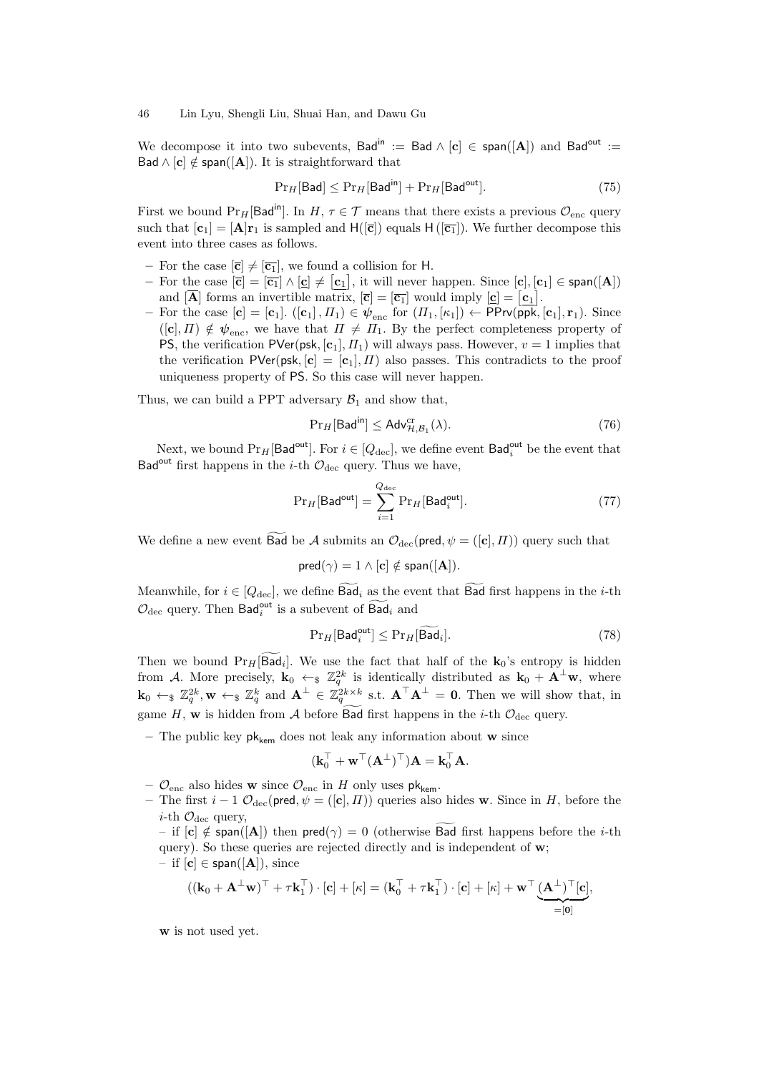We decompose it into two subevents, Bad<sup>in</sup> := Bad  $\wedge$  [c]  $\in$  span([A]) and Bad<sup>out</sup> := Bad  $\wedge$  [c]  $\notin$  span([A]). It is straightforward that

<span id="page-45-2"></span>
$$
\Pr_H[\mathsf{Bad}] \le \Pr_H[\mathsf{Bad}^{\mathsf{in}}] + \Pr_H[\mathsf{Bad}^{\mathsf{out}}].\tag{75}
$$

First we bound  $Pr_H[\mathsf{Bad}^{\mathsf{in}}]$ . In  $H, \tau \in \mathcal{T}$  means that there exists a previous  $\mathcal{O}_{\text{enc}}$  query such that  $[\mathbf{c}_1] = [\mathbf{A}]\mathbf{r}_1$  is sampled and  $H([\overline{\mathbf{c}}])$  equals  $H([\overline{\mathbf{c}}_1])$ . We further decompose this event into three cases as follows.

- For the case  $[\overline{c}] \neq [\overline{c_1}]$ , we found a collision for H.
- $-$  For the case  $[\bar{c}] = [\bar{c_1}] \wedge [\underline{c}] \neq [\underline{c_1}]$ , it will never happen. Since  $[c], [c_1] \in span([\mathbf{A}])$ and  $[\overline{A}]$  forms an invertible matrix,  $[\overline{c}] = [\overline{c_1}]$  would imply  $[\underline{c}] = [\underline{c_1}]$ .
- For the case  $[\mathbf{c}] = [\mathbf{c}_1]$ .  $([\mathbf{c}_1], \Pi_1) \in \psi_{\text{enc}}$  for  $(\Pi_1, [\kappa_1]) \leftarrow \text{PPrv}(\text{ppk}, [\mathbf{c}_1], \mathbf{r}_1)$ . Since  $([\mathbf{c}], \Pi) \notin \psi_{\text{enc}}$ , we have that  $\Pi \neq \Pi_1$ . By the perfect completeness property of PS, the verification PVer(psk,  $[c_1]$ ,  $\Pi_1$ ) will always pass. However,  $v = 1$  implies that the verification PVer(psk,  $[\mathbf{c}] = [\mathbf{c}_1], H$ ) also passes. This contradicts to the proof uniqueness property of PS. So this case will never happen.

Thus, we can build a PPT adversary  $\mathcal{B}_1$  and show that,

<span id="page-45-3"></span>
$$
\Pr_H[\mathsf{Bad}^{\mathsf{in}}] \le \mathsf{Adv}_{\mathcal{H},\mathcal{B}_1}^{\mathsf{cr}}(\lambda). \tag{76}
$$

Next, we bound  $Pr_H[\mathsf{Bad}^{\mathsf{out}}]$ . For  $i \in [Q_{\text{dec}}]$ , we define event  $\mathsf{Bad}^{\mathsf{out}}_i$  be the event that Bad<sup>out</sup> first happens in the *i*-th  $\mathcal{O}_{\text{dec}}$  query. Thus we have,

<span id="page-45-0"></span>
$$
\Pr_H[\mathsf{Bad}^{\mathsf{out}}] = \sum_{i=1}^{Q_{\text{dec}}} \Pr_H[\mathsf{Bad}^{\mathsf{out}}_i].\tag{77}
$$

We define a new event Bad be A submits an  $\mathcal{O}_{\text{dec}}(\text{pred}, \psi = ([c], \Pi))$  query such that

$$
\mathsf{pred}(\gamma) = 1 \land [\mathbf{c}] \notin \mathsf{span}([\mathbf{A}]).
$$

Meanwhile, for  $i \in [Q_{\text{dec}}]$ , we define  $\widetilde{\mathsf{Bad}}_i$  as the event that  $\widetilde{\mathsf{Bad}}$  first happens in the *i*-th  $\mathcal{O}_{\text{dec}}$  query. Then Bad<sup>out</sup> is a subevent of  $\widehat{\text{Bad}}_i$  and

<span id="page-45-1"></span>
$$
\Pr_H[\mathsf{Bad}_i^{\mathsf{out}}] \le \Pr_H[\widetilde{\mathsf{Bad}}_i].\tag{78}
$$

Then we bound  $Pr_H[\text{Bad}_i]$ . We use the fact that half of the  $k_0$ 's entropy is hidden from A. More precisely,  $\mathbf{k}_0 \leftarrow_s \mathbb{Z}_q^{2k}$  is identically distributed as  $\mathbf{k}_0 + \mathbf{A}^{\perp} \mathbf{w}$ , where  $\mathbf{k}_0 \leftarrow_{\$} \mathbb{Z}_q^{2k}, \mathbf{w} \leftarrow_{\$} \mathbb{Z}_q^k$  and  $\mathbf{A}^{\perp} \in \mathbb{Z}_q^{2k \times k}$  s.t.  $\mathbf{A}^{\top} \mathbf{A}^{\perp} = \mathbf{0}$ . Then we will show that, in game H, w is hidden from A before Bad first happens in the *i*-th  $\mathcal{O}_{\text{dec}}$  query.

– The public key  $pk_{kem}$  does not leak any information about **w** since

$$
(\mathbf{k}_0^{\top} + \mathbf{w}^{\top} (\mathbf{A}^{\perp})^{\top}) \mathbf{A} = \mathbf{k}_0^{\top} \mathbf{A}.
$$

- $\mathcal{O}_{\text{enc}}$  also hides **w** since  $\mathcal{O}_{\text{enc}}$  in H only uses  $pk_{\text{kem}}$ .
- The first  $i-1$  O<sub>dec</sub>(pred,  $ψ$  = ([c],  $\Pi$ )) queries also hides w. Since in  $H$ , before the *i*-th  $\mathcal{O}_{\text{dec}}$  query,
	- if  $[c] \notin \text{span}([\mathbf{A}])$  then  $\text{pred}(\gamma) = 0$  (otherwise  $\widetilde{\mathsf{Bad}}$  first happens before the *i*-th query). So these queries are rejected directly and is independent of w; – if  $[c]$  ∈ span( $[$ A $]$ ), since

$$
((\mathbf{k}_0+\mathbf{A}^{\perp}\mathbf{w})^{\top}+\tau\mathbf{k}_1^{\top})\cdot[\mathbf{c}]+[\kappa]=(\mathbf{k}_0^{\top}+\tau\mathbf{k}_1^{\top})\cdot[\mathbf{c}]+[\kappa]+\mathbf{w}^{\top}\underbrace{(\mathbf{A}^{\perp})^{\top}[\mathbf{c}]}_{=[0]},
$$

w is not used yet.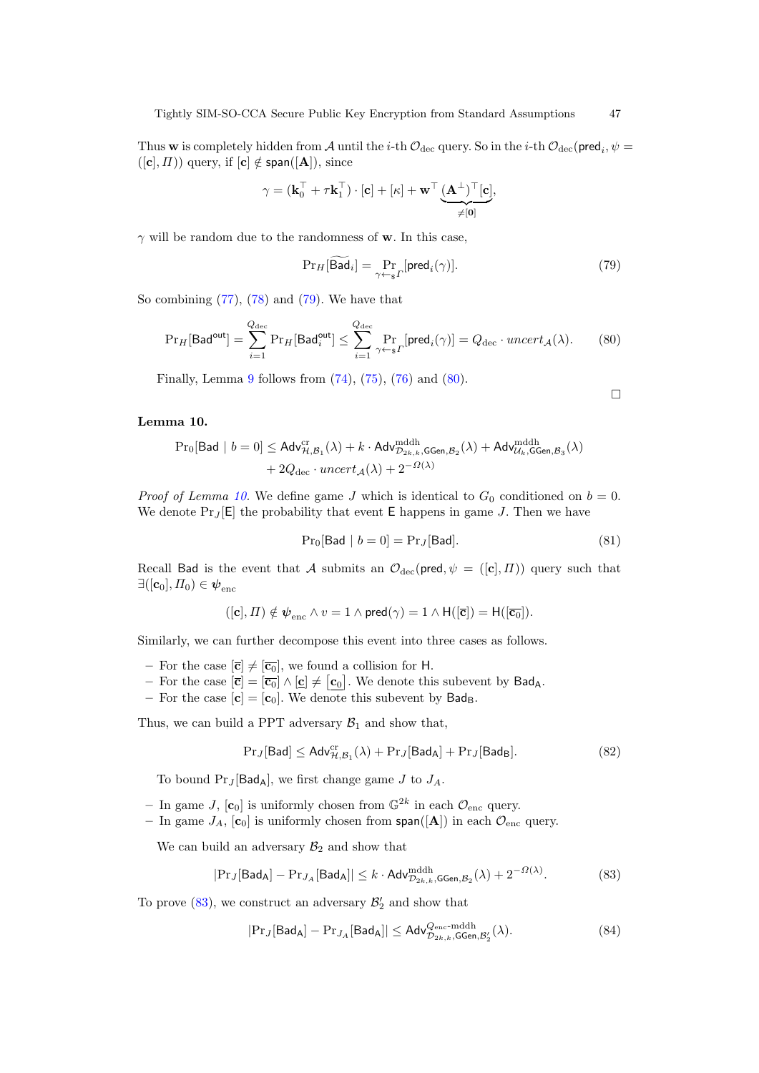Thus w is completely hidden from A until the *i*-th  $\mathcal{O}_{\text{dec}}$  query. So in the *i*-th  $\mathcal{O}_{\text{dec}}$  (pred<sub>*i*</sub>,  $\psi$  =  $([c], \Pi)$ ) query, if  $[c] \notin \text{span}([\mathbf{A}]),$  since

$$
\gamma = (\mathbf{k}_0^{\top} + \tau \mathbf{k}_1^{\top}) \cdot [\mathbf{c}] + [\kappa] + \mathbf{w}^{\top} (\mathbf{A}^{\perp})^{\top} [\mathbf{c}],
$$
  

 $\gamma$  will be random due to the randomness of **w**. In this case,

<span id="page-46-1"></span>
$$
\Pr_H[\widehat{\mathsf{Bad}}_i] = \Pr_{\gamma \leftarrow \mathsf{s}\Gamma}[\mathsf{pred}_i(\gamma)].\tag{79}
$$

So combining  $(77)$ ,  $(78)$  and  $(79)$ . We have that

<span id="page-46-2"></span>
$$
\Pr_H[\mathsf{Bad}^{\mathsf{out}}] = \sum_{i=1}^{Q_{\text{dec}}} \Pr_H[\mathsf{Bad}^{\mathsf{out}}_i] \le \sum_{i=1}^{Q_{\text{dec}}} \Pr_{\gamma \leftarrow_{\$} \Gamma}[\mathsf{pred}_i(\gamma)] = Q_{\text{dec}} \cdot \text{uncert}_{\mathcal{A}}(\lambda). \tag{80}
$$

Finally, Lemma [9](#page-44-2) follows from  $(74)$ ,  $(75)$ ,  $(76)$  and  $(80)$ .

### <span id="page-46-0"></span>Lemma 10.

$$
\begin{aligned} \Pr_0[\mathsf{Bad} \mid b = 0] &\leq \mathsf{Adv}^{\mathrm{cr}}_{\mathcal{H}, \mathcal{B}_1}(\lambda) + k \cdot \mathsf{Adv}^{\mathrm{mddh}}_{\mathcal{D}_{2k, k}, \mathsf{GGen}, \mathcal{B}_2}(\lambda) + \mathsf{Adv}^{\mathrm{mddh}}_{\mathcal{U}_k, \mathsf{GGen}, \mathcal{B}_3}(\lambda) \\ &+ 2Q_{\mathrm{dec}} \cdot \mathit{uncert}_{\mathcal{A}}(\lambda) + 2^{-\varOmega(\lambda)} \end{aligned}
$$

*Proof of Lemma [10.](#page-46-0)* We define game J which is identical to  $G_0$  conditioned on  $b = 0$ . We denote  $Pr_J$  [E] the probability that event E happens in game J. Then we have

<span id="page-46-5"></span>
$$
Pr_0[\text{Bad} \mid b = 0] = Pr_J[\text{Bad}].\tag{81}
$$

Recall Bad is the event that A submits an  $\mathcal{O}_{\text{dec}}(\text{pred}, \psi = ([c], \Pi))$  query such that  $\exists([\mathbf{c}_0], \Pi_0) \in \boldsymbol{\psi}_{\text{enc}}$ 

$$
([\mathbf{c}],\varPi)\notin\psi_{\mathrm{enc}}\wedge v=1\wedge\mathrm{pred}(\gamma)=1\wedge \mathsf{H}([\overline{\mathbf{c}}])=\mathsf{H}([\overline{\mathbf{c}_0}]).
$$

Similarly, we can further decompose this event into three cases as follows.

- For the case  $[\overline{c}] \neq [\overline{c_0}]$ , we found a collision for H.
- For the case  $[\bar{c}] = [\bar{c}_0] \wedge [\underline{c}] \neq [\underline{c}_0]$ . We denote this subevent by Bad<sub>A</sub>.
- For the case  $[\mathbf{c}] = [\mathbf{c}_0]$ . We denote this subevent by Bad<sub>B</sub>.

Thus, we can build a PPT adversary  $\mathcal{B}_1$  and show that,

<span id="page-46-6"></span>
$$
Pr_J[\mathsf{Bad}] \leq \mathsf{Adv}_{\mathcal{H},\mathcal{B}_1}^{\mathrm{cr}}(\lambda) + Pr_J[\mathsf{Bad}_{A}] + Pr_J[\mathsf{Bad}_{B}].\tag{82}
$$

To bound  $Pr_J[\mathsf{Bad}_A]$ , we first change game  $J$  to  $J_A$ .

- In game J,  $[\mathbf{c}_0]$  is uniformly chosen from  $\mathbb{G}^{2k}$  in each  $\mathcal{O}_{\text{enc}}$  query.
- In game  $J_A$ ,  $[\mathbf{c}_0]$  is uniformly chosen from span([A]) in each  $\mathcal{O}_{\text{enc}}$  query.

We can build an adversary  $\mathcal{B}_2$  and show that

<span id="page-46-3"></span>
$$
|\Pr_J[\text{Bad}_A] - \Pr_{J_A}[\text{Bad}_A]| \le k \cdot \text{Adv}_{\mathcal{D}_{2k,k},\text{GGen},\mathcal{B}_2}^{\text{mddh}}(\lambda) + 2^{-\Omega(\lambda)}.
$$
 (83)

To prove  $(83)$ , we construct an adversary  $\mathcal{B}'_2$  and show that

<span id="page-46-4"></span>
$$
|\text{Pr}_{J}[\text{Bad}_{A}] - \text{Pr}_{J_{A}}[\text{Bad}_{A}]| \leq \text{Adv}_{\mathcal{D}_{2k,k},\text{GGen},\mathcal{B}'_{2}}^{\mathcal{Q}_{\text{enc}}\text{-mddh}}(\lambda). \tag{84}
$$

 $\Box$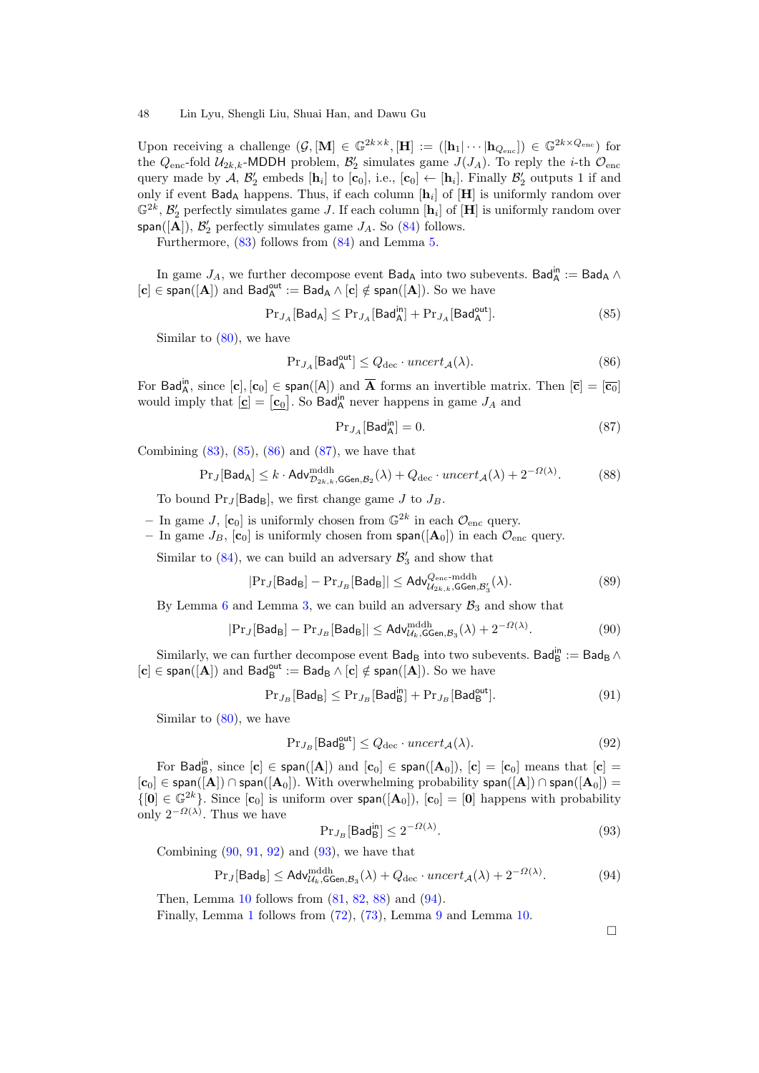Upon receiving a challenge  $(\mathcal{G}, [\mathbf{M}] \in \mathbb{G}^{2k \times k}, [\mathbf{H}] := ([\mathbf{h}_1 | \cdots | \mathbf{h}_{Q_{\text{enc}}}] ) \in \mathbb{G}^{2k \times Q_{\text{enc}}}$  for the  $Q_{\text{enc}}$ -fold  $\mathcal{U}_{2k,k}$ -MDDH problem,  $\mathcal{B}'_2$  simulates game  $J(J_A)$ . To reply the *i*-th  $\mathcal{O}_{\text{enc}}$ query made by  $\mathcal{A}, \mathcal{B}'_2$  embeds  $[\mathbf{h}_i]$  to  $[\mathbf{c}_0]$ , i.e.,  $[\mathbf{c}_0] \leftarrow [\mathbf{h}_i]$ . Finally  $\mathcal{B}'_2$  outputs 1 if and only if event  $Bad_A$  happens. Thus, if each column  $[\mathbf{h}_i]$  of  $[\mathbf{H}]$  is uniformly random over  $\mathbb{G}^{2k}$ ,  $\mathcal{B}'_2$  perfectly simulates game J. If each column  $[\mathbf{h}_i]$  of  $[\mathbf{H}]$  is uniformly random over  $span([A]), \mathcal{B}'_2$  perfectly simulates game  $J_A$ . So [\(84\)](#page-46-4) follows.

Furthermore, [\(83\)](#page-46-3) follows from [\(84\)](#page-46-4) and Lemma [5.](#page-29-2)

In game  $J_A$ , we further decompose event  $Bad_A$  into two subevents.  $Bad_A^{\text{in}} := Bad_A \wedge$  $[\mathbf{c}]\in \mathsf{span}([\mathbf{A}])$  and  $\mathsf{Bad}_{\mathsf{A}}^{\mathsf{out}}:=\mathsf{Bad}_{\mathsf{A}}\wedge[\mathbf{c}]\notin \mathsf{span}([\mathbf{A}]).$  So we have

<span id="page-47-0"></span>
$$
Pr_{J_A}[Bad_A] \leq Pr_{J_A}[Bad_A^{\text{in}}] + Pr_{J_A}[Bad_A^{\text{out}}]. \tag{85}
$$

Similar to [\(80\)](#page-46-2), we have

<span id="page-47-1"></span>
$$
\mathrm{Pr}_{J_A}[\mathsf{Bad}_{\mathsf{A}}^{\mathsf{out}}] \le Q_{\mathrm{dec}} \cdot \mathit{uncert}_{\mathcal{A}}(\lambda). \tag{86}
$$

For Bad<sup>in</sup>, since  $[c], [c_0] \in span([A])$  and  $\overline{A}$  forms an invertible matrix. Then  $[\overline{c}] = [\overline{c_0}]$ would imply that  $[\mathbf{c}] = [\mathbf{c}_0]$ . So Bad<sup>in</sup> never happens in game  $J_A$  and

<span id="page-47-2"></span>
$$
\Pr_{J_A}[\mathsf{Bad}_{\mathsf{A}}^{\mathsf{in}}] = 0. \tag{87}
$$

Combining  $(83)$ ,  $(85)$ ,  $(86)$  and  $(87)$ , we have that

<span id="page-47-7"></span>
$$
\Pr_J[\mathsf{Bad}_{\mathsf{A}}] \le k \cdot \mathsf{Adv}_{\mathcal{D}_{2k,k},\mathsf{GGen},\mathcal{B}_2}^{\mathrm{mddh}}(\lambda) + Q_{\mathrm{dec}} \cdot \text{uncert}_{\mathcal{A}}(\lambda) + 2^{-\Omega(\lambda)}.\tag{88}
$$

To bound  $Pr_J[Bad_B]$ , we first change game J to  $J_B$ .

- In game J,  $[\mathbf{c}_0]$  is uniformly chosen from  $\mathbb{G}^{2k}$  in each  $\mathcal{O}_{\text{enc}}$  query.
- In game  $J_B$ ,  $[\mathbf{c}_0]$  is uniformly chosen from span( $[\mathbf{A}_0]$ ) in each  $\mathcal{O}_{\text{enc}}$  query.

Similar to  $(84)$ , we can build an adversary  $\mathcal{B}'_3$  and show that

$$
|\text{Pr}_{J}[\text{Bad}_{\text{B}}] - \text{Pr}_{J_{B}}[\text{Bad}_{\text{B}}]| \leq \text{Adv}_{\mathcal{U}_{2k,k},\text{GGen},\mathcal{B}'_{3}}^{\mathcal{Q}_{\text{enc}}-\text{mddh}}(\lambda). \tag{89}
$$

By Lemma [6](#page-29-1) and Lemma [3,](#page-28-3) we can build an adversary  $\mathcal{B}_3$  and show that

<span id="page-47-3"></span>
$$
|\text{Pr}_{J}[\text{Bad}_{\text{B}}] - \text{Pr}_{J_{B}}[\text{Bad}_{\text{B}}]| \leq \text{Adv}_{\mathcal{U}_{k},\text{GGen},\mathcal{B}_{3}}^{\text{mddh}}(\lambda) + 2^{-\Omega(\lambda)}.
$$
\n(90)

Similarly, we can further decompose event  $\mathsf{Bad}_\mathsf{B}$  into two subevents.  $\mathsf{Bad}^\mathsf{in}_\mathsf{B} := \mathsf{Bad}_\mathsf{B} \land$  $[\mathbf{c}]\in \mathsf{span}([\mathbf{A}])$  and  $\mathsf{Bad}^\mathsf{out}_\mathsf{B}:=\mathsf{Bad}_\mathsf{B} \wedge [\mathbf{c}]\notin \mathsf{span}([\mathbf{A}]).$  So we have

<span id="page-47-4"></span>
$$
Pr_{J_B}[Bad_B] \le Pr_{J_B}[Bad_B^{in}] + Pr_{J_B}[Bad_B^{out}]. \tag{91}
$$

Similar to  $(80)$ , we have

<span id="page-47-5"></span>
$$
Pr_{J_B}[\text{Bad}_{B}^{\text{out}}] \le Q_{\text{dec}} \cdot \text{uncert}_{\mathcal{A}}(\lambda). \tag{92}
$$

For Bad<sup>in</sup>, since  $[\mathbf{c}] \in \mathsf{span}([\mathbf{A}])$  and  $[\mathbf{c}_0] \in \mathsf{span}([\mathbf{A}_0])$ ,  $[\mathbf{c}] = [\mathbf{c}_0]$  means that  $[\mathbf{c}] =$  $[\mathbf{c}_0] \in \mathsf{span}([\mathbf{A}]) \cap \mathsf{span}([\mathbf{A}_0])$ . With overwhelming probability  $\mathsf{span}([\mathbf{A}]) \cap \mathsf{span}([\mathbf{A}_0])$  $\{[0] \in \mathbb{G}^{2k}\}\.$  Since  $[c_0]$  is uniform over span $([A_0])$ ,  $[c_0] = [0]$  happens with probability only  $2^{-\Omega(\lambda)}$ . Thus we have

<span id="page-47-6"></span>
$$
\Pr_{J_B}[\mathsf{Bad}_{\mathsf{B}}^{\mathsf{in}}] \le 2^{-\Omega(\lambda)}.\tag{93}
$$

Combining  $(90, 91, 92)$  $(90, 91, 92)$  $(90, 91, 92)$  $(90, 91, 92)$  $(90, 91, 92)$  and  $(93)$ , we have that

<span id="page-47-8"></span>
$$
\Pr_J[\mathsf{Bad}_{\mathsf{B}}] \le \mathsf{Adv}_{\mathcal{U}_k, \mathsf{GGen}, \mathcal{B}_3}^{\mathrm{mddh}}(\lambda) + Q_{\mathrm{dec}} \cdot \mathit{uncert}_{\mathcal{A}}(\lambda) + 2^{-\Omega(\lambda)}.\tag{94}
$$

Then, Lemma [10](#page-46-0) follows from [\(81,](#page-46-5) [82,](#page-46-6) [88\)](#page-47-7) and [\(94\)](#page-47-8).

Finally, Lemma [1](#page-22-1) follows from [\(72\)](#page-44-4), [\(73\)](#page-44-5), Lemma [9](#page-44-2) and Lemma [10.](#page-46-0)

 $\Box$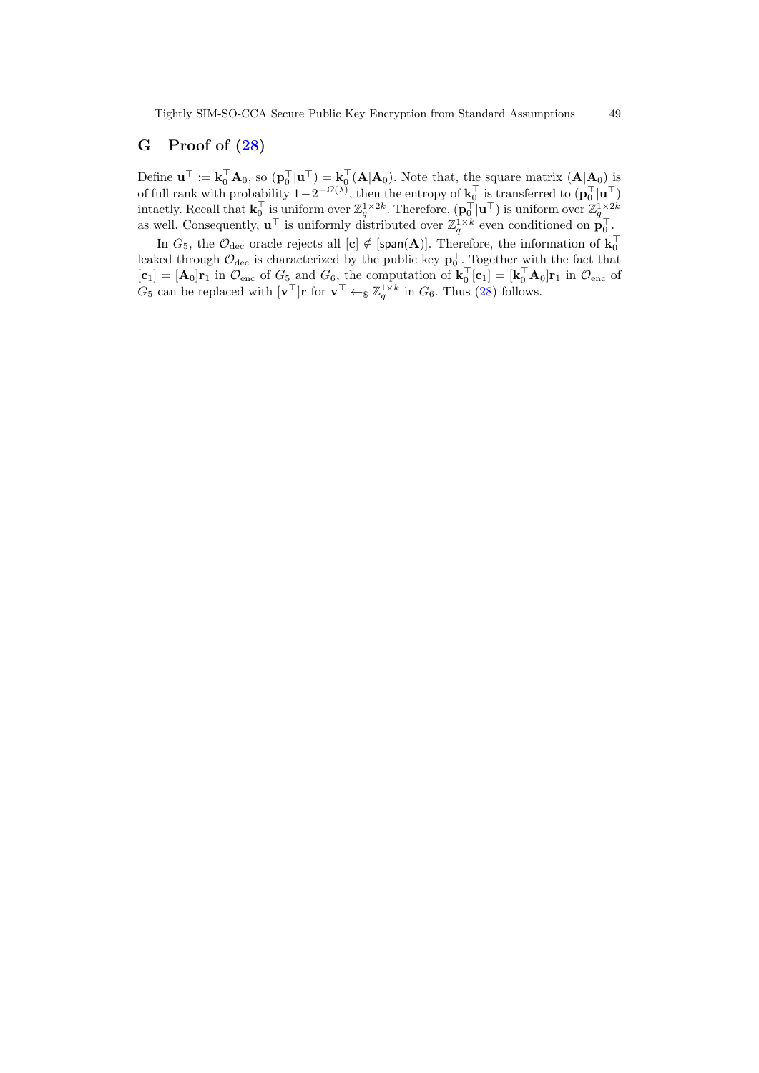# <span id="page-48-0"></span>G Proof of [\(28\)](#page-24-1)

Define  $\mathbf{u}^{\top} := \mathbf{k}_0^{\top} \mathbf{A}_0$ , so  $(\mathbf{p}_0^{\top} | \mathbf{u}^{\top}) = \mathbf{k}_0^{\top} (\mathbf{A} | \mathbf{A}_0)$ . Note that, the square matrix  $(\mathbf{A} | \mathbf{A}_0)$  is of full rank with probability  $1-2^{-\Omega(\lambda)}$ , then the entropy of  $\mathbf{k}_0^{\top}$  is transferred to  $(\mathbf{p}_0^{\top} | \mathbf{u}^{\top})$ intactly. Recall that  $\mathbf{k}_0^{\top}$  is uniform over  $\mathbb{Z}_q^{1\times 2k}$ . Therefore,  $(\mathbf{p}_0^{\top}|\mathbf{u}^{\top})$  is uniform over  $\mathbb{Z}_q^{1\times 2k}$ <br>as well. Consequently,  $\mathbf{u}^{\top}$  is uniformly distributed over  $\mathbb{Z}_q^{1\times k}$ 

In  $G_5$ , the  $\mathcal{O}_{\text{dec}}$  oracle rejects all  $[\mathbf{c}] \notin [\textsf{span}(\mathbf{A})]$ . Therefore, the information of  $\mathbf{k}_0^{\top}$ leaked through  $\mathcal{O}_{\text{dec}}$  is characterized by the public key  $\mathbf{p}_0^{\top}$ . Together with the fact that  $[\mathbf{c}_1] = [\mathbf{A}_0] \mathbf{r}_1$  in  $\mathcal{O}_{\text{enc}}$  of  $G_5$  and  $G_6$ , the computation of  $\mathbf{k}_0^{\top}[\mathbf{c}_1] = [\mathbf{k}_0^{\top} \mathbf{A}_0] \mathbf{r}_1$  in  $\mathcal{O}_{\text{enc}}$  of  $G_5$  can be replaced with  $[\mathbf{v}^\top] \mathbf{r}$  for  $\mathbf{v}^\top \leftarrow \mathbf{s} \mathbb{Z}_q^{1 \times k}$  in  $G_6$ . Thus [\(28\)](#page-24-1) follows.